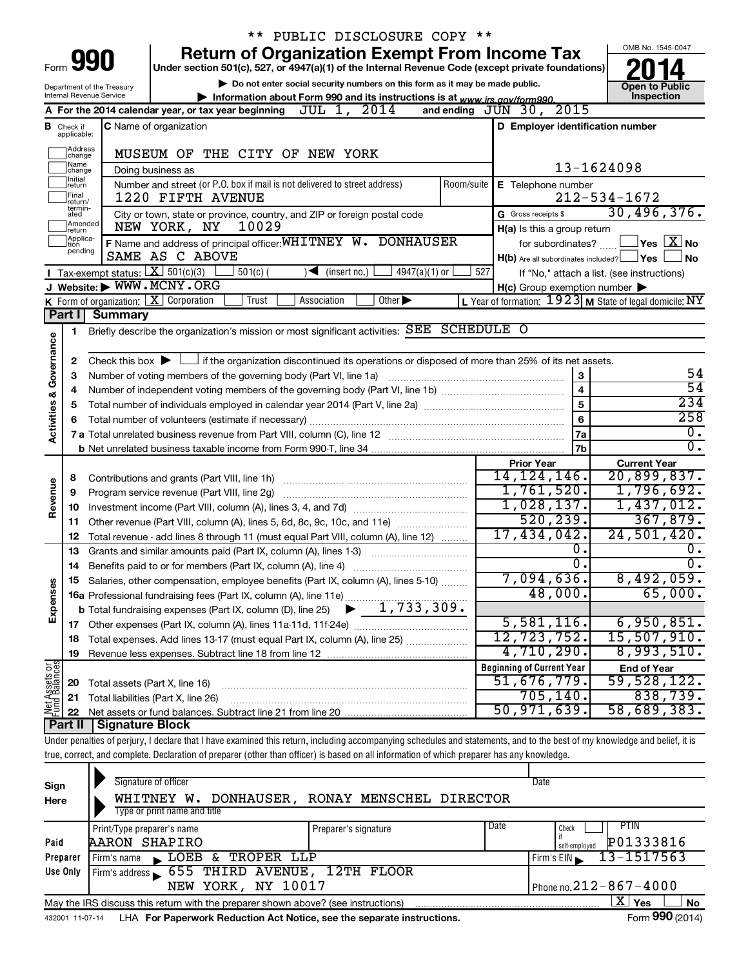|                                                     |                             |                                                                        | PUBLIC DISCLOSURE COPY **                                                                                                                                                  |                                                           |                                                                     |  |  |  |  |  |  |
|-----------------------------------------------------|-----------------------------|------------------------------------------------------------------------|----------------------------------------------------------------------------------------------------------------------------------------------------------------------------|-----------------------------------------------------------|---------------------------------------------------------------------|--|--|--|--|--|--|
|                                                     |                             |                                                                        | <b>Return of Organization Exempt From Income Tax</b>                                                                                                                       |                                                           | OMB No. 1545-0047                                                   |  |  |  |  |  |  |
| Form                                                |                             | 990                                                                    | Under section 501(c), 527, or 4947(a)(1) of the Internal Revenue Code (except private foundations)                                                                         |                                                           |                                                                     |  |  |  |  |  |  |
|                                                     |                             | Department of the Treasury                                             | Do not enter social security numbers on this form as it may be made public.                                                                                                |                                                           | <b>Open to Public</b>                                               |  |  |  |  |  |  |
|                                                     |                             | Internal Revenue Service                                               | Information about Form 990 and its instructions is at www.irs.gov/form990.<br>JUL 1, 2014<br>A For the 2014 calendar year, or tax year beginning                           | and ending $J\bar{U}N$ 30, 2015                           | Inspection                                                          |  |  |  |  |  |  |
|                                                     |                             |                                                                        |                                                                                                                                                                            |                                                           |                                                                     |  |  |  |  |  |  |
| В                                                   | Check if<br>applicable:     |                                                                        | <b>C</b> Name of organization                                                                                                                                              | D Employer identification number                          |                                                                     |  |  |  |  |  |  |
| Address<br>MUSEUM OF THE CITY OF NEW YORK<br>change |                             |                                                                        |                                                                                                                                                                            |                                                           |                                                                     |  |  |  |  |  |  |
|                                                     | Name<br>change              |                                                                        | Doing business as                                                                                                                                                          |                                                           | 13-1624098                                                          |  |  |  |  |  |  |
|                                                     | Initial<br> return          |                                                                        | Number and street (or P.O. box if mail is not delivered to street address)<br>Room/suite                                                                                   | E Telephone number                                        |                                                                     |  |  |  |  |  |  |
|                                                     | Final<br>return/<br>termin- |                                                                        | 1220 FIFTH AVENUE                                                                                                                                                          |                                                           | $212 - 534 - 1672$                                                  |  |  |  |  |  |  |
|                                                     | ated<br>Amended             |                                                                        | City or town, state or province, country, and ZIP or foreign postal code                                                                                                   | G Gross receipts \$                                       | 30,496,376.                                                         |  |  |  |  |  |  |
|                                                     | return<br>Applica-          |                                                                        | 10029<br>NEW YORK, NY                                                                                                                                                      | H(a) Is this a group return                               |                                                                     |  |  |  |  |  |  |
|                                                     | tion<br>pending             |                                                                        | F Name and address of principal officer: WHITNEY W. DONHAUSER<br>SAME AS C ABOVE                                                                                           |                                                           | for subordinates? $\boxed{\phantom{a}}$ Yes $\boxed{\textbf{X}}$ No |  |  |  |  |  |  |
|                                                     |                             | Tax-exempt status: $X \ 501(c)(3)$                                     | $4947(a)(1)$ or<br>$501(c)$ (<br>$\sqrt{\frac{1}{1}}$ (insert no.)                                                                                                         | $H(b)$ Are all subordinates included? $\Box$ Yes<br>527   | No.<br>If "No," attach a list. (see instructions)                   |  |  |  |  |  |  |
|                                                     |                             |                                                                        | J Website: WWW.MCNY.ORG                                                                                                                                                    | $H(c)$ Group exemption number $\blacktriangleright$       |                                                                     |  |  |  |  |  |  |
|                                                     |                             |                                                                        | <b>K</b> Form of organization: $X$ Corporation<br>Trust<br>Association<br>Other $\blacktriangleright$                                                                      | L Year of formation: $1923$ M State of legal domicile: NY |                                                                     |  |  |  |  |  |  |
|                                                     | Part I                      | <b>Summary</b>                                                         |                                                                                                                                                                            |                                                           |                                                                     |  |  |  |  |  |  |
|                                                     | 1                           |                                                                        | Briefly describe the organization's mission or most significant activities: SEE SCHEDULE O                                                                                 |                                                           |                                                                     |  |  |  |  |  |  |
| Governance                                          |                             |                                                                        |                                                                                                                                                                            |                                                           |                                                                     |  |  |  |  |  |  |
|                                                     | 2                           |                                                                        | Check this box $\blacktriangleright$ $\Box$ if the organization discontinued its operations or disposed of more than 25% of its net assets.                                |                                                           | 54                                                                  |  |  |  |  |  |  |
|                                                     | З                           | 3<br>Number of voting members of the governing body (Part VI, line 1a) |                                                                                                                                                                            |                                                           |                                                                     |  |  |  |  |  |  |
|                                                     | 4                           | $\overline{\mathbf{4}}$<br>5<br>5                                      |                                                                                                                                                                            |                                                           |                                                                     |  |  |  |  |  |  |
|                                                     |                             |                                                                        |                                                                                                                                                                            |                                                           |                                                                     |  |  |  |  |  |  |
| <b>Activities &amp;</b>                             | 6                           |                                                                        |                                                                                                                                                                            | 6                                                         | 258                                                                 |  |  |  |  |  |  |
|                                                     |                             |                                                                        |                                                                                                                                                                            | 7a                                                        | 0.<br>$\overline{0}$ .                                              |  |  |  |  |  |  |
|                                                     |                             |                                                                        |                                                                                                                                                                            | 7b<br><b>Prior Year</b>                                   | <b>Current Year</b>                                                 |  |  |  |  |  |  |
|                                                     | 8                           |                                                                        | Contributions and grants (Part VIII, line 1h)                                                                                                                              | 14, 124, 146.                                             | 20,899,837.                                                         |  |  |  |  |  |  |
| Revenue                                             | 9                           |                                                                        | Program service revenue (Part VIII, line 2g)                                                                                                                               | 1,761,520.                                                | 1,796,692.                                                          |  |  |  |  |  |  |
|                                                     | 10                          |                                                                        |                                                                                                                                                                            | 1,028,137.                                                | 1,437,012.                                                          |  |  |  |  |  |  |
|                                                     | 11                          |                                                                        | Other revenue (Part VIII, column (A), lines 5, 6d, 8c, 9c, 10c, and 11e)                                                                                                   | 520, 239.                                                 | 367,879.                                                            |  |  |  |  |  |  |
|                                                     | 12                          |                                                                        | Total revenue - add lines 8 through 11 (must equal Part VIII, column (A), line 12)                                                                                         | 17,434,042.                                               | 24,501,420.                                                         |  |  |  |  |  |  |
|                                                     | 13                          |                                                                        | Grants and similar amounts paid (Part IX, column (A), lines 1-3)                                                                                                           | О.                                                        | 0.                                                                  |  |  |  |  |  |  |
|                                                     | 14                          |                                                                        | Benefits paid to or for members (Part IX, column (A), line 4)                                                                                                              | σ.                                                        | σ.                                                                  |  |  |  |  |  |  |
|                                                     | 15.                         |                                                                        | Salaries, other compensation, employee benefits (Part IX, column (A), lines 5-10)                                                                                          | 7,094,636.                                                | 8,492,059.                                                          |  |  |  |  |  |  |
| Expenses                                            |                             |                                                                        |                                                                                                                                                                            | 48,000.                                                   | 65,000.                                                             |  |  |  |  |  |  |
|                                                     |                             |                                                                        |                                                                                                                                                                            |                                                           |                                                                     |  |  |  |  |  |  |
|                                                     |                             |                                                                        |                                                                                                                                                                            | 5,581,116.                                                | 6,950,851.                                                          |  |  |  |  |  |  |
|                                                     | 18                          |                                                                        | Total expenses. Add lines 13-17 (must equal Part IX, column (A), line 25)                                                                                                  | 12,723,752.<br>4,710,290.                                 | 15,507,910.<br>8,993,510.                                           |  |  |  |  |  |  |
|                                                     | 19                          |                                                                        |                                                                                                                                                                            | <b>Beginning of Current Year</b>                          | <b>End of Year</b>                                                  |  |  |  |  |  |  |
| Net Assets or                                       | 20                          | Total assets (Part X, line 16)                                         |                                                                                                                                                                            | 51,676,779.                                               | 59,528,122.                                                         |  |  |  |  |  |  |
|                                                     | 21                          |                                                                        | Total liabilities (Part X, line 26)                                                                                                                                        | 705,140.                                                  | 838,739.                                                            |  |  |  |  |  |  |
|                                                     | 22                          |                                                                        |                                                                                                                                                                            | 50, 971, 639.                                             | 58,689,383.                                                         |  |  |  |  |  |  |
|                                                     | Part II                     | Signature Block                                                        |                                                                                                                                                                            |                                                           |                                                                     |  |  |  |  |  |  |
|                                                     |                             |                                                                        | Under penalties of perjury, I declare that I have examined this return, including accompanying schedules and statements, and to the best of my knowledge and belief, it is |                                                           |                                                                     |  |  |  |  |  |  |
|                                                     |                             |                                                                        | true, correct, and complete. Declaration of preparer (other than officer) is based on all information of which preparer has any knowledge.                                 |                                                           |                                                                     |  |  |  |  |  |  |
|                                                     |                             |                                                                        |                                                                                                                                                                            |                                                           |                                                                     |  |  |  |  |  |  |
| Sign                                                |                             |                                                                        | Signature of officer                                                                                                                                                       | Date                                                      |                                                                     |  |  |  |  |  |  |
| Here                                                |                             |                                                                        | WHITNEY W. DONHAUSER, RONAY MENSCHEL DIRECTOR                                                                                                                              |                                                           |                                                                     |  |  |  |  |  |  |

| Here                                                                                                                                                                                                                                                             | WAIINEI W. DONAAUSEK, KONAI MENSCAEL DIKECIOK |                      |                             |  |  |  |  |  |
|------------------------------------------------------------------------------------------------------------------------------------------------------------------------------------------------------------------------------------------------------------------|-----------------------------------------------|----------------------|-----------------------------|--|--|--|--|--|
|                                                                                                                                                                                                                                                                  | Type or print name and title                  |                      |                             |  |  |  |  |  |
|                                                                                                                                                                                                                                                                  | Print/Type preparer's name                    | Preparer's signature | PHN<br>Check                |  |  |  |  |  |
| Paid                                                                                                                                                                                                                                                             |                                               |                      | self-emploved               |  |  |  |  |  |
| Preparer                                                                                                                                                                                                                                                         | Firm's name<br>$\mathbf{K}$ .                 |                      | $Firm's EIN \ 13 - 1517563$ |  |  |  |  |  |
| Use Only                                                                                                                                                                                                                                                         |                                               |                      |                             |  |  |  |  |  |
| NEW YORK, NY 10017                                                                                                                                                                                                                                               |                                               |                      |                             |  |  |  |  |  |
| Date<br>P01333816<br>AARON SHAPIRO<br>LOEB & TROPER LLP<br>Firm's address 555 THIRD AVENUE, 12TH FLOOR<br>Phone no. $212 - 867 - 4000$<br>x.<br>Yes<br><b>No</b><br>May the IRS discuss this return with the preparer shown above? (see instructions)<br>$- - -$ |                                               |                      |                             |  |  |  |  |  |
|                                                                                                                                                                                                                                                                  |                                               |                      |                             |  |  |  |  |  |

432001 11-07-14 **For Paperwork Reduction Act Notice, see the separate instructions.** LHA Form (2014)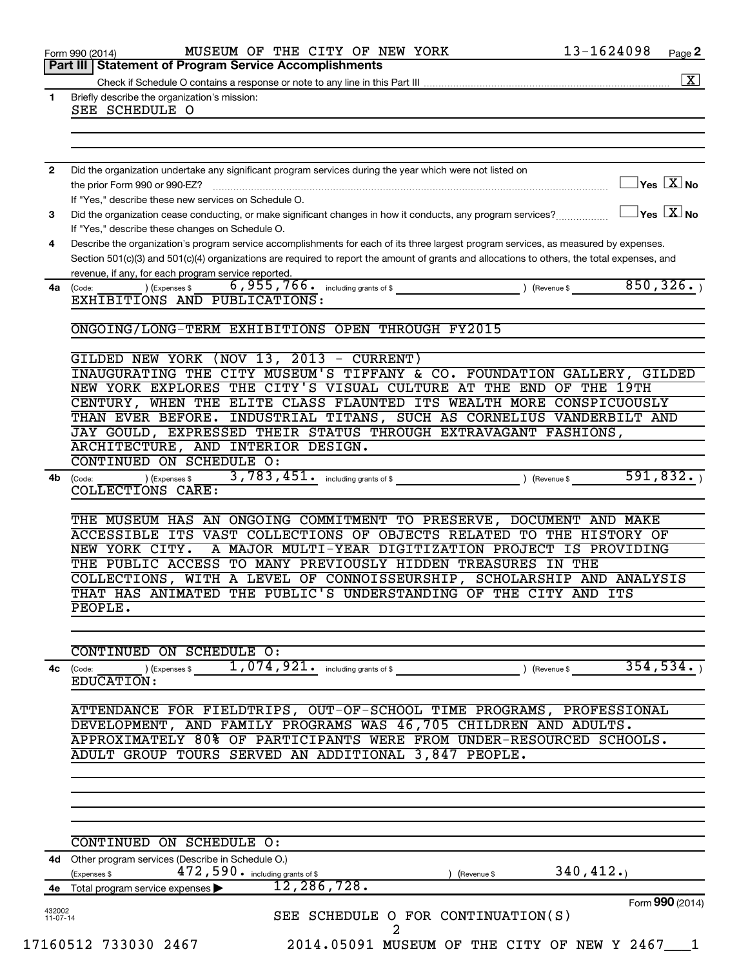|                      | MUSEUM OF THE CITY OF NEW YORK<br>Form 990 (2014)                                                                                                                                                   | 13-1624098    | Page 2                                            |  |  |  |  |  |
|----------------------|-----------------------------------------------------------------------------------------------------------------------------------------------------------------------------------------------------|---------------|---------------------------------------------------|--|--|--|--|--|
|                      | Part III   Statement of Program Service Accomplishments                                                                                                                                             |               |                                                   |  |  |  |  |  |
|                      |                                                                                                                                                                                                     |               | $\boxed{\text{X}}$                                |  |  |  |  |  |
| $\mathbf{1}$         | Briefly describe the organization's mission:<br>SEE SCHEDULE O                                                                                                                                      |               |                                                   |  |  |  |  |  |
|                      |                                                                                                                                                                                                     |               |                                                   |  |  |  |  |  |
|                      |                                                                                                                                                                                                     |               |                                                   |  |  |  |  |  |
|                      |                                                                                                                                                                                                     |               |                                                   |  |  |  |  |  |
| $\mathbf{2}$         | Did the organization undertake any significant program services during the year which were not listed on<br>the prior Form 990 or 990-EZ?                                                           |               | $\Box$ Yes $[\overline{\mathrm{X}}]$ No           |  |  |  |  |  |
|                      | If "Yes," describe these new services on Schedule O.                                                                                                                                                |               |                                                   |  |  |  |  |  |
| 3                    | Did the organization cease conducting, or make significant changes in how it conducts, any program services?                                                                                        |               | $\boxed{\phantom{1}}$ Yes $\boxed{\mathrm{X}}$ No |  |  |  |  |  |
|                      | If "Yes," describe these changes on Schedule O.                                                                                                                                                     |               |                                                   |  |  |  |  |  |
| 4                    | Describe the organization's program service accomplishments for each of its three largest program services, as measured by expenses.                                                                |               |                                                   |  |  |  |  |  |
|                      | Section 501(c)(3) and 501(c)(4) organizations are required to report the amount of grants and allocations to others, the total expenses, and<br>revenue, if any, for each program service reported. |               |                                                   |  |  |  |  |  |
| 4a                   | ) (Expenses \$<br>(Code:                                                                                                                                                                            | 850, 326.     |                                                   |  |  |  |  |  |
|                      | EXHIBITIONS AND PUBLICATIONS:                                                                                                                                                                       |               |                                                   |  |  |  |  |  |
|                      | ONGOING/LONG-TERM EXHIBITIONS OPEN THROUGH FY2015                                                                                                                                                   |               |                                                   |  |  |  |  |  |
|                      |                                                                                                                                                                                                     |               |                                                   |  |  |  |  |  |
|                      | GILDED NEW YORK (NOV 13, 2013 - CURRENT)<br>INAUGURATING THE CITY MUSEUM'S TIFFANY & CO. FOUNDATION GALLERY, GILDED                                                                                 |               |                                                   |  |  |  |  |  |
|                      | NEW YORK EXPLORES THE CITY'S VISUAL CULTURE AT THE END OF THE 19TH                                                                                                                                  |               |                                                   |  |  |  |  |  |
|                      | CENTURY, WHEN THE ELITE CLASS FLAUNTED ITS WEALTH MORE CONSPICUOUSLY                                                                                                                                |               |                                                   |  |  |  |  |  |
|                      | THAN EVER BEFORE. INDUSTRIAL TITANS, SUCH AS CORNELIUS VANDERBILT AND                                                                                                                               |               |                                                   |  |  |  |  |  |
|                      | JAY GOULD, EXPRESSED THEIR STATUS THROUGH EXTRAVAGANT FASHIONS,                                                                                                                                     |               |                                                   |  |  |  |  |  |
|                      | ARCHITECTURE, AND INTERIOR DESIGN.<br>CONTINUED ON SCHEDULE O:                                                                                                                                      |               |                                                   |  |  |  |  |  |
| 4b                   | ) (Expenses \$<br>(Code:                                                                                                                                                                            | 591,832.      |                                                   |  |  |  |  |  |
|                      | COLLECTIONS CARE:                                                                                                                                                                                   |               |                                                   |  |  |  |  |  |
|                      | THE MUSEUM HAS AN ONGOING COMMITMENT TO PRESERVE, DOCUMENT AND MAKE                                                                                                                                 |               |                                                   |  |  |  |  |  |
|                      | ACCESSIBLE ITS VAST COLLECTIONS OF OBJECTS RELATED TO THE HISTORY OF                                                                                                                                |               |                                                   |  |  |  |  |  |
|                      | NEW YORK CITY.<br>A MAJOR MULTI-YEAR DIGITIZATION PROJECT IS PROVIDING                                                                                                                              |               |                                                   |  |  |  |  |  |
|                      | THE PUBLIC ACCESS TO MANY PREVIOUSLY HIDDEN TREASURES IN THE                                                                                                                                        |               |                                                   |  |  |  |  |  |
|                      | COLLECTIONS, WITH A LEVEL OF CONNOISSEURSHIP, SCHOLARSHIP AND ANALYSIS                                                                                                                              |               |                                                   |  |  |  |  |  |
|                      | THAT HAS ANIMATED THE PUBLIC'S UNDERSTANDING OF THE CITY AND ITS<br>PEOPLE.                                                                                                                         |               |                                                   |  |  |  |  |  |
|                      |                                                                                                                                                                                                     |               |                                                   |  |  |  |  |  |
|                      | CONTINUED ON SCHEDULE O:                                                                                                                                                                            |               |                                                   |  |  |  |  |  |
| 4с                   | $1,074,921$ $\cdot$ including grants of \$<br>) (Expenses \$<br>(Code:                                                                                                                              | ) (Revenue \$ | 354, 534.                                         |  |  |  |  |  |
|                      | EDUCATION:                                                                                                                                                                                          |               |                                                   |  |  |  |  |  |
|                      | ATTENDANCE FOR FIELDTRIPS, OUT-OF-SCHOOL TIME PROGRAMS, PROFESSIONAL                                                                                                                                |               |                                                   |  |  |  |  |  |
|                      | DEVELOPMENT, AND FAMILY PROGRAMS WAS 46,705 CHILDREN AND ADULTS.                                                                                                                                    |               |                                                   |  |  |  |  |  |
|                      | APPROXIMATELY 80% OF PARTICIPANTS WERE FROM UNDER-RESOURCED SCHOOLS.                                                                                                                                |               |                                                   |  |  |  |  |  |
|                      | ADULT GROUP TOURS SERVED AN ADDITIONAL 3,847 PEOPLE.                                                                                                                                                |               |                                                   |  |  |  |  |  |
|                      |                                                                                                                                                                                                     |               |                                                   |  |  |  |  |  |
|                      |                                                                                                                                                                                                     |               |                                                   |  |  |  |  |  |
|                      |                                                                                                                                                                                                     |               |                                                   |  |  |  |  |  |
|                      | CONTINUED ON SCHEDULE O:                                                                                                                                                                            |               |                                                   |  |  |  |  |  |
|                      | 4d Other program services (Describe in Schedule O.)                                                                                                                                                 |               |                                                   |  |  |  |  |  |
|                      | 472, 590. including grants of \$<br>(Expenses \$<br>(Revenue \$<br>12, 286, 728.                                                                                                                    | 340, 412.     |                                                   |  |  |  |  |  |
|                      | 4e Total program service expenses                                                                                                                                                                   |               | Form 990 (2014)                                   |  |  |  |  |  |
| 432002<br>$11-07-14$ | SEE SCHEDULE O FOR CONTINUATION(S)                                                                                                                                                                  |               |                                                   |  |  |  |  |  |
|                      | 2                                                                                                                                                                                                   |               |                                                   |  |  |  |  |  |
|                      | 17160512 733030 2467<br>2014.05091 MUSEUM OF THE CITY OF NEW Y 2467 1                                                                                                                               |               |                                                   |  |  |  |  |  |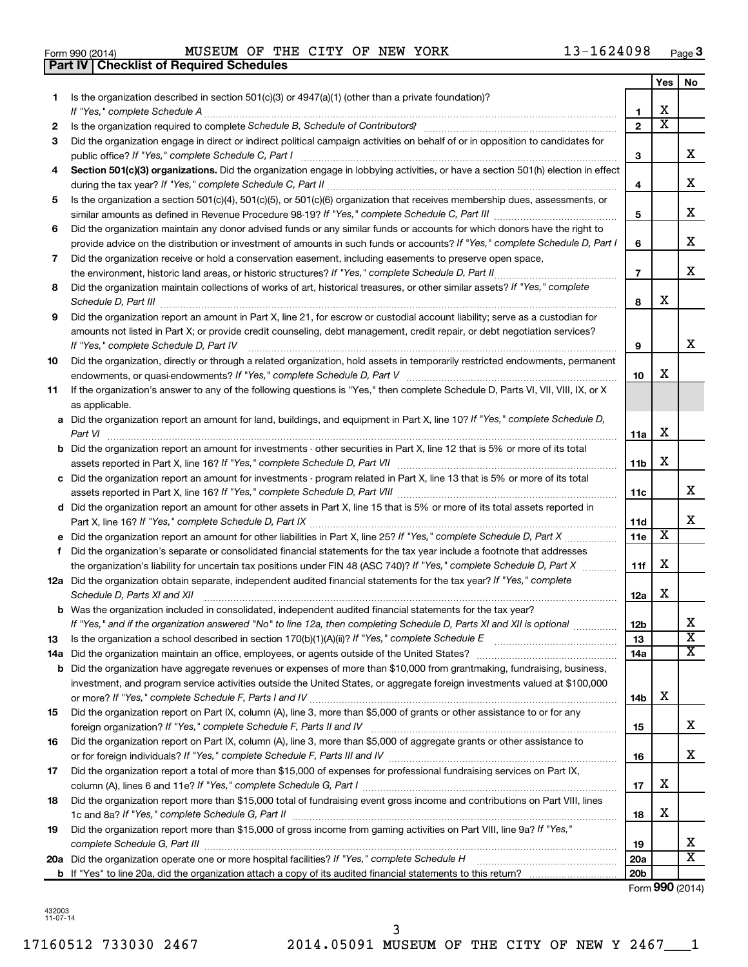| Form 990 (2014) |  |  |
|-----------------|--|--|
|                 |  |  |

**Part IV Checklist of Required Schedules**

Form 990 (2014) MUSEUM OF THE CITY OF NEW YORK  $13-1624098$  Page

|     |                                                                                                                                                                                                                                                  |                 | <b>Yes</b>              | No                            |
|-----|--------------------------------------------------------------------------------------------------------------------------------------------------------------------------------------------------------------------------------------------------|-----------------|-------------------------|-------------------------------|
| 1   | Is the organization described in section $501(c)(3)$ or $4947(a)(1)$ (other than a private foundation)?                                                                                                                                          |                 |                         |                               |
|     |                                                                                                                                                                                                                                                  | 1               | х                       |                               |
| 2   |                                                                                                                                                                                                                                                  | $\overline{2}$  | $\overline{\textbf{x}}$ |                               |
| 3   | Did the organization engage in direct or indirect political campaign activities on behalf of or in opposition to candidates for                                                                                                                  | 3               |                         | х                             |
| 4   | Section 501(c)(3) organizations. Did the organization engage in lobbying activities, or have a section 501(h) election in effect                                                                                                                 |                 |                         |                               |
|     |                                                                                                                                                                                                                                                  | 4               |                         | х                             |
| 5   | Is the organization a section 501(c)(4), 501(c)(5), or 501(c)(6) organization that receives membership dues, assessments, or                                                                                                                     |                 |                         |                               |
|     |                                                                                                                                                                                                                                                  | 5               |                         | х                             |
| 6   | Did the organization maintain any donor advised funds or any similar funds or accounts for which donors have the right to                                                                                                                        |                 |                         |                               |
|     | provide advice on the distribution or investment of amounts in such funds or accounts? If "Yes," complete Schedule D, Part I                                                                                                                     | 6               |                         | х                             |
| 7   | Did the organization receive or hold a conservation easement, including easements to preserve open space,                                                                                                                                        |                 |                         |                               |
|     |                                                                                                                                                                                                                                                  | $\overline{7}$  |                         | x                             |
| 8   | Did the organization maintain collections of works of art, historical treasures, or other similar assets? If "Yes," complete                                                                                                                     | 8               | х                       |                               |
| 9   | Did the organization report an amount in Part X, line 21, for escrow or custodial account liability; serve as a custodian for                                                                                                                    |                 |                         |                               |
|     | amounts not listed in Part X; or provide credit counseling, debt management, credit repair, or debt negotiation services?<br>If "Yes," complete Schedule D, Part IV                                                                              | 9               |                         | x                             |
| 10  | Did the organization, directly or through a related organization, hold assets in temporarily restricted endowments, permanent                                                                                                                    |                 |                         |                               |
|     |                                                                                                                                                                                                                                                  | 10              | х                       |                               |
| 11  | If the organization's answer to any of the following questions is "Yes," then complete Schedule D, Parts VI, VII, VIII, IX, or X                                                                                                                 |                 |                         |                               |
|     | as applicable.                                                                                                                                                                                                                                   |                 |                         |                               |
|     | a Did the organization report an amount for land, buildings, and equipment in Part X, line 10? If "Yes," complete Schedule D,                                                                                                                    | 11a             | X                       |                               |
|     | <b>b</b> Did the organization report an amount for investments - other securities in Part X, line 12 that is 5% or more of its total                                                                                                             |                 |                         |                               |
|     |                                                                                                                                                                                                                                                  | 11b             | х                       |                               |
|     | c Did the organization report an amount for investments - program related in Part X, line 13 that is 5% or more of its total                                                                                                                     |                 |                         |                               |
|     |                                                                                                                                                                                                                                                  | 11c             |                         | x                             |
|     | d Did the organization report an amount for other assets in Part X, line 15 that is 5% or more of its total assets reported in                                                                                                                   |                 |                         |                               |
|     |                                                                                                                                                                                                                                                  | 11d             |                         | x                             |
|     |                                                                                                                                                                                                                                                  | 11e             | х                       |                               |
|     | f Did the organization's separate or consolidated financial statements for the tax year include a footnote that addresses                                                                                                                        |                 |                         |                               |
|     | the organization's liability for uncertain tax positions under FIN 48 (ASC 740)? If "Yes," complete Schedule D, Part X                                                                                                                           | 11f             | х                       |                               |
|     | 12a Did the organization obtain separate, independent audited financial statements for the tax year? If "Yes," complete                                                                                                                          |                 |                         |                               |
|     | Schedule D, Parts XI and XII                                                                                                                                                                                                                     | 12a             | х                       |                               |
|     | <b>b</b> Was the organization included in consolidated, independent audited financial statements for the tax year?<br>If "Yes," and if the organization answered "No" to line 12a, then completing Schedule D, Parts XI and XII is optional www. | 12 <sub>b</sub> |                         |                               |
| 13  |                                                                                                                                                                                                                                                  | 13              |                         | ∡⊾<br>$\overline{\textbf{x}}$ |
| 14a |                                                                                                                                                                                                                                                  | 14a             |                         | x                             |
| b   | Did the organization have aggregate revenues or expenses of more than \$10,000 from grantmaking, fundraising, business,                                                                                                                          |                 |                         |                               |
|     | investment, and program service activities outside the United States, or aggregate foreign investments valued at \$100,000                                                                                                                       |                 |                         |                               |
|     |                                                                                                                                                                                                                                                  | 14b             | х                       |                               |
| 15  | Did the organization report on Part IX, column (A), line 3, more than \$5,000 of grants or other assistance to or for any                                                                                                                        |                 |                         |                               |
|     |                                                                                                                                                                                                                                                  | 15              |                         | х                             |
| 16  | Did the organization report on Part IX, column (A), line 3, more than \$5,000 of aggregate grants or other assistance to                                                                                                                         |                 |                         |                               |
|     |                                                                                                                                                                                                                                                  | 16              |                         | х                             |
| 17  | Did the organization report a total of more than \$15,000 of expenses for professional fundraising services on Part IX,                                                                                                                          |                 |                         |                               |
|     |                                                                                                                                                                                                                                                  | 17              | х                       |                               |
| 18  | Did the organization report more than \$15,000 total of fundraising event gross income and contributions on Part VIII, lines                                                                                                                     |                 |                         |                               |
|     |                                                                                                                                                                                                                                                  | 18              | х                       |                               |
| 19  | Did the organization report more than \$15,000 of gross income from gaming activities on Part VIII, line 9a? If "Yes,"                                                                                                                           | 19              |                         | х                             |
|     | 20a Did the organization operate one or more hospital facilities? If "Yes," complete Schedule H                                                                                                                                                  | 20a             |                         | х                             |
|     |                                                                                                                                                                                                                                                  | 20 <sub>b</sub> |                         |                               |

Form (2014) **990**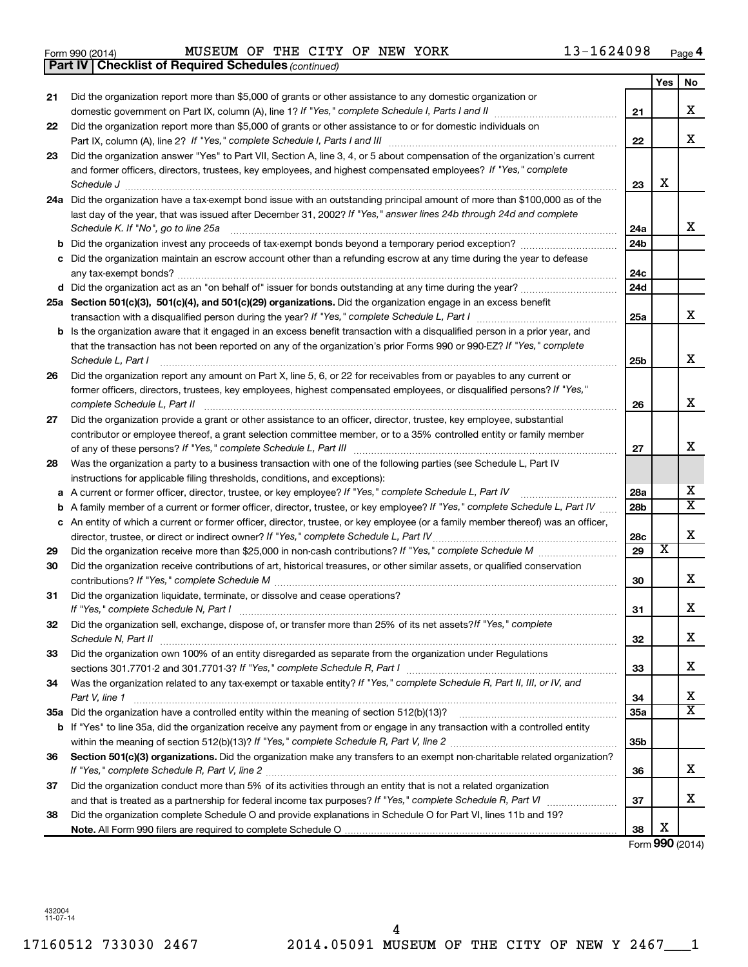#### $\frac{1}{3}$ Form 990 (2014) MUSEUM OF THE CITY OF NEW YORK  $13-1624098$  Page MUSEUM OF THE CITY OF NEW YORK 13-1624098

|    | <b>Part IV   Checklist of Required Schedules (continued)</b>                                                                        |                 |                         |                         |
|----|-------------------------------------------------------------------------------------------------------------------------------------|-----------------|-------------------------|-------------------------|
|    |                                                                                                                                     |                 | Yes                     | No                      |
| 21 | Did the organization report more than \$5,000 of grants or other assistance to any domestic organization or                         |                 |                         |                         |
|    |                                                                                                                                     | 21              |                         | x                       |
| 22 | Did the organization report more than \$5,000 of grants or other assistance to or for domestic individuals on                       |                 |                         |                         |
|    |                                                                                                                                     | 22              |                         | x                       |
| 23 | Did the organization answer "Yes" to Part VII, Section A, line 3, 4, or 5 about compensation of the organization's current          |                 |                         |                         |
|    | and former officers, directors, trustees, key employees, and highest compensated employees? If "Yes," complete                      |                 |                         |                         |
|    | Schedule J <b>Martin Communication Communication</b> Contract of Technical Communication Communication Communication                | 23              | X                       |                         |
|    | 24a Did the organization have a tax-exempt bond issue with an outstanding principal amount of more than \$100,000 as of the         |                 |                         |                         |
|    | last day of the year, that was issued after December 31, 2002? If "Yes," answer lines 24b through 24d and complete                  |                 |                         |                         |
|    | Schedule K. If "No", go to line 25a                                                                                                 | 24a             |                         | x                       |
|    |                                                                                                                                     | 24 <sub>b</sub> |                         |                         |
| b  |                                                                                                                                     |                 |                         |                         |
|    | Did the organization maintain an escrow account other than a refunding escrow at any time during the year to defease                |                 |                         |                         |
|    |                                                                                                                                     | 24c             |                         |                         |
|    | d Did the organization act as an "on behalf of" issuer for bonds outstanding at any time during the year?                           | 24 <sub>d</sub> |                         |                         |
|    | 25a Section 501(c)(3), 501(c)(4), and 501(c)(29) organizations. Did the organization engage in an excess benefit                    |                 |                         | x                       |
|    |                                                                                                                                     | 25a             |                         |                         |
|    | <b>b</b> Is the organization aware that it engaged in an excess benefit transaction with a disqualified person in a prior year, and |                 |                         |                         |
|    | that the transaction has not been reported on any of the organization's prior Forms 990 or 990-EZ? If "Yes," complete               |                 |                         |                         |
|    | Schedule L, Part I                                                                                                                  | 25b             |                         | x                       |
| 26 | Did the organization report any amount on Part X, line 5, 6, or 22 for receivables from or payables to any current or               |                 |                         |                         |
|    | former officers, directors, trustees, key employees, highest compensated employees, or disqualified persons? If "Yes,"              |                 |                         |                         |
|    | complete Schedule L, Part II                                                                                                        | 26              |                         | X                       |
| 27 | Did the organization provide a grant or other assistance to an officer, director, trustee, key employee, substantial                |                 |                         |                         |
|    | contributor or employee thereof, a grant selection committee member, or to a 35% controlled entity or family member                 |                 |                         |                         |
|    |                                                                                                                                     | 27              |                         | x                       |
| 28 | Was the organization a party to a business transaction with one of the following parties (see Schedule L, Part IV                   |                 |                         |                         |
|    | instructions for applicable filing thresholds, conditions, and exceptions):                                                         |                 |                         |                         |
| а  | A current or former officer, director, trustee, or key employee? If "Yes," complete Schedule L, Part IV                             | 28a             |                         | х                       |
| b  | A family member of a current or former officer, director, trustee, or key employee? If "Yes," complete Schedule L, Part IV          | 28 <sub>b</sub> |                         | $\overline{\texttt{X}}$ |
| с  | An entity of which a current or former officer, director, trustee, or key employee (or a family member thereof) was an officer,     |                 |                         |                         |
|    | director, trustee, or direct or indirect owner? If "Yes," complete Schedule L, Part IV                                              | 28c             |                         | x                       |
| 29 |                                                                                                                                     | 29              | $\overline{\textbf{x}}$ |                         |
| 30 | Did the organization receive contributions of art, historical treasures, or other similar assets, or qualified conservation         |                 |                         |                         |
|    |                                                                                                                                     | 30              |                         | х                       |
| 31 | Did the organization liquidate, terminate, or dissolve and cease operations?                                                        |                 |                         |                         |
|    | If "Yes," complete Schedule N, Part I                                                                                               | 31              |                         | ▵                       |
| 32 | Did the organization sell, exchange, dispose of, or transfer more than 25% of its net assets?/f "Yes," complete                     |                 |                         |                         |
|    | Schedule N, Part II                                                                                                                 | 32              |                         | x                       |
| 33 | Did the organization own 100% of an entity disregarded as separate from the organization under Regulations                          |                 |                         |                         |
|    |                                                                                                                                     | 33              |                         | х                       |
| 34 | Was the organization related to any tax-exempt or taxable entity? If "Yes," complete Schedule R, Part II, III, or IV, and           |                 |                         |                         |
|    | Part V, line 1                                                                                                                      | 34              |                         | х                       |
|    |                                                                                                                                     | 35a             |                         | X                       |
|    | b If "Yes" to line 35a, did the organization receive any payment from or engage in any transaction with a controlled entity         |                 |                         |                         |
|    |                                                                                                                                     | 35 <sub>b</sub> |                         |                         |
| 36 | Section 501(c)(3) organizations. Did the organization make any transfers to an exempt non-charitable related organization?          |                 |                         |                         |
|    |                                                                                                                                     | 36              |                         | x                       |
| 37 | Did the organization conduct more than 5% of its activities through an entity that is not a related organization                    |                 |                         |                         |
|    |                                                                                                                                     | 37              |                         | х                       |
| 38 | Did the organization complete Schedule O and provide explanations in Schedule O for Part VI, lines 11b and 19?                      |                 |                         |                         |
|    |                                                                                                                                     | 38              | х                       |                         |

Form (2014) **990**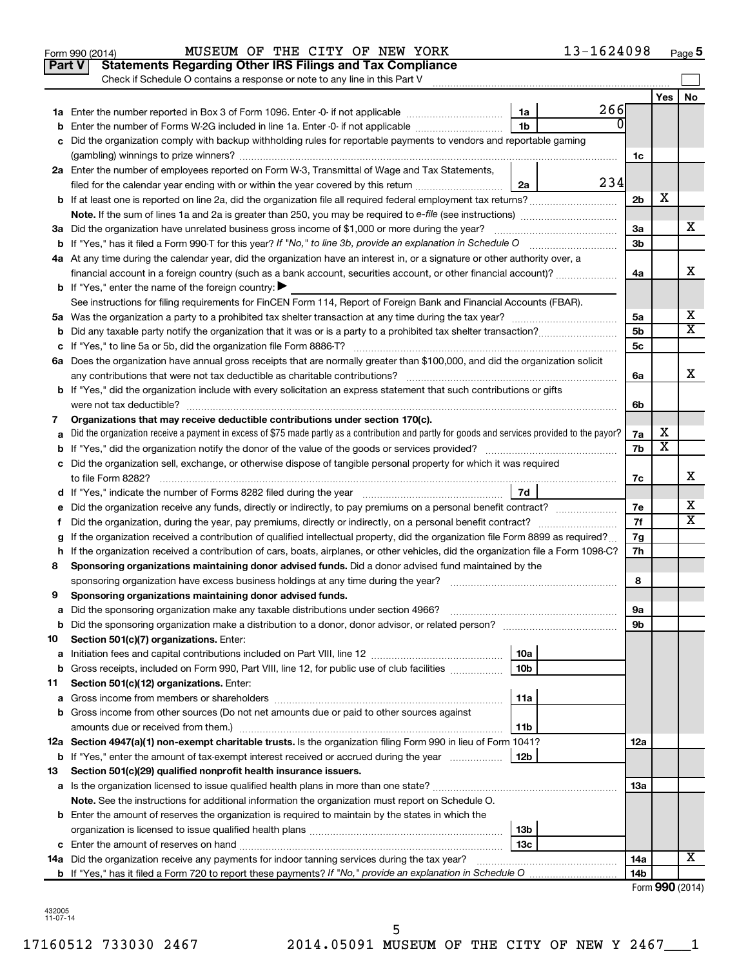|    | Part V<br><b>Statements Regarding Other IRS Filings and Tax Compliance</b><br>Check if Schedule O contains a response or note to any line in this Part V |                 |     |                |                         |    |
|----|----------------------------------------------------------------------------------------------------------------------------------------------------------|-----------------|-----|----------------|-------------------------|----|
|    |                                                                                                                                                          |                 |     |                | Yes                     | No |
|    |                                                                                                                                                          | 1a              | 266 |                |                         |    |
|    | Enter the number of Forms W-2G included in line 1a. Enter -0- if not applicable                                                                          | 1 <sub>b</sub>  | 0   |                |                         |    |
|    | Did the organization comply with backup withholding rules for reportable payments to vendors and reportable gaming                                       |                 |     |                |                         |    |
|    |                                                                                                                                                          |                 |     | 1c             |                         |    |
|    | 2a Enter the number of employees reported on Form W-3, Transmittal of Wage and Tax Statements,                                                           |                 |     |                |                         |    |
|    | filed for the calendar year ending with or within the year covered by this return <i>manumumumum</i>                                                     | 2a              | 234 |                |                         |    |
|    | b If at least one is reported on line 2a, did the organization file all required federal employment tax returns?                                         |                 |     | 2 <sub>b</sub> | х                       |    |
|    |                                                                                                                                                          |                 |     |                |                         |    |
|    | 3a Did the organization have unrelated business gross income of \$1,000 or more during the year?                                                         |                 |     | За             |                         | х  |
|    |                                                                                                                                                          |                 |     | 3 <sub>b</sub> |                         |    |
|    | 4a At any time during the calendar year, did the organization have an interest in, or a signature or other authority over, a                             |                 |     |                |                         |    |
|    | financial account in a foreign country (such as a bank account, securities account, or other financial account)?                                         |                 |     | 4a             |                         | х  |
|    | <b>b</b> If "Yes," enter the name of the foreign country: $\blacktriangleright$                                                                          |                 |     |                |                         |    |
|    | See instructions for filing requirements for FinCEN Form 114, Report of Foreign Bank and Financial Accounts (FBAR).                                      |                 |     |                |                         |    |
|    |                                                                                                                                                          |                 |     | 5а             |                         | х  |
|    |                                                                                                                                                          |                 |     | 5 <sub>b</sub> |                         | X  |
|    |                                                                                                                                                          |                 |     | 5c             |                         |    |
|    | 6a Does the organization have annual gross receipts that are normally greater than \$100,000, and did the organization solicit                           |                 |     |                |                         |    |
|    |                                                                                                                                                          |                 |     | 6a             |                         | х  |
|    | <b>b</b> If "Yes," did the organization include with every solicitation an express statement that such contributions or gifts                            |                 |     |                |                         |    |
|    |                                                                                                                                                          |                 |     | 6b             |                         |    |
| 7  | Organizations that may receive deductible contributions under section 170(c).                                                                            |                 |     |                |                         |    |
|    | Did the organization receive a payment in excess of \$75 made partly as a contribution and partly for goods and services provided to the payor?          |                 |     | 7a             | х                       |    |
|    |                                                                                                                                                          |                 |     | 7b             | $\overline{\textbf{x}}$ |    |
|    | c Did the organization sell, exchange, or otherwise dispose of tangible personal property for which it was required                                      |                 |     |                |                         |    |
|    |                                                                                                                                                          |                 |     | 7c             |                         | х  |
|    |                                                                                                                                                          | 7d              |     |                |                         |    |
| е  | Did the organization receive any funds, directly or indirectly, to pay premiums on a personal benefit contract?                                          |                 |     | 7е             |                         | x  |
| f. | Did the organization, during the year, pay premiums, directly or indirectly, on a personal benefit contract?                                             |                 |     | 7f             |                         | х  |
|    | If the organization received a contribution of qualified intellectual property, did the organization file Form 8899 as required?                         |                 |     | 7g             |                         |    |
|    | h If the organization received a contribution of cars, boats, airplanes, or other vehicles, did the organization file a Form 1098-C?                     |                 |     | 7h             |                         |    |
| 8  | Sponsoring organizations maintaining donor advised funds. Did a donor advised fund maintained by the                                                     |                 |     |                |                         |    |
|    |                                                                                                                                                          |                 |     | 8              |                         |    |
| 9  | Sponsoring organizations maintaining donor advised funds.                                                                                                |                 |     |                |                         |    |
|    |                                                                                                                                                          |                 |     | эа             |                         |    |
|    |                                                                                                                                                          |                 |     | 9b             |                         |    |
| 10 | Section 501(c)(7) organizations. Enter:                                                                                                                  |                 |     |                |                         |    |
| а  |                                                                                                                                                          | 10a             |     |                |                         |    |
| b  | Gross receipts, included on Form 990, Part VIII, line 12, for public use of club facilities                                                              | 10b             |     |                |                         |    |
| 11 | Section 501(c)(12) organizations. Enter:                                                                                                                 |                 |     |                |                         |    |
| а  |                                                                                                                                                          | 11a             |     |                |                         |    |
|    | <b>b</b> Gross income from other sources (Do not net amounts due or paid to other sources against                                                        |                 |     |                |                         |    |
|    | amounts due or received from them.)                                                                                                                      | 11b             |     |                |                         |    |
|    | 12a Section 4947(a)(1) non-exempt charitable trusts. Is the organization filing Form 990 in lieu of Form 1041?                                           |                 |     | 12a            |                         |    |
|    | <b>b</b> If "Yes," enter the amount of tax-exempt interest received or accrued during the year                                                           | 12 <sub>b</sub> |     |                |                         |    |
| 13 | Section 501(c)(29) qualified nonprofit health insurance issuers.                                                                                         |                 |     |                |                         |    |
|    |                                                                                                                                                          |                 |     | 13a            |                         |    |
|    | Note. See the instructions for additional information the organization must report on Schedule O.                                                        |                 |     |                |                         |    |
|    | <b>b</b> Enter the amount of reserves the organization is required to maintain by the states in which the                                                |                 |     |                |                         |    |
|    |                                                                                                                                                          | 13b             |     |                |                         |    |
|    |                                                                                                                                                          | 13c             |     |                |                         | х  |
|    | 14a Did the organization receive any payments for indoor tanning services during the tax year?                                                           |                 |     | 14a            |                         |    |
|    |                                                                                                                                                          |                 |     | 14b            | <b>000 100</b>          |    |

Form (2014) **990**

**5**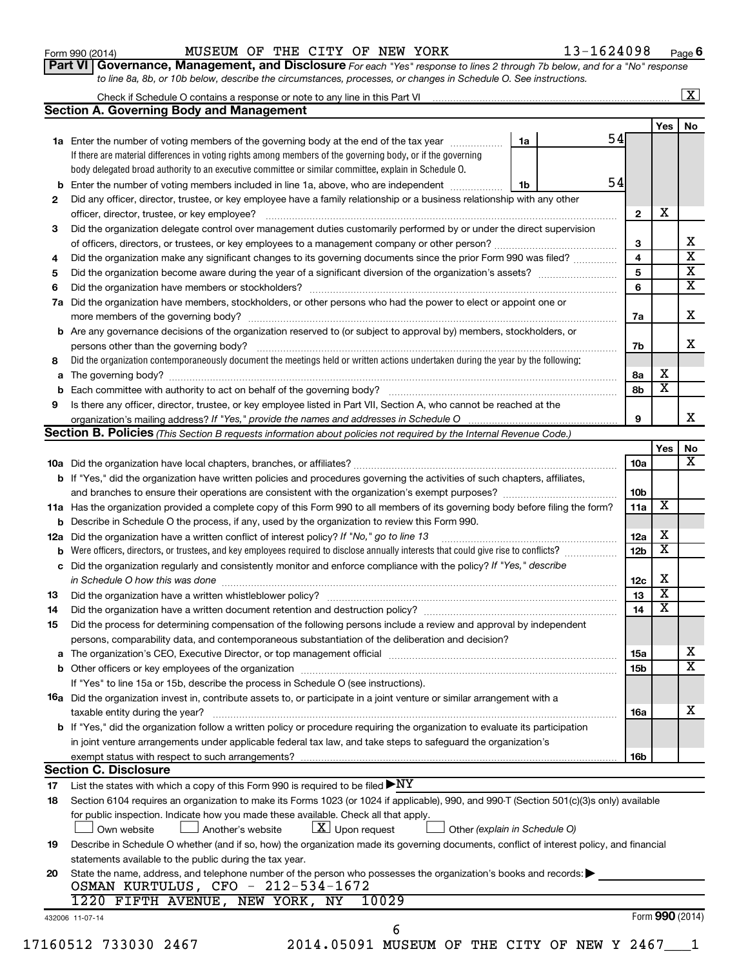| Form 990 (2014) |
|-----------------|
|-----------------|

**Part VI** Governance, Management, and Disclosure For each "Yes" response to lines 2 through 7b below, and for a "No" response *to line 8a, 8b, or 10b below, describe the circumstances, processes, or changes in Schedule O. See instructions.*

|     |                                                                                                                                                                                                                                |    |    |                 |                         | $\mathbf{X}$ |
|-----|--------------------------------------------------------------------------------------------------------------------------------------------------------------------------------------------------------------------------------|----|----|-----------------|-------------------------|--------------|
|     | <b>Section A. Governing Body and Management</b>                                                                                                                                                                                |    |    |                 |                         |              |
|     |                                                                                                                                                                                                                                |    |    |                 | Yes                     | No           |
|     | 1a Enter the number of voting members of the governing body at the end of the tax year                                                                                                                                         | 1a | 54 |                 |                         |              |
|     | If there are material differences in voting rights among members of the governing body, or if the governing                                                                                                                    |    |    |                 |                         |              |
|     | body delegated broad authority to an executive committee or similar committee, explain in Schedule O.                                                                                                                          |    |    |                 |                         |              |
| b   | Enter the number of voting members included in line 1a, above, who are independent                                                                                                                                             | 1b | 54 |                 |                         |              |
| 2   | Did any officer, director, trustee, or key employee have a family relationship or a business relationship with any other                                                                                                       |    |    |                 |                         |              |
|     |                                                                                                                                                                                                                                |    |    | $\mathbf{2}$    | Х                       |              |
| 3   | Did the organization delegate control over management duties customarily performed by or under the direct supervision                                                                                                          |    |    |                 |                         |              |
|     |                                                                                                                                                                                                                                |    |    | 3               |                         |              |
| 4   | Did the organization make any significant changes to its governing documents since the prior Form 990 was filed?                                                                                                               |    |    | 4               |                         |              |
| 5   |                                                                                                                                                                                                                                |    |    | 5               |                         |              |
| 6   |                                                                                                                                                                                                                                |    |    | 6               |                         |              |
|     | Did the organization have members, stockholders, or other persons who had the power to elect or appoint one or                                                                                                                 |    |    |                 |                         |              |
| 7a  |                                                                                                                                                                                                                                |    |    |                 |                         |              |
|     |                                                                                                                                                                                                                                |    |    | 7a              |                         |              |
| b   | Are any governance decisions of the organization reserved to (or subject to approval by) members, stockholders, or                                                                                                             |    |    |                 |                         |              |
|     |                                                                                                                                                                                                                                |    |    | 7b              |                         |              |
| 8   | Did the organization contemporaneously document the meetings held or written actions undertaken during the year by the following:                                                                                              |    |    |                 |                         |              |
| а   |                                                                                                                                                                                                                                |    |    | 8а              | Х                       |              |
|     |                                                                                                                                                                                                                                |    |    | 8b              | $\overline{\mathbf{x}}$ |              |
| 9   | Is there any officer, director, trustee, or key employee listed in Part VII, Section A, who cannot be reached at the                                                                                                           |    |    |                 |                         |              |
|     |                                                                                                                                                                                                                                |    |    | 9               |                         |              |
|     | Section B. Policies (This Section B requests information about policies not required by the Internal Revenue Code.)                                                                                                            |    |    |                 |                         |              |
|     |                                                                                                                                                                                                                                |    |    |                 | Yes                     |              |
|     |                                                                                                                                                                                                                                |    |    | <b>10a</b>      |                         |              |
|     | <b>b</b> If "Yes," did the organization have written policies and procedures governing the activities of such chapters, affiliates,                                                                                            |    |    |                 |                         |              |
|     |                                                                                                                                                                                                                                |    |    | 10 <sub>b</sub> |                         |              |
|     | 11a Has the organization provided a complete copy of this Form 990 to all members of its governing body before filing the form?                                                                                                |    |    | 11a             | X                       |              |
|     | Describe in Schedule O the process, if any, used by the organization to review this Form 990.                                                                                                                                  |    |    |                 |                         |              |
| 12a | Did the organization have a written conflict of interest policy? If "No," go to line 13                                                                                                                                        |    |    | 12a             | х                       |              |
|     | Were officers, directors, or trustees, and key employees required to disclose annually interests that could give rise to conflicts?                                                                                            |    |    | 12 <sub>b</sub> | $\overline{\textbf{x}}$ |              |
| с   | Did the organization regularly and consistently monitor and enforce compliance with the policy? If "Yes," describe                                                                                                             |    |    |                 |                         |              |
|     | in Schedule O how this was done manufactured and contact the way of the state of the state of the state of the                                                                                                                 |    |    | 12c             | Х                       |              |
| 13  |                                                                                                                                                                                                                                |    |    | 13              | $\overline{\mathbf{X}}$ |              |
|     |                                                                                                                                                                                                                                |    |    | 14              | $\overline{\mathbf{X}}$ |              |
| 14  |                                                                                                                                                                                                                                |    |    |                 |                         |              |
| 15  | Did the process for determining compensation of the following persons include a review and approval by independent                                                                                                             |    |    |                 |                         |              |
|     | persons, comparability data, and contemporaneous substantiation of the deliberation and decision?                                                                                                                              |    |    |                 |                         |              |
| а   | The organization's CEO, Executive Director, or top management official [111] [12] manuscription and an intervention of the organization's CEO, Executive Director, or top management official [12] manuscription and an interv |    |    | 15a             |                         |              |
|     |                                                                                                                                                                                                                                |    |    | 15b             |                         |              |
|     | If "Yes" to line 15a or 15b, describe the process in Schedule O (see instructions).                                                                                                                                            |    |    |                 |                         |              |
|     | <b>16a</b> Did the organization invest in, contribute assets to, or participate in a joint venture or similar arrangement with a                                                                                               |    |    |                 |                         |              |
|     | taxable entity during the year?                                                                                                                                                                                                |    |    | 16a             |                         |              |
|     | b If "Yes," did the organization follow a written policy or procedure requiring the organization to evaluate its participation                                                                                                 |    |    |                 |                         |              |
|     | in joint venture arrangements under applicable federal tax law, and take steps to safeguard the organization's                                                                                                                 |    |    |                 |                         |              |
|     | exempt status with respect to such arrangements?                                                                                                                                                                               |    |    | 16b             |                         |              |
|     | <b>Section C. Disclosure</b>                                                                                                                                                                                                   |    |    |                 |                         |              |
| 17  | List the states with which a copy of this Form 990 is required to be filed $\blacktriangleright\text{NY}$                                                                                                                      |    |    |                 |                         |              |
| 18  | Section 6104 requires an organization to make its Forms 1023 (or 1024 if applicable), 990, and 990-T (Section 501(c)(3)s only) available                                                                                       |    |    |                 |                         |              |
|     | for public inspection. Indicate how you made these available. Check all that apply.                                                                                                                                            |    |    |                 |                         |              |
|     | $\lfloor x \rfloor$ Upon request<br>Another's website<br>Other (explain in Schedule O)<br>Own website                                                                                                                          |    |    |                 |                         |              |
| 19  | Describe in Schedule O whether (and if so, how) the organization made its governing documents, conflict of interest policy, and financial                                                                                      |    |    |                 |                         |              |
|     | statements available to the public during the tax year.                                                                                                                                                                        |    |    |                 |                         |              |
| 20  | State the name, address, and telephone number of the person who possesses the organization's books and records:                                                                                                                |    |    |                 |                         |              |
|     | OSMAN KURTULUS, CFO - 212-534-1672                                                                                                                                                                                             |    |    |                 |                         |              |
|     | 1220 FIFTH AVENUE, NEW YORK, NY<br>10029                                                                                                                                                                                       |    |    |                 |                         |              |
|     |                                                                                                                                                                                                                                |    |    |                 |                         |              |
|     |                                                                                                                                                                                                                                |    |    |                 |                         |              |
|     | 432006 11-07-14<br>6                                                                                                                                                                                                           |    |    | Form 990 (2014) |                         |              |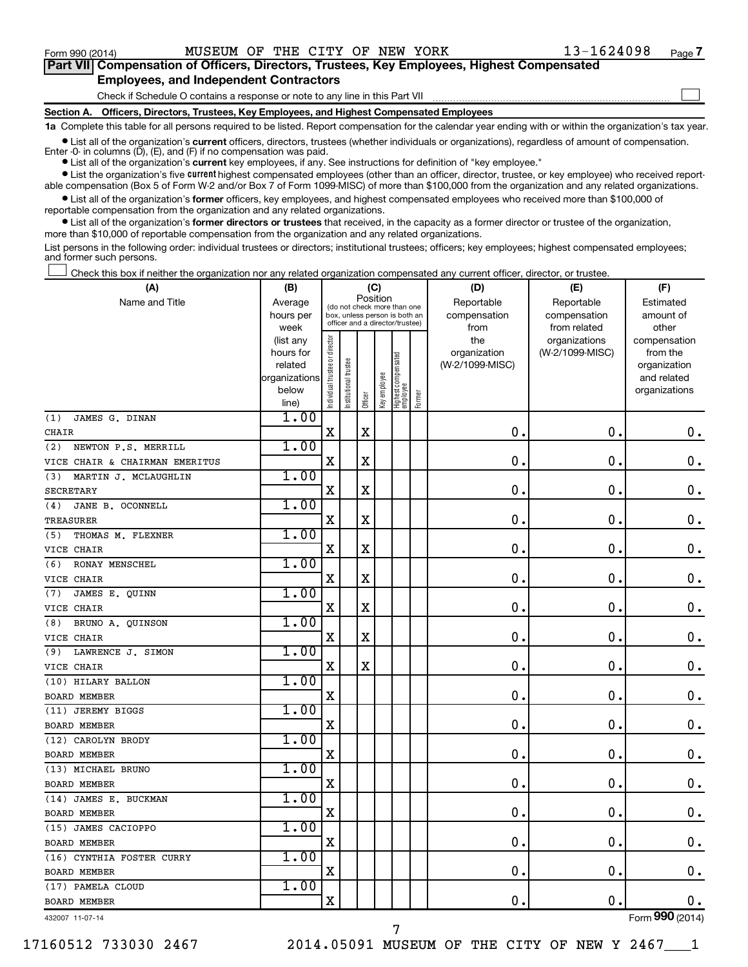$\Box$ 

| Part VII Compensation of Officers, Directors, Trustees, Key Employees, Highest Compensated |  |
|--------------------------------------------------------------------------------------------|--|
| <b>Employees, and Independent Contractors</b>                                              |  |

Check if Schedule O contains a response or note to any line in this Part VII

**Section A. Officers, Directors, Trustees, Key Employees, and Highest Compensated Employees**

**1a**  Complete this table for all persons required to be listed. Report compensation for the calendar year ending with or within the organization's tax year.

**•** List all of the organization's current officers, directors, trustees (whether individuals or organizations), regardless of amount of compensation. Enter -0- in columns  $(D)$ ,  $(E)$ , and  $(F)$  if no compensation was paid.

**•** List all of the organization's **current** key employees, if any. See instructions for definition of "key employee."

**•** List the organization's five current highest compensated employees (other than an officer, director, trustee, or key employee) who received reportable compensation (Box 5 of Form W-2 and/or Box 7 of Form 1099-MISC) of more than \$100,000 from the organization and any related organizations.

**•** List all of the organization's former officers, key employees, and highest compensated employees who received more than \$100,000 of reportable compensation from the organization and any related organizations.

**•** List all of the organization's former directors or trustees that received, in the capacity as a former director or trustee of the organization, more than \$10,000 of reportable compensation from the organization and any related organizations.

List persons in the following order: individual trustees or directors; institutional trustees; officers; key employees; highest compensated employees; and former such persons.

Check this box if neither the organization nor any related organization compensated any current officer, director, or trustee.  $\Box$ 

| (A)                            | (B)                    |                                |                                                                  | (C)         |              |                                   |        | (D)                 | (E)                              | (F)                      |
|--------------------------------|------------------------|--------------------------------|------------------------------------------------------------------|-------------|--------------|-----------------------------------|--------|---------------------|----------------------------------|--------------------------|
| Name and Title                 | Average                |                                | (do not check more than one                                      |             | Position     |                                   |        | Reportable          | Reportable                       | Estimated                |
|                                | hours per              |                                | box, unless person is both an<br>officer and a director/trustee) |             |              |                                   |        | compensation        | compensation                     | amount of                |
|                                | week                   |                                |                                                                  |             |              |                                   |        | from                | from related                     | other                    |
|                                | (list any<br>hours for |                                |                                                                  |             |              |                                   |        | the<br>organization | organizations<br>(W-2/1099-MISC) | compensation<br>from the |
|                                | related                |                                |                                                                  |             |              |                                   |        | (W-2/1099-MISC)     |                                  | organization             |
|                                | organizations          |                                |                                                                  |             |              |                                   |        |                     |                                  | and related              |
|                                | below                  | Individual trustee or director | Institutional trustee                                            |             | Key employee |                                   |        |                     |                                  | organizations            |
|                                | line)                  |                                |                                                                  | Officer     |              | Highest compensated<br>  employee | Former |                     |                                  |                          |
| JAMES G. DINAN<br>(1)          | 1.00                   |                                |                                                                  |             |              |                                   |        |                     |                                  |                          |
| CHAIR                          |                        | $\mathbf X$                    |                                                                  | X           |              |                                   |        | 0.                  | $\mathbf 0$ .                    | 0.                       |
| NEWTON P.S. MERRILL<br>(2)     | 1.00                   |                                |                                                                  |             |              |                                   |        |                     |                                  |                          |
| VICE CHAIR & CHAIRMAN EMERITUS |                        | X                              |                                                                  | $\mathbf X$ |              |                                   |        | $\mathbf 0$ .       | $\mathbf 0$ .                    | $\mathbf 0$ .            |
| MARTIN J. MCLAUGHLIN<br>(3)    | 1.00                   |                                |                                                                  |             |              |                                   |        |                     |                                  |                          |
| <b>SECRETARY</b>               |                        | $\mathbf X$                    |                                                                  | X           |              |                                   |        | $\mathbf 0$ .       | $\mathbf 0$                      | $\mathbf 0$ .            |
| JANE B. OCONNELL<br>(4)        | 1.00                   |                                |                                                                  |             |              |                                   |        |                     |                                  |                          |
| TREASURER                      |                        | X                              |                                                                  | X           |              |                                   |        | $\mathbf 0$         | 0.                               | $\mathbf 0$ .            |
| (5)<br>THOMAS M. FLEXNER       | 1.00                   |                                |                                                                  |             |              |                                   |        |                     |                                  |                          |
| VICE CHAIR                     |                        | X                              |                                                                  | X           |              |                                   |        | 0                   | 0.                               | $\mathbf 0$ .            |
| RONAY MENSCHEL<br>(6)          | 1.00                   |                                |                                                                  |             |              |                                   |        |                     |                                  |                          |
| VICE CHAIR                     |                        | X                              |                                                                  | X           |              |                                   |        | 0                   | 0.                               | $\mathbf 0$ .            |
| (7)<br>JAMES E. OUINN          | 1.00                   |                                |                                                                  |             |              |                                   |        |                     |                                  |                          |
| VICE CHAIR                     |                        | X                              |                                                                  | X           |              |                                   |        | $\mathbf 0$ .       | $\mathbf 0$                      | $\mathbf 0$ .            |
| BRUNO A. QUINSON<br>(8)        | 1.00                   |                                |                                                                  |             |              |                                   |        |                     |                                  |                          |
| VICE CHAIR                     |                        | X                              |                                                                  | X           |              |                                   |        | $\mathbf 0$ .       | 0.                               | $\mathbf 0$ .            |
| LAWRENCE J. SIMON<br>(9)       | 1.00                   |                                |                                                                  |             |              |                                   |        |                     |                                  |                          |
| VICE CHAIR                     |                        | X                              |                                                                  | $\mathbf X$ |              |                                   |        | $\mathbf 0$ .       | $\mathbf 0$ .                    | $\mathbf 0$ .            |
| (10) HILARY BALLON             | 1.00                   |                                |                                                                  |             |              |                                   |        |                     |                                  |                          |
| <b>BOARD MEMBER</b>            |                        | X                              |                                                                  |             |              |                                   |        | $\mathbf 0$ .       | $\mathbf 0$ .                    | 0.                       |
| (11) JEREMY BIGGS              | 1.00                   |                                |                                                                  |             |              |                                   |        |                     |                                  |                          |
| <b>BOARD MEMBER</b>            |                        | $\mathbf X$                    |                                                                  |             |              |                                   |        | $\mathbf 0$         | $\mathbf 0$                      | $\mathbf 0$ .            |
| (12) CAROLYN BRODY             | 1.00                   |                                |                                                                  |             |              |                                   |        |                     |                                  |                          |
| <b>BOARD MEMBER</b>            |                        | X                              |                                                                  |             |              |                                   |        | 0                   | $\mathbf 0$ .                    | $\mathbf 0$ .            |
| (13) MICHAEL BRUNO             | 1.00                   |                                |                                                                  |             |              |                                   |        |                     |                                  |                          |
| <b>BOARD MEMBER</b>            |                        | X                              |                                                                  |             |              |                                   |        | 0                   | 0.                               | $\mathbf 0$ .            |
| (14) JAMES E. BUCKMAN          | 1.00                   |                                |                                                                  |             |              |                                   |        |                     |                                  |                          |
| <b>BOARD MEMBER</b>            |                        | $\mathbf X$                    |                                                                  |             |              |                                   |        | $\mathbf 0$ .       | О.                               | 0.                       |
| (15) JAMES CACIOPPO            | 1.00                   |                                |                                                                  |             |              |                                   |        |                     |                                  |                          |
| <b>BOARD MEMBER</b>            |                        | X                              |                                                                  |             |              |                                   |        | 0                   | $\mathbf 0$                      | $0$ .                    |
| (16) CYNTHIA FOSTER CURRY      | 1.00                   |                                |                                                                  |             |              |                                   |        |                     |                                  |                          |
| <b>BOARD MEMBER</b>            |                        | X                              |                                                                  |             |              |                                   |        | $\mathbf 0$         | $\mathbf 0$ .                    | 0.                       |
| (17) PAMELA CLOUD              | 1.00                   |                                |                                                                  |             |              |                                   |        |                     |                                  |                          |
| <b>BOARD MEMBER</b>            |                        | $\mathbf X$                    |                                                                  |             |              |                                   |        | 0.                  | $\mathbf 0$                      | 0.                       |
| 432007 11-07-14                |                        |                                |                                                                  |             |              |                                   |        |                     |                                  | Form 990 (2014)          |

7

17160512 733030 2467 2014.05091 MUSEUM OF THE CITY OF NEW Y 2467\_\_\_1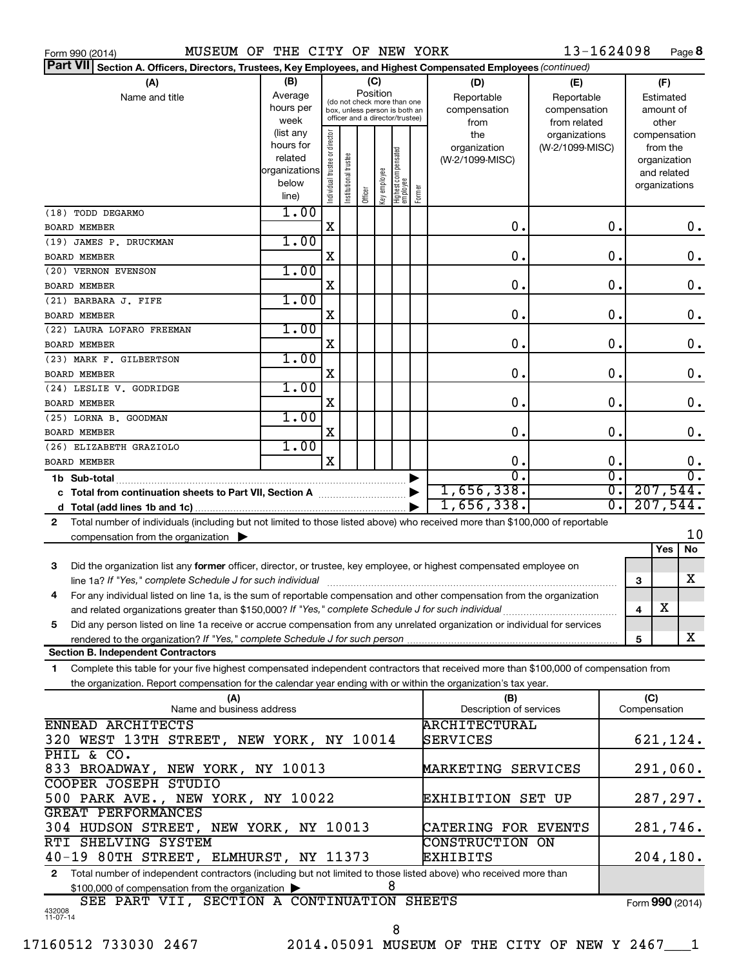| Form 990 (2014) |  |  |
|-----------------|--|--|
|                 |  |  |

13-1624098 Page 8

| Part VII Section A. Officers, Directors, Trustees, Key Employees, and Highest Compensated Employees (continued)                            |               |                                |                       |         |              |                                                              |        |                          |                 |                             |                 |                       |           |
|--------------------------------------------------------------------------------------------------------------------------------------------|---------------|--------------------------------|-----------------------|---------|--------------|--------------------------------------------------------------|--------|--------------------------|-----------------|-----------------------------|-----------------|-----------------------|-----------|
| (A)                                                                                                                                        | (B)           |                                |                       |         | (C)          |                                                              |        | (D)                      | (E)             |                             |                 | (F)                   |           |
| Name and title                                                                                                                             | Average       |                                |                       |         | Position     |                                                              |        | Reportable               | Reportable      |                             |                 | Estimated             |           |
|                                                                                                                                            | hours per     |                                |                       |         |              | (do not check more than one<br>box, unless person is both an |        | compensation             | compensation    | amount of                   |                 |                       |           |
|                                                                                                                                            | week          |                                |                       |         |              | officer and a director/trustee)                              |        | from                     | from related    | other                       |                 |                       |           |
|                                                                                                                                            | (list any     |                                |                       |         |              |                                                              |        | the                      | organizations   |                             | compensation    |                       |           |
|                                                                                                                                            | hours for     | Individual trustee or director |                       |         |              |                                                              |        | organization             | (W-2/1099-MISC) |                             |                 | from the              |           |
|                                                                                                                                            | related       |                                | Institutional trustee |         |              |                                                              |        | (W-2/1099-MISC)          |                 |                             |                 | organization          |           |
|                                                                                                                                            | organizations |                                |                       |         |              |                                                              |        |                          |                 |                             |                 | and related           |           |
|                                                                                                                                            | below         |                                |                       |         | Key employee |                                                              |        |                          |                 |                             | organizations   |                       |           |
|                                                                                                                                            | line)         |                                |                       | Officer |              | Highest compensated<br>employee                              | Former |                          |                 |                             |                 |                       |           |
| (18) TODD DEGARMO                                                                                                                          | 1.00          |                                |                       |         |              |                                                              |        |                          |                 |                             |                 |                       |           |
| <b>BOARD MEMBER</b>                                                                                                                        |               | X                              |                       |         |              |                                                              |        | 0.                       |                 | $\mathbf 0$ .               |                 |                       | 0.        |
| (19) JAMES P. DRUCKMAN                                                                                                                     | 1.00          |                                |                       |         |              |                                                              |        |                          |                 |                             |                 |                       |           |
| <b>BOARD MEMBER</b>                                                                                                                        |               | X                              |                       |         |              |                                                              |        | 0.                       |                 | $\mathbf 0$ .               |                 |                       | 0.        |
| (20) VERNON EVENSON                                                                                                                        | 1.00          |                                |                       |         |              |                                                              |        |                          |                 |                             |                 |                       |           |
| <b>BOARD MEMBER</b>                                                                                                                        |               | X                              |                       |         |              |                                                              |        | 0.                       |                 | $\mathbf 0$ .               |                 |                       | 0.        |
|                                                                                                                                            | 1.00          |                                |                       |         |              |                                                              |        |                          |                 |                             |                 |                       |           |
| (21) BARBARA J. FIFE                                                                                                                       |               |                                |                       |         |              |                                                              |        |                          |                 |                             |                 |                       |           |
| <b>BOARD MEMBER</b>                                                                                                                        |               | X                              |                       |         |              |                                                              |        | 0.                       |                 | $\mathbf 0$ .               |                 |                       | 0.        |
| (22) LAURA LOFARO FREEMAN                                                                                                                  | 1.00          |                                |                       |         |              |                                                              |        |                          |                 |                             |                 |                       |           |
| <b>BOARD MEMBER</b>                                                                                                                        |               | X                              |                       |         |              |                                                              |        | $\mathbf 0$ .            |                 | $\mathbf 0$ .               |                 |                       | 0.        |
| (23) MARK F. GILBERTSON                                                                                                                    | 1.00          |                                |                       |         |              |                                                              |        |                          |                 |                             |                 |                       |           |
| <b>BOARD MEMBER</b>                                                                                                                        |               | X                              |                       |         |              |                                                              |        | $\mathbf 0$ .            |                 | $\mathbf 0$ .               |                 |                       | 0.        |
| (24) LESLIE V. GODRIDGE                                                                                                                    | 1.00          |                                |                       |         |              |                                                              |        |                          |                 |                             |                 |                       |           |
| <b>BOARD MEMBER</b>                                                                                                                        |               | X                              |                       |         |              |                                                              |        | 0.                       |                 | $\mathbf 0$ .               |                 |                       | 0.        |
| (25) LORNA B. GOODMAN                                                                                                                      | 1.00          |                                |                       |         |              |                                                              |        |                          |                 |                             |                 |                       |           |
| <b>BOARD MEMBER</b>                                                                                                                        |               | X                              |                       |         |              |                                                              |        | 0.                       |                 | 0.                          |                 |                       | 0.        |
|                                                                                                                                            | 1.00          |                                |                       |         |              |                                                              |        |                          |                 |                             |                 |                       |           |
| (26) ELIZABETH GRAZIOLO                                                                                                                    |               |                                |                       |         |              |                                                              |        |                          |                 |                             |                 |                       |           |
| <b>BOARD MEMBER</b>                                                                                                                        |               | X                              |                       |         |              |                                                              |        | 0.                       |                 | $\mathbf 0$ .               |                 |                       | 0.        |
| 1b Sub-total                                                                                                                               |               |                                |                       |         |              |                                                              |        | $\overline{0}$ .         |                 | σ.                          |                 |                       | О.        |
|                                                                                                                                            |               |                                |                       |         |              |                                                              |        | 1,656,338.               |                 | $\overline{\mathfrak{o}}$ . |                 |                       | 207,544.  |
|                                                                                                                                            |               |                                |                       |         |              |                                                              |        | 1,656,338.               |                 | $\overline{0}$ .            |                 |                       | 207,544.  |
| Total number of individuals (including but not limited to those listed above) who received more than \$100,000 of reportable<br>2          |               |                                |                       |         |              |                                                              |        |                          |                 |                             |                 |                       |           |
| compensation from the organization $\blacktriangleright$                                                                                   |               |                                |                       |         |              |                                                              |        |                          |                 |                             |                 |                       | 10        |
|                                                                                                                                            |               |                                |                       |         |              |                                                              |        |                          |                 |                             |                 | Yes                   | <b>No</b> |
| Did the organization list any former officer, director, or trustee, key employee, or highest compensated employee on<br>3                  |               |                                |                       |         |              |                                                              |        |                          |                 |                             |                 |                       |           |
| line 1a? If "Yes," complete Schedule J for such individual                                                                                 |               |                                |                       |         |              |                                                              |        |                          |                 |                             | 3               |                       | x         |
| For any individual listed on line 1a, is the sum of reportable compensation and other compensation from the organization                   |               |                                |                       |         |              |                                                              |        |                          |                 |                             |                 |                       |           |
| 4                                                                                                                                          |               |                                |                       |         |              |                                                              |        |                          |                 |                             |                 | $\overline{\text{X}}$ |           |
|                                                                                                                                            |               |                                |                       |         |              |                                                              |        |                          |                 |                             | 4               |                       |           |
| Did any person listed on line 1a receive or accrue compensation from any unrelated organization or individual for services<br>5            |               |                                |                       |         |              |                                                              |        |                          |                 |                             |                 |                       |           |
|                                                                                                                                            |               |                                |                       |         |              |                                                              |        |                          |                 |                             | 5               |                       | x         |
| <b>Section B. Independent Contractors</b>                                                                                                  |               |                                |                       |         |              |                                                              |        |                          |                 |                             |                 |                       |           |
| Complete this table for your five highest compensated independent contractors that received more than \$100,000 of compensation from<br>1. |               |                                |                       |         |              |                                                              |        |                          |                 |                             |                 |                       |           |
| the organization. Report compensation for the calendar year ending with or within the organization's tax year.                             |               |                                |                       |         |              |                                                              |        |                          |                 |                             |                 |                       |           |
| (A)                                                                                                                                        |               |                                |                       |         |              |                                                              |        | (B)                      |                 |                             | (C)             |                       |           |
| Name and business address                                                                                                                  |               |                                |                       |         |              |                                                              |        | Description of services  |                 |                             | Compensation    |                       |           |
| ENNEAD ARCHITECTS                                                                                                                          |               |                                |                       |         |              |                                                              |        | <b>ARCHITECTURAL</b>     |                 |                             |                 |                       |           |
| 320 WEST 13TH STREET, NEW YORK, NY 10014                                                                                                   |               |                                |                       |         |              |                                                              |        | SERVICES                 |                 |                             |                 |                       | 621,124.  |
| PHIL & CO.                                                                                                                                 |               |                                |                       |         |              |                                                              |        |                          |                 |                             |                 |                       |           |
| 833 BROADWAY, NEW YORK, NY 10013                                                                                                           |               |                                |                       |         |              |                                                              |        | MARKETING SERVICES       |                 |                             |                 |                       | 291,060.  |
|                                                                                                                                            |               |                                |                       |         |              |                                                              |        |                          |                 |                             |                 |                       |           |
| COOPER JOSEPH STUDIO                                                                                                                       |               |                                |                       |         |              |                                                              |        |                          |                 |                             |                 |                       |           |
| 500 PARK AVE., NEW YORK, NY 10022                                                                                                          |               |                                |                       |         |              |                                                              |        | <b>EXHIBITION SET UP</b> |                 |                             |                 |                       | 287,297.  |
| GREAT PERFORMANCES                                                                                                                         |               |                                |                       |         |              |                                                              |        |                          |                 |                             |                 |                       |           |
| 304 HUDSON STREET, NEW YORK, NY 10013                                                                                                      |               |                                |                       |         |              |                                                              |        | CATERING FOR EVENTS      |                 |                             |                 |                       | 281,746.  |
| RTI SHELVING SYSTEM                                                                                                                        |               |                                |                       |         |              |                                                              |        | <b>CONSTRUCTION ON</b>   |                 |                             |                 |                       |           |
| 40-19 80TH STREET, ELMHURST, NY 11373                                                                                                      |               |                                |                       |         |              |                                                              |        | EXHIBITS                 |                 |                             |                 |                       | 204, 180. |
| Total number of independent contractors (including but not limited to those listed above) who received more than<br>2                      |               |                                |                       |         |              |                                                              |        |                          |                 |                             |                 |                       |           |
| \$100,000 of compensation from the organization                                                                                            |               |                                |                       |         |              | 8                                                            |        |                          |                 |                             |                 |                       |           |
| SEE PART VII, SECTION A CONTINUATION SHEETS                                                                                                |               |                                |                       |         |              |                                                              |        |                          |                 |                             | Form 990 (2014) |                       |           |
|                                                                                                                                            |               |                                |                       |         |              |                                                              |        |                          |                 |                             |                 |                       |           |

432008 11-07-14

8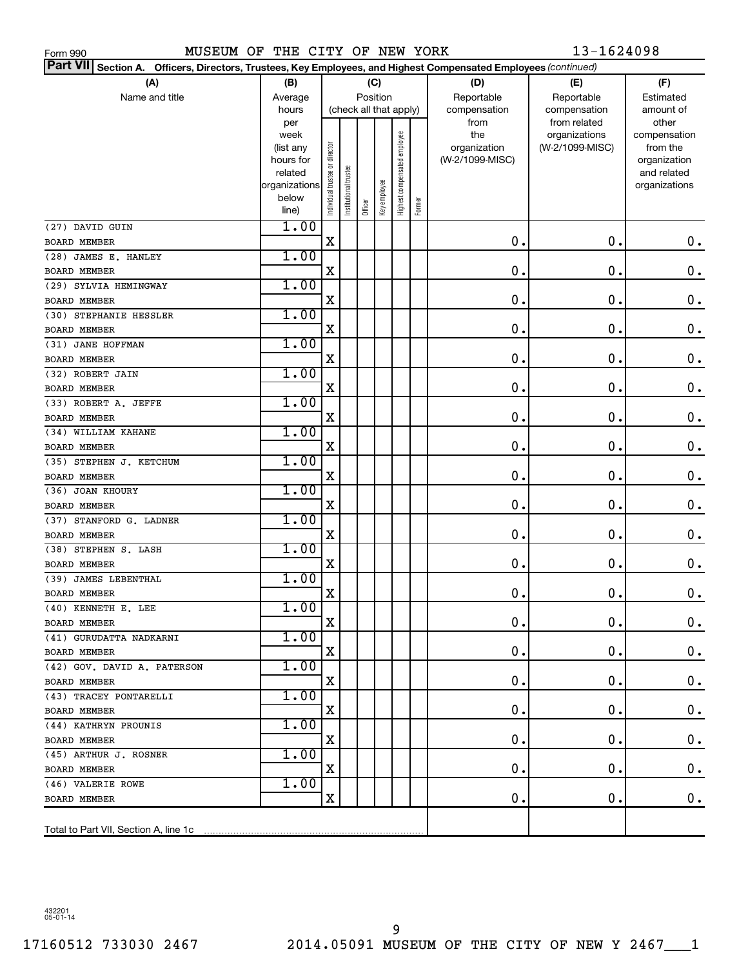| (A)                         | (B)                 |                     |                        |            | (C)          |                              |        | (D)             | (E)                           | (F)                   |
|-----------------------------|---------------------|---------------------|------------------------|------------|--------------|------------------------------|--------|-----------------|-------------------------------|-----------------------|
| Name and title              | Position<br>Average |                     | Reportable             | Reportable | Estimated    |                              |        |                 |                               |                       |
|                             | hours               |                     | (check all that apply) |            |              |                              |        | compensation    | compensation                  | amount of             |
|                             | per<br>week         |                     |                        |            |              |                              |        | from<br>the     | from related<br>organizations | other<br>compensation |
|                             | (list any           |                     |                        |            |              | Highest compensated employee |        | organization    | (W-2/1099-MISC)               | from the              |
|                             | hours for           |                     |                        |            |              |                              |        | (W-2/1099-MISC) |                               | organization          |
|                             | related             | trustee or director |                        |            |              |                              |        |                 |                               | and related           |
|                             | organizations       |                     |                        |            |              |                              |        |                 |                               | organizations         |
|                             | below               | Individual          | Institutional trustee  |            | Key employee |                              | Former |                 |                               |                       |
|                             | line)               |                     |                        | Officer    |              |                              |        |                 |                               |                       |
| (27) DAVID GUIN             | 1.00                |                     |                        |            |              |                              |        |                 |                               |                       |
| <b>BOARD MEMBER</b>         |                     | $\mathbf X$         |                        |            |              |                              |        | $\mathbf 0$ .   | $\mathbf 0$ .                 | $\mathbf 0$ .         |
| (28) JAMES E. HANLEY        | 1.00                |                     |                        |            |              |                              |        |                 |                               |                       |
| BOARD MEMBER                |                     | Χ                   |                        |            |              |                              |        | $\mathbf 0$ .   | $\mathbf 0$ .                 | $\mathbf 0$ .         |
| (29) SYLVIA HEMINGWAY       | 1.00                |                     |                        |            |              |                              |        |                 |                               |                       |
| <b>BOARD MEMBER</b>         |                     | $\mathbf X$         |                        |            |              |                              |        | $\mathbf 0$ .   | $\mathbf 0$ .                 | $\mathbf 0$ .         |
| (30) STEPHANIE HESSLER      | 1.00                |                     |                        |            |              |                              |        |                 |                               |                       |
| <b>BOARD MEMBER</b>         |                     | Χ                   |                        |            |              |                              |        | $\mathbf 0$ .   | $\mathbf 0$ .                 | $\mathbf 0$ .         |
| (31) JANE HOFFMAN           | 1.00                |                     |                        |            |              |                              |        |                 |                               |                       |
| <b>BOARD MEMBER</b>         |                     | $\mathbf X$         |                        |            |              |                              |        | $\mathbf 0$ .   | 0.                            | $\mathbf 0$ .         |
| (32) ROBERT JAIN            | 1.00                |                     |                        |            |              |                              |        |                 |                               |                       |
| <b>BOARD MEMBER</b>         |                     | Χ                   |                        |            |              |                              |        | $\mathbf 0$ .   | 0.                            | $\mathbf 0$ .         |
| (33) ROBERT A. JEFFE        | 1.00                |                     |                        |            |              |                              |        |                 |                               |                       |
| <b>BOARD MEMBER</b>         |                     | $\mathbf X$         |                        |            |              |                              |        | $\mathbf 0$ .   | 0.                            | $\mathbf 0$ .         |
| (34) WILLIAM KAHANE         | 1.00                |                     |                        |            |              |                              |        |                 |                               |                       |
| <b>BOARD MEMBER</b>         |                     | X                   |                        |            |              |                              |        | $\mathbf 0$ .   | 0.                            | $\mathbf 0$ .         |
| (35) STEPHEN J. KETCHUM     | 1.00                |                     |                        |            |              |                              |        |                 |                               |                       |
| <b>BOARD MEMBER</b>         |                     | Χ                   |                        |            |              |                              |        | $\mathbf 0$ .   | 0.                            | $\mathbf 0$ .         |
| (36) JOAN KHOURY            | 1.00                |                     |                        |            |              |                              |        |                 |                               |                       |
| <b>BOARD MEMBER</b>         |                     | $\mathbf X$         |                        |            |              |                              |        | $\mathbf 0$ .   | 0.                            | $\mathbf 0$ .         |
| (37) STANFORD G. LADNER     | 1.00                |                     |                        |            |              |                              |        |                 |                               |                       |
| <b>BOARD MEMBER</b>         |                     | Χ                   |                        |            |              |                              |        | $\mathbf 0$ .   | 0.                            | $\mathbf 0$ .         |
| (38) STEPHEN S. LASH        | 1.00                |                     |                        |            |              |                              |        |                 |                               |                       |
| <b>BOARD MEMBER</b>         |                     | $\mathbf X$         |                        |            |              |                              |        | $\mathbf 0$ .   | 0.                            | $\mathbf 0$ .         |
| (39) JAMES LEBENTHAL        | 1.00                |                     |                        |            |              |                              |        |                 |                               |                       |
| <b>BOARD MEMBER</b>         |                     | X                   |                        |            |              |                              |        | $\mathbf 0$ .   | 0.                            | $\mathbf 0$ .         |
| (40) KENNETH E. LEE         | 1.00                |                     |                        |            |              |                              |        |                 |                               |                       |
| BOARD MEMBER                |                     | X                   |                        |            |              |                              |        | 0.              | $\mathbf 0$ .                 | $\mathbf 0$ .         |
| (41) GURUDATTA NADKARNI     | 1.00                |                     |                        |            |              |                              |        |                 |                               |                       |
| <b>BOARD MEMBER</b>         |                     | X                   |                        |            |              |                              |        | 0.              | 0.                            | 0.                    |
| (42) GOV. DAVID A. PATERSON | 1.00                |                     |                        |            |              |                              |        |                 |                               |                       |
| <b>BOARD MEMBER</b>         |                     | X                   |                        |            |              |                              |        | 0.              | 0.                            | 0.                    |
| (43) TRACEY PONTARELLI      | 1.00                |                     |                        |            |              |                              |        |                 |                               |                       |
| BOARD MEMBER                |                     | X                   |                        |            |              |                              |        | 0.              | 0.                            | 0.                    |
| (44) KATHRYN PROUNIS        | 1.00                |                     |                        |            |              |                              |        |                 |                               |                       |
| BOARD MEMBER                |                     | X                   |                        |            |              |                              |        | 0.              | 0.                            | 0.                    |
| (45) ARTHUR J. ROSNER       | 1.00                |                     |                        |            |              |                              |        |                 |                               |                       |
| BOARD MEMBER                |                     | X                   |                        |            |              |                              |        | 0.              | 0.                            | 0.                    |
| (46) VALERIE ROWE           | 1.00                |                     |                        |            |              |                              |        |                 |                               |                       |
| BOARD MEMBER                |                     | X                   |                        |            |              |                              |        | 0.              | 0.                            | 0.                    |
|                             |                     |                     |                        |            |              |                              |        |                 |                               |                       |

**Section A. Officers, Directors, Trustees, Key Employees, and Highest Compensated Employees**  *(continued)* **Part VII**

MUSEUM OF THE CITY OF NEW YORK 13-1624098

432201 05-01-14

Form 990

Total to Part VII, Section A, line 1c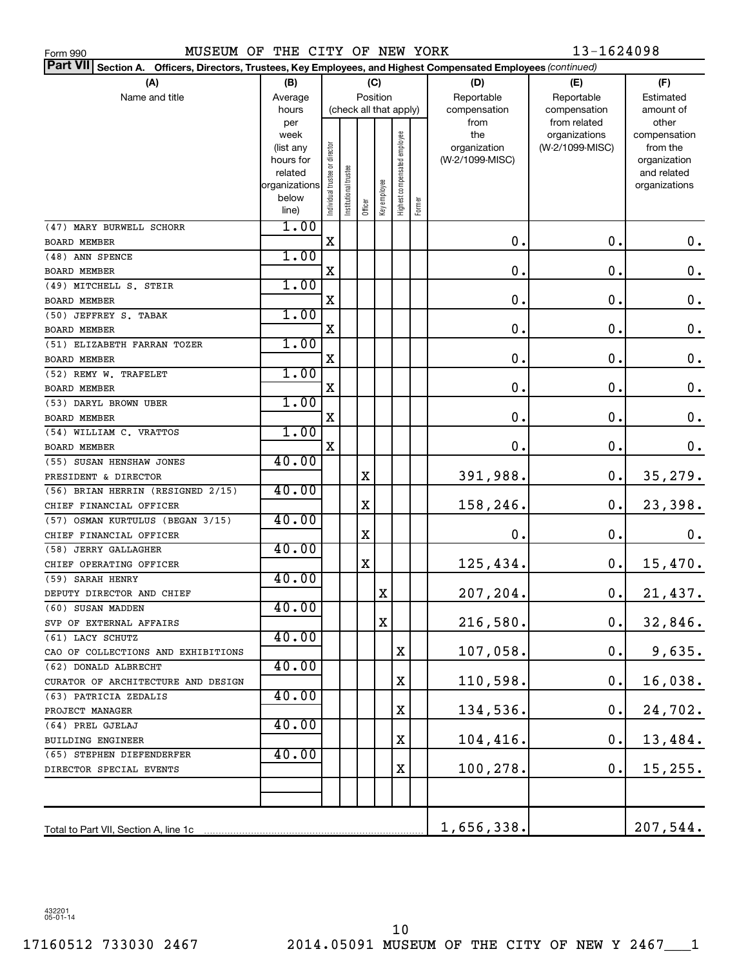MUSEUM OF THE CITY OF NEW YORK 13-1624098

| Part VII Section A. Officers, Directors, Trustees, Key Employees, and Highest Compensated Employees (continued) |                |                                |                        |         |              |                              |        |                 |                               |                       |
|-----------------------------------------------------------------------------------------------------------------|----------------|--------------------------------|------------------------|---------|--------------|------------------------------|--------|-----------------|-------------------------------|-----------------------|
| (A)                                                                                                             | (B)            |                                |                        | (C)     |              |                              |        | (D)             | (E)                           | (F)                   |
| Name and title                                                                                                  | Average        |                                |                        |         | Position     |                              |        | Reportable      | Reportable                    | Estimated             |
|                                                                                                                 | hours          |                                | (check all that apply) |         |              |                              |        | compensation    | compensation                  | amount of             |
|                                                                                                                 | per<br>week    |                                |                        |         |              |                              |        | from<br>the     | from related<br>organizations | other<br>compensation |
|                                                                                                                 | (list any      |                                |                        |         |              |                              |        | organization    | (W-2/1099-MISC)               | from the              |
|                                                                                                                 | hours for      |                                |                        |         |              |                              |        | (W-2/1099-MISC) |                               | organization          |
|                                                                                                                 | related        |                                |                        |         |              |                              |        |                 |                               | and related           |
|                                                                                                                 | organizations  |                                |                        |         |              |                              |        |                 |                               | organizations         |
|                                                                                                                 | below<br>line) | Individual trustee or director | nstitutional trustee   | Officer | Key employee | Highest compensated employee | Former |                 |                               |                       |
| (47) MARY BURWELL SCHORR                                                                                        | 1.00           |                                |                        |         |              |                              |        |                 |                               |                       |
| <b>BOARD MEMBER</b>                                                                                             |                | X                              |                        |         |              |                              |        | $\mathbf 0$ .   | $\mathbf 0$ .                 | 0.                    |
| (48) ANN SPENCE                                                                                                 | 1.00           |                                |                        |         |              |                              |        |                 |                               |                       |
| <b>BOARD MEMBER</b>                                                                                             |                | X                              |                        |         |              |                              |        | $\mathbf 0$ .   | $\mathbf 0$ .                 | $0$ .                 |
| (49) MITCHELL S. STEIR                                                                                          | 1.00           |                                |                        |         |              |                              |        |                 |                               |                       |
| <b>BOARD MEMBER</b>                                                                                             |                | X                              |                        |         |              |                              |        | $\mathbf 0$ .   | $\mathbf 0$ .                 | $0$ .                 |
| (50) JEFFREY S. TABAK                                                                                           | 1.00           |                                |                        |         |              |                              |        |                 |                               |                       |
| <b>BOARD MEMBER</b>                                                                                             |                | X                              |                        |         |              |                              |        | 0.              | $\mathbf 0$ .                 | $0$ .                 |
| (51) ELIZABETH FARRAN TOZER                                                                                     | 1.00           |                                |                        |         |              |                              |        |                 |                               |                       |
| <b>BOARD MEMBER</b>                                                                                             |                | X                              |                        |         |              |                              |        | $\mathbf 0$ .   | $\mathbf 0$ .                 | $0$ .                 |
| (52) REMY W. TRAFELET                                                                                           | 1.00           |                                |                        |         |              |                              |        |                 |                               |                       |
| <b>BOARD MEMBER</b>                                                                                             |                | X                              |                        |         |              |                              |        | $\mathbf 0$ .   | $\mathbf 0$ .                 | $0$ .                 |
| (53) DARYL BROWN UBER                                                                                           | 1.00           |                                |                        |         |              |                              |        |                 |                               |                       |
| <b>BOARD MEMBER</b>                                                                                             |                | X                              |                        |         |              |                              |        | 0.              | $\mathbf 0$ .                 | 0.                    |
| (54) WILLIAM C. VRATTOS                                                                                         | 1.00           |                                |                        |         |              |                              |        |                 |                               |                       |
| <b>BOARD MEMBER</b>                                                                                             |                | X                              |                        |         |              |                              |        | $\mathbf 0$ .   | $\mathbf 0$ .                 | 0.                    |
| (55) SUSAN HENSHAW JONES                                                                                        | 40.00          |                                |                        |         |              |                              |        |                 | 0.                            |                       |
| PRESIDENT & DIRECTOR<br>(56) BRIAN HERRIN (RESIGNED 2/15)                                                       | 40.00          |                                |                        | Χ       |              |                              |        | 391,988.        |                               | 35,279.               |
| CHIEF FINANCIAL OFFICER                                                                                         |                |                                |                        | X       |              |                              |        | 158,246         | 0.                            | 23,398.               |
| (57) OSMAN KURTULUS (BEGAN 3/15)                                                                                | 40.00          |                                |                        |         |              |                              |        |                 |                               |                       |
| CHIEF FINANCIAL OFFICER                                                                                         |                |                                |                        | X       |              |                              |        | $\mathbf 0$ .   | $\mathbf 0$ .                 | 0.                    |
| (58) JERRY GALLAGHER                                                                                            | 40.00          |                                |                        |         |              |                              |        |                 |                               |                       |
| CHIEF OPERATING OFFICER                                                                                         |                |                                |                        | X       |              |                              |        | 125,434.        | 0.                            | 15,470.               |
| (59) SARAH HENRY                                                                                                | 40.00          |                                |                        |         |              |                              |        |                 |                               |                       |
| DEPUTY DIRECTOR AND CHIEF                                                                                       |                |                                |                        |         | Χ            |                              |        | 207,204.        | 0.                            | 21,437.               |
| (60) SUSAN MADDEN                                                                                               | 40.00          |                                |                        |         |              |                              |        |                 |                               |                       |
| SVP OF EXTERNAL AFFAIRS                                                                                         |                |                                |                        |         | Χ            |                              |        | 216,580.        | $0$ .                         | 32,846.               |
| (61) LACY SCHUTZ                                                                                                | 40.00          |                                |                        |         |              |                              |        |                 |                               |                       |
| CAO OF COLLECTIONS AND EXHIBITIONS                                                                              |                |                                |                        |         |              | Χ                            |        | 107,058.        | 0.                            | 9,635.                |
| (62) DONALD ALBRECHT                                                                                            | 40.00          |                                |                        |         |              |                              |        |                 |                               |                       |
| CURATOR OF ARCHITECTURE AND DESIGN                                                                              |                |                                |                        |         |              | Χ                            |        | 110,598.        | 0.                            | 16,038.               |
| (63) PATRICIA ZEDALIS                                                                                           | 40.00          |                                |                        |         |              |                              |        |                 |                               |                       |
| PROJECT MANAGER                                                                                                 |                |                                |                        |         |              | Χ                            |        | 134,536.        | 0.                            | 24,702.               |
| (64) PREL GJELAJ                                                                                                | 40.00          |                                |                        |         |              |                              |        |                 |                               |                       |
| BUILDING ENGINEER                                                                                               |                |                                |                        |         |              | Χ                            |        | 104,416         | 0.                            | 13,484.               |
| (65) STEPHEN DIEFENDERFER                                                                                       | 40.00          |                                |                        |         |              |                              |        | 100,278.        | 0.                            | 15,255.               |
| DIRECTOR SPECIAL EVENTS                                                                                         |                |                                |                        |         |              | Χ                            |        |                 |                               |                       |
|                                                                                                                 |                |                                |                        |         |              |                              |        |                 |                               |                       |
|                                                                                                                 |                |                                |                        |         |              |                              |        |                 |                               |                       |
|                                                                                                                 |                |                                |                        |         |              |                              |        | 1,656,338.      |                               | 207,544.              |

432201 05-01-14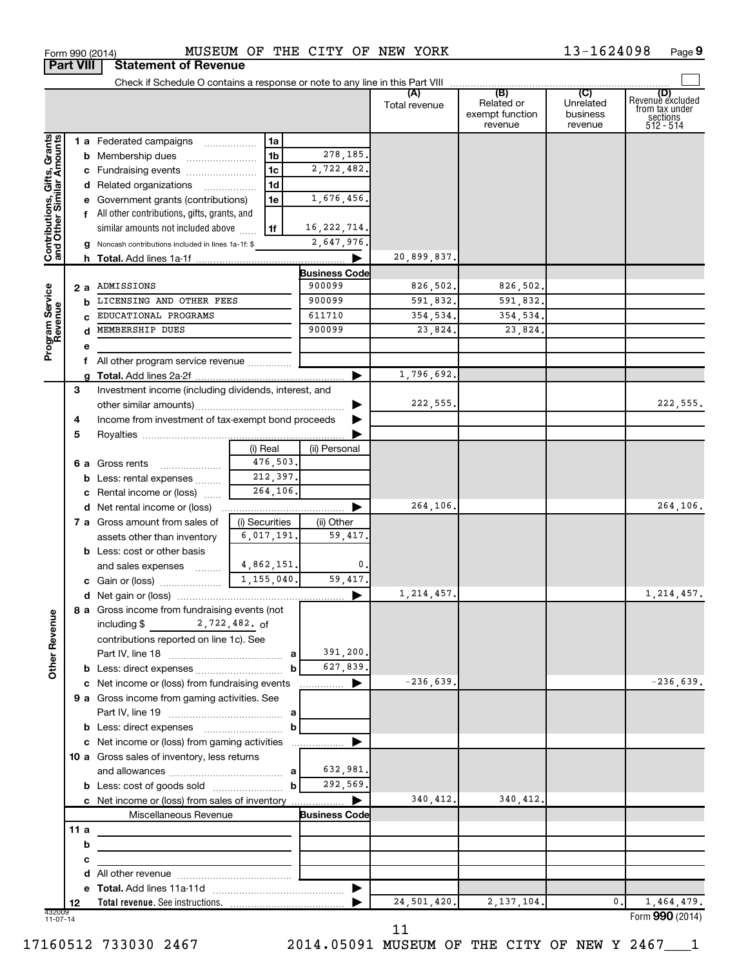|                                                           |     |   |                                                             |                |                |                      | Total revenue | (B)<br>Related or<br>exempt function<br>revenue | (C)<br>Unrelated<br>business<br>revenue | Revenue excluded<br>from tax under<br>sections<br>512 - 514 |
|-----------------------------------------------------------|-----|---|-------------------------------------------------------------|----------------|----------------|----------------------|---------------|-------------------------------------------------|-----------------------------------------|-------------------------------------------------------------|
|                                                           |     |   | 1 a Federated campaigns                                     |                | 1a             |                      |               |                                                 |                                         |                                                             |
| Contributions, Gifts, Grants<br>and Other Similar Amounts |     |   | <b>b</b> Membership dues                                    |                | 1 <sub>b</sub> | 278,185.             |               |                                                 |                                         |                                                             |
|                                                           |     |   | c Fundraising events                                        |                | 1 <sub>c</sub> | 2,722,482.           |               |                                                 |                                         |                                                             |
|                                                           |     |   | d Related organizations                                     |                | 1d             |                      |               |                                                 |                                         |                                                             |
|                                                           |     |   | e Government grants (contributions)                         |                | 1e             | 1,676,456.           |               |                                                 |                                         |                                                             |
|                                                           |     |   | f All other contributions, gifts, grants, and               |                |                |                      |               |                                                 |                                         |                                                             |
|                                                           |     |   | similar amounts not included above                          |                | 1f             | 16, 222, 714.        |               |                                                 |                                         |                                                             |
|                                                           |     |   | g Noncash contributions included in lines 1a-1f: \$         |                |                | 2,647,976.           |               |                                                 |                                         |                                                             |
|                                                           |     |   |                                                             |                |                | ▶                    | 20,899,837.   |                                                 |                                         |                                                             |
|                                                           |     |   |                                                             |                |                | <b>Business Code</b> |               |                                                 |                                         |                                                             |
|                                                           |     |   | 2 a ADMISSIONS                                              |                |                | 900099               | 826,502.      | 826,502.                                        |                                         |                                                             |
|                                                           |     | b | LICENSING AND OTHER FEES                                    |                |                | 900099               | 591,832.      | 591,832.                                        |                                         |                                                             |
|                                                           |     |   | EDUCATIONAL PROGRAMS                                        |                |                | 611710               | 354,534.      | 354,534.                                        |                                         |                                                             |
|                                                           |     |   | d MEMBERSHIP DUES                                           |                |                | 900099               | 23,824.       | 23,824.                                         |                                         |                                                             |
| Program Service<br>Revenue                                |     | е |                                                             |                |                |                      |               |                                                 |                                         |                                                             |
|                                                           |     |   | f All other program service revenue                         |                |                |                      |               |                                                 |                                         |                                                             |
|                                                           |     | a |                                                             |                |                |                      | 1,796,692.    |                                                 |                                         |                                                             |
|                                                           | 3   |   | Investment income (including dividends, interest, and       |                |                |                      |               |                                                 |                                         |                                                             |
|                                                           |     |   |                                                             |                |                |                      | 222, 555.     |                                                 |                                         | 222,555.                                                    |
|                                                           | 4   |   | Income from investment of tax-exempt bond proceeds          |                |                |                      |               |                                                 |                                         |                                                             |
|                                                           | 5   |   |                                                             |                |                |                      |               |                                                 |                                         |                                                             |
|                                                           |     |   |                                                             | (i) Real       |                | (ii) Personal        |               |                                                 |                                         |                                                             |
|                                                           |     |   | <b>6 a</b> Gross rents                                      |                | 476,503.       |                      |               |                                                 |                                         |                                                             |
|                                                           |     |   | <b>b</b> Less: rental expenses                              |                | 212,397.       |                      |               |                                                 |                                         |                                                             |
|                                                           |     |   | c Rental income or (loss)                                   |                | 264,106.       |                      |               |                                                 |                                         |                                                             |
|                                                           |     |   | d Net rental income or (loss)                               |                |                | ▶                    | 264,106.      |                                                 |                                         | 264,106.                                                    |
|                                                           |     |   | 7 a Gross amount from sales of                              | (i) Securities |                | (ii) Other           |               |                                                 |                                         |                                                             |
|                                                           |     |   | assets other than inventory                                 |                | 6,017,191.     | 59,417.              |               |                                                 |                                         |                                                             |
|                                                           |     |   | <b>b</b> Less: cost or other basis                          |                |                |                      |               |                                                 |                                         |                                                             |
|                                                           |     |   | and sales expenses                                          | 1,155,040.     | 4,862,151.     | 0<br>59,417.         |               |                                                 |                                         |                                                             |
|                                                           |     |   |                                                             |                |                |                      | 1, 214, 457.  |                                                 |                                         | 1, 214, 457.                                                |
|                                                           |     |   | 8 a Gross income from fundraising events (not               |                |                |                      |               |                                                 |                                         |                                                             |
| g                                                         |     |   |                                                             |                |                |                      |               |                                                 |                                         |                                                             |
| Other Rever                                               |     |   | contributions reported on line 1c). See                     |                |                |                      |               |                                                 |                                         |                                                             |
|                                                           |     |   |                                                             |                | a              | 391,200.             |               |                                                 |                                         |                                                             |
|                                                           |     |   |                                                             |                | b              | 627,839.             |               |                                                 |                                         |                                                             |
|                                                           |     |   | c Net income or (loss) from fundraising events              |                |                | ▶<br>.               | $-236,639.$   |                                                 |                                         | $-236,639.$                                                 |
|                                                           |     |   | 9 a Gross income from gaming activities. See                |                |                |                      |               |                                                 |                                         |                                                             |
|                                                           |     |   |                                                             |                |                |                      |               |                                                 |                                         |                                                             |
|                                                           |     |   |                                                             |                | b              |                      |               |                                                 |                                         |                                                             |
|                                                           |     |   | c Net income or (loss) from gaming activities               |                |                |                      |               |                                                 |                                         |                                                             |
|                                                           |     |   | 10 a Gross sales of inventory, less returns                 |                |                |                      |               |                                                 |                                         |                                                             |
|                                                           |     |   |                                                             |                |                | 632,981.             |               |                                                 |                                         |                                                             |
|                                                           |     |   |                                                             |                | $\mathbf{b}$   | 292,569.             |               |                                                 |                                         |                                                             |
|                                                           |     |   | c Net income or (loss) from sales of inventory              |                |                | ▶                    | 340,412.      | 340,412.                                        |                                         |                                                             |
|                                                           |     |   | Miscellaneous Revenue                                       |                |                | <b>Business Code</b> |               |                                                 |                                         |                                                             |
|                                                           | 11a |   | the control of the control of the control of the control of |                |                |                      |               |                                                 |                                         |                                                             |
|                                                           |     | b |                                                             |                |                |                      |               |                                                 |                                         |                                                             |
|                                                           |     | с |                                                             |                |                |                      |               |                                                 |                                         |                                                             |
|                                                           |     |   |                                                             |                |                |                      |               |                                                 |                                         |                                                             |
|                                                           |     |   |                                                             |                |                |                      |               |                                                 |                                         |                                                             |
|                                                           | 12  |   | Total revenue. See instructions.                            |                |                |                      | 24,501,420.   | 2, 137, 104.                                    | 0.                                      | 1,464,479.                                                  |
| 432009<br>11-07-14                                        |     |   |                                                             |                |                |                      |               |                                                 |                                         | Form 990 (2014)                                             |

**9**

**Part VIII Statement of Revenue**

11

17160512 733030 2467 2014.05091 MUSEUM OF THE CITY OF NEW Y 2467\_\_\_1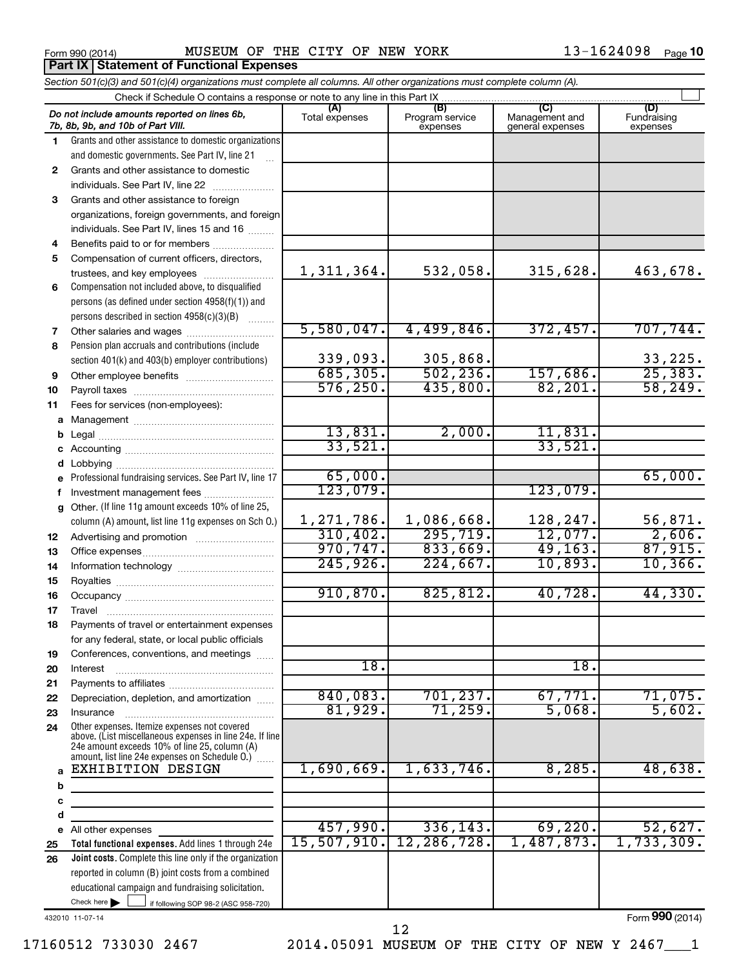**Part IX Statement of Functional Expenses**

|              | Section 501(c)(3) and 501(c)(4) organizations must complete all columns. All other organizations must complete column (A).                                                                                              |                |                             |                                    |                         |
|--------------|-------------------------------------------------------------------------------------------------------------------------------------------------------------------------------------------------------------------------|----------------|-----------------------------|------------------------------------|-------------------------|
|              | Check if Schedule O contains a response or note to any line in this Part IX                                                                                                                                             | (A)            | (B)                         | (C)                                | (D)                     |
|              | Do not include amounts reported on lines 6b,<br>7b, 8b, 9b, and 10b of Part VIII.                                                                                                                                       | Total expenses | Program service<br>expenses | Management and<br>general expenses | Fundraising<br>expenses |
| 1.           | Grants and other assistance to domestic organizations                                                                                                                                                                   |                |                             |                                    |                         |
|              | and domestic governments. See Part IV, line 21                                                                                                                                                                          |                |                             |                                    |                         |
| $\mathbf{2}$ | Grants and other assistance to domestic                                                                                                                                                                                 |                |                             |                                    |                         |
|              | individuals. See Part IV, line 22                                                                                                                                                                                       |                |                             |                                    |                         |
| 3            | Grants and other assistance to foreign                                                                                                                                                                                  |                |                             |                                    |                         |
|              | organizations, foreign governments, and foreign                                                                                                                                                                         |                |                             |                                    |                         |
|              | individuals. See Part IV, lines 15 and 16                                                                                                                                                                               |                |                             |                                    |                         |
| 4            | Benefits paid to or for members                                                                                                                                                                                         |                |                             |                                    |                         |
| 5            | Compensation of current officers, directors,                                                                                                                                                                            |                |                             |                                    |                         |
|              | trustees, and key employees                                                                                                                                                                                             | 1,311,364.     | 532,058.                    | 315,628.                           | 463,678.                |
| 6            | Compensation not included above, to disqualified                                                                                                                                                                        |                |                             |                                    |                         |
|              | persons (as defined under section 4958(f)(1)) and                                                                                                                                                                       |                |                             |                                    |                         |
|              | persons described in section 4958(c)(3)(B)<br>1.1.1.1.1.1.1                                                                                                                                                             | 5,580,047.     | 4,499,846.                  | 372,457.                           | 707,744.                |
| 7            |                                                                                                                                                                                                                         |                |                             |                                    |                         |
| 8            | Pension plan accruals and contributions (include                                                                                                                                                                        | 339,093.       | 305,868.                    |                                    | 33,225.                 |
|              | section 401(k) and 403(b) employer contributions)                                                                                                                                                                       | 685, 305.      | 502, 236.                   | 157,686.                           | 25,383.                 |
| 9            | Other employee benefits                                                                                                                                                                                                 | 576, 250.      | 435,800.                    | 82, 201.                           | 58, 249.                |
| 10           |                                                                                                                                                                                                                         |                |                             |                                    |                         |
| 11           | Fees for services (non-employees):                                                                                                                                                                                      |                |                             |                                    |                         |
|              |                                                                                                                                                                                                                         | 13,831.        | 2,000.                      | 11,831.                            |                         |
| b            |                                                                                                                                                                                                                         | 33,521.        |                             | 33,521.                            |                         |
| с            |                                                                                                                                                                                                                         |                |                             |                                    |                         |
| d            | Professional fundraising services. See Part IV, line 17                                                                                                                                                                 | 65,000.        |                             |                                    | 65,000.                 |
|              | Investment management fees                                                                                                                                                                                              | 123,079.       |                             | 123,079.                           |                         |
| f            | Other. (If line 11g amount exceeds 10% of line 25,                                                                                                                                                                      |                |                             |                                    |                         |
| g            | column (A) amount, list line 11g expenses on Sch O.)                                                                                                                                                                    | 1,271,786.     | 1,086,668.                  | 128,247.                           | 56,871.                 |
| 12           |                                                                                                                                                                                                                         | 310, 402.      | 295, 719.                   | 12,077.                            | 2,606.                  |
| 13           |                                                                                                                                                                                                                         | 970, 747.      | 833,669.                    | 49, 163.                           | 87,915.                 |
| 14           |                                                                                                                                                                                                                         | 245,926.       | 224,667.                    | 10,893.                            | 10,366.                 |
| 15           |                                                                                                                                                                                                                         |                |                             |                                    |                         |
| 16           |                                                                                                                                                                                                                         | 910, 870.      | 825, 812.                   | 40,728.                            | 44,330.                 |
| 17           |                                                                                                                                                                                                                         |                |                             |                                    |                         |
| 18           | Payments of travel or entertainment expenses                                                                                                                                                                            |                |                             |                                    |                         |
|              | for any federal, state, or local public officials                                                                                                                                                                       |                |                             |                                    |                         |
| 19           | Conferences, conventions, and meetings                                                                                                                                                                                  |                |                             |                                    |                         |
| 20           | Interest                                                                                                                                                                                                                | 18.            |                             | 18.                                |                         |
| 21           |                                                                                                                                                                                                                         |                |                             |                                    |                         |
| 22           | Depreciation, depletion, and amortization                                                                                                                                                                               | 840,083.       | 701, 237.                   | 67,771.                            | 71,075.                 |
| 23           |                                                                                                                                                                                                                         | 81,929.        | 71,259.                     | 5,068.                             | 5,602.                  |
| 24           | Other expenses. Itemize expenses not covered<br>above. (List miscellaneous expenses in line 24e. If line<br>24e amount exceeds 10% of line 25, column (A)<br>amount, list line 24e expenses on Schedule $0$ .) $\ldots$ |                |                             |                                    |                         |
| a            | <b>EXHIBITION DESIGN</b>                                                                                                                                                                                                | 1,690,669.     | 1,633,746.                  | 8,285.                             | 48,638.                 |
| b            |                                                                                                                                                                                                                         |                |                             |                                    |                         |
| с            |                                                                                                                                                                                                                         |                |                             |                                    |                         |
| d            |                                                                                                                                                                                                                         |                |                             |                                    |                         |
|              | e All other expenses                                                                                                                                                                                                    | 457,990.       | 336, 143.                   | 69,220.                            | 52,627.                 |
| 25           | Total functional expenses. Add lines 1 through 24e                                                                                                                                                                      | 15,507,910.    | 12, 286, 728.               | 1,487,873.                         | 1,733,309.              |
| 26           | Joint costs. Complete this line only if the organization                                                                                                                                                                |                |                             |                                    |                         |
|              | reported in column (B) joint costs from a combined                                                                                                                                                                      |                |                             |                                    |                         |
|              | educational campaign and fundraising solicitation.                                                                                                                                                                      |                |                             |                                    |                         |
|              | Check here<br>if following SOP 98-2 (ASC 958-720)                                                                                                                                                                       |                |                             |                                    |                         |

432010 11-07-14

Form (2014) **990**

12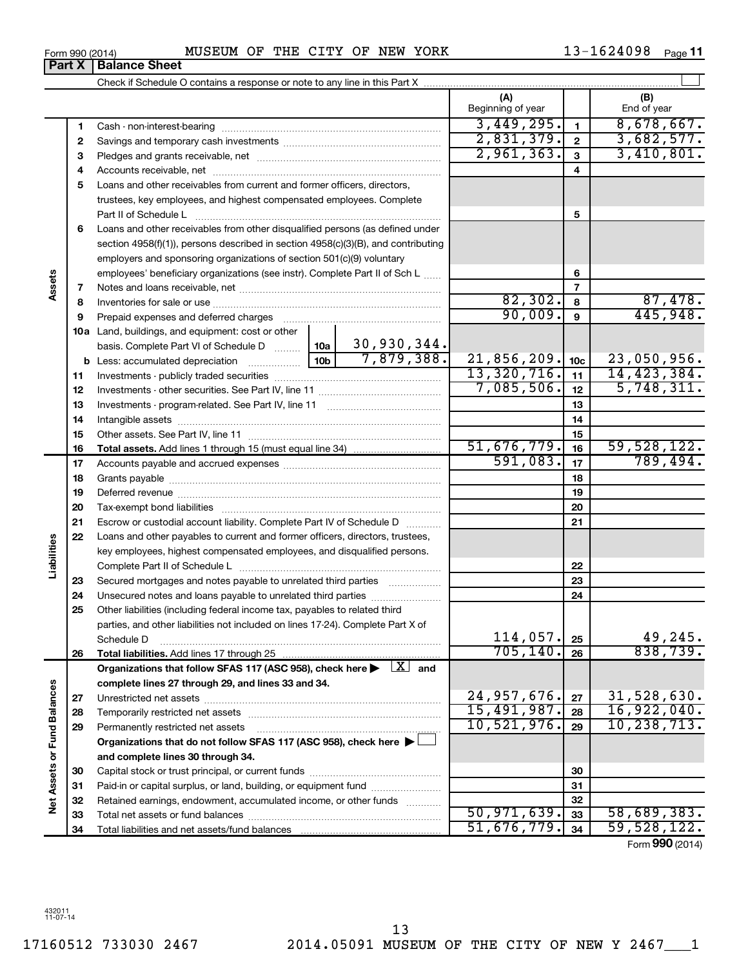|                   | 1  |                                                                                                                                                                                                                                |             |             | 3,449,295.        | $\mathbf{1}$   | 8,678,667.      |
|-------------------|----|--------------------------------------------------------------------------------------------------------------------------------------------------------------------------------------------------------------------------------|-------------|-------------|-------------------|----------------|-----------------|
|                   | 2  |                                                                                                                                                                                                                                |             | 2,831,379.  | $\overline{2}$    | 3,682,577.     |                 |
|                   | З  |                                                                                                                                                                                                                                |             | 2,961,363.  | $\mathbf{3}$      | 3,410,801.     |                 |
|                   | 4  |                                                                                                                                                                                                                                |             | 4           |                   |                |                 |
|                   | 5  | Loans and other receivables from current and former officers, directors,                                                                                                                                                       |             |             |                   |                |                 |
|                   |    | trustees, key employees, and highest compensated employees. Complete                                                                                                                                                           |             |             |                   |                |                 |
|                   |    | Part II of Schedule L                                                                                                                                                                                                          |             |             |                   | 5              |                 |
|                   | 6  | Loans and other receivables from other disqualified persons (as defined under                                                                                                                                                  |             |             |                   |                |                 |
|                   |    | section $4958(f)(1)$ , persons described in section $4958(c)(3)(B)$ , and contributing                                                                                                                                         |             |             |                   |                |                 |
|                   |    | employers and sponsoring organizations of section 501(c)(9) voluntary                                                                                                                                                          |             |             |                   |                |                 |
|                   |    | employees' beneficiary organizations (see instr). Complete Part II of Sch L                                                                                                                                                    |             |             |                   | 6              |                 |
| Assets            | 7  |                                                                                                                                                                                                                                |             |             |                   | $\overline{7}$ |                 |
|                   | 8  |                                                                                                                                                                                                                                |             |             | 82,302.           | 8              | 87,478.         |
|                   | 9  | Prepaid expenses and deferred charges [11] [11] prepaid expenses and deferred charges [11] [11] minimum and the Prepaid expenses and deferred charges [11] minimum and the Prepaid experiment of Prepaid experiment and the Pr |             |             | 90,009.           | 9              | 445,948.        |
|                   |    | 10a Land, buildings, and equipment: cost or other                                                                                                                                                                              |             |             |                   |                |                 |
|                   |    | basis. Complete Part VI of Schedule D    10a   30, 930, 344.                                                                                                                                                                   |             |             |                   |                |                 |
|                   |    |                                                                                                                                                                                                                                |             | 7,879,388.  | $21,856,209.$ 10c |                | 23,050,956.     |
|                   | 11 |                                                                                                                                                                                                                                |             | 13,320,716. | 11                | 14, 423, 384.  |                 |
|                   | 12 |                                                                                                                                                                                                                                |             | 7,085,506.  | 12                | 5,748,311.     |                 |
|                   | 13 |                                                                                                                                                                                                                                |             | 13          |                   |                |                 |
|                   | 14 |                                                                                                                                                                                                                                |             | 14          |                   |                |                 |
|                   | 15 |                                                                                                                                                                                                                                |             | 15          |                   |                |                 |
|                   | 16 |                                                                                                                                                                                                                                | 51,676,779. | 16          | 59,528,122.       |                |                 |
|                   | 17 |                                                                                                                                                                                                                                |             |             | 591,083.          | 17             | 789,494.        |
|                   | 18 |                                                                                                                                                                                                                                |             |             |                   | 18             |                 |
|                   | 19 |                                                                                                                                                                                                                                |             |             | 19                |                |                 |
|                   | 20 |                                                                                                                                                                                                                                |             |             |                   | 20             |                 |
|                   | 21 | Escrow or custodial account liability. Complete Part IV of Schedule D                                                                                                                                                          |             |             | 21                |                |                 |
| Liabilities       | 22 | Loans and other payables to current and former officers, directors, trustees,                                                                                                                                                  |             |             |                   |                |                 |
|                   |    | key employees, highest compensated employees, and disqualified persons.                                                                                                                                                        |             |             |                   |                |                 |
|                   |    |                                                                                                                                                                                                                                |             |             |                   | 22             |                 |
|                   | 23 | Secured mortgages and notes payable to unrelated third parties                                                                                                                                                                 |             |             |                   | 23             |                 |
|                   | 24 |                                                                                                                                                                                                                                |             |             |                   | 24             |                 |
|                   | 25 | Other liabilities (including federal income tax, payables to related third                                                                                                                                                     |             |             |                   |                |                 |
|                   |    | parties, and other liabilities not included on lines 17-24). Complete Part X of                                                                                                                                                |             |             | 114,057.          | 25             | 49,245.         |
|                   | 26 | Schedule D                                                                                                                                                                                                                     |             |             | 705, 140.         | 26             | 838,739.        |
|                   |    | Organizations that follow SFAS 117 (ASC 958), check here $\blacktriangleright \boxed{X}$ and                                                                                                                                   |             |             |                   |                |                 |
|                   |    | complete lines 27 through 29, and lines 33 and 34.                                                                                                                                                                             |             |             |                   |                |                 |
|                   | 27 |                                                                                                                                                                                                                                |             |             | 24,957,676.       | 27             | 31,528,630.     |
|                   | 28 |                                                                                                                                                                                                                                |             |             | 15,491,987.       | 28             | 16,922,040.     |
|                   | 29 | Permanently restricted net assets                                                                                                                                                                                              |             |             | 10,521,976.       | 29             | 10, 238, 713.   |
|                   |    | Organizations that do not follow SFAS 117 (ASC 958), check here $\blacktriangleright$                                                                                                                                          |             |             |                   |                |                 |
| or Fund Balances  |    | and complete lines 30 through 34.                                                                                                                                                                                              |             |             |                   |                |                 |
|                   | 30 |                                                                                                                                                                                                                                |             |             |                   | 30             |                 |
| <b>Net Assets</b> | 31 | Paid-in or capital surplus, or land, building, or equipment fund                                                                                                                                                               |             |             |                   | 31             |                 |
|                   | 32 | Retained earnings, endowment, accumulated income, or other funds                                                                                                                                                               |             |             |                   | 32             |                 |
|                   | 33 |                                                                                                                                                                                                                                |             |             | 50, 971, 639.     | 33             | 58,689,383.     |
|                   | 34 |                                                                                                                                                                                                                                |             |             | 51,676,779.       | 34             | 59,528,122.     |
|                   |    |                                                                                                                                                                                                                                |             |             |                   |                | Form 990 (2014) |

Check if Schedule O contains a response or note to any line in this Part X

13-1624098 Page 11

 $\perp$ 

**(A) (B)**

Beginning of year  $\vert$  | End of year

**Part X** | Balance Sheet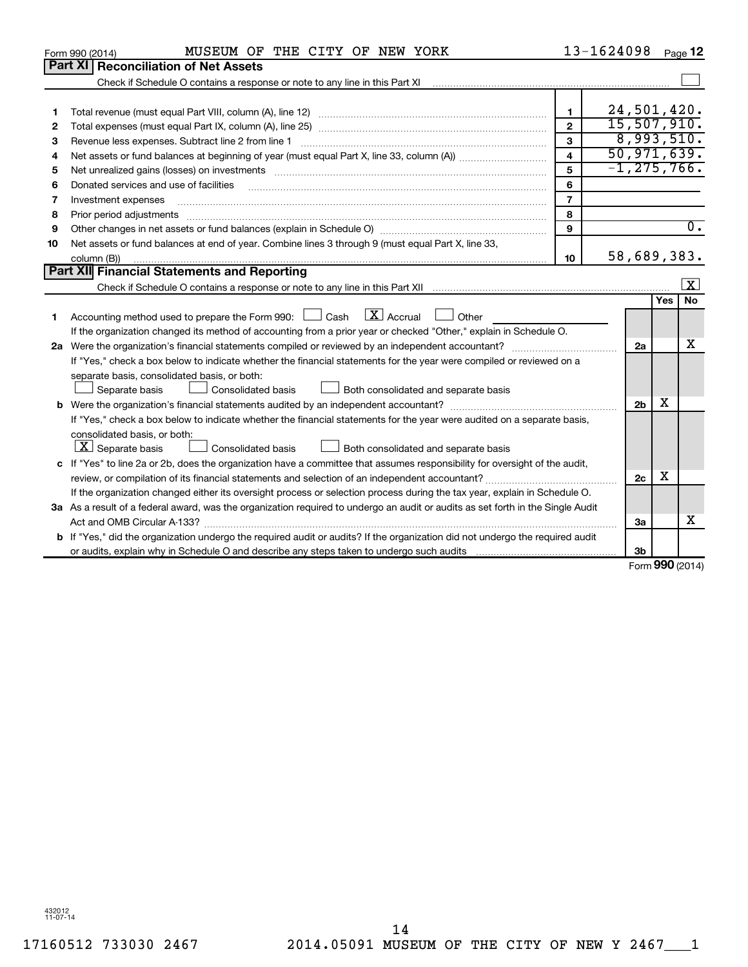|    | MUSEUM OF THE CITY OF NEW YORK<br>Form 990 (2014)                                                                                                                                                                                                                                                                                                                                                                                                                                                   |                         | 13-1624098        |     | Page 12          |
|----|-----------------------------------------------------------------------------------------------------------------------------------------------------------------------------------------------------------------------------------------------------------------------------------------------------------------------------------------------------------------------------------------------------------------------------------------------------------------------------------------------------|-------------------------|-------------------|-----|------------------|
|    | Part XI   Reconciliation of Net Assets                                                                                                                                                                                                                                                                                                                                                                                                                                                              |                         |                   |     |                  |
|    | Check if Schedule O contains a response or note to any line in this Part XI                                                                                                                                                                                                                                                                                                                                                                                                                         |                         |                   |     |                  |
|    |                                                                                                                                                                                                                                                                                                                                                                                                                                                                                                     |                         |                   |     |                  |
| 1  |                                                                                                                                                                                                                                                                                                                                                                                                                                                                                                     | $\mathbf{1}$            | 24,501,420.       |     |                  |
| 2  |                                                                                                                                                                                                                                                                                                                                                                                                                                                                                                     | $\mathbf{2}$            | 15,507,910.       |     |                  |
| з  | Revenue less expenses. Subtract line 2 from line 1                                                                                                                                                                                                                                                                                                                                                                                                                                                  | 3                       | 8,993,510.        |     |                  |
| 4  |                                                                                                                                                                                                                                                                                                                                                                                                                                                                                                     | $\overline{\mathbf{4}}$ | 50, 971, 639.     |     |                  |
| 5  |                                                                                                                                                                                                                                                                                                                                                                                                                                                                                                     | 5                       | $-1, 275, 766.$   |     |                  |
| 6  | Donated services and use of facilities                                                                                                                                                                                                                                                                                                                                                                                                                                                              | 6                       |                   |     |                  |
| 7  | Investment expenses                                                                                                                                                                                                                                                                                                                                                                                                                                                                                 | $\overline{7}$          |                   |     |                  |
| 8  |                                                                                                                                                                                                                                                                                                                                                                                                                                                                                                     | 8                       |                   |     |                  |
| 9  |                                                                                                                                                                                                                                                                                                                                                                                                                                                                                                     | 9                       |                   |     | $\overline{0}$ . |
| 10 | Net assets or fund balances at end of year. Combine lines 3 through 9 (must equal Part X, line 33,                                                                                                                                                                                                                                                                                                                                                                                                  |                         |                   |     |                  |
|    | column (B))<br>$\begin{minipage}{0.9\linewidth} \begin{tabular}{l} \hline \textbf{0.01} \end{tabular} \end{minipage} \begin{tabular}{l} \hline \textbf{1.01} \end{tabular} \end{minipage} \begin{tabular}{l} \hline \textbf{1.01} \end{tabular} \end{minipage} \begin{tabular}{l} \hline \textbf{2.01} \end{tabular} \end{minipage} \begin{tabular}{l} \hline \textbf{3.01} \end{tabular} \end{minipage} \begin{tabular}{l} \hline \textbf{4.01} \end{tabular} \end{minipage} \begin{tabular}{l} \$ | 10                      | 58,689,383.       |     |                  |
|    | <b>Part XII Financial Statements and Reporting</b>                                                                                                                                                                                                                                                                                                                                                                                                                                                  |                         |                   |     |                  |
|    |                                                                                                                                                                                                                                                                                                                                                                                                                                                                                                     |                         |                   |     | $\mathbf{x}$     |
|    |                                                                                                                                                                                                                                                                                                                                                                                                                                                                                                     |                         |                   | Yes | <b>No</b>        |
| 1  | $\mathbf{X}$ Accrual<br>Accounting method used to prepare the Form 990: [130] Cash<br>$\Box$ Other                                                                                                                                                                                                                                                                                                                                                                                                  |                         |                   |     |                  |
|    | If the organization changed its method of accounting from a prior year or checked "Other," explain in Schedule O.                                                                                                                                                                                                                                                                                                                                                                                   |                         |                   |     |                  |
|    |                                                                                                                                                                                                                                                                                                                                                                                                                                                                                                     |                         | 2a                |     | x                |
|    | If "Yes," check a box below to indicate whether the financial statements for the year were compiled or reviewed on a                                                                                                                                                                                                                                                                                                                                                                                |                         |                   |     |                  |
|    | separate basis, consolidated basis, or both:                                                                                                                                                                                                                                                                                                                                                                                                                                                        |                         |                   |     |                  |
|    | Both consolidated and separate basis<br>Separate basis<br>Consolidated basis                                                                                                                                                                                                                                                                                                                                                                                                                        |                         |                   |     |                  |
|    |                                                                                                                                                                                                                                                                                                                                                                                                                                                                                                     |                         | 2 <sub>b</sub>    | x   |                  |
|    | If "Yes," check a box below to indicate whether the financial statements for the year were audited on a separate basis,                                                                                                                                                                                                                                                                                                                                                                             |                         |                   |     |                  |
|    | consolidated basis, or both:                                                                                                                                                                                                                                                                                                                                                                                                                                                                        |                         |                   |     |                  |
|    | $X$ Separate basis<br>Consolidated basis<br>Both consolidated and separate basis                                                                                                                                                                                                                                                                                                                                                                                                                    |                         |                   |     |                  |
|    | c If "Yes" to line 2a or 2b, does the organization have a committee that assumes responsibility for oversight of the audit,                                                                                                                                                                                                                                                                                                                                                                         |                         |                   |     |                  |
|    |                                                                                                                                                                                                                                                                                                                                                                                                                                                                                                     |                         | 2c                | х   |                  |
|    | If the organization changed either its oversight process or selection process during the tax year, explain in Schedule O.                                                                                                                                                                                                                                                                                                                                                                           |                         |                   |     |                  |
|    | 3a As a result of a federal award, was the organization required to undergo an audit or audits as set forth in the Single Audit                                                                                                                                                                                                                                                                                                                                                                     |                         |                   |     |                  |
|    |                                                                                                                                                                                                                                                                                                                                                                                                                                                                                                     |                         | 3a                |     | х                |
|    | b If "Yes," did the organization undergo the required audit or audits? If the organization did not undergo the required audit                                                                                                                                                                                                                                                                                                                                                                       |                         |                   |     |                  |
|    |                                                                                                                                                                                                                                                                                                                                                                                                                                                                                                     |                         | 3 <sub>b</sub>    |     |                  |
|    |                                                                                                                                                                                                                                                                                                                                                                                                                                                                                                     |                         | $Form$ 990 (2014) |     |                  |

Form (2014) **990**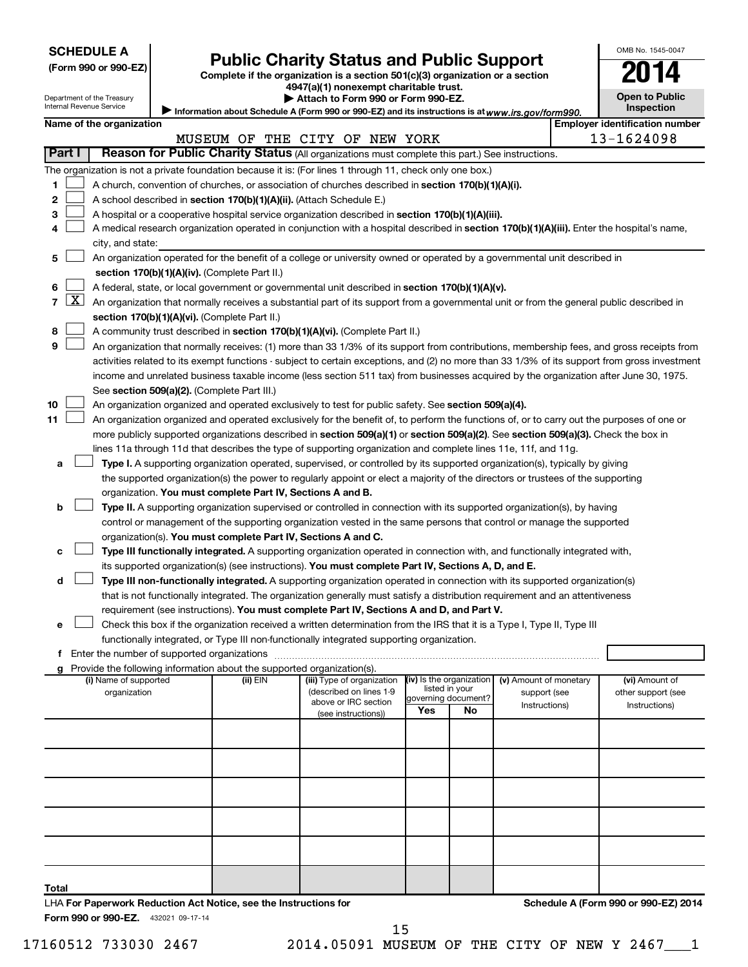| <b>SCHEDULE A</b> |  |
|-------------------|--|
|-------------------|--|

Department of the Treasury Internal Revenue Service

| (Form 990 or 990-EZ) |  |  |  |  |
|----------------------|--|--|--|--|
|----------------------|--|--|--|--|

# Form 990 or 990-EZ) **Public Charity Status and Public Support**<br>
Complete if the organization is a section 501(c)(3) organization or a section<br> **2014**

**4947(a)(1) nonexempt charitable trust.**  $\blacktriangleright$  At

|  |  |  | tach to Form 990 or Form 990-EZ. |  |
|--|--|--|----------------------------------|--|
|  |  |  |                                  |  |

| OMB No. 1545-0047                   |
|-------------------------------------|
| 114                                 |
| <b>Open to Public</b><br>Inspection |

Information about Schedule A (Form 990 or 990-EZ) and its instructions is at www.irs.gov/form990.

|  | Name of the organization |
|--|--------------------------|
|  |                          |

| Name of the organization                                                                                                                                                           |                                                       |                                            |                               | <b>Employer identification number</b> |
|------------------------------------------------------------------------------------------------------------------------------------------------------------------------------------|-------------------------------------------------------|--------------------------------------------|-------------------------------|---------------------------------------|
|                                                                                                                                                                                    | MUSEUM OF THE CITY OF NEW YORK                        |                                            |                               | 13-1624098                            |
| <b>Part I</b><br>Reason for Public Charity Status (All organizations must complete this part.) See instructions.                                                                   |                                                       |                                            |                               |                                       |
| The organization is not a private foundation because it is: (For lines 1 through 11, check only one box.)                                                                          |                                                       |                                            |                               |                                       |
| 1.<br>A church, convention of churches, or association of churches described in section 170(b)(1)(A)(i).                                                                           |                                                       |                                            |                               |                                       |
| 2<br>A school described in section 170(b)(1)(A)(ii). (Attach Schedule E.)                                                                                                          |                                                       |                                            |                               |                                       |
| A hospital or a cooperative hospital service organization described in section 170(b)(1)(A)(iii).<br>3                                                                             |                                                       |                                            |                               |                                       |
| A medical research organization operated in conjunction with a hospital described in section 170(b)(1)(A)(iii). Enter the hospital's name,<br>4                                    |                                                       |                                            |                               |                                       |
| city, and state:                                                                                                                                                                   |                                                       |                                            |                               |                                       |
| An organization operated for the benefit of a college or university owned or operated by a governmental unit described in<br>5                                                     |                                                       |                                            |                               |                                       |
| section 170(b)(1)(A)(iv). (Complete Part II.)                                                                                                                                      |                                                       |                                            |                               |                                       |
| A federal, state, or local government or governmental unit described in section 170(b)(1)(A)(v).<br>6                                                                              |                                                       |                                            |                               |                                       |
| $\lfloor x \rfloor$<br>$\overline{7}$<br>An organization that normally receives a substantial part of its support from a governmental unit or from the general public described in |                                                       |                                            |                               |                                       |
| section 170(b)(1)(A)(vi). (Complete Part II.)                                                                                                                                      |                                                       |                                            |                               |                                       |
| A community trust described in section 170(b)(1)(A)(vi). (Complete Part II.)<br>8                                                                                                  |                                                       |                                            |                               |                                       |
| 9<br>An organization that normally receives: (1) more than 33 1/3% of its support from contributions, membership fees, and gross receipts from                                     |                                                       |                                            |                               |                                       |
| activities related to its exempt functions - subject to certain exceptions, and (2) no more than 33 1/3% of its support from gross investment                                      |                                                       |                                            |                               |                                       |
| income and unrelated business taxable income (less section 511 tax) from businesses acquired by the organization after June 30, 1975.                                              |                                                       |                                            |                               |                                       |
| See section 509(a)(2). (Complete Part III.)<br>10<br>An organization organized and operated exclusively to test for public safety. See section 509(a)(4).                          |                                                       |                                            |                               |                                       |
| 11<br>An organization organized and operated exclusively for the benefit of, to perform the functions of, or to carry out the purposes of one or                                   |                                                       |                                            |                               |                                       |
| more publicly supported organizations described in section 509(a)(1) or section 509(a)(2). See section 509(a)(3). Check the box in                                                 |                                                       |                                            |                               |                                       |
| lines 11a through 11d that describes the type of supporting organization and complete lines 11e, 11f, and 11g.                                                                     |                                                       |                                            |                               |                                       |
| Type I. A supporting organization operated, supervised, or controlled by its supported organization(s), typically by giving<br>а                                                   |                                                       |                                            |                               |                                       |
| the supported organization(s) the power to regularly appoint or elect a majority of the directors or trustees of the supporting                                                    |                                                       |                                            |                               |                                       |
| organization. You must complete Part IV, Sections A and B.                                                                                                                         |                                                       |                                            |                               |                                       |
| Type II. A supporting organization supervised or controlled in connection with its supported organization(s), by having<br>b                                                       |                                                       |                                            |                               |                                       |
| control or management of the supporting organization vested in the same persons that control or manage the supported                                                               |                                                       |                                            |                               |                                       |
| organization(s). You must complete Part IV, Sections A and C.                                                                                                                      |                                                       |                                            |                               |                                       |
| Type III functionally integrated. A supporting organization operated in connection with, and functionally integrated with,<br>с                                                    |                                                       |                                            |                               |                                       |
| its supported organization(s) (see instructions). You must complete Part IV, Sections A, D, and E.                                                                                 |                                                       |                                            |                               |                                       |
| Type III non-functionally integrated. A supporting organization operated in connection with its supported organization(s)<br>d                                                     |                                                       |                                            |                               |                                       |
| that is not functionally integrated. The organization generally must satisfy a distribution requirement and an attentiveness                                                       |                                                       |                                            |                               |                                       |
| requirement (see instructions). You must complete Part IV, Sections A and D, and Part V.                                                                                           |                                                       |                                            |                               |                                       |
| Check this box if the organization received a written determination from the IRS that it is a Type I, Type II, Type III<br>е                                                       |                                                       |                                            |                               |                                       |
| functionally integrated, or Type III non-functionally integrated supporting organization.                                                                                          |                                                       |                                            |                               |                                       |
|                                                                                                                                                                                    |                                                       |                                            |                               |                                       |
| g Provide the following information about the supported organization(s).                                                                                                           |                                                       |                                            |                               |                                       |
| (i) Name of supported<br>(ii) EIN<br>organization                                                                                                                                  | (iii) Type of organization<br>(described on lines 1-9 | (iv) Is the organization<br>listed in your | (v) Amount of monetary        | (vi) Amount of                        |
|                                                                                                                                                                                    | above or IRC section                                  | governing document?                        | support (see<br>Instructions) | other support (see<br>Instructions)   |
|                                                                                                                                                                                    | (see instructions))                                   | Yes<br>No                                  |                               |                                       |
|                                                                                                                                                                                    |                                                       |                                            |                               |                                       |
|                                                                                                                                                                                    |                                                       |                                            |                               |                                       |
|                                                                                                                                                                                    |                                                       |                                            |                               |                                       |
|                                                                                                                                                                                    |                                                       |                                            |                               |                                       |
|                                                                                                                                                                                    |                                                       |                                            |                               |                                       |
|                                                                                                                                                                                    |                                                       |                                            |                               |                                       |
|                                                                                                                                                                                    |                                                       |                                            |                               |                                       |
|                                                                                                                                                                                    |                                                       |                                            |                               |                                       |
|                                                                                                                                                                                    |                                                       |                                            |                               |                                       |
|                                                                                                                                                                                    |                                                       |                                            |                               |                                       |
| Total                                                                                                                                                                              |                                                       |                                            |                               |                                       |
| LHA For Paperwork Reduction Act Notice, see the Instructions for                                                                                                                   |                                                       |                                            |                               | Schedule A (Form 990 or 990-EZ) 2014  |

Form 990 or 990-EZ. 432021 09-17-14

17160512 733030 2467 2014.05091 MUSEUM OF THE CITY OF NEW Y 2467\_\_\_1

15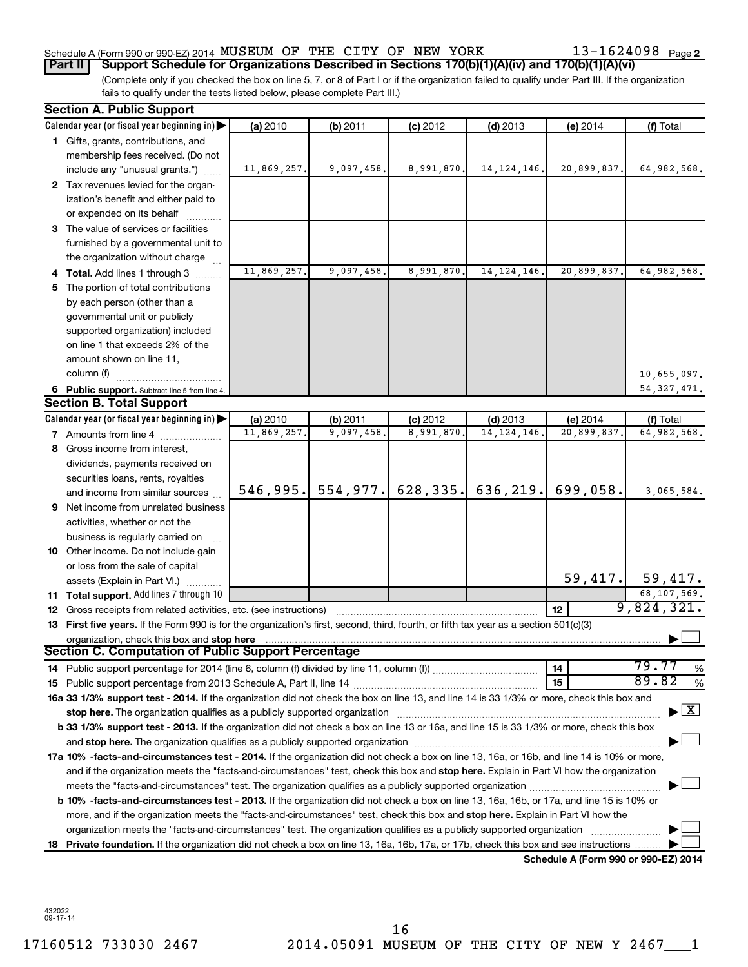### Schedule A (Form 990 or 990-EZ) 2014 Page MUSEUM OF THE CITY OF NEW YORK 13-1624098

13-1624098 Page 2

(Complete only if you checked the box on line 5, 7, or 8 of Part I or if the organization failed to qualify under Part III. If the organization fails to qualify under the tests listed below, please complete Part III.) **Part II Support Schedule for Organizations Described in Sections 170(b)(1)(A)(iv) and 170(b)(1)(A)(vi)**

|    | <b>Section A. Public Support</b>                                                                                                                                                                                              |             |            |                                     |               |                                      |                                                                                                                 |
|----|-------------------------------------------------------------------------------------------------------------------------------------------------------------------------------------------------------------------------------|-------------|------------|-------------------------------------|---------------|--------------------------------------|-----------------------------------------------------------------------------------------------------------------|
|    | Calendar year (or fiscal year beginning in)                                                                                                                                                                                   | (a) 2010    | (b) 2011   | $(c)$ 2012                          | $(d)$ 2013    | (e) 2014                             | (f) Total                                                                                                       |
|    | 1 Gifts, grants, contributions, and                                                                                                                                                                                           |             |            |                                     |               |                                      |                                                                                                                 |
|    | membership fees received. (Do not                                                                                                                                                                                             |             |            |                                     |               |                                      |                                                                                                                 |
|    | include any "unusual grants.")                                                                                                                                                                                                | 11,869,257. | 9,097,458. | 8,991,870.                          | 14, 124, 146. | 20,899,837.                          | 64,982,568.                                                                                                     |
|    | 2 Tax revenues levied for the organ-                                                                                                                                                                                          |             |            |                                     |               |                                      |                                                                                                                 |
|    | ization's benefit and either paid to                                                                                                                                                                                          |             |            |                                     |               |                                      |                                                                                                                 |
|    | or expended on its behalf                                                                                                                                                                                                     |             |            |                                     |               |                                      |                                                                                                                 |
|    | 3 The value of services or facilities                                                                                                                                                                                         |             |            |                                     |               |                                      |                                                                                                                 |
|    | furnished by a governmental unit to                                                                                                                                                                                           |             |            |                                     |               |                                      |                                                                                                                 |
|    | the organization without charge                                                                                                                                                                                               |             |            |                                     |               |                                      |                                                                                                                 |
|    | 4 Total. Add lines 1 through 3                                                                                                                                                                                                | 11,869,257. | 9,097,458. | 8,991,870.                          | 14, 124, 146. | 20,899,837.                          | 64,982,568.                                                                                                     |
| 5. | The portion of total contributions                                                                                                                                                                                            |             |            |                                     |               |                                      |                                                                                                                 |
|    | by each person (other than a                                                                                                                                                                                                  |             |            |                                     |               |                                      |                                                                                                                 |
|    | governmental unit or publicly                                                                                                                                                                                                 |             |            |                                     |               |                                      |                                                                                                                 |
|    | supported organization) included                                                                                                                                                                                              |             |            |                                     |               |                                      |                                                                                                                 |
|    | on line 1 that exceeds 2% of the                                                                                                                                                                                              |             |            |                                     |               |                                      |                                                                                                                 |
|    | amount shown on line 11,                                                                                                                                                                                                      |             |            |                                     |               |                                      |                                                                                                                 |
|    | column (f)                                                                                                                                                                                                                    |             |            |                                     |               |                                      | 10,655,097.                                                                                                     |
|    | 6 Public support. Subtract line 5 from line 4.                                                                                                                                                                                |             |            |                                     |               |                                      | 54, 327, 471.                                                                                                   |
|    | <b>Section B. Total Support</b>                                                                                                                                                                                               |             |            |                                     |               |                                      |                                                                                                                 |
|    | Calendar year (or fiscal year beginning in)                                                                                                                                                                                   | (a) 2010    | (b) 2011   | $(c)$ 2012                          | $(d)$ 2013    | (e) 2014                             | (f) Total                                                                                                       |
|    | 7 Amounts from line 4                                                                                                                                                                                                         | 11,869,257. | 9,097,458. | 8,991,870.                          | 14, 124, 146, | 20,899,837.                          | 64,982,568.                                                                                                     |
|    | 8 Gross income from interest,                                                                                                                                                                                                 |             |            |                                     |               |                                      |                                                                                                                 |
|    | dividends, payments received on                                                                                                                                                                                               |             |            |                                     |               |                                      |                                                                                                                 |
|    | securities loans, rents, royalties                                                                                                                                                                                            |             |            |                                     |               |                                      |                                                                                                                 |
|    | and income from similar sources                                                                                                                                                                                               |             |            | 546,995. 554,977. 628,335. 636,219. |               | 699,058.                             | 3,065,584.                                                                                                      |
|    | <b>9</b> Net income from unrelated business                                                                                                                                                                                   |             |            |                                     |               |                                      |                                                                                                                 |
|    | activities, whether or not the                                                                                                                                                                                                |             |            |                                     |               |                                      |                                                                                                                 |
|    | business is regularly carried on                                                                                                                                                                                              |             |            |                                     |               |                                      |                                                                                                                 |
|    | 10 Other income. Do not include gain                                                                                                                                                                                          |             |            |                                     |               |                                      |                                                                                                                 |
|    | or loss from the sale of capital                                                                                                                                                                                              |             |            |                                     |               |                                      |                                                                                                                 |
|    | assets (Explain in Part VI.)                                                                                                                                                                                                  |             |            |                                     |               |                                      | $\begin{array}{ c c c c }\n\hline\n & 59,417. & \text{59,417.} \\ \hline\n & 68,107,569. & \hline\n\end{array}$ |
|    | 11 Total support. Add lines 7 through 10                                                                                                                                                                                      |             |            |                                     |               |                                      |                                                                                                                 |
|    | 12 Gross receipts from related activities, etc. (see instructions)                                                                                                                                                            |             |            |                                     |               | 12 <sup>2</sup>                      | 9,824,321.                                                                                                      |
|    | 13 First five years. If the Form 990 is for the organization's first, second, third, fourth, or fifth tax year as a section 501(c)(3)                                                                                         |             |            |                                     |               |                                      |                                                                                                                 |
|    | organization, check this box and stop here                                                                                                                                                                                    |             |            |                                     |               |                                      |                                                                                                                 |
|    | <b>Section C. Computation of Public Support Percentage</b>                                                                                                                                                                    |             |            |                                     |               |                                      | 79.77                                                                                                           |
|    |                                                                                                                                                                                                                               |             |            |                                     |               | 14                                   | %<br>89.82                                                                                                      |
|    |                                                                                                                                                                                                                               |             |            |                                     |               | 15                                   | %                                                                                                               |
|    | 16a 33 1/3% support test - 2014. If the organization did not check the box on line 13, and line 14 is 33 1/3% or more, check this box and                                                                                     |             |            |                                     |               |                                      | $\blacktriangleright$ $\boxed{\text{X}}$                                                                        |
|    | stop here. The organization qualifies as a publicly supported organization manufaction manufacture content and the organization manufacture of the organization of the organization of the state of the state of the state of |             |            |                                     |               |                                      |                                                                                                                 |
|    | b 33 1/3% support test - 2013. If the organization did not check a box on line 13 or 16a, and line 15 is 33 1/3% or more, check this box                                                                                      |             |            |                                     |               |                                      |                                                                                                                 |
|    |                                                                                                                                                                                                                               |             |            |                                     |               |                                      |                                                                                                                 |
|    | 17a 10% -facts-and-circumstances test - 2014. If the organization did not check a box on line 13, 16a, or 16b, and line 14 is 10% or more,                                                                                    |             |            |                                     |               |                                      |                                                                                                                 |
|    | and if the organization meets the "facts-and-circumstances" test, check this box and stop here. Explain in Part VI how the organization                                                                                       |             |            |                                     |               |                                      |                                                                                                                 |
|    |                                                                                                                                                                                                                               |             |            |                                     |               |                                      |                                                                                                                 |
|    | <b>b 10%</b> -facts-and-circumstances test - 2013. If the organization did not check a box on line 13, 16a, 16b, or 17a, and line 15 is 10% or                                                                                |             |            |                                     |               |                                      |                                                                                                                 |
|    | more, and if the organization meets the "facts-and-circumstances" test, check this box and stop here. Explain in Part VI how the                                                                                              |             |            |                                     |               |                                      |                                                                                                                 |
|    | organization meets the "facts-and-circumstances" test. The organization qualifies as a publicly supported organization                                                                                                        |             |            |                                     |               |                                      |                                                                                                                 |
|    | 18 Private foundation. If the organization did not check a box on line 13, 16a, 16b, 17a, or 17b, check this box and see instructions                                                                                         |             |            |                                     |               | Schedule A (Form 990 or 990-EZ) 2014 |                                                                                                                 |
|    |                                                                                                                                                                                                                               |             |            |                                     |               |                                      |                                                                                                                 |

432022 09-17-14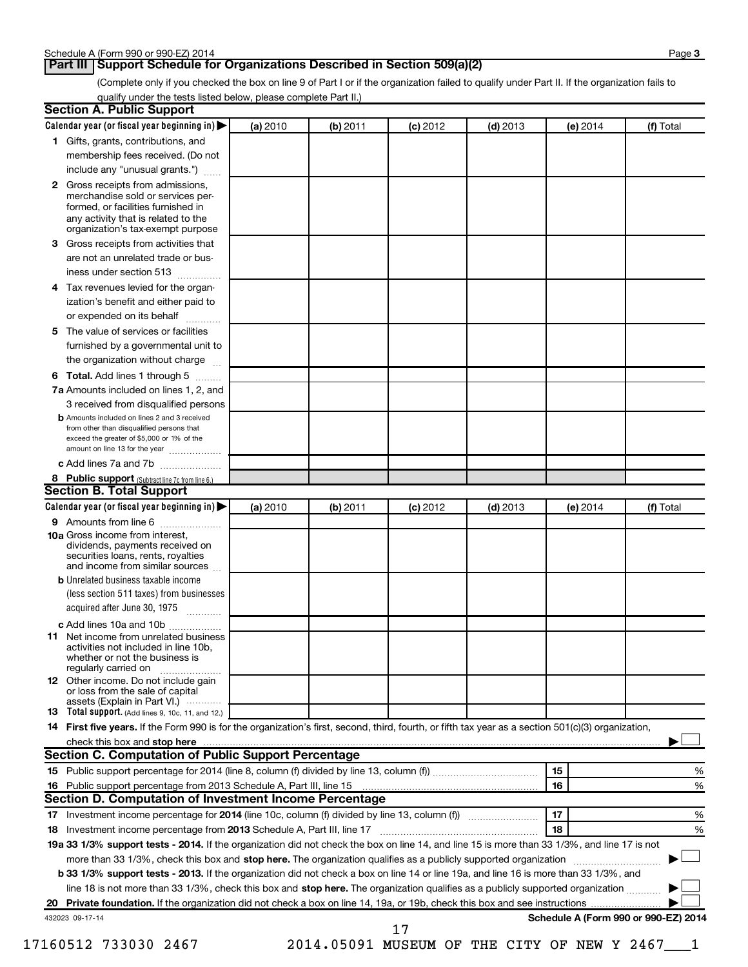#### **Part III Support Schedule for Organizations Described in Section 509(a)(2)**

(Complete only if you checked the box on line 9 of Part I or if the organization failed to qualify under Part II. If the organization fails to qualify under the tests listed below, please complete Part II.)

|    | Calendar year (or fiscal year beginning in)                                                                                                                                                                                                                                                 | (a) 2010 | (b) 2011 | $(c)$ 2012 | $(d)$ 2013 | (e) 2014 | (f) Total                            |
|----|---------------------------------------------------------------------------------------------------------------------------------------------------------------------------------------------------------------------------------------------------------------------------------------------|----------|----------|------------|------------|----------|--------------------------------------|
|    | 1 Gifts, grants, contributions, and                                                                                                                                                                                                                                                         |          |          |            |            |          |                                      |
|    | membership fees received. (Do not                                                                                                                                                                                                                                                           |          |          |            |            |          |                                      |
|    | include any "unusual grants.")                                                                                                                                                                                                                                                              |          |          |            |            |          |                                      |
|    | 2 Gross receipts from admissions,<br>merchandise sold or services per-<br>formed, or facilities furnished in                                                                                                                                                                                |          |          |            |            |          |                                      |
|    | any activity that is related to the<br>organization's tax-exempt purpose                                                                                                                                                                                                                    |          |          |            |            |          |                                      |
| 3  | Gross receipts from activities that                                                                                                                                                                                                                                                         |          |          |            |            |          |                                      |
|    | are not an unrelated trade or bus-                                                                                                                                                                                                                                                          |          |          |            |            |          |                                      |
|    | iness under section 513                                                                                                                                                                                                                                                                     |          |          |            |            |          |                                      |
| 4  | Tax revenues levied for the organ-                                                                                                                                                                                                                                                          |          |          |            |            |          |                                      |
|    | ization's benefit and either paid to<br>or expended on its behalf                                                                                                                                                                                                                           |          |          |            |            |          |                                      |
| 5. | The value of services or facilities                                                                                                                                                                                                                                                         |          |          |            |            |          |                                      |
|    | furnished by a governmental unit to                                                                                                                                                                                                                                                         |          |          |            |            |          |                                      |
|    | the organization without charge                                                                                                                                                                                                                                                             |          |          |            |            |          |                                      |
| 6  | Total. Add lines 1 through 5                                                                                                                                                                                                                                                                |          |          |            |            |          |                                      |
|    | 7a Amounts included on lines 1, 2, and                                                                                                                                                                                                                                                      |          |          |            |            |          |                                      |
|    | 3 received from disqualified persons<br><b>b</b> Amounts included on lines 2 and 3 received                                                                                                                                                                                                 |          |          |            |            |          |                                      |
|    | from other than disqualified persons that<br>exceed the greater of \$5,000 or 1% of the                                                                                                                                                                                                     |          |          |            |            |          |                                      |
|    | amount on line 13 for the year<br>c Add lines 7a and 7b                                                                                                                                                                                                                                     |          |          |            |            |          |                                      |
|    |                                                                                                                                                                                                                                                                                             |          |          |            |            |          |                                      |
|    | 8 Public support (Subtract line 7c from line 6.)<br><b>Section B. Total Support</b>                                                                                                                                                                                                         |          |          |            |            |          |                                      |
|    | Calendar year (or fiscal year beginning in)                                                                                                                                                                                                                                                 | (a) 2010 | (b) 2011 | $(c)$ 2012 | $(d)$ 2013 | (e) 2014 | (f) Total                            |
|    | <b>9</b> Amounts from line 6                                                                                                                                                                                                                                                                |          |          |            |            |          |                                      |
|    | <b>10a</b> Gross income from interest,<br>dividends, payments received on<br>securities loans, rents, royalties<br>and income from similar sources                                                                                                                                          |          |          |            |            |          |                                      |
|    | <b>b</b> Unrelated business taxable income                                                                                                                                                                                                                                                  |          |          |            |            |          |                                      |
|    | (less section 511 taxes) from businesses<br>acquired after June 30, 1975                                                                                                                                                                                                                    |          |          |            |            |          |                                      |
|    | c Add lines 10a and 10b                                                                                                                                                                                                                                                                     |          |          |            |            |          |                                      |
| 11 | Net income from unrelated business<br>activities not included in line 10b.<br>whether or not the business is<br>regularly carried on                                                                                                                                                        |          |          |            |            |          |                                      |
|    | <b>12</b> Other income. Do not include gain<br>or loss from the sale of capital                                                                                                                                                                                                             |          |          |            |            |          |                                      |
|    | assets (Explain in Part VI.)<br>13 Total support. (Add lines 9, 10c, 11, and 12.)                                                                                                                                                                                                           |          |          |            |            |          |                                      |
|    | 14 First five years. If the Form 990 is for the organization's first, second, third, fourth, or fifth tax year as a section 501(c)(3) organization,                                                                                                                                         |          |          |            |            |          |                                      |
|    |                                                                                                                                                                                                                                                                                             |          |          |            |            |          |                                      |
|    | check this box and stop here measured and content to the state of the state of the state of the state of the state of the state of the state of the state of the state of the state of the state of the state of the state of<br><b>Section C. Computation of Public Support Percentage</b> |          |          |            |            |          |                                      |
|    |                                                                                                                                                                                                                                                                                             |          |          |            |            | 15       |                                      |
|    |                                                                                                                                                                                                                                                                                             |          |          |            |            |          |                                      |
|    |                                                                                                                                                                                                                                                                                             |          |          |            |            | 16       |                                      |
|    | Section D. Computation of Investment Income Percentage                                                                                                                                                                                                                                      |          |          |            |            |          |                                      |
|    |                                                                                                                                                                                                                                                                                             |          |          |            |            | 17       |                                      |
|    |                                                                                                                                                                                                                                                                                             |          |          |            |            | 18       |                                      |
|    | 19a 33 1/3% support tests - 2014. If the organization did not check the box on line 14, and line 15 is more than 33 1/3%, and line 17 is not                                                                                                                                                |          |          |            |            |          |                                      |
|    |                                                                                                                                                                                                                                                                                             |          |          |            |            |          |                                      |
|    | more than 33 1/3%, check this box and stop here. The organization qualifies as a publicly supported organization                                                                                                                                                                            |          |          |            |            |          |                                      |
|    | b 33 1/3% support tests - 2013. If the organization did not check a box on line 14 or line 19a, and line 16 is more than 33 1/3%, and                                                                                                                                                       |          |          |            |            |          |                                      |
|    | line 18 is not more than 33 1/3%, check this box and stop here. The organization qualifies as a publicly supported organization                                                                                                                                                             |          |          |            |            |          |                                      |
|    |                                                                                                                                                                                                                                                                                             |          |          |            |            |          | Schedule A (Form 990 or 990-EZ) 2014 |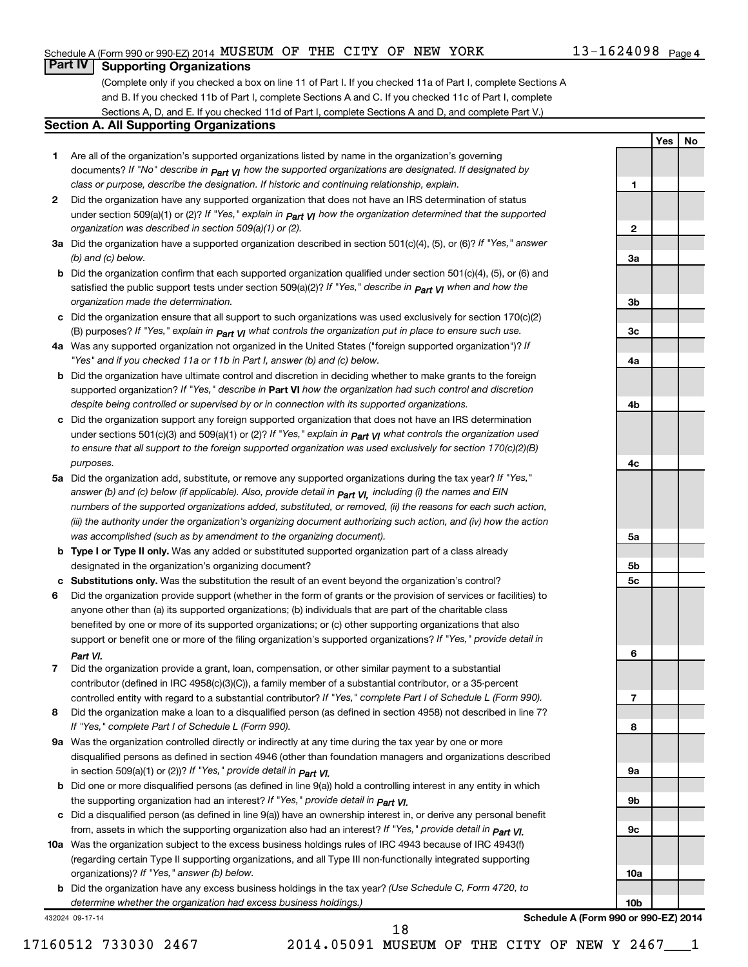#### Schedule A (Form 990 or 990-EZ) 2014 Page MUSEUM OF THE CITY OF NEW YORK 13-1624098

### **Part IV Supporting Organizations**

(Complete only if you checked a box on line 11 of Part I. If you checked 11a of Part I, complete Sections A and B. If you checked 11b of Part I, complete Sections A and C. If you checked 11c of Part I, complete Sections A, D, and E. If you checked 11d of Part I, complete Sections A and D, and complete Part V.)

#### **Section A. All Supporting Organizations**

- **1** Are all of the organization's supported organizations listed by name in the organization's governing documents? If "No" describe in  $_{\mathsf{Part}}$   $_{\mathsf{V}}$  how the supported organizations are designated. If designated by *class or purpose, describe the designation. If historic and continuing relationship, explain.*
- **2** Did the organization have any supported organization that does not have an IRS determination of status under section 509(a)(1) or (2)? If "Yes," explain in  $_{\sf Part}$   $_{\sf VI}$  how the organization determined that the supported *organization was described in section 509(a)(1) or (2).*
- **3a** Did the organization have a supported organization described in section 501(c)(4), (5), or (6)? If "Yes," answer *(b) and (c) below.*
- **b** Did the organization confirm that each supported organization qualified under section 501(c)(4), (5), or (6) and satisfied the public support tests under section 509(a)(2)? If "Yes," describe in  $_{\rm Part}$   $_{\rm VI}$  when and how the *organization made the determination.*
- **c** Did the organization ensure that all support to such organizations was used exclusively for section 170(c)(2) (B) purposes? If "Yes," explain in  $_{\mathsf{Part}}$   $_{\mathsf{V}}$  what controls the organization put in place to ensure such use.
- **4 a** *If* Was any supported organization not organized in the United States ("foreign supported organization")? *"Yes" and if you checked 11a or 11b in Part I, answer (b) and (c) below.*
- **b** Did the organization have ultimate control and discretion in deciding whether to make grants to the foreign supported organization? If "Yes," describe in Part VI how the organization had such control and discretion *despite being controlled or supervised by or in connection with its supported organizations.*
- **c** Did the organization support any foreign supported organization that does not have an IRS determination under sections 501(c)(3) and 509(a)(1) or (2)? If "Yes," ex*plain in*  $_{\sf Part}$  *v*J what controls the organization used *to ensure that all support to the foreign supported organization was used exclusively for section 170(c)(2)(B) purposes.*
- **5a** Did the organization add, substitute, or remove any supported organizations during the tax year? If "Yes," answer (b) and (c) below (if applicable). Also, provide detail in  $_{\mathsf{Part}}$   $_{\mathsf{V{\mathsf{I}}}}$ , including (i) the names and EIN *numbers of the supported organizations added, substituted, or removed, (ii) the reasons for each such action, (iii) the authority under the organization's organizing document authorizing such action, and (iv) how the action was accomplished (such as by amendment to the organizing document).*
- **b** Type I or Type II only. Was any added or substituted supported organization part of a class already designated in the organization's organizing document?
- **c Substitutions only.**  Was the substitution the result of an event beyond the organization's control?
- **6** Did the organization provide support (whether in the form of grants or the provision of services or facilities) to support or benefit one or more of the filing organization's supported organizations? If "Yes," provide detail in anyone other than (a) its supported organizations; (b) individuals that are part of the charitable class benefited by one or more of its supported organizations; or (c) other supporting organizations that also *Part VI.*
- **7** Did the organization provide a grant, loan, compensation, or other similar payment to a substantial controlled entity with regard to a substantial contributor? If "Yes," complete Part I of Schedule L (Form 990). contributor (defined in IRC 4958(c)(3)(C)), a family member of a substantial contributor, or a 35-percent
- **8** Did the organization make a loan to a disqualified person (as defined in section 4958) not described in line 7? *If "Yes," complete Part I of Schedule L (Form 990).*
- **9 a** Was the organization controlled directly or indirectly at any time during the tax year by one or more *If "Yes," provide detail in*  in section 509(a)(1) or (2))? *Part VI.* disqualified persons as defined in section 4946 (other than foundation managers and organizations described
- **b** Did one or more disqualified persons (as defined in line 9(a)) hold a controlling interest in any entity in which  *If "Yes," provide detail in*  the supporting organization had an interest? *Part VI.*
- **c** Did a disqualified person (as defined in line 9(a)) have an ownership interest in, or derive any personal benefit from, assets in which the supporting organization also had an interest? If "Yes," *provide detail in Part VI.*
- **10 a** Was the organization subject to the excess business holdings rules of IRC 4943 because of IRC 4943(f)  *If "Yes," answer (b) below.* organizations)? (regarding certain Type II supporting organizations, and all Type III non-functionally integrated supporting
	- **b** Did the organization have any excess business holdings in the tax year? (Use Schedule C, Form 4720, to *determine whether the organization had excess business holdings.)*

432024 09-17-14

13-1624098 Page 4 **Yes No 1 2 3a 3b 3c 4a 4b 4c 5a 5b 5c 6**

**Schedule A (Form 990 or 990-EZ) 2014**

**7**

**8**

**9a**

**9b**

**9c**

**10a**

**10b**

18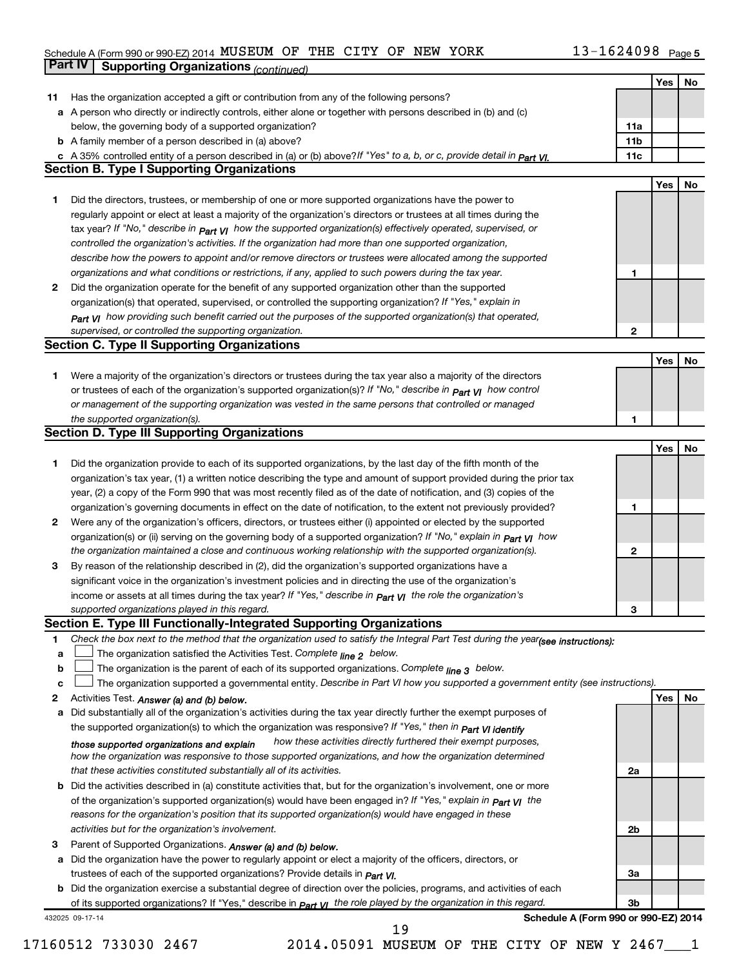#### Schedule A (Form 990 or 990-EZ) 2014 MUSEUM OF THE CITY OF NEW YORK  $13-1624098$  Page MUSEUM OF THE CITY OF NEW YORK 13-1624098

|    | Part IV         | <b>Supporting Organizations (continued)</b>                                                                                                                                                                         |                 |     |    |
|----|-----------------|---------------------------------------------------------------------------------------------------------------------------------------------------------------------------------------------------------------------|-----------------|-----|----|
|    |                 |                                                                                                                                                                                                                     |                 | Yes | No |
| 11 |                 | Has the organization accepted a gift or contribution from any of the following persons?                                                                                                                             |                 |     |    |
|    |                 | a A person who directly or indirectly controls, either alone or together with persons described in (b) and (c)                                                                                                      |                 |     |    |
|    |                 | below, the governing body of a supported organization?                                                                                                                                                              | 11a             |     |    |
|    |                 | <b>b</b> A family member of a person described in (a) above?                                                                                                                                                        | 11 <sub>b</sub> |     |    |
|    |                 | c A 35% controlled entity of a person described in (a) or (b) above? If "Yes" to a, b, or c, provide detail in part VI.                                                                                             | 11c             |     |    |
|    |                 | <b>Section B. Type I Supporting Organizations</b>                                                                                                                                                                   |                 |     |    |
|    |                 |                                                                                                                                                                                                                     |                 | Yes | No |
| 1  |                 | Did the directors, trustees, or membership of one or more supported organizations have the power to                                                                                                                 |                 |     |    |
|    |                 | regularly appoint or elect at least a majority of the organization's directors or trustees at all times during the                                                                                                  |                 |     |    |
|    |                 | tax year? If "No," describe in $P_{art}$ VI how the supported organization(s) effectively operated, supervised, or                                                                                                  |                 |     |    |
|    |                 | controlled the organization's activities. If the organization had more than one supported organization,                                                                                                             |                 |     |    |
|    |                 | describe how the powers to appoint and/or remove directors or trustees were allocated among the supported                                                                                                           |                 |     |    |
|    |                 | organizations and what conditions or restrictions, if any, applied to such powers during the tax year.                                                                                                              | 1               |     |    |
| 2  |                 | Did the organization operate for the benefit of any supported organization other than the supported                                                                                                                 |                 |     |    |
|    |                 | organization(s) that operated, supervised, or controlled the supporting organization? If "Yes," explain in                                                                                                          |                 |     |    |
|    |                 | $_{Part}$ VI how providing such benefit carried out the purposes of the supported organization(s) that operated,                                                                                                    |                 |     |    |
|    |                 | supervised, or controlled the supporting organization.                                                                                                                                                              | 2               |     |    |
|    |                 | <b>Section C. Type II Supporting Organizations</b>                                                                                                                                                                  |                 |     |    |
|    |                 |                                                                                                                                                                                                                     |                 | Yes | No |
| 1  |                 | Were a majority of the organization's directors or trustees during the tax year also a majority of the directors                                                                                                    |                 |     |    |
|    |                 | or trustees of each of the organization's supported organization(s)? If "No," describe in <b>Part VI</b> how control                                                                                                |                 |     |    |
|    |                 | or management of the supporting organization was vested in the same persons that controlled or managed                                                                                                              |                 |     |    |
|    |                 | the supported organization(s).                                                                                                                                                                                      | 1               |     |    |
|    |                 | <b>Section D. Type III Supporting Organizations</b>                                                                                                                                                                 |                 |     |    |
|    |                 |                                                                                                                                                                                                                     |                 | Yes | No |
| 1  |                 | Did the organization provide to each of its supported organizations, by the last day of the fifth month of the                                                                                                      |                 |     |    |
|    |                 | organization's tax year, (1) a written notice describing the type and amount of support provided during the prior tax                                                                                               |                 |     |    |
|    |                 | year, (2) a copy of the Form 990 that was most recently filed as of the date of notification, and (3) copies of the                                                                                                 |                 |     |    |
|    |                 | organization's governing documents in effect on the date of notification, to the extent not previously provided?                                                                                                    | 1               |     |    |
| 2  |                 | Were any of the organization's officers, directors, or trustees either (i) appointed or elected by the supported                                                                                                    |                 |     |    |
|    |                 | organization(s) or (ii) serving on the governing body of a supported organization? If "No," explain in part VI how                                                                                                  |                 |     |    |
|    |                 | the organization maintained a close and continuous working relationship with the supported organization(s).                                                                                                         | 2               |     |    |
| 3  |                 | By reason of the relationship described in (2), did the organization's supported organizations have a<br>significant voice in the organization's investment policies and in directing the use of the organization's |                 |     |    |
|    |                 | income or assets at all times during the tax year? If "Yes," describe in $P_{\text{art}}$ y the role the organization's                                                                                             |                 |     |    |
|    |                 | supported organizations played in this regard.                                                                                                                                                                      | з               |     |    |
|    |                 | Section E. Type III Functionally-Integrated Supporting Organizations                                                                                                                                                |                 |     |    |
| 1  |                 | Check the box next to the method that the organization used to satisfy the Integral Part Test during the year(see instructions):                                                                                    |                 |     |    |
| a  |                 | The organization satisfied the Activities Test. Complete line 2 below.                                                                                                                                              |                 |     |    |
| b  |                 | The organization is the parent of each of its supported organizations. Complete $_{\text{line 3}}$ below.                                                                                                           |                 |     |    |
| c  |                 | The organization supported a governmental entity. Describe in Part VI how you supported a government entity (see instructions).                                                                                     |                 |     |    |
| 2  |                 | Activities Test. Answer (a) and (b) below.                                                                                                                                                                          |                 | Yes | No |
| а  |                 | Did substantially all of the organization's activities during the tax year directly further the exempt purposes of                                                                                                  |                 |     |    |
|    |                 | the supported organization(s) to which the organization was responsive? If "Yes," then in Part VI identify                                                                                                          |                 |     |    |
|    |                 | how these activities directly furthered their exempt purposes,<br>those supported organizations and explain                                                                                                         |                 |     |    |
|    |                 | how the organization was responsive to those supported organizations, and how the organization determined                                                                                                           |                 |     |    |
|    |                 | that these activities constituted substantially all of its activities.                                                                                                                                              | 2a              |     |    |
| b  |                 | Did the activities described in (a) constitute activities that, but for the organization's involvement, one or more                                                                                                 |                 |     |    |
|    |                 | of the organization's supported organization(s) would have been engaged in? If "Yes," explain in <b>Part VI</b> the                                                                                                 |                 |     |    |
|    |                 | reasons for the organization's position that its supported organization(s) would have engaged in these                                                                                                              |                 |     |    |
|    |                 | activities but for the organization's involvement.                                                                                                                                                                  | 2b              |     |    |
| З  |                 | Parent of Supported Organizations. Answer (a) and (b) below.                                                                                                                                                        |                 |     |    |
| а  |                 | Did the organization have the power to regularly appoint or elect a majority of the officers, directors, or                                                                                                         | За              |     |    |
|    |                 | trustees of each of the supported organizations? Provide details in <i>Part VI.</i><br><b>b</b> Did the organization exercise a substantial degree of direction over the policies, programs, and activities of each |                 |     |    |
|    |                 | of its supported organizations? If "Yes," describe in part y the role played by the organization in this regard.                                                                                                    | 3b              |     |    |
|    | 432025 09-17-14 | Schedule A (Form 990 or 990-EZ) 2014                                                                                                                                                                                |                 |     |    |
|    |                 | 19                                                                                                                                                                                                                  |                 |     |    |

17160512 733030 2467 2014.05091 MUSEUM OF THE CITY OF NEW Y 2467\_\_\_1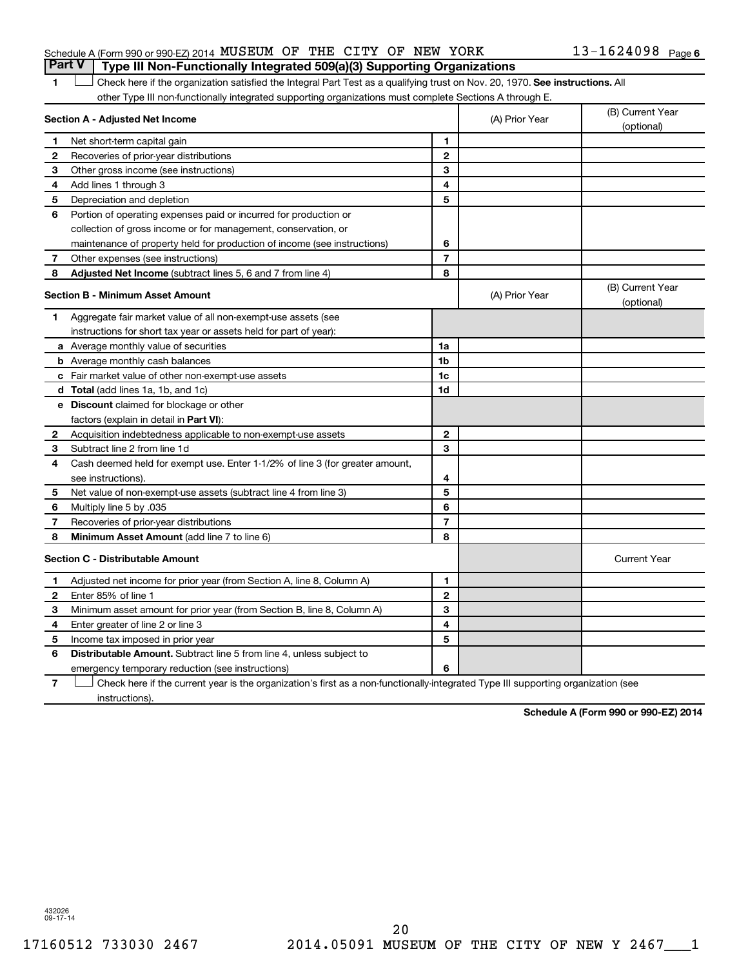#### Schedule A (Form 990 or 990-EZ) 2014 Page MUSEUM OF THE CITY OF NEW YORK 13-1624098 **Part V Type III Non-Functionally Integrated 509(a)(3) Supporting Organizations**

1 **Letter on Reck here if the organization satisfied the Integral Part Test as a qualifying trust on Nov. 20, 1970. See instructions. All** other Type III non-functionally integrated supporting organizations must complete Sections A through E.

|              | Section A - Adjusted Net Income                                              |                | (A) Prior Year | (B) Current Year<br>(optional) |
|--------------|------------------------------------------------------------------------------|----------------|----------------|--------------------------------|
| 1            | Net short-term capital gain                                                  | 1              |                |                                |
| 2            | Recoveries of prior-year distributions                                       | $\mathbf{2}$   |                |                                |
| З            | Other gross income (see instructions)                                        | 3              |                |                                |
| 4            | Add lines 1 through 3                                                        | 4              |                |                                |
| 5            | Depreciation and depletion                                                   | 5              |                |                                |
| 6            | Portion of operating expenses paid or incurred for production or             |                |                |                                |
|              | collection of gross income or for management, conservation, or               |                |                |                                |
|              | maintenance of property held for production of income (see instructions)     | 6              |                |                                |
| 7            | Other expenses (see instructions)                                            | $\overline{7}$ |                |                                |
| 8            | Adjusted Net Income (subtract lines 5, 6 and 7 from line 4)                  | 8              |                |                                |
|              | <b>Section B - Minimum Asset Amount</b>                                      |                | (A) Prior Year | (B) Current Year<br>(optional) |
| 1            | Aggregate fair market value of all non-exempt-use assets (see                |                |                |                                |
|              | instructions for short tax year or assets held for part of year):            |                |                |                                |
|              | <b>a</b> Average monthly value of securities                                 | 1a             |                |                                |
|              | <b>b</b> Average monthly cash balances                                       | 1 <sub>b</sub> |                |                                |
|              | <b>c</b> Fair market value of other non-exempt-use assets                    | 1c             |                |                                |
|              | d Total (add lines 1a, 1b, and 1c)                                           | 1d             |                |                                |
|              | e Discount claimed for blockage or other                                     |                |                |                                |
|              | factors (explain in detail in Part VI):                                      |                |                |                                |
| 2            | Acquisition indebtedness applicable to non-exempt-use assets                 | $\mathbf{2}$   |                |                                |
| 3            | Subtract line 2 from line 1d                                                 | 3              |                |                                |
| 4            | Cash deemed held for exempt use. Enter 1-1/2% of line 3 (for greater amount, |                |                |                                |
|              | see instructions).                                                           | 4              |                |                                |
| 5            | Net value of non-exempt-use assets (subtract line 4 from line 3)             | 5              |                |                                |
| 6            | Multiply line 5 by .035                                                      | 6              |                |                                |
| 7            | Recoveries of prior-year distributions                                       | $\overline{7}$ |                |                                |
| 8            | <b>Minimum Asset Amount (add line 7 to line 6)</b>                           | 8              |                |                                |
|              | <b>Section C - Distributable Amount</b>                                      |                |                | <b>Current Year</b>            |
| 1            | Adjusted net income for prior year (from Section A, line 8, Column A)        | 1              |                |                                |
| $\mathbf{2}$ | Enter 85% of line 1                                                          | $\mathbf{2}$   |                |                                |
| 3            | Minimum asset amount for prior year (from Section B, line 8, Column A)       | 3              |                |                                |
| 4            | Enter greater of line 2 or line 3                                            | 4              |                |                                |
| 5            | Income tax imposed in prior year                                             | 5              |                |                                |
| 6            | <b>Distributable Amount.</b> Subtract line 5 from line 4, unless subject to  |                |                |                                |
|              | emergency temporary reduction (see instructions)                             | 6              |                |                                |
|              |                                                                              |                |                |                                |

**7** Check here if the current year is the organization's first as a non-functionally-integrated Type III supporting organization (see † instructions).

**Schedule A (Form 990 or 990-EZ) 2014**

432026 09-17-14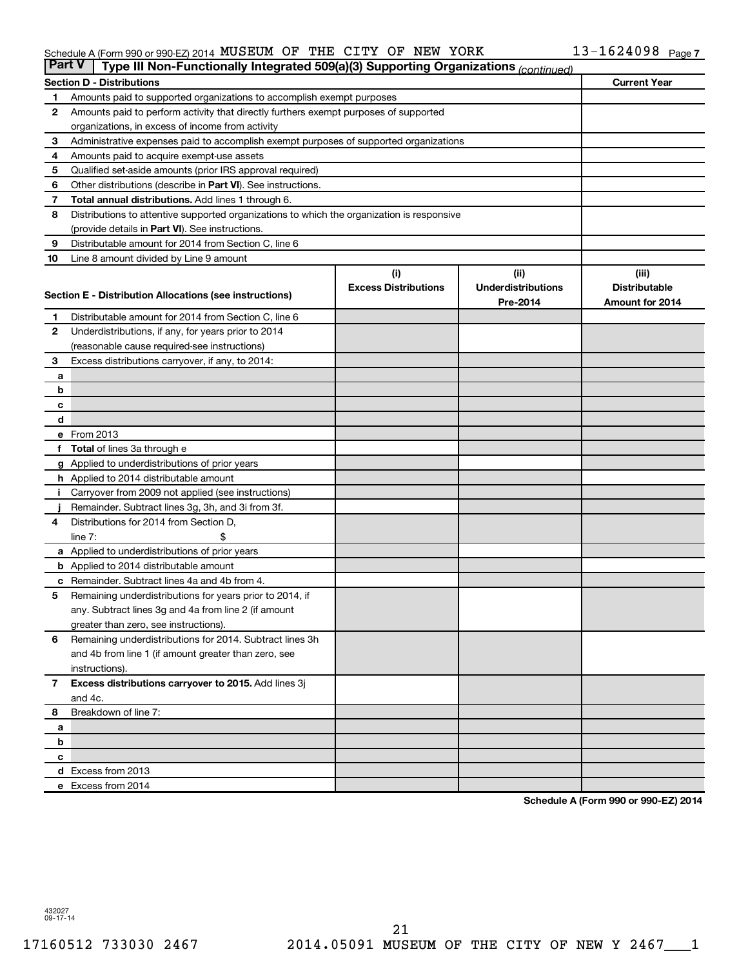#### Schedule A (Form 990 or 990-EZ) 2014 MUSEUM OF THE CITY OF NEW YORK  $13-1624098$  Page THE CITY OF NEW YORK

| <b>Part V</b>  | Type III Non-Functionally Integrated 509(a)(3) Supporting Organizations (continued)        |                             |                           |                      |
|----------------|--------------------------------------------------------------------------------------------|-----------------------------|---------------------------|----------------------|
|                | <b>Section D - Distributions</b>                                                           |                             |                           | <b>Current Year</b>  |
| 1              | Amounts paid to supported organizations to accomplish exempt purposes                      |                             |                           |                      |
| 2              | Amounts paid to perform activity that directly furthers exempt purposes of supported       |                             |                           |                      |
|                | organizations, in excess of income from activity                                           |                             |                           |                      |
| 3              | Administrative expenses paid to accomplish exempt purposes of supported organizations      |                             |                           |                      |
| 4              | Amounts paid to acquire exempt-use assets                                                  |                             |                           |                      |
| 5              | Qualified set-aside amounts (prior IRS approval required)                                  |                             |                           |                      |
| 6              | Other distributions (describe in Part VI). See instructions.                               |                             |                           |                      |
| 7              | Total annual distributions. Add lines 1 through 6.                                         |                             |                           |                      |
| 8              | Distributions to attentive supported organizations to which the organization is responsive |                             |                           |                      |
|                | (provide details in Part VI). See instructions.                                            |                             |                           |                      |
| 9              | Distributable amount for 2014 from Section C, line 6                                       |                             |                           |                      |
| 10             | Line 8 amount divided by Line 9 amount                                                     |                             |                           |                      |
|                |                                                                                            | (i)                         | (ii)                      | (iii)                |
|                | Section E - Distribution Allocations (see instructions)                                    | <b>Excess Distributions</b> | <b>Underdistributions</b> | <b>Distributable</b> |
|                |                                                                                            |                             | Pre-2014                  | Amount for 2014      |
| 1              | Distributable amount for 2014 from Section C, line 6                                       |                             |                           |                      |
| $\mathbf{2}$   | Underdistributions, if any, for years prior to 2014                                        |                             |                           |                      |
|                | (reasonable cause required-see instructions)                                               |                             |                           |                      |
| 3              | Excess distributions carryover, if any, to 2014:                                           |                             |                           |                      |
| a              |                                                                                            |                             |                           |                      |
| b              |                                                                                            |                             |                           |                      |
| с<br>d         |                                                                                            |                             |                           |                      |
|                | e From 2013                                                                                |                             |                           |                      |
|                | <b>Total</b> of lines 3a through e                                                         |                             |                           |                      |
|                | g Applied to underdistributions of prior years                                             |                             |                           |                      |
|                | <b>h</b> Applied to 2014 distributable amount                                              |                             |                           |                      |
|                | Carryover from 2009 not applied (see instructions)                                         |                             |                           |                      |
|                | Remainder. Subtract lines 3g, 3h, and 3i from 3f.                                          |                             |                           |                      |
| 4              | Distributions for 2014 from Section D,                                                     |                             |                           |                      |
|                | $line 7$ :                                                                                 |                             |                           |                      |
|                | a Applied to underdistributions of prior years                                             |                             |                           |                      |
|                | <b>b</b> Applied to 2014 distributable amount                                              |                             |                           |                      |
| с              | Remainder. Subtract lines 4a and 4b from 4.                                                |                             |                           |                      |
| 5              | Remaining underdistributions for years prior to 2014, if                                   |                             |                           |                      |
|                | any. Subtract lines 3g and 4a from line 2 (if amount                                       |                             |                           |                      |
|                | greater than zero, see instructions).                                                      |                             |                           |                      |
| 6              | Remaining underdistributions for 2014. Subtract lines 3h                                   |                             |                           |                      |
|                | and 4b from line 1 (if amount greater than zero, see                                       |                             |                           |                      |
|                | instructions).                                                                             |                             |                           |                      |
| $\overline{7}$ | Excess distributions carryover to 2015. Add lines 3j                                       |                             |                           |                      |
|                | and 4c.                                                                                    |                             |                           |                      |
| 8              | Breakdown of line 7:                                                                       |                             |                           |                      |
| а              |                                                                                            |                             |                           |                      |
| b              |                                                                                            |                             |                           |                      |
| с              |                                                                                            |                             |                           |                      |
|                | d Excess from 2013                                                                         |                             |                           |                      |
|                | e Excess from 2014                                                                         |                             |                           |                      |

**Schedule A (Form 990 or 990-EZ) 2014**

432027 09-17-14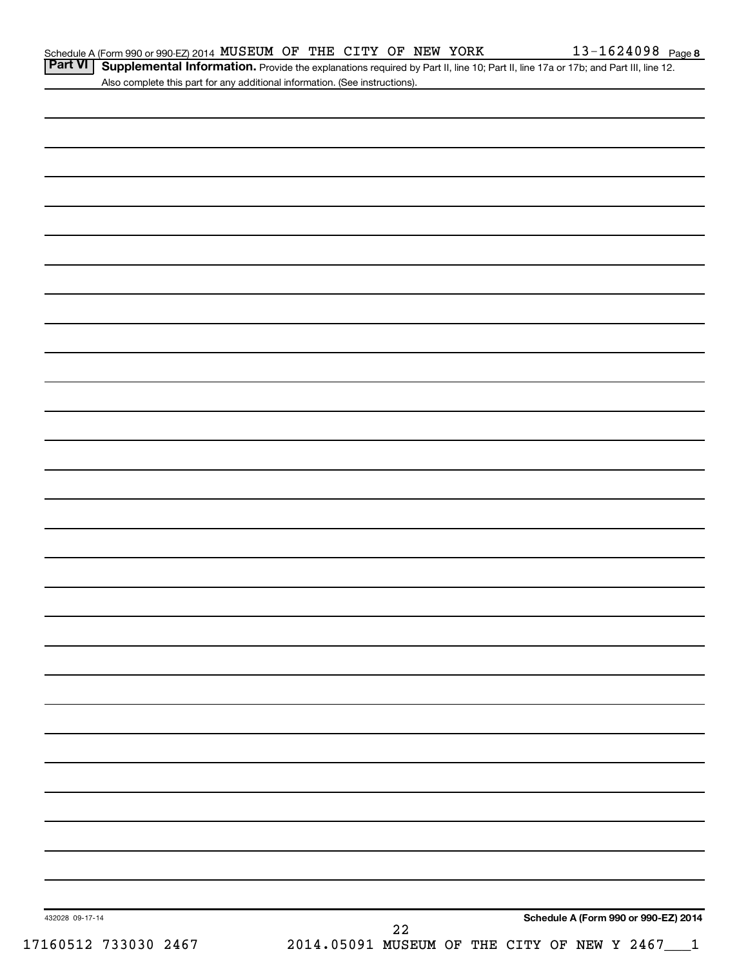Part VI | Supplemental Information. Provide the explanations required by Part II, line 10; Part II, line 17a or 17b; and Part III, line 12. Also complete this part for any additional information. (See instructions).

| 432028 09-17-14      |                                                 | ${\bf 22}$ |  | Schedule A (Form 990 or 990-EZ) 2014 |
|----------------------|-------------------------------------------------|------------|--|--------------------------------------|
| 17160512 733030 2467 | 2014.05091 MUSEUM OF THE CITY OF NEW Y 2467___1 |            |  |                                      |
|                      |                                                 |            |  |                                      |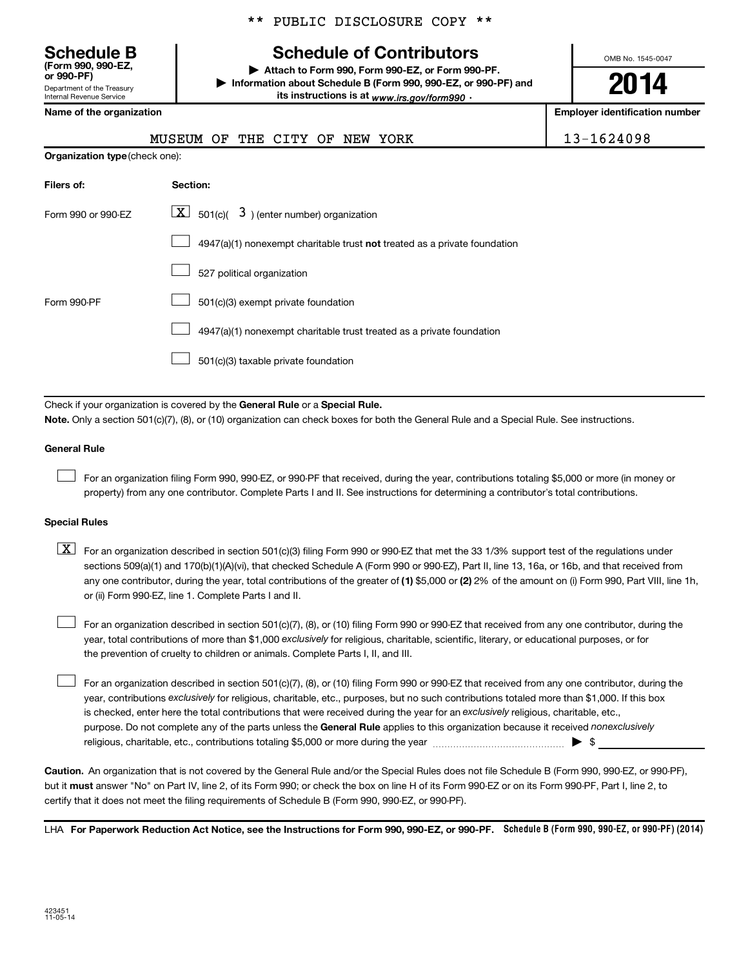**(Form 990, 990-EZ,**

Department of the Treasury Internal Revenue Service

\*\* PUBLIC DISCLOSURE COPY \*\*

## **Schedule B Schedule of Contributors**

**or 990-PF) | Attach to Form 990, Form 990-EZ, or Form 990-PF. | Information about Schedule B (Form 990, 990-EZ, or 990-PF) and** its instructions is at <sub>www.irs.gov/form990  $\cdot$ </sub>

OMB No. 1545-0047

# **2014**

**Name of the organization Employer identification number**

| MUSEUM OF THE CITY OF NEW YORK |
|--------------------------------|
|--------------------------------|

13-1624098

| <b>Organization type (check one):</b> |                                                                           |
|---------------------------------------|---------------------------------------------------------------------------|
| Filers of:                            | Section:                                                                  |
| Form 990 or 990-EZ                    | $\underline{\mathbf{X}}$ 501(c)( 3) (enter number) organization           |
|                                       | 4947(a)(1) nonexempt charitable trust not treated as a private foundation |
|                                       | 527 political organization                                                |
| Form 990-PF                           | 501(c)(3) exempt private foundation                                       |
|                                       | 4947(a)(1) nonexempt charitable trust treated as a private foundation     |
|                                       | 501(c)(3) taxable private foundation                                      |

Check if your organization is covered by the General Rule or a Special Rule.

**Note.**  Only a section 501(c)(7), (8), or (10) organization can check boxes for both the General Rule and a Special Rule. See instructions.

#### **General Rule**

 $\Box$ 

For an organization filing Form 990, 990-EZ, or 990-PF that received, during the year, contributions totaling \$5,000 or more (in money or property) from any one contributor. Complete Parts I and II. See instructions for determining a contributor's total contributions.

#### **Special Rules**

any one contributor, during the year, total contributions of the greater of **(1)** \$5,000 or **(2)** 2% of the amount on (i) Form 990, Part VIII, line 1h,  $\boxed{\text{X}}$  For an organization described in section 501(c)(3) filing Form 990 or 990-EZ that met the 33 1/3% support test of the regulations under sections 509(a)(1) and 170(b)(1)(A)(vi), that checked Schedule A (Form 990 or 990-EZ), Part II, line 13, 16a, or 16b, and that received from or (ii) Form 990-EZ, line 1. Complete Parts I and II.

year, total contributions of more than \$1,000 *exclusively* for religious, charitable, scientific, literary, or educational purposes, or for For an organization described in section 501(c)(7), (8), or (10) filing Form 990 or 990-EZ that received from any one contributor, during the the prevention of cruelty to children or animals. Complete Parts I, II, and III.  $\Box$ 

purpose. Do not complete any of the parts unless the General Rule applies to this organization because it received nonexclusively year, contributions exclusively for religious, charitable, etc., purposes, but no such contributions totaled more than \$1,000. If this box is checked, enter here the total contributions that were received during the year for an exclusively religious, charitable, etc., For an organization described in section 501(c)(7), (8), or (10) filing Form 990 or 990-EZ that received from any one contributor, during the religious, charitable, etc., contributions totaling \$5,000 or more during the year  $\ldots$  $\ldots$  $\ldots$  $\ldots$  $\ldots$  $\ldots$  $\Box$ 

**Caution.** An organization that is not covered by the General Rule and/or the Special Rules does not file Schedule B (Form 990, 990-EZ, or 990-PF),  **must** but it answer "No" on Part IV, line 2, of its Form 990; or check the box on line H of its Form 990-EZ or on its Form 990-PF, Part I, line 2, to certify that it does not meet the filing requirements of Schedule B (Form 990, 990-EZ, or 990-PF).

LHA For Paperwork Reduction Act Notice, see the Instructions for Form 990, 990-EZ, or 990-PF. Schedule B (Form 990, 990-EZ, or 990-PF) (2014)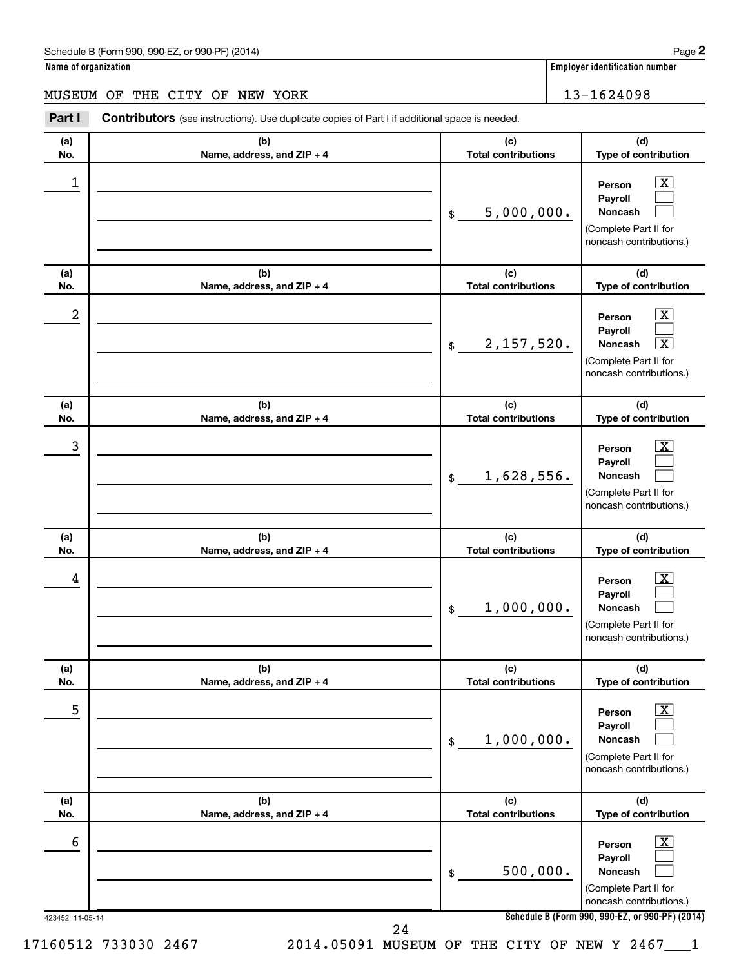#### Schedule B (Form 990, 990-EZ, or 990-PF) (2014)

| Name of organization |  |
|----------------------|--|
|----------------------|--|

## MUSEUM OF THE CITY OF NEW YORK 13-1624098

| No. | (b)                        | (c)                        | (d)                                                                                                                                    |
|-----|----------------------------|----------------------------|----------------------------------------------------------------------------------------------------------------------------------------|
|     | Name, address, and ZIP + 4 | <b>Total contributions</b> | Type of contribution                                                                                                                   |
| 1   |                            | 5,000,000.<br>\$           | $\overline{\mathbf{X}}$<br>Person<br>Payroll<br>Noncash<br>(Complete Part II for<br>noncash contributions.)                            |
| (a) | (b)                        | (c)                        | (d)                                                                                                                                    |
| No. | Name, address, and ZIP + 4 | <b>Total contributions</b> | Type of contribution                                                                                                                   |
| 2   |                            | 2,157,520.<br>\$           | $\overline{\mathbf{X}}$<br>Person<br>Payroll<br>$\overline{\mathbf{x}}$<br>Noncash<br>(Complete Part II for<br>noncash contributions.) |
| (a) | (b)                        | (c)                        | (d)                                                                                                                                    |
| No. | Name, address, and ZIP + 4 | <b>Total contributions</b> | Type of contribution                                                                                                                   |
| 3   |                            | 1,628,556.<br>\$           | $\overline{\text{X}}$<br>Person<br>Payroll<br>Noncash<br>(Complete Part II for<br>noncash contributions.)                              |
| (a) | (b)                        | (c)                        | (d)                                                                                                                                    |
| No. | Name, address, and ZIP + 4 | <b>Total contributions</b> | Type of contribution                                                                                                                   |
| 4   |                            | 1,000,000.<br>\$           | $\mathbf{X}$<br>Person<br>Payroll<br>Noncash<br>(Complete Part II for<br>noncash contributions.)                                       |
| (a) | (b)                        | (c)                        | (d)                                                                                                                                    |
| No. | Name, address, and ZIP + 4 | <b>Total contributions</b> | Type of contribution                                                                                                                   |
| 5   |                            | 1,000,000.<br>\$           | $\boxed{\text{X}}$<br>Person<br>Payroll<br><b>Noncash</b><br>(Complete Part II for<br>noncash contributions.)                          |
| (a) | (b)                        | (c)                        | (d)                                                                                                                                    |
| No. | Name, address, and ZIP + 4 | <b>Total contributions</b> | Type of contribution                                                                                                                   |
| 6   |                            | 500,000.<br>\$             | $\boxed{\text{X}}$<br>Person<br>Payroll<br>Noncash<br>(Complete Part II for<br>noncash contributions.)                                 |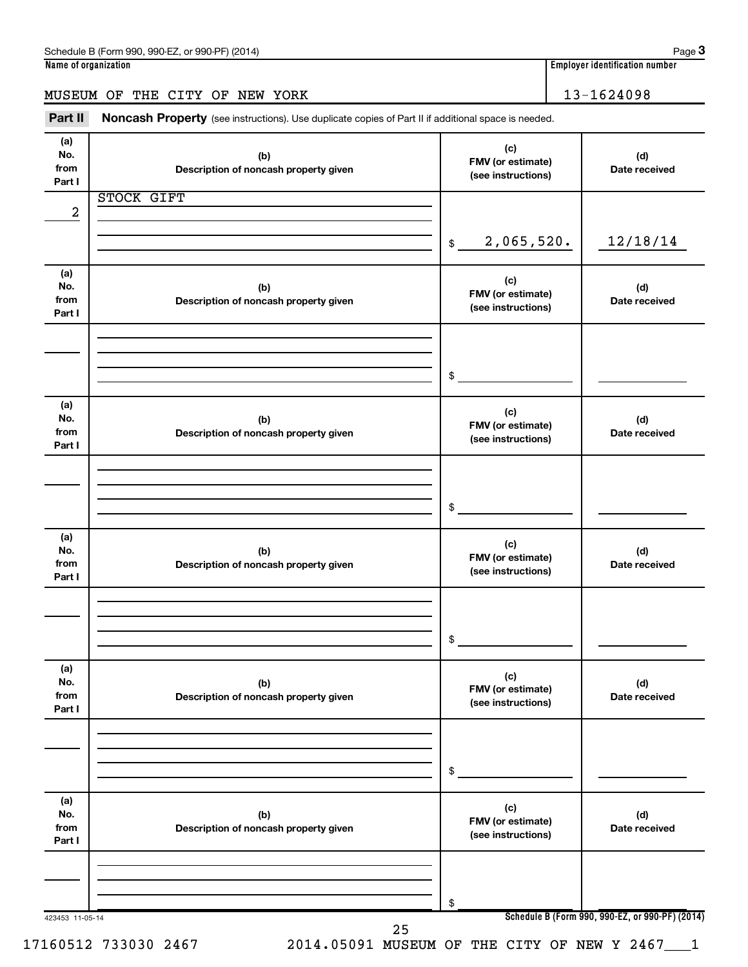## MUSEUM OF THE CITY OF NEW YORK 13-1624098

Part II Noncash Property (see instructions). Use duplicate copies of Part II if additional space is needed.

| (a)<br>No.<br>from | (b)<br>Description of noncash property given | (c)<br>FMV (or estimate)<br>(see instructions) | (d)<br>Date received                            |
|--------------------|----------------------------------------------|------------------------------------------------|-------------------------------------------------|
| Part I             |                                              |                                                |                                                 |
|                    | STOCK GIFT                                   |                                                |                                                 |
| $\boldsymbol{2}$   |                                              |                                                |                                                 |
|                    |                                              | 2,065,520.                                     | 12/18/14                                        |
|                    |                                              | \$                                             |                                                 |
| (a)                |                                              |                                                |                                                 |
| No.                | (b)                                          | (c)                                            | (d)                                             |
| from               | Description of noncash property given        | FMV (or estimate)                              | Date received                                   |
| Part I             |                                              | (see instructions)                             |                                                 |
|                    |                                              |                                                |                                                 |
|                    |                                              |                                                |                                                 |
|                    |                                              |                                                |                                                 |
|                    |                                              | \$                                             |                                                 |
| (a)                |                                              |                                                |                                                 |
| No.                | (b)                                          | (c)                                            | (d)                                             |
| from               | Description of noncash property given        | FMV (or estimate)<br>(see instructions)        | Date received                                   |
| Part I             |                                              |                                                |                                                 |
|                    |                                              |                                                |                                                 |
|                    |                                              |                                                |                                                 |
|                    |                                              |                                                |                                                 |
|                    |                                              | \$                                             |                                                 |
| (a)                |                                              |                                                |                                                 |
| No.                | (b)                                          | (c)                                            | (d)                                             |
| from               | Description of noncash property given        | FMV (or estimate)<br>(see instructions)        | Date received                                   |
| Part I             |                                              |                                                |                                                 |
|                    |                                              |                                                |                                                 |
|                    |                                              |                                                |                                                 |
|                    |                                              | $$\circ$$                                      |                                                 |
|                    |                                              |                                                |                                                 |
| (a)                |                                              | (c)                                            |                                                 |
| No.                | (b)                                          | FMV (or estimate)                              | (d)                                             |
| from<br>Part I     | Description of noncash property given        | (see instructions)                             | Date received                                   |
|                    |                                              |                                                |                                                 |
|                    |                                              |                                                |                                                 |
|                    |                                              |                                                |                                                 |
|                    |                                              | \$                                             |                                                 |
|                    |                                              |                                                |                                                 |
| (a)<br>No.         |                                              | (c)                                            |                                                 |
| from               | (b)<br>Description of noncash property given | FMV (or estimate)                              | (d)<br>Date received                            |
| Part I             |                                              | (see instructions)                             |                                                 |
|                    |                                              |                                                |                                                 |
|                    |                                              |                                                |                                                 |
|                    |                                              |                                                |                                                 |
|                    |                                              | \$                                             |                                                 |
| 423453 11-05-14    |                                              |                                                | Schedule B (Form 990, 990-EZ, or 990-PF) (2014) |

**3**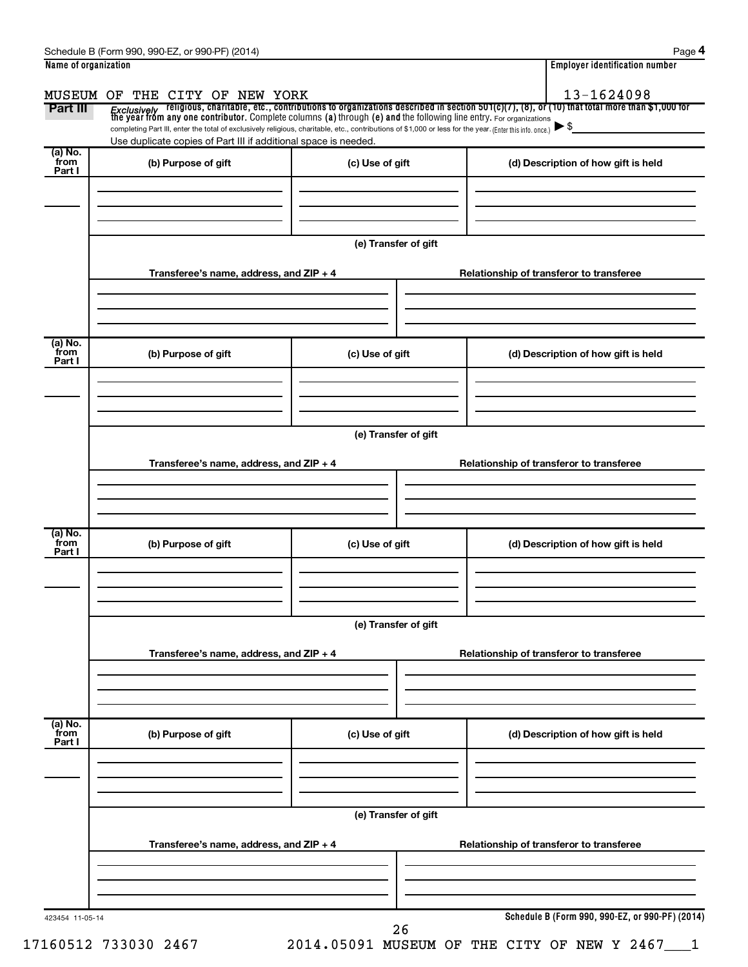| Part III                    | completing Part III, enter the total of exclusively religious, charitable, etc., contributions of \$1,000 or less for the year. (Enter this info. once.) |                      | <i>Exclusively</i> religious, charitable, etc., contributions to organizations described in section 501(c)(7), (8), or (10) that total more than \$1,000 for<br>the year from any one contributor. Complete columns (a) through (e) and |
|-----------------------------|----------------------------------------------------------------------------------------------------------------------------------------------------------|----------------------|-----------------------------------------------------------------------------------------------------------------------------------------------------------------------------------------------------------------------------------------|
| $(a)$ No.<br>from<br>Part I | Use duplicate copies of Part III if additional space is needed.<br>(b) Purpose of gift                                                                   | (c) Use of gift      | (d) Description of how gift is held                                                                                                                                                                                                     |
|                             |                                                                                                                                                          |                      |                                                                                                                                                                                                                                         |
|                             |                                                                                                                                                          | (e) Transfer of gift |                                                                                                                                                                                                                                         |
|                             | Transferee's name, address, and ZIP + 4                                                                                                                  |                      | Relationship of transferor to transferee                                                                                                                                                                                                |
| (a) No.<br>from<br>Part I   | (b) Purpose of gift                                                                                                                                      | (c) Use of gift      | (d) Description of how gift is held                                                                                                                                                                                                     |
|                             |                                                                                                                                                          |                      |                                                                                                                                                                                                                                         |
|                             | Transferee's name, address, and ZIP + 4                                                                                                                  | (e) Transfer of gift | Relationship of transferor to transferee                                                                                                                                                                                                |
| (a) No.<br>from<br>Part I   | (b) Purpose of gift                                                                                                                                      | (c) Use of gift      | (d) Description of how gift is held                                                                                                                                                                                                     |
|                             |                                                                                                                                                          |                      |                                                                                                                                                                                                                                         |
|                             |                                                                                                                                                          | (e) Transfer of gift |                                                                                                                                                                                                                                         |
|                             | Transferee's name, address, and ZIP + 4                                                                                                                  |                      | Relationship of transferor to transferee                                                                                                                                                                                                |
| (a) No.<br>from<br>Part I   | (b) Purpose of gift                                                                                                                                      | (c) Use of gift      | (d) Description of how gift is held                                                                                                                                                                                                     |
|                             |                                                                                                                                                          | (e) Transfer of gift |                                                                                                                                                                                                                                         |
|                             | Transferee's name, address, and ZIP + 4                                                                                                                  |                      | Relationship of transferor to transferee                                                                                                                                                                                                |
|                             |                                                                                                                                                          |                      |                                                                                                                                                                                                                                         |

Schedule B (Form 990, 990-EZ, or 990-PF) (2014) Schedule B (Form 1990, 990-PF) (2014)

**4**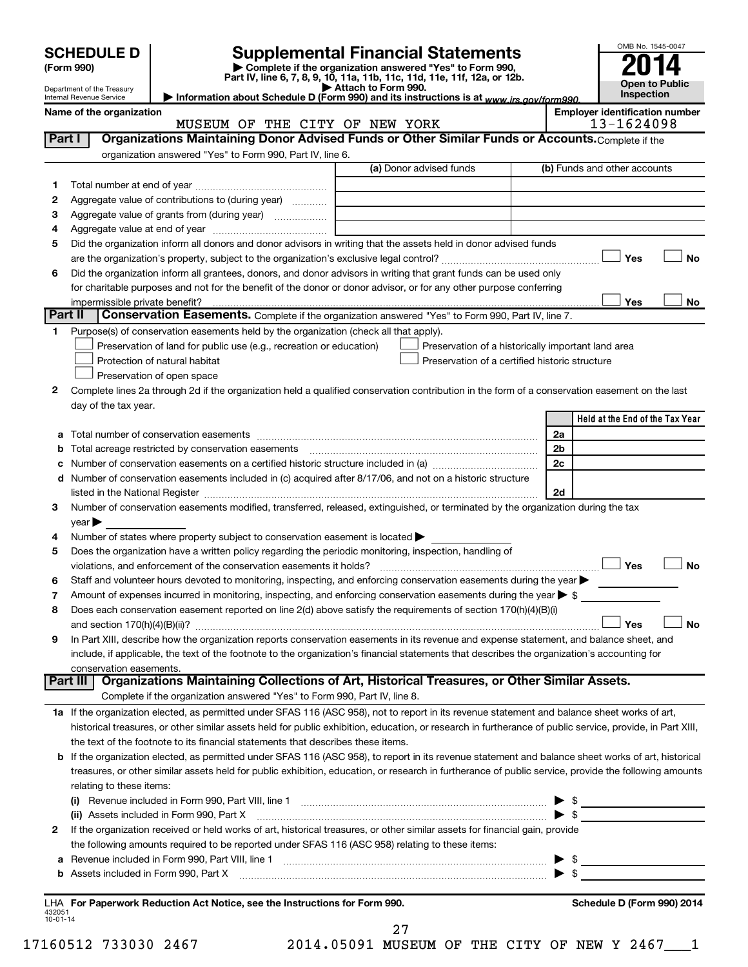|              | <b>SCHEDULE D</b><br>(Form 990)                        |                                                                                                                                                                                                                                               | <b>Supplemental Financial Statements</b><br>Complete if the organization answered "Yes" to Form 990,<br>Part IV, line 6, 7, 8, 9, 10, 11a, 11b, 11c, 11d, 11e, 11f, 12a, or 12b.<br>Attach to Form 990. |                          | OMB No. 1545-0047<br><b>Open to Public</b>          |
|--------------|--------------------------------------------------------|-----------------------------------------------------------------------------------------------------------------------------------------------------------------------------------------------------------------------------------------------|---------------------------------------------------------------------------------------------------------------------------------------------------------------------------------------------------------|--------------------------|-----------------------------------------------------|
|              | Department of the Treasury<br>Internal Revenue Service |                                                                                                                                                                                                                                               | Information about Schedule D (Form 990) and its instructions is at www.irs.gov/form990.                                                                                                                 |                          | Inspection                                          |
|              | Name of the organization                               | MUSEUM OF THE CITY OF NEW YORK                                                                                                                                                                                                                |                                                                                                                                                                                                         |                          | <b>Employer identification number</b><br>13-1624098 |
| Part I       |                                                        | Organizations Maintaining Donor Advised Funds or Other Similar Funds or Accounts. Complete if the                                                                                                                                             |                                                                                                                                                                                                         |                          |                                                     |
|              |                                                        | organization answered "Yes" to Form 990, Part IV, line 6.                                                                                                                                                                                     |                                                                                                                                                                                                         |                          |                                                     |
|              |                                                        |                                                                                                                                                                                                                                               | (a) Donor advised funds                                                                                                                                                                                 |                          | (b) Funds and other accounts                        |
| 1.           |                                                        |                                                                                                                                                                                                                                               |                                                                                                                                                                                                         |                          |                                                     |
| 2            |                                                        | Aggregate value of contributions to (during year)                                                                                                                                                                                             |                                                                                                                                                                                                         |                          |                                                     |
| З            |                                                        | Aggregate value of grants from (during year)                                                                                                                                                                                                  | the control of the control of the control of the control of the control of                                                                                                                              |                          |                                                     |
| 4            |                                                        |                                                                                                                                                                                                                                               |                                                                                                                                                                                                         |                          |                                                     |
| 5            |                                                        | Did the organization inform all donors and donor advisors in writing that the assets held in donor advised funds                                                                                                                              |                                                                                                                                                                                                         |                          | Yes<br>No                                           |
| 6            |                                                        | Did the organization inform all grantees, donors, and donor advisors in writing that grant funds can be used only                                                                                                                             |                                                                                                                                                                                                         |                          |                                                     |
|              |                                                        | for charitable purposes and not for the benefit of the donor or donor advisor, or for any other purpose conferring                                                                                                                            |                                                                                                                                                                                                         |                          |                                                     |
|              | impermissible private benefit?                         |                                                                                                                                                                                                                                               |                                                                                                                                                                                                         |                          | Yes<br>No                                           |
| Part II      |                                                        | Conservation Easements. Complete if the organization answered "Yes" to Form 990, Part IV, line 7.                                                                                                                                             |                                                                                                                                                                                                         |                          |                                                     |
| 1.           |                                                        | Purpose(s) of conservation easements held by the organization (check all that apply).                                                                                                                                                         |                                                                                                                                                                                                         |                          |                                                     |
|              |                                                        | Preservation of land for public use (e.g., recreation or education)                                                                                                                                                                           | Preservation of a historically important land area                                                                                                                                                      |                          |                                                     |
|              |                                                        | Protection of natural habitat                                                                                                                                                                                                                 | Preservation of a certified historic structure                                                                                                                                                          |                          |                                                     |
|              |                                                        | Preservation of open space                                                                                                                                                                                                                    |                                                                                                                                                                                                         |                          |                                                     |
| 2            |                                                        | Complete lines 2a through 2d if the organization held a qualified conservation contribution in the form of a conservation easement on the last                                                                                                |                                                                                                                                                                                                         |                          |                                                     |
|              | day of the tax year.                                   |                                                                                                                                                                                                                                               |                                                                                                                                                                                                         |                          |                                                     |
|              |                                                        |                                                                                                                                                                                                                                               |                                                                                                                                                                                                         |                          | Held at the End of the Tax Year                     |
| a            |                                                        |                                                                                                                                                                                                                                               |                                                                                                                                                                                                         | 2a                       |                                                     |
| b            |                                                        |                                                                                                                                                                                                                                               |                                                                                                                                                                                                         | 2 <sub>b</sub>           |                                                     |
| с            |                                                        |                                                                                                                                                                                                                                               |                                                                                                                                                                                                         | 2c                       |                                                     |
|              |                                                        | d Number of conservation easements included in (c) acquired after 8/17/06, and not on a historic structure                                                                                                                                    |                                                                                                                                                                                                         |                          |                                                     |
|              |                                                        | Number of conservation easements modified, transferred, released, extinguished, or terminated by the organization during the tax                                                                                                              |                                                                                                                                                                                                         | 2d                       |                                                     |
| З.           | $year \blacktriangleright$                             |                                                                                                                                                                                                                                               |                                                                                                                                                                                                         |                          |                                                     |
| 4            |                                                        | Number of states where property subject to conservation easement is located >                                                                                                                                                                 |                                                                                                                                                                                                         |                          |                                                     |
| 5            |                                                        | Does the organization have a written policy regarding the periodic monitoring, inspection, handling of                                                                                                                                        |                                                                                                                                                                                                         |                          |                                                     |
|              |                                                        |                                                                                                                                                                                                                                               |                                                                                                                                                                                                         |                          | ⊿ No                                                |
| 6            |                                                        | Staff and volunteer hours devoted to monitoring, inspecting, and enforcing conservation easements during the year $\blacktriangleright$                                                                                                       |                                                                                                                                                                                                         |                          |                                                     |
| 7            |                                                        | Amount of expenses incurred in monitoring, inspecting, and enforcing conservation easements during the year $\triangleright$ \$                                                                                                               |                                                                                                                                                                                                         |                          |                                                     |
| 8            |                                                        | Does each conservation easement reported on line 2(d) above satisfy the requirements of section 170(h)(4)(B)(i)                                                                                                                               |                                                                                                                                                                                                         |                          |                                                     |
|              |                                                        |                                                                                                                                                                                                                                               |                                                                                                                                                                                                         |                          | Yes<br>No                                           |
| 9            |                                                        | In Part XIII, describe how the organization reports conservation easements in its revenue and expense statement, and balance sheet, and                                                                                                       |                                                                                                                                                                                                         |                          |                                                     |
|              |                                                        | include, if applicable, the text of the footnote to the organization's financial statements that describes the organization's accounting for                                                                                                  |                                                                                                                                                                                                         |                          |                                                     |
|              | conservation easements.                                |                                                                                                                                                                                                                                               |                                                                                                                                                                                                         |                          |                                                     |
|              | Part III                                               | Organizations Maintaining Collections of Art, Historical Treasures, or Other Similar Assets.                                                                                                                                                  |                                                                                                                                                                                                         |                          |                                                     |
|              |                                                        | Complete if the organization answered "Yes" to Form 990, Part IV, line 8.                                                                                                                                                                     |                                                                                                                                                                                                         |                          |                                                     |
|              |                                                        | 1a If the organization elected, as permitted under SFAS 116 (ASC 958), not to report in its revenue statement and balance sheet works of art,                                                                                                 |                                                                                                                                                                                                         |                          |                                                     |
|              |                                                        | historical treasures, or other similar assets held for public exhibition, education, or research in furtherance of public service, provide, in Part XIII,<br>the text of the footnote to its financial statements that describes these items. |                                                                                                                                                                                                         |                          |                                                     |
|              |                                                        | b If the organization elected, as permitted under SFAS 116 (ASC 958), to report in its revenue statement and balance sheet works of art, historical                                                                                           |                                                                                                                                                                                                         |                          |                                                     |
|              |                                                        | treasures, or other similar assets held for public exhibition, education, or research in furtherance of public service, provide the following amounts                                                                                         |                                                                                                                                                                                                         |                          |                                                     |
|              | relating to these items:                               |                                                                                                                                                                                                                                               |                                                                                                                                                                                                         |                          |                                                     |
|              |                                                        | (i) Revenue included in Form 990, Part VIII, line 1 [1] [1] [1] [1] [1] [1] [1] [1] Revenue included in Form 990, Part VIII, line 1                                                                                                           |                                                                                                                                                                                                         | $\blacktriangleright$ \$ | the control of the control of the control of the    |
|              |                                                        | (ii) Assets included in Form 990, Part X                                                                                                                                                                                                      |                                                                                                                                                                                                         |                          | $\blacktriangleright$ \$                            |
| $\mathbf{2}$ |                                                        | If the organization received or held works of art, historical treasures, or other similar assets for financial gain, provide                                                                                                                  |                                                                                                                                                                                                         |                          |                                                     |
|              |                                                        | the following amounts required to be reported under SFAS 116 (ASC 958) relating to these items:                                                                                                                                               |                                                                                                                                                                                                         |                          |                                                     |
|              |                                                        |                                                                                                                                                                                                                                               |                                                                                                                                                                                                         | $\blacktriangleright$ \$ | <u> 1980 - Johann Barbara, martxa al</u>            |
| а            |                                                        |                                                                                                                                                                                                                                               |                                                                                                                                                                                                         |                          |                                                     |
|              |                                                        | <b>b</b> Assets included in Form 990, Part X                                                                                                                                                                                                  |                                                                                                                                                                                                         | $\blacktriangleright$ \$ |                                                     |

17160512 733030 2467 2014.05091 MUSEUM OF THE CITY OF NEW Y 2467\_\_\_1 27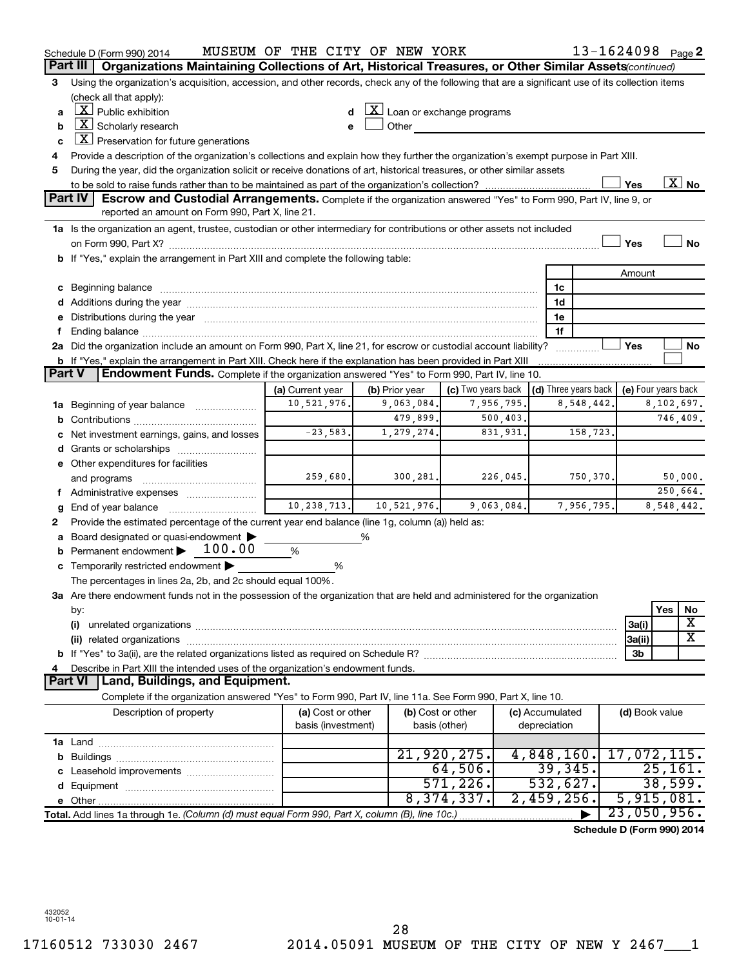|        | Schedule D (Form 990) 2014                                                                                                                                                                                                     | MUSEUM OF THE CITY OF NEW YORK |   |                |                                                 |            |                 |               | 13-1624098 Page 2          |                     |          |                          |
|--------|--------------------------------------------------------------------------------------------------------------------------------------------------------------------------------------------------------------------------------|--------------------------------|---|----------------|-------------------------------------------------|------------|-----------------|---------------|----------------------------|---------------------|----------|--------------------------|
|        | Organizations Maintaining Collections of Art, Historical Treasures, or Other Similar Assets(continued)<br>Part III                                                                                                             |                                |   |                |                                                 |            |                 |               |                            |                     |          |                          |
| 3      | Using the organization's acquisition, accession, and other records, check any of the following that are a significant use of its collection items                                                                              |                                |   |                |                                                 |            |                 |               |                            |                     |          |                          |
|        | (check all that apply):                                                                                                                                                                                                        |                                |   |                |                                                 |            |                 |               |                            |                     |          |                          |
| a      | $\lfloor \underline{X} \rfloor$ Public exhibition                                                                                                                                                                              |                                |   |                | $ \mathbf{X} $ Loan or exchange programs        |            |                 |               |                            |                     |          |                          |
| b      | $ \mathbf{X} $ Scholarly research                                                                                                                                                                                              |                                |   | Other          |                                                 |            |                 |               |                            |                     |          |                          |
| c      | $\lfloor \underline{X} \rfloor$ Preservation for future generations                                                                                                                                                            |                                |   |                |                                                 |            |                 |               |                            |                     |          |                          |
| 4      | Provide a description of the organization's collections and explain how they further the organization's exempt purpose in Part XIII.                                                                                           |                                |   |                |                                                 |            |                 |               |                            |                     |          |                          |
| 5      | During the year, did the organization solicit or receive donations of art, historical treasures, or other similar assets                                                                                                       |                                |   |                |                                                 |            |                 |               |                            |                     |          |                          |
|        |                                                                                                                                                                                                                                |                                |   |                |                                                 |            |                 |               | Yes                        |                     |          | $\overline{\text{X}}$ No |
|        | <b>Part IV</b><br>Escrow and Custodial Arrangements. Complete if the organization answered "Yes" to Form 990, Part IV, line 9, or                                                                                              |                                |   |                |                                                 |            |                 |               |                            |                     |          |                          |
|        | reported an amount on Form 990, Part X, line 21.                                                                                                                                                                               |                                |   |                |                                                 |            |                 |               |                            |                     |          |                          |
|        | 1a Is the organization an agent, trustee, custodian or other intermediary for contributions or other assets not included                                                                                                       |                                |   |                |                                                 |            |                 |               |                            |                     |          |                          |
|        |                                                                                                                                                                                                                                |                                |   |                |                                                 |            |                 |               | Yes                        |                     |          | <b>No</b>                |
|        | b If "Yes," explain the arrangement in Part XIII and complete the following table:                                                                                                                                             |                                |   |                |                                                 |            |                 |               |                            |                     |          |                          |
|        |                                                                                                                                                                                                                                |                                |   |                |                                                 |            |                 |               |                            | Amount              |          |                          |
|        | c Beginning balance measurements and the contract of the contract of the contract of the contract of the contract of the contract of the contract of the contract of the contract of the contract of the contract of the contr |                                |   |                |                                                 |            |                 | 1c            |                            |                     |          |                          |
|        |                                                                                                                                                                                                                                |                                |   |                |                                                 |            |                 | 1d            |                            |                     |          |                          |
|        | e Distributions during the year manufactured and continuum and contact the year manufactured and contact the year manufactured and contact the year manufactured and contact the year manufactured and contact the year manufa |                                |   |                |                                                 |            |                 | 1e            |                            |                     |          |                          |
| f.     |                                                                                                                                                                                                                                |                                |   |                |                                                 |            |                 | 1f            |                            |                     |          |                          |
|        | 2a Did the organization include an amount on Form 990, Part X, line 21, for escrow or custodial account liability?                                                                                                             |                                |   |                |                                                 |            |                 |               | Yes                        |                     |          | No                       |
|        | <b>b</b> If "Yes," explain the arrangement in Part XIII. Check here if the explanation has been provided in Part XIII                                                                                                          |                                |   |                |                                                 |            |                 |               |                            |                     |          |                          |
| Part V | Endowment Funds. Complete if the organization answered "Yes" to Form 990, Part IV, line 10.                                                                                                                                    |                                |   |                |                                                 |            |                 |               |                            |                     |          |                          |
|        |                                                                                                                                                                                                                                | (a) Current year               |   | (b) Prior year | (c) Two years back $ $ (d) Three years back $ $ |            |                 |               |                            | (e) Four years back |          |                          |
|        | 1a Beginning of year balance                                                                                                                                                                                                   | 10,521,976.                    |   | 9,063,084.     |                                                 | 7,956,795. |                 | 8,548,442.    |                            |                     |          | 8,102,697.               |
|        |                                                                                                                                                                                                                                |                                |   | 479,899.       |                                                 | 500, 403.  |                 |               |                            |                     |          | 746,409.                 |
|        | c Net investment earnings, gains, and losses                                                                                                                                                                                   | $-23,583.$                     |   | 1, 279, 274.   |                                                 | 831,931.   |                 | 158,723.      |                            |                     |          |                          |
|        |                                                                                                                                                                                                                                |                                |   |                |                                                 |            |                 |               |                            |                     |          |                          |
|        | e Other expenditures for facilities                                                                                                                                                                                            |                                |   |                |                                                 |            |                 |               |                            |                     |          |                          |
|        | and programs                                                                                                                                                                                                                   | 259,680.                       |   | 300, 281.      |                                                 | 226,045.   |                 | 750,370.      |                            |                     |          | 50,000.                  |
|        | f Administrative expenses                                                                                                                                                                                                      |                                |   |                |                                                 |            |                 |               |                            |                     |          | 250,664.                 |
| g      |                                                                                                                                                                                                                                | 10, 238, 713.                  |   | 10,521,976.    |                                                 | 9,063,084. |                 | 7,956,795.    |                            |                     |          | 8,548,442.               |
| 2      | Provide the estimated percentage of the current year end balance (line 1g, column (a)) held as:                                                                                                                                |                                |   |                |                                                 |            |                 |               |                            |                     |          |                          |
|        | a Board designated or quasi-endowment                                                                                                                                                                                          |                                | % |                |                                                 |            |                 |               |                            |                     |          |                          |
|        | <b>b</b> Permanent endowment $\blacktriangleright$ 100.00                                                                                                                                                                      | %                              |   |                |                                                 |            |                 |               |                            |                     |          |                          |
|        | c Temporarily restricted endowment $\blacktriangleright$                                                                                                                                                                       | %                              |   |                |                                                 |            |                 |               |                            |                     |          |                          |
|        | The percentages in lines 2a, 2b, and 2c should equal 100%.                                                                                                                                                                     |                                |   |                |                                                 |            |                 |               |                            |                     |          |                          |
|        | 3a Are there endowment funds not in the possession of the organization that are held and administered for the organization                                                                                                     |                                |   |                |                                                 |            |                 |               |                            |                     |          |                          |
|        | by:                                                                                                                                                                                                                            |                                |   |                |                                                 |            |                 |               |                            |                     | Yes      | No                       |
|        | (i)                                                                                                                                                                                                                            |                                |   |                |                                                 |            |                 |               | 3a(i)                      |                     |          | х                        |
|        |                                                                                                                                                                                                                                |                                |   |                |                                                 |            |                 |               | 3a(ii)                     |                     |          | $\overline{\textbf{X}}$  |
|        |                                                                                                                                                                                                                                |                                |   |                |                                                 |            |                 |               |                            | 3b                  |          |                          |
| 4      | Describe in Part XIII the intended uses of the organization's endowment funds.                                                                                                                                                 |                                |   |                |                                                 |            |                 |               |                            |                     |          |                          |
|        | Land, Buildings, and Equipment.<br>Part VI                                                                                                                                                                                     |                                |   |                |                                                 |            |                 |               |                            |                     |          |                          |
|        | Complete if the organization answered "Yes" to Form 990, Part IV, line 11a. See Form 990, Part X, line 10.                                                                                                                     |                                |   |                |                                                 |            |                 |               |                            |                     |          |                          |
|        | Description of property                                                                                                                                                                                                        | (a) Cost or other              |   |                | (b) Cost or other                               |            | (c) Accumulated |               |                            | (d) Book value      |          |                          |
|        |                                                                                                                                                                                                                                | basis (investment)             |   |                | basis (other)                                   |            | depreciation    |               |                            |                     |          |                          |
|        |                                                                                                                                                                                                                                |                                |   |                |                                                 |            |                 |               |                            |                     |          |                          |
|        |                                                                                                                                                                                                                                |                                |   |                | 21,920,275.                                     |            |                 | 4,848,160.    | $17,072,115$ .             |                     |          |                          |
|        |                                                                                                                                                                                                                                |                                |   |                | 64,506.                                         |            |                 | 39, 345.      |                            |                     | 25, 161. |                          |
|        |                                                                                                                                                                                                                                |                                |   |                | 571, 226.                                       |            |                 | 532,627.      |                            |                     |          | 38,599.                  |
|        |                                                                                                                                                                                                                                |                                |   |                | 8,374,337.                                      |            |                 | $2,459,256$ . |                            | 5,915,081.          |          |                          |
|        | Total. Add lines 1a through 1e. (Column (d) must equal Form 990, Part X, column (B), line 10c.)                                                                                                                                |                                |   |                |                                                 |            |                 |               | $23,050,956$ .             |                     |          |                          |
|        |                                                                                                                                                                                                                                |                                |   |                |                                                 |            |                 |               | Schedule D (Form 990) 2014 |                     |          |                          |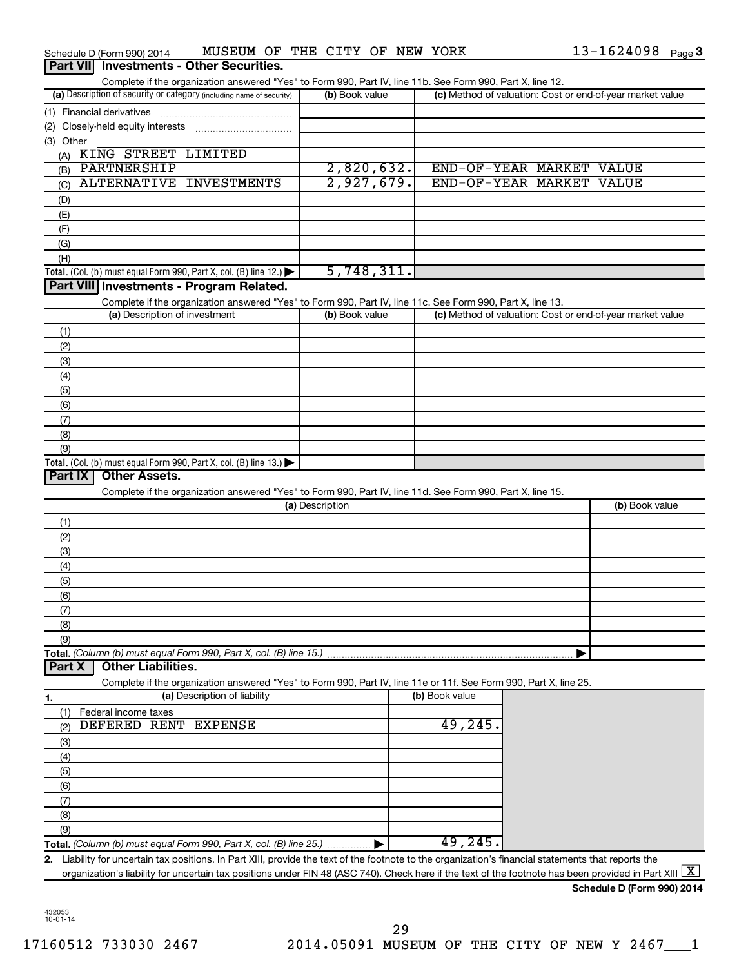|                  | Schedule D (Form 990) 2014                                                                                                                                                                                                                                                                                                      | MUSEUM OF THE CITY OF NEW YORK                                                                                    |                 |            |                          |  | 13-1624098 Page 3                                         |  |
|------------------|---------------------------------------------------------------------------------------------------------------------------------------------------------------------------------------------------------------------------------------------------------------------------------------------------------------------------------|-------------------------------------------------------------------------------------------------------------------|-----------------|------------|--------------------------|--|-----------------------------------------------------------|--|
| <b>Part VIII</b> |                                                                                                                                                                                                                                                                                                                                 | <b>Investments - Other Securities.</b>                                                                            |                 |            |                          |  |                                                           |  |
|                  |                                                                                                                                                                                                                                                                                                                                 | Complete if the organization answered "Yes" to Form 990, Part IV, line 11b. See Form 990, Part X, line 12.        |                 |            |                          |  |                                                           |  |
|                  | (a) Description of security or category (including name of security)                                                                                                                                                                                                                                                            |                                                                                                                   | (b) Book value  |            |                          |  | (c) Method of valuation: Cost or end-of-year market value |  |
|                  | (1) Financial derivatives                                                                                                                                                                                                                                                                                                       |                                                                                                                   |                 |            |                          |  |                                                           |  |
|                  | (2) Closely-held equity interests                                                                                                                                                                                                                                                                                               |                                                                                                                   |                 |            |                          |  |                                                           |  |
| (3) Other        |                                                                                                                                                                                                                                                                                                                                 |                                                                                                                   |                 |            |                          |  |                                                           |  |
|                  | (A) KING STREET LIMITED                                                                                                                                                                                                                                                                                                         |                                                                                                                   |                 |            |                          |  |                                                           |  |
| (B)              | PARTNERSHIP                                                                                                                                                                                                                                                                                                                     |                                                                                                                   |                 | 2,820,632. | END-OF-YEAR MARKET VALUE |  |                                                           |  |
| (C)              | <b>ALTERNATIVE</b>                                                                                                                                                                                                                                                                                                              | <b>INVESTMENTS</b>                                                                                                |                 | 2,927,679. | END-OF-YEAR MARKET       |  | <b>VALUE</b>                                              |  |
| (D)              |                                                                                                                                                                                                                                                                                                                                 |                                                                                                                   |                 |            |                          |  |                                                           |  |
| (E)              |                                                                                                                                                                                                                                                                                                                                 |                                                                                                                   |                 |            |                          |  |                                                           |  |
| (F)              |                                                                                                                                                                                                                                                                                                                                 |                                                                                                                   |                 |            |                          |  |                                                           |  |
| (G)              |                                                                                                                                                                                                                                                                                                                                 |                                                                                                                   |                 |            |                          |  |                                                           |  |
| (H)              |                                                                                                                                                                                                                                                                                                                                 |                                                                                                                   |                 |            |                          |  |                                                           |  |
|                  | Total. (Col. (b) must equal Form 990, Part X, col. (B) line 12.) $\blacktriangleright$                                                                                                                                                                                                                                          |                                                                                                                   |                 | 5,748,311. |                          |  |                                                           |  |
|                  | Part VIII Investments - Program Related.                                                                                                                                                                                                                                                                                        |                                                                                                                   |                 |            |                          |  |                                                           |  |
|                  |                                                                                                                                                                                                                                                                                                                                 | Complete if the organization answered "Yes" to Form 990, Part IV, line 11c. See Form 990, Part X, line 13.        |                 |            |                          |  |                                                           |  |
|                  | (a) Description of investment                                                                                                                                                                                                                                                                                                   |                                                                                                                   | (b) Book value  |            |                          |  | (c) Method of valuation: Cost or end-of-year market value |  |
| (1)              |                                                                                                                                                                                                                                                                                                                                 |                                                                                                                   |                 |            |                          |  |                                                           |  |
| (2)              |                                                                                                                                                                                                                                                                                                                                 |                                                                                                                   |                 |            |                          |  |                                                           |  |
| (3)              |                                                                                                                                                                                                                                                                                                                                 |                                                                                                                   |                 |            |                          |  |                                                           |  |
| (4)              |                                                                                                                                                                                                                                                                                                                                 |                                                                                                                   |                 |            |                          |  |                                                           |  |
|                  |                                                                                                                                                                                                                                                                                                                                 |                                                                                                                   |                 |            |                          |  |                                                           |  |
| (5)<br>(6)       |                                                                                                                                                                                                                                                                                                                                 |                                                                                                                   |                 |            |                          |  |                                                           |  |
|                  |                                                                                                                                                                                                                                                                                                                                 |                                                                                                                   |                 |            |                          |  |                                                           |  |
| (7)              |                                                                                                                                                                                                                                                                                                                                 |                                                                                                                   |                 |            |                          |  |                                                           |  |
| (8)              |                                                                                                                                                                                                                                                                                                                                 |                                                                                                                   |                 |            |                          |  |                                                           |  |
| (9)              |                                                                                                                                                                                                                                                                                                                                 |                                                                                                                   |                 |            |                          |  |                                                           |  |
| Part IX          | Total. (Col. (b) must equal Form 990, Part X, col. (B) line $13.$ )<br><b>Other Assets.</b>                                                                                                                                                                                                                                     |                                                                                                                   |                 |            |                          |  |                                                           |  |
|                  |                                                                                                                                                                                                                                                                                                                                 | Complete if the organization answered "Yes" to Form 990, Part IV, line 11d. See Form 990, Part X, line 15.        |                 |            |                          |  |                                                           |  |
|                  |                                                                                                                                                                                                                                                                                                                                 |                                                                                                                   | (a) Description |            |                          |  | (b) Book value                                            |  |
|                  |                                                                                                                                                                                                                                                                                                                                 |                                                                                                                   |                 |            |                          |  |                                                           |  |
| (1)              |                                                                                                                                                                                                                                                                                                                                 |                                                                                                                   |                 |            |                          |  |                                                           |  |
| (2)              |                                                                                                                                                                                                                                                                                                                                 |                                                                                                                   |                 |            |                          |  |                                                           |  |
| (3)              |                                                                                                                                                                                                                                                                                                                                 |                                                                                                                   |                 |            |                          |  |                                                           |  |
| (4)              |                                                                                                                                                                                                                                                                                                                                 |                                                                                                                   |                 |            |                          |  |                                                           |  |
| (5)              |                                                                                                                                                                                                                                                                                                                                 |                                                                                                                   |                 |            |                          |  |                                                           |  |
| (6)              |                                                                                                                                                                                                                                                                                                                                 |                                                                                                                   |                 |            |                          |  |                                                           |  |
| (7)              |                                                                                                                                                                                                                                                                                                                                 |                                                                                                                   |                 |            |                          |  |                                                           |  |
| (8)              |                                                                                                                                                                                                                                                                                                                                 |                                                                                                                   |                 |            |                          |  |                                                           |  |
| (9)              |                                                                                                                                                                                                                                                                                                                                 |                                                                                                                   |                 |            |                          |  |                                                           |  |
|                  | Total. (Column (b) must equal Form 990, Part X, col. (B) line 15.)                                                                                                                                                                                                                                                              |                                                                                                                   |                 |            |                          |  |                                                           |  |
| Part X           | <b>Other Liabilities.</b>                                                                                                                                                                                                                                                                                                       |                                                                                                                   |                 |            |                          |  |                                                           |  |
|                  |                                                                                                                                                                                                                                                                                                                                 | Complete if the organization answered "Yes" to Form 990, Part IV, line 11e or 11f. See Form 990, Part X, line 25. |                 |            |                          |  |                                                           |  |
| 1.               |                                                                                                                                                                                                                                                                                                                                 | (a) Description of liability                                                                                      |                 |            | (b) Book value           |  |                                                           |  |
| (1)              | Federal income taxes                                                                                                                                                                                                                                                                                                            |                                                                                                                   |                 |            |                          |  |                                                           |  |
| (2)              | DEFERED RENT EXPENSE                                                                                                                                                                                                                                                                                                            |                                                                                                                   |                 |            | 49,245                   |  |                                                           |  |
| (3)              |                                                                                                                                                                                                                                                                                                                                 |                                                                                                                   |                 |            |                          |  |                                                           |  |
| (4)              |                                                                                                                                                                                                                                                                                                                                 |                                                                                                                   |                 |            |                          |  |                                                           |  |
|                  |                                                                                                                                                                                                                                                                                                                                 |                                                                                                                   |                 |            |                          |  |                                                           |  |
| (5)              |                                                                                                                                                                                                                                                                                                                                 |                                                                                                                   |                 |            |                          |  |                                                           |  |
| (6)              |                                                                                                                                                                                                                                                                                                                                 |                                                                                                                   |                 |            |                          |  |                                                           |  |
| (7)              |                                                                                                                                                                                                                                                                                                                                 |                                                                                                                   |                 |            |                          |  |                                                           |  |
| (8)              |                                                                                                                                                                                                                                                                                                                                 |                                                                                                                   |                 |            |                          |  |                                                           |  |
| (9)              |                                                                                                                                                                                                                                                                                                                                 |                                                                                                                   |                 |            |                          |  |                                                           |  |
|                  | Total. (Column (b) must equal Form 990, Part X, col. (B) line 25.)                                                                                                                                                                                                                                                              |                                                                                                                   |                 |            | 49,245                   |  |                                                           |  |
|                  | 2. Liability for uncertain tax positions. In Part XIII, provide the text of the footnote to the organization's financial statements that reports the<br>organization's liability for uncertain tax positions under FIN 48 (ASC 740). Check here if the text of the footnote has been provided in Part XIII $\boxed{\mathrm{X}}$ |                                                                                                                   |                 |            |                          |  |                                                           |  |

| Schedule D (Form 990) 2014 |
|----------------------------|
|----------------------------|

432053 10-01-14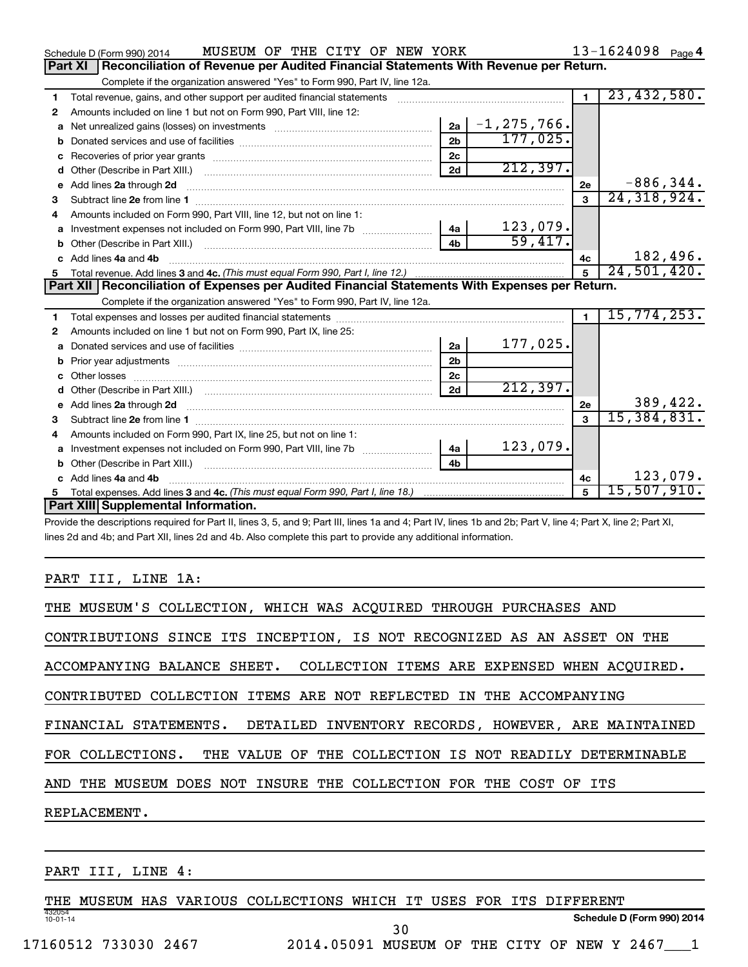|    | MUSEUM OF THE CITY OF NEW YORK<br>Schedule D (Form 990) 2014                                                                                                 |                |                 |                | $13 - 1624098$ Page 4 |          |
|----|--------------------------------------------------------------------------------------------------------------------------------------------------------------|----------------|-----------------|----------------|-----------------------|----------|
|    | Reconciliation of Revenue per Audited Financial Statements With Revenue per Return.<br>Part XI                                                               |                |                 |                |                       |          |
|    | Complete if the organization answered "Yes" to Form 990, Part IV, line 12a.                                                                                  |                |                 |                |                       |          |
| 1  | Total revenue, gains, and other support per audited financial statements [111] [11] Total revenue, gains, and other support per audited financial statements |                |                 | $\blacksquare$ | 23,432,580.           |          |
| 2  | Amounts included on line 1 but not on Form 990, Part VIII, line 12:                                                                                          |                |                 |                |                       |          |
| a  |                                                                                                                                                              | 2a             | $-1, 275, 766.$ |                |                       |          |
|    |                                                                                                                                                              | 2 <sub>b</sub> | 177,025.        |                |                       |          |
| с  |                                                                                                                                                              | 2 <sub>c</sub> |                 |                |                       |          |
| d  |                                                                                                                                                              | 2d             | 212,397.        |                |                       |          |
| е  | Add lines 2a through 2d                                                                                                                                      |                |                 | 2e             | $-886, 344.$          |          |
| 3  |                                                                                                                                                              |                |                 | $\mathbf{a}$   | 24, 318, 924.         |          |
|    | Amounts included on Form 990, Part VIII, line 12, but not on line 1:                                                                                         |                |                 |                |                       |          |
| a  | Investment expenses not included on Form 990, Part VIII, line 7b [100] [100] [100] [100] [100] [100] [100] [10                                               | 4a             | 123,079.        |                |                       |          |
|    |                                                                                                                                                              | 4 <sub>b</sub> | 59,417.         |                |                       |          |
|    | Add lines 4a and 4b                                                                                                                                          |                |                 | 4с             |                       | 182,496. |
| 5. |                                                                                                                                                              |                |                 | $\overline{5}$ | 24,501,420.           |          |
|    |                                                                                                                                                              |                |                 |                |                       |          |
|    | Part XII   Reconciliation of Expenses per Audited Financial Statements With Expenses per Return.                                                             |                |                 |                |                       |          |
|    | Complete if the organization answered "Yes" to Form 990, Part IV, line 12a.                                                                                  |                |                 |                |                       |          |
| 1  |                                                                                                                                                              |                |                 | $\blacksquare$ | 15,774,253.           |          |
| 2  | Amounts included on line 1 but not on Form 990, Part IX, line 25:                                                                                            |                |                 |                |                       |          |
| a  |                                                                                                                                                              | 2a             | 177,025.        |                |                       |          |
| b  |                                                                                                                                                              | 2 <sub>b</sub> |                 |                |                       |          |
|    |                                                                                                                                                              | 2 <sub>c</sub> |                 |                |                       |          |
|    | Other (Describe in Part XIII.) (COLORGIAL COMMODIAL CONTROL)                                                                                                 | 2d             | 212,397.        |                |                       |          |
| е  |                                                                                                                                                              |                |                 | 2e             |                       | 389,422. |
| 3  | Add lines 2a through 2d <b>[10]</b> [10] <b>Adding the Second Lines</b> 2a through 2d <b>[10] html</b>                                                       |                |                 | $\mathbf{R}$   | 15,384,831.           |          |
| 4  | Amounts included on Form 990, Part IX, line 25, but not on line 1:                                                                                           |                |                 |                |                       |          |
| a  |                                                                                                                                                              | 4a             | 123,079.        |                |                       |          |
|    |                                                                                                                                                              | 4 <sub>h</sub> |                 |                |                       |          |
|    | Add lines 4a and 4b                                                                                                                                          |                |                 | 4c             |                       | 123,079. |
| 5  | Part XIII Supplemental Information.                                                                                                                          |                |                 | 5              | 15,507,910.           |          |

Provide the descriptions required for Part II, lines 3, 5, and 9; Part III, lines 1a and 4; Part IV, lines 1b and 2b; Part V, line 4; Part X, line 2; Part XI, lines 2d and 4b; and Part XII, lines 2d and 4b. Also complete this part to provide any additional information.

#### PART III, LINE 1A:

| THE MUSEUM'S COLLECTION, WHICH WAS ACQUIRED THROUGH PURCHASES AND         |
|---------------------------------------------------------------------------|
| CONTRIBUTIONS SINCE ITS INCEPTION, IS NOT RECOGNIZED AS AN ASSET ON THE   |
| ACCOMPANYING BALANCE SHEET. COLLECTION ITEMS ARE EXPENSED WHEN ACOUIRED.  |
| CONTRIBUTED COLLECTION ITEMS ARE NOT REFLECTED IN THE ACCOMPANYING        |
| FINANCIAL STATEMENTS. DETAILED INVENTORY RECORDS, HOWEVER, ARE MAINTAINED |
| FOR COLLECTIONS. THE VALUE OF THE COLLECTION IS NOT READILY DETERMINABLE  |
| AND THE MUSEUM DOES NOT INSURE THE COLLECTION FOR THE COST OF ITS         |
| REPLACEMENT.                                                              |
|                                                                           |

PART III, LINE 4:

432054 10-01-14 **Schedule D (Form 990) 2014** THE MUSEUM HAS VARIOUS COLLECTIONS WHICH IT USES FOR ITS DIFFERENT 30

17160512 733030 2467 2014.05091 MUSEUM OF THE CITY OF NEW Y 2467\_\_\_1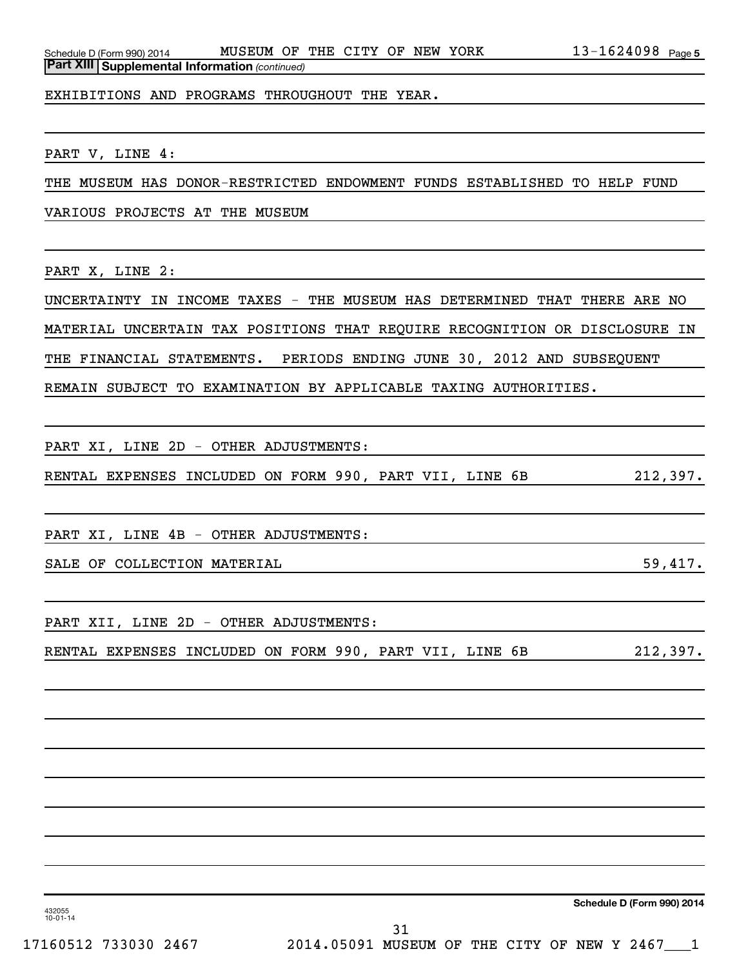EXHIBITIONS AND PROGRAMS THROUGHOUT THE YEAR.

PART V, LINE 4:

THE MUSEUM HAS DONOR-RESTRICTED ENDOWMENT FUNDS ESTABLISHED TO HELP FUND

VARIOUS PROJECTS AT THE MUSEUM

PART X, LINE 2:

UNCERTAINTY IN INCOME TAXES - THE MUSEUM HAS DETERMINED THAT THERE ARE NO MATERIAL UNCERTAIN TAX POSITIONS THAT REQUIRE RECOGNITION OR DISCLOSURE IN THE FINANCIAL STATEMENTS. PERIODS ENDING JUNE 30, 2012 AND SUBSEQUENT

REMAIN SUBJECT TO EXAMINATION BY APPLICABLE TAXING AUTHORITIES.

PART XI, LINE 2D - OTHER ADJUSTMENTS:

RENTAL EXPENSES INCLUDED ON FORM 990, PART VII, LINE 6B 212,397.

PART XI, LINE 4B - OTHER ADJUSTMENTS:

SALE OF COLLECTION MATERIAL **SALE OF SECULECTION** SALE SECULECTION

PART XII, LINE 2D - OTHER ADJUSTMENTS:

RENTAL EXPENSES INCLUDED ON FORM 990, PART VII, LINE 6B 212,397.

**Schedule D (Form 990) 2014**

432055 10-01-14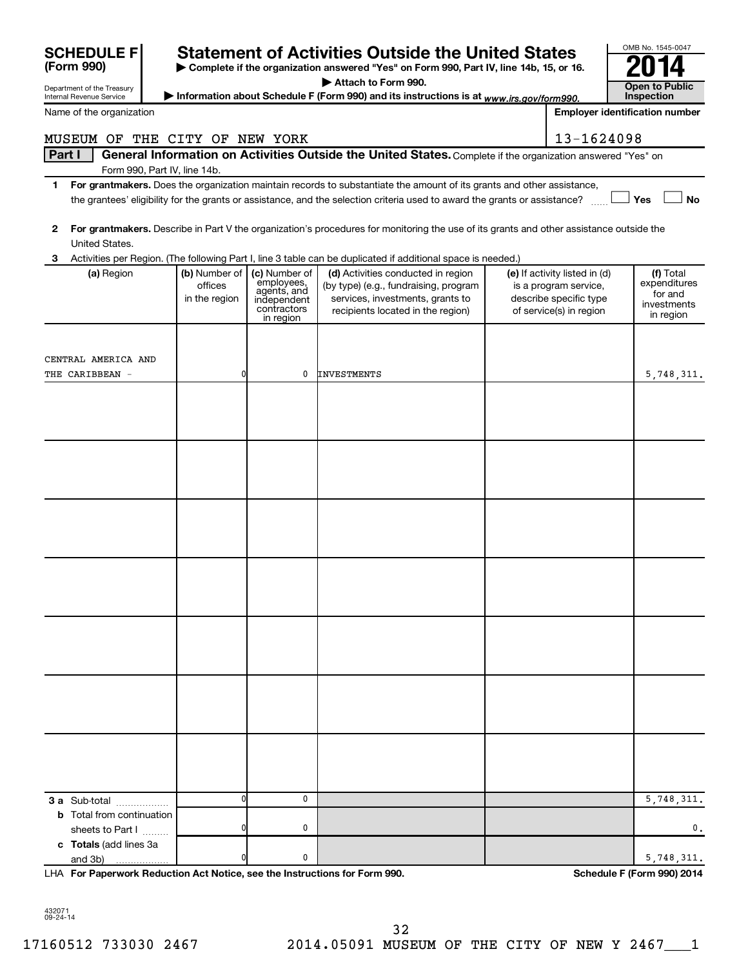| <b>SCHEDULE F</b>                                      |                                           |                                                                                       | <b>Statement of Activities Outside the United States</b>                                                                                             |                                                                                                             | OMB No. 1545-0047                                                |
|--------------------------------------------------------|-------------------------------------------|---------------------------------------------------------------------------------------|------------------------------------------------------------------------------------------------------------------------------------------------------|-------------------------------------------------------------------------------------------------------------|------------------------------------------------------------------|
| (Form 990)                                             |                                           |                                                                                       | > Complete if the organization answered "Yes" on Form 990, Part IV, line 14b, 15, or 16.                                                             |                                                                                                             |                                                                  |
|                                                        |                                           |                                                                                       | Attach to Form 990.                                                                                                                                  |                                                                                                             | <b>Open to Public</b>                                            |
| Department of the Treasury<br>Internal Revenue Service |                                           |                                                                                       | Information about Schedule F (Form 990) and its instructions is at www.irs.gov/form990.                                                              |                                                                                                             | Inspection                                                       |
| Name of the organization                               |                                           |                                                                                       |                                                                                                                                                      |                                                                                                             | <b>Employer identification number</b>                            |
| MUSEUM OF THE CITY OF NEW YORK                         |                                           |                                                                                       |                                                                                                                                                      | 13-1624098                                                                                                  |                                                                  |
| Part I                                                 |                                           |                                                                                       | General Information on Activities Outside the United States. Complete if the organization answered "Yes" on                                          |                                                                                                             |                                                                  |
| Form 990, Part IV, line 14b.                           |                                           |                                                                                       | For grantmakers. Does the organization maintain records to substantiate the amount of its grants and other assistance,                               |                                                                                                             |                                                                  |
| 1                                                      |                                           |                                                                                       | the grantees' eligibility for the grants or assistance, and the selection criteria used to award the grants or assistance?                           |                                                                                                             | No<br>Yes                                                        |
| 2<br>United States.                                    |                                           |                                                                                       | For grantmakers. Describe in Part V the organization's procedures for monitoring the use of its grants and other assistance outside the              |                                                                                                             |                                                                  |
| З.                                                     |                                           |                                                                                       | Activities per Region. (The following Part I, line 3 table can be duplicated if additional space is needed.)                                         |                                                                                                             |                                                                  |
| (a) Region                                             | (b) Number of<br>offices<br>in the region | (c) Number of<br>employees,<br>agents, and<br>independent<br>contractors<br>in region | (d) Activities conducted in region<br>(by type) (e.g., fundraising, program<br>services, investments, grants to<br>recipients located in the region) | (e) If activity listed in (d)<br>is a program service,<br>describe specific type<br>of service(s) in region | (f) Total<br>expenditures<br>for and<br>investments<br>in region |
|                                                        |                                           |                                                                                       |                                                                                                                                                      |                                                                                                             |                                                                  |
| CENTRAL AMERICA AND                                    |                                           |                                                                                       |                                                                                                                                                      |                                                                                                             |                                                                  |
| THE CARIBBEAN -                                        | ŋ                                         | 0                                                                                     | <b>INVESTMENTS</b>                                                                                                                                   |                                                                                                             | 5,748,311.                                                       |
|                                                        |                                           |                                                                                       |                                                                                                                                                      |                                                                                                             |                                                                  |
|                                                        |                                           |                                                                                       |                                                                                                                                                      |                                                                                                             |                                                                  |
|                                                        |                                           |                                                                                       |                                                                                                                                                      |                                                                                                             |                                                                  |
|                                                        |                                           |                                                                                       |                                                                                                                                                      |                                                                                                             |                                                                  |
|                                                        |                                           |                                                                                       |                                                                                                                                                      |                                                                                                             |                                                                  |
|                                                        |                                           |                                                                                       |                                                                                                                                                      |                                                                                                             |                                                                  |
|                                                        |                                           |                                                                                       |                                                                                                                                                      |                                                                                                             |                                                                  |
|                                                        |                                           |                                                                                       |                                                                                                                                                      |                                                                                                             |                                                                  |
|                                                        |                                           |                                                                                       |                                                                                                                                                      |                                                                                                             |                                                                  |
|                                                        |                                           |                                                                                       |                                                                                                                                                      |                                                                                                             |                                                                  |
|                                                        |                                           |                                                                                       |                                                                                                                                                      |                                                                                                             |                                                                  |
|                                                        |                                           |                                                                                       |                                                                                                                                                      |                                                                                                             |                                                                  |
|                                                        |                                           |                                                                                       |                                                                                                                                                      |                                                                                                             |                                                                  |
|                                                        |                                           |                                                                                       |                                                                                                                                                      |                                                                                                             |                                                                  |
|                                                        |                                           |                                                                                       |                                                                                                                                                      |                                                                                                             |                                                                  |
|                                                        |                                           |                                                                                       |                                                                                                                                                      |                                                                                                             |                                                                  |
|                                                        |                                           |                                                                                       |                                                                                                                                                      |                                                                                                             |                                                                  |
|                                                        |                                           |                                                                                       |                                                                                                                                                      |                                                                                                             |                                                                  |
|                                                        |                                           |                                                                                       |                                                                                                                                                      |                                                                                                             |                                                                  |
|                                                        |                                           |                                                                                       |                                                                                                                                                      |                                                                                                             |                                                                  |
|                                                        |                                           |                                                                                       |                                                                                                                                                      |                                                                                                             |                                                                  |
|                                                        |                                           |                                                                                       |                                                                                                                                                      |                                                                                                             |                                                                  |
|                                                        |                                           |                                                                                       |                                                                                                                                                      |                                                                                                             |                                                                  |
|                                                        |                                           |                                                                                       |                                                                                                                                                      |                                                                                                             |                                                                  |
|                                                        |                                           |                                                                                       |                                                                                                                                                      |                                                                                                             |                                                                  |
| 3 a Sub-total                                          | ŋ                                         | 0                                                                                     |                                                                                                                                                      |                                                                                                             | 5,748,311.                                                       |
| <b>b</b> Total from continuation                       |                                           |                                                                                       |                                                                                                                                                      |                                                                                                             |                                                                  |
| sheets to Part I                                       |                                           | 0                                                                                     |                                                                                                                                                      |                                                                                                             | 0.                                                               |
| c Totals (add lines 3a<br>and 3b)                      | ŋ                                         | 0                                                                                     |                                                                                                                                                      |                                                                                                             | 5,748,311.                                                       |
|                                                        |                                           |                                                                                       |                                                                                                                                                      |                                                                                                             |                                                                  |

**For Paperwork Reduction Act Notice, see the Instructions for Form 990. Schedule F (Form 990) 2014** LHA

OMB No. 1545-0047

432071 09-24-14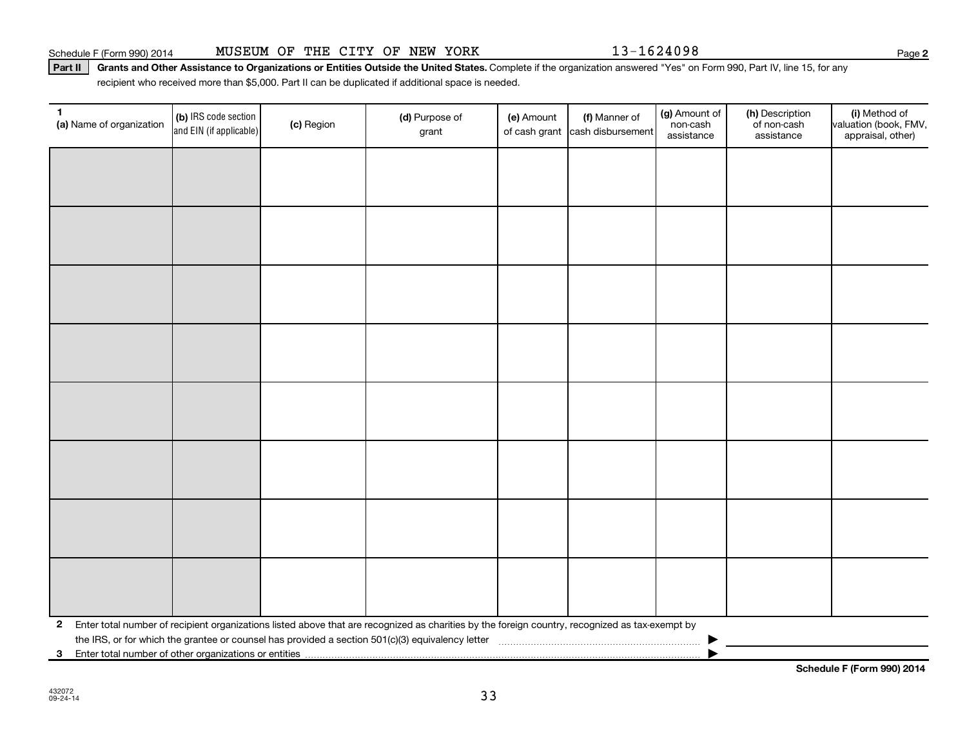**2**

Part II | Grants and Other Assistance to Organizations or Entities Outside the United States. Complete if the organization answered "Yes" on Form 990, Part IV, line 15, for any recipient who received more than \$5,000. Part II can be duplicated if additional space is needed.

| $\mathbf 1$<br>(a) Name of organization                 | (b) IRS code section<br>and EIN (if applicable) | (c) Region | (d) Purpose of<br>grant                                                                                                                         | (e) Amount | (f) Manner of<br>of cash grant cash disbursement | (g) Amount of<br>non-cash<br>assistance | (h) Description<br>of non-cash<br>assistance | (i) Method of<br>valuation (book, FMV,<br>appraisal, other) |
|---------------------------------------------------------|-------------------------------------------------|------------|-------------------------------------------------------------------------------------------------------------------------------------------------|------------|--------------------------------------------------|-----------------------------------------|----------------------------------------------|-------------------------------------------------------------|
|                                                         |                                                 |            |                                                                                                                                                 |            |                                                  |                                         |                                              |                                                             |
|                                                         |                                                 |            |                                                                                                                                                 |            |                                                  |                                         |                                              |                                                             |
|                                                         |                                                 |            |                                                                                                                                                 |            |                                                  |                                         |                                              |                                                             |
|                                                         |                                                 |            |                                                                                                                                                 |            |                                                  |                                         |                                              |                                                             |
|                                                         |                                                 |            |                                                                                                                                                 |            |                                                  |                                         |                                              |                                                             |
|                                                         |                                                 |            |                                                                                                                                                 |            |                                                  |                                         |                                              |                                                             |
|                                                         |                                                 |            |                                                                                                                                                 |            |                                                  |                                         |                                              |                                                             |
|                                                         |                                                 |            |                                                                                                                                                 |            |                                                  |                                         |                                              |                                                             |
|                                                         |                                                 |            |                                                                                                                                                 |            |                                                  |                                         |                                              |                                                             |
|                                                         |                                                 |            |                                                                                                                                                 |            |                                                  |                                         |                                              |                                                             |
|                                                         |                                                 |            |                                                                                                                                                 |            |                                                  |                                         |                                              |                                                             |
|                                                         |                                                 |            |                                                                                                                                                 |            |                                                  |                                         |                                              |                                                             |
|                                                         |                                                 |            |                                                                                                                                                 |            |                                                  |                                         |                                              |                                                             |
|                                                         |                                                 |            |                                                                                                                                                 |            |                                                  |                                         |                                              |                                                             |
|                                                         |                                                 |            |                                                                                                                                                 |            |                                                  |                                         |                                              |                                                             |
|                                                         |                                                 |            |                                                                                                                                                 |            |                                                  |                                         |                                              |                                                             |
| $\mathbf{2}$                                            |                                                 |            | Enter total number of recipient organizations listed above that are recognized as charities by the foreign country, recognized as tax-exempt by |            |                                                  |                                         |                                              |                                                             |
|                                                         |                                                 |            |                                                                                                                                                 |            |                                                  |                                         |                                              |                                                             |
| 3 Enter total number of other organizations or entities |                                                 |            |                                                                                                                                                 |            |                                                  |                                         |                                              |                                                             |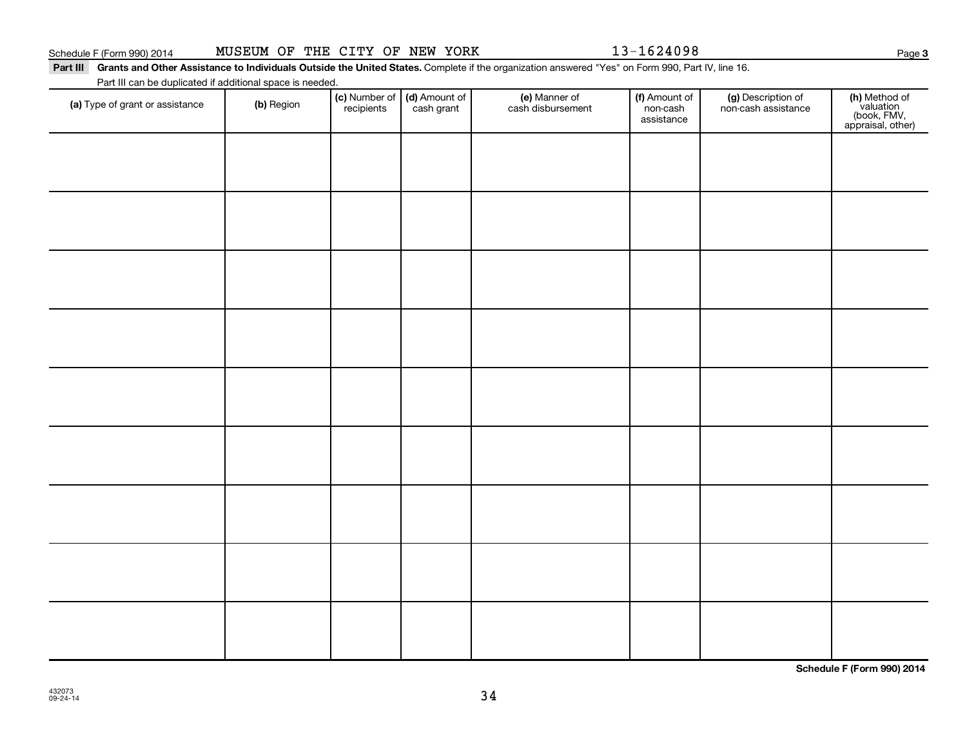Part III Grants and Other Assistance to Individuals Outside the United States. Complete if the organization answered "Yes" on Form 990, Part IV, line 16.

Part III can be duplicated if additional space is needed.

| (a) Type of grant or assistance | (b) Region | (c) Number of (d) Amount of recipients cash grant | (e) Manner of<br>cash disbursement | (f) Amount of<br>non-cash<br>assistance | (g) Description of<br>non-cash assistance | (h) Method of<br>valuation<br>(book, FMV,<br>appraisal, other) |
|---------------------------------|------------|---------------------------------------------------|------------------------------------|-----------------------------------------|-------------------------------------------|----------------------------------------------------------------|
|                                 |            |                                                   |                                    |                                         |                                           |                                                                |
|                                 |            |                                                   |                                    |                                         |                                           |                                                                |
|                                 |            |                                                   |                                    |                                         |                                           |                                                                |
|                                 |            |                                                   |                                    |                                         |                                           |                                                                |
|                                 |            |                                                   |                                    |                                         |                                           |                                                                |
|                                 |            |                                                   |                                    |                                         |                                           |                                                                |
|                                 |            |                                                   |                                    |                                         |                                           |                                                                |
|                                 |            |                                                   |                                    |                                         |                                           |                                                                |
|                                 |            |                                                   |                                    |                                         |                                           |                                                                |
|                                 |            |                                                   |                                    |                                         |                                           |                                                                |

**Schedule F (Form 990) 2014**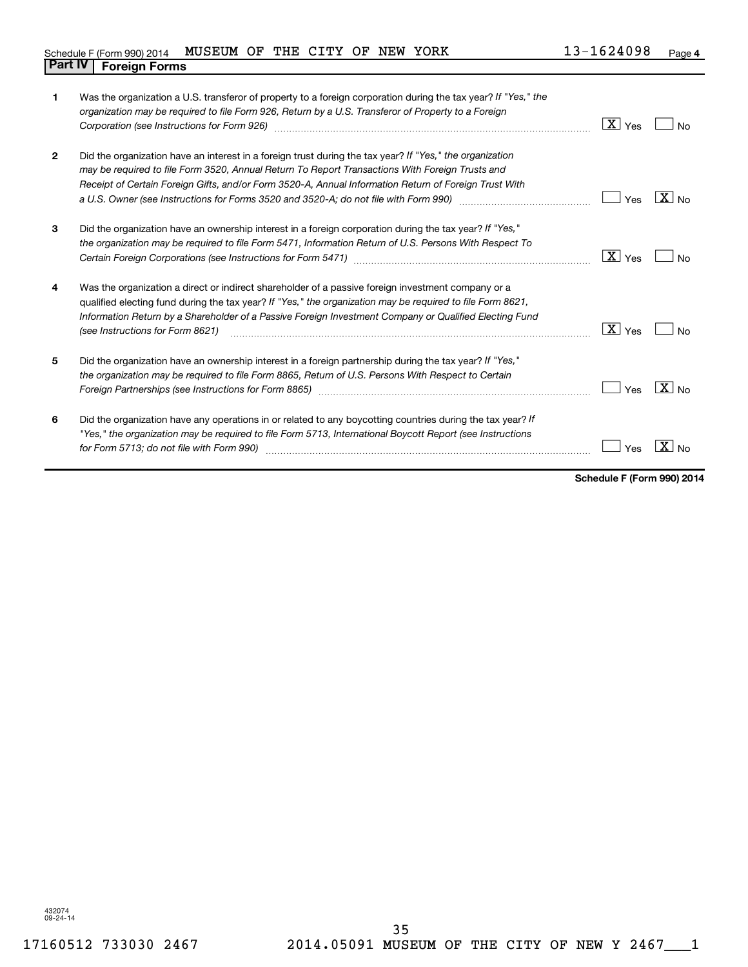| 1            | Was the organization a U.S. transferor of property to a foreign corporation during the tax year? If "Yes," the<br>organization may be required to file Form 926, Return by a U.S. Transferor of Property to a Foreign<br>Corporation (see Instructions for Form 926) manufactured control and the control of the control of the control of the control of the control of the control of the control of the control of the control of the control of the | $\boxed{\text{X}}$ Yes | No                  |
|--------------|---------------------------------------------------------------------------------------------------------------------------------------------------------------------------------------------------------------------------------------------------------------------------------------------------------------------------------------------------------------------------------------------------------------------------------------------------------|------------------------|---------------------|
| $\mathbf{2}$ | Did the organization have an interest in a foreign trust during the tax year? If "Yes," the organization<br>may be required to file Form 3520, Annual Return To Report Transactions With Foreign Trusts and<br>Receipt of Certain Foreign Gifts, and/or Form 3520-A, Annual Information Return of Foreign Trust With<br>a U.S. Owner (see Instructions for Forms 3520 and 3520-A; do not file with Form 990)                                            | Yes                    | $X \mid N_{\Omega}$ |
| 3            | Did the organization have an ownership interest in a foreign corporation during the tax year? If "Yes,"<br>the organization may be required to file Form 5471, Information Return of U.S. Persons With Respect To                                                                                                                                                                                                                                       | X  <br>Yes             | No                  |
| 4            | Was the organization a direct or indirect shareholder of a passive foreign investment company or a<br>qualified electing fund during the tax year? If "Yes," the organization may be required to file Form 8621,<br>Information Return by a Shareholder of a Passive Foreign Investment Company or Qualified Electing Fund<br>(see Instructions for Form 8621)                                                                                          | X <br>Yes              | No                  |
| 5            | Did the organization have an ownership interest in a foreign partnership during the tax year? If "Yes,"<br>the organization may be required to file Form 8865, Return of U.S. Persons With Respect to Certain<br>Foreign Partnerships (see Instructions for Form 8865)                                                                                                                                                                                  | Yes                    | $X _{N0}$           |
| 6            | Did the organization have any operations in or related to any boycotting countries during the tax year? If<br>"Yes," the organization may be required to file Form 5713, International Boycott Report (see Instructions<br>for Form 5713; do not file with Form 990)                                                                                                                                                                                    | Yes                    |                     |

**Schedule F (Form 990) 2014**

432074 09-24-14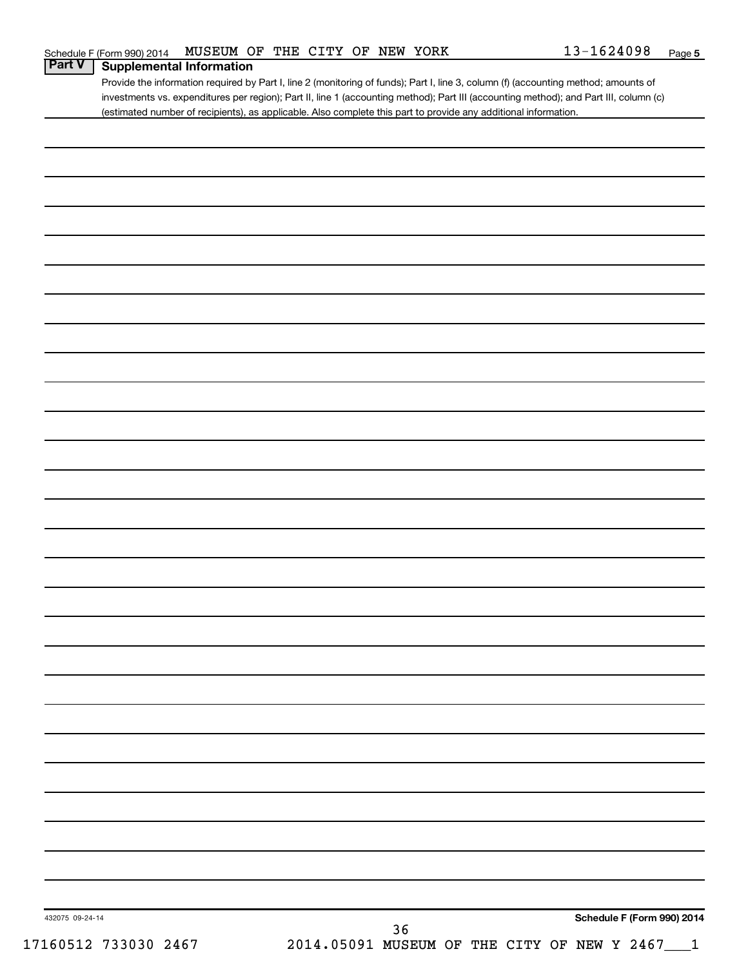Provide the information required by Part I, line 2 (monitoring of funds); Part I, line 3, column (f) (accounting method; amounts of investments vs. expenditures per region); Part II, line 1 (accounting method); Part III (accounting method); and Part III, column (c) (estimated number of recipients), as applicable. Also complete this part to provide any additional information.

| 432075 09-24-14<br>17160512 733030 2467 | 2014.05091 MUSEUM OF THE CITY OF NEW Y 2467___1 | $36$ |  | Schedule F (Form 990) 2014 |  |
|-----------------------------------------|-------------------------------------------------|------|--|----------------------------|--|
|                                         |                                                 |      |  |                            |  |
|                                         |                                                 |      |  |                            |  |
|                                         |                                                 |      |  |                            |  |
|                                         |                                                 |      |  |                            |  |
|                                         |                                                 |      |  |                            |  |
|                                         |                                                 |      |  |                            |  |
|                                         |                                                 |      |  |                            |  |
|                                         |                                                 |      |  |                            |  |
|                                         |                                                 |      |  |                            |  |
|                                         |                                                 |      |  |                            |  |
|                                         |                                                 |      |  |                            |  |
|                                         |                                                 |      |  |                            |  |
|                                         |                                                 |      |  |                            |  |
|                                         |                                                 |      |  |                            |  |
|                                         |                                                 |      |  |                            |  |
|                                         |                                                 |      |  |                            |  |
|                                         |                                                 |      |  |                            |  |
|                                         |                                                 |      |  |                            |  |
|                                         |                                                 |      |  |                            |  |
|                                         |                                                 |      |  |                            |  |
|                                         |                                                 |      |  |                            |  |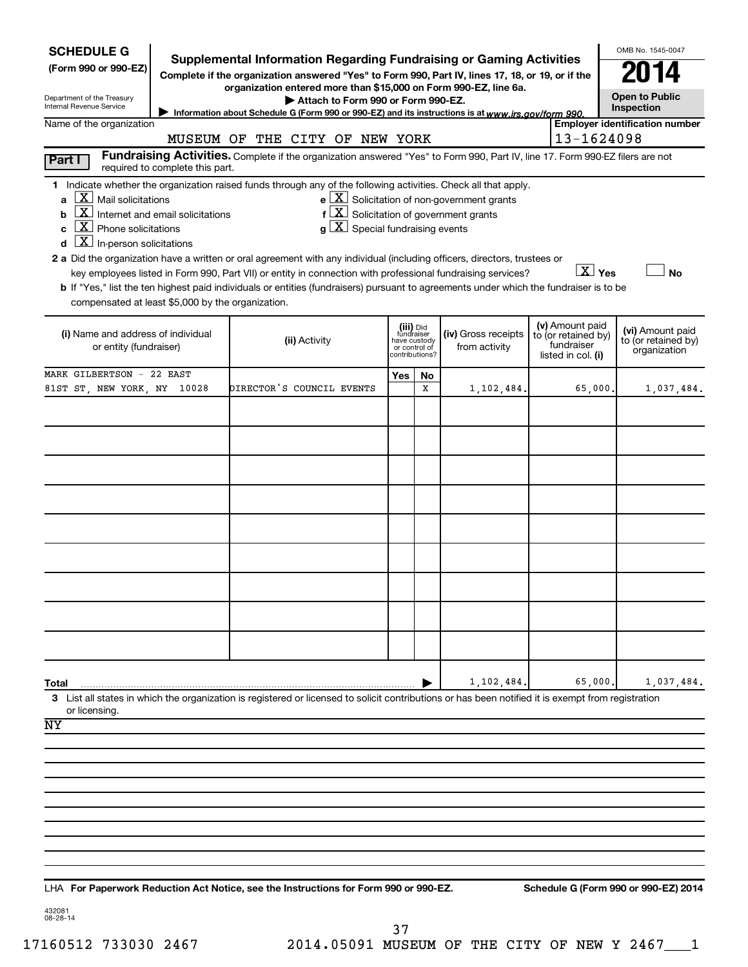| <b>SCHEDULE G</b>                                                                                                                                                                                                                                                                                                                                                                                                                                                                                                                                                                                                                                                                                                 | Supplemental Information Regarding Fundraising or Gaming Activities                                                           |                                                                            |    |                                                              |                                                                            | OMB No. 1545-0047                                       |
|-------------------------------------------------------------------------------------------------------------------------------------------------------------------------------------------------------------------------------------------------------------------------------------------------------------------------------------------------------------------------------------------------------------------------------------------------------------------------------------------------------------------------------------------------------------------------------------------------------------------------------------------------------------------------------------------------------------------|-------------------------------------------------------------------------------------------------------------------------------|----------------------------------------------------------------------------|----|--------------------------------------------------------------|----------------------------------------------------------------------------|---------------------------------------------------------|
| (Form 990 or 990-EZ)                                                                                                                                                                                                                                                                                                                                                                                                                                                                                                                                                                                                                                                                                              | Complete if the organization answered "Yes" to Form 990, Part IV, lines 17, 18, or 19, or if the                              |                                                                            |    |                                                              |                                                                            |                                                         |
| Department of the Treasury<br>Internal Revenue Service                                                                                                                                                                                                                                                                                                                                                                                                                                                                                                                                                                                                                                                            | organization entered more than \$15,000 on Form 990-EZ, line 6a.<br>Attach to Form 990 or Form 990-EZ.                        |                                                                            |    |                                                              |                                                                            | <b>Open to Public</b><br>Inspection                     |
| Name of the organization                                                                                                                                                                                                                                                                                                                                                                                                                                                                                                                                                                                                                                                                                          | Information about Schedule G (Form 990 or 990-EZ) and its instructions is at www.irs.gov/form 990.                            |                                                                            |    |                                                              |                                                                            | <b>Employer identification number</b>                   |
|                                                                                                                                                                                                                                                                                                                                                                                                                                                                                                                                                                                                                                                                                                                   | MUSEUM OF THE CITY OF NEW YORK                                                                                                |                                                                            |    |                                                              | 13-1624098                                                                 |                                                         |
| Part I<br>required to complete this part.                                                                                                                                                                                                                                                                                                                                                                                                                                                                                                                                                                                                                                                                         | Fundraising Activities. Complete if the organization answered "Yes" to Form 990, Part IV, line 17. Form 990-EZ filers are not |                                                                            |    |                                                              |                                                                            |                                                         |
| 1 Indicate whether the organization raised funds through any of the following activities. Check all that apply.<br>$X$ Mail solicitations<br>Internet and email solicitations<br>$\overline{X}$ Phone solicitations<br>$\overline{\mathbf{X}}$ In-person solicitations<br>2 a Did the organization have a written or oral agreement with any individual (including officers, directors, trustees or<br>key employees listed in Form 990, Part VII) or entity in connection with professional fundraising services?<br>b If "Yes," list the ten highest paid individuals or entities (fundraisers) pursuant to agreements under which the fundraiser is to be<br>compensated at least \$5,000 by the organization. | $f\left[\frac{X}{X}\right]$ Solicitation of government grants<br>$g\mid X$ Special fundraising events                         |                                                                            |    | $e$ $\boxed{\text{X}}$ Solicitation of non-government grants | $\boxed{\text{X}}$ Yes                                                     | <b>No</b>                                               |
| (i) Name and address of individual<br>or entity (fundraiser)                                                                                                                                                                                                                                                                                                                                                                                                                                                                                                                                                                                                                                                      | (ii) Activity                                                                                                                 | (iii) Did<br>fundraiser<br>have custody<br>or control of<br>contributions? |    | (iv) Gross receipts<br>from activity                         | (v) Amount paid<br>to (or retained by)<br>fundraiser<br>listed in col. (i) | (vi) Amount paid<br>to (or retained by)<br>organization |
| MARK GILBERTSON - 22 EAST                                                                                                                                                                                                                                                                                                                                                                                                                                                                                                                                                                                                                                                                                         |                                                                                                                               | Yes                                                                        | No |                                                              |                                                                            |                                                         |
| 81ST ST, NEW YORK, NY 10028                                                                                                                                                                                                                                                                                                                                                                                                                                                                                                                                                                                                                                                                                       | DIRECTOR'S COUNCIL EVENTS                                                                                                     |                                                                            | x  | 1,102,484.                                                   | 65,000                                                                     | 1,037,484.                                              |
|                                                                                                                                                                                                                                                                                                                                                                                                                                                                                                                                                                                                                                                                                                                   |                                                                                                                               |                                                                            |    |                                                              |                                                                            |                                                         |
|                                                                                                                                                                                                                                                                                                                                                                                                                                                                                                                                                                                                                                                                                                                   |                                                                                                                               |                                                                            |    |                                                              |                                                                            |                                                         |
|                                                                                                                                                                                                                                                                                                                                                                                                                                                                                                                                                                                                                                                                                                                   |                                                                                                                               |                                                                            |    |                                                              |                                                                            |                                                         |
|                                                                                                                                                                                                                                                                                                                                                                                                                                                                                                                                                                                                                                                                                                                   |                                                                                                                               |                                                                            |    |                                                              |                                                                            |                                                         |
|                                                                                                                                                                                                                                                                                                                                                                                                                                                                                                                                                                                                                                                                                                                   |                                                                                                                               |                                                                            |    |                                                              |                                                                            |                                                         |
|                                                                                                                                                                                                                                                                                                                                                                                                                                                                                                                                                                                                                                                                                                                   |                                                                                                                               |                                                                            |    |                                                              |                                                                            |                                                         |
|                                                                                                                                                                                                                                                                                                                                                                                                                                                                                                                                                                                                                                                                                                                   |                                                                                                                               |                                                                            |    |                                                              |                                                                            |                                                         |
|                                                                                                                                                                                                                                                                                                                                                                                                                                                                                                                                                                                                                                                                                                                   |                                                                                                                               |                                                                            |    |                                                              |                                                                            |                                                         |
|                                                                                                                                                                                                                                                                                                                                                                                                                                                                                                                                                                                                                                                                                                                   |                                                                                                                               |                                                                            |    |                                                              |                                                                            |                                                         |
|                                                                                                                                                                                                                                                                                                                                                                                                                                                                                                                                                                                                                                                                                                                   |                                                                                                                               |                                                                            |    |                                                              |                                                                            |                                                         |
|                                                                                                                                                                                                                                                                                                                                                                                                                                                                                                                                                                                                                                                                                                                   |                                                                                                                               |                                                                            |    |                                                              |                                                                            |                                                         |
|                                                                                                                                                                                                                                                                                                                                                                                                                                                                                                                                                                                                                                                                                                                   |                                                                                                                               |                                                                            |    |                                                              |                                                                            |                                                         |
| Total                                                                                                                                                                                                                                                                                                                                                                                                                                                                                                                                                                                                                                                                                                             |                                                                                                                               |                                                                            |    | 1,102,484.                                                   | 65,000                                                                     | 1,037,484.                                              |
| 3 List all states in which the organization is registered or licensed to solicit contributions or has been notified it is exempt from registration<br>or licensing                                                                                                                                                                                                                                                                                                                                                                                                                                                                                                                                                |                                                                                                                               |                                                                            |    |                                                              |                                                                            |                                                         |
| NY                                                                                                                                                                                                                                                                                                                                                                                                                                                                                                                                                                                                                                                                                                                |                                                                                                                               |                                                                            |    |                                                              |                                                                            |                                                         |
|                                                                                                                                                                                                                                                                                                                                                                                                                                                                                                                                                                                                                                                                                                                   |                                                                                                                               |                                                                            |    |                                                              |                                                                            |                                                         |
|                                                                                                                                                                                                                                                                                                                                                                                                                                                                                                                                                                                                                                                                                                                   |                                                                                                                               |                                                                            |    |                                                              |                                                                            |                                                         |
|                                                                                                                                                                                                                                                                                                                                                                                                                                                                                                                                                                                                                                                                                                                   |                                                                                                                               |                                                                            |    |                                                              |                                                                            |                                                         |
|                                                                                                                                                                                                                                                                                                                                                                                                                                                                                                                                                                                                                                                                                                                   |                                                                                                                               |                                                                            |    |                                                              |                                                                            |                                                         |
|                                                                                                                                                                                                                                                                                                                                                                                                                                                                                                                                                                                                                                                                                                                   |                                                                                                                               |                                                                            |    |                                                              |                                                                            |                                                         |
|                                                                                                                                                                                                                                                                                                                                                                                                                                                                                                                                                                                                                                                                                                                   |                                                                                                                               |                                                                            |    |                                                              |                                                                            |                                                         |
| LHA For Paperwork Reduction Act Notice, see the Instructions for Form 990 or 990-EZ.                                                                                                                                                                                                                                                                                                                                                                                                                                                                                                                                                                                                                              |                                                                                                                               |                                                                            |    |                                                              |                                                                            | Schedule G (Form 990 or 990-EZ) 2014                    |

432081 08-28-14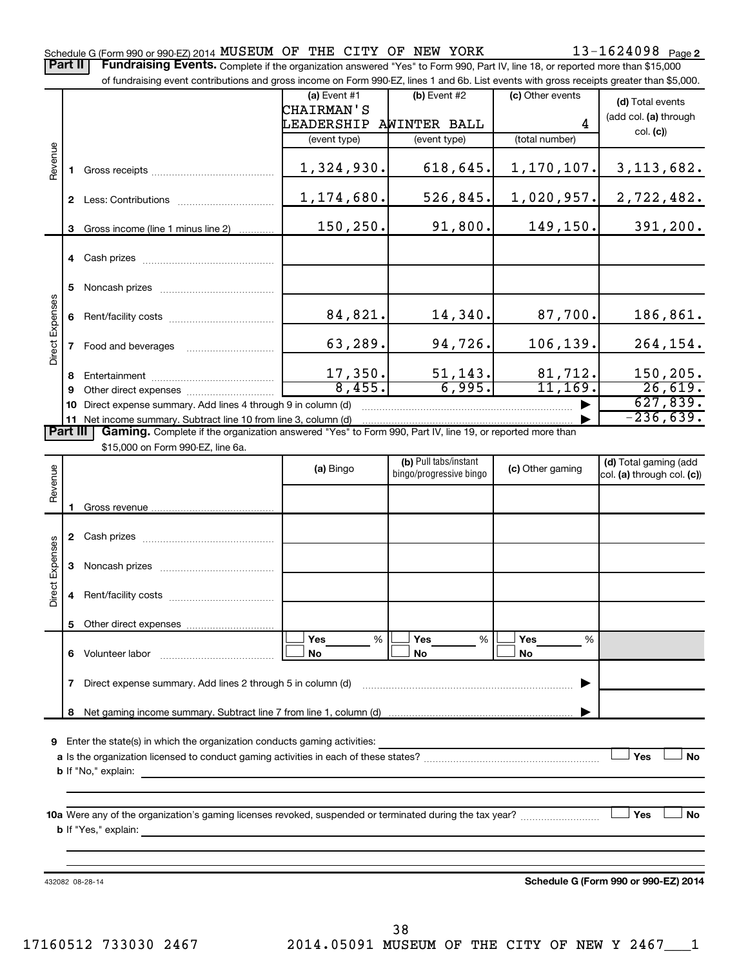Part II | Fundraising Events. Complete if the organization answered "Yes" to Form 990, Part IV, line 18, or reported more than \$15,000

|                 |                                                                                                                      | of fundraising event contributions and gross income on Form 990-EZ, lines 1 and 6b. List events with gross receipts greater than \$5,000. |              |                                                  |                  |                            |  |  |  |  |  |  |
|-----------------|----------------------------------------------------------------------------------------------------------------------|-------------------------------------------------------------------------------------------------------------------------------------------|--------------|--------------------------------------------------|------------------|----------------------------|--|--|--|--|--|--|
|                 |                                                                                                                      |                                                                                                                                           | (a) Event #1 | (b) Event #2                                     | (c) Other events | (d) Total events           |  |  |  |  |  |  |
|                 |                                                                                                                      |                                                                                                                                           | CHAIRMAN'S   |                                                  |                  | (add col. (a) through      |  |  |  |  |  |  |
|                 |                                                                                                                      |                                                                                                                                           | LEADERSHIP   | AWINTER BALL                                     | 4                | col. (c)                   |  |  |  |  |  |  |
|                 |                                                                                                                      |                                                                                                                                           | (event type) | (event type)                                     | (total number)   |                            |  |  |  |  |  |  |
| Revenue         |                                                                                                                      |                                                                                                                                           |              |                                                  |                  |                            |  |  |  |  |  |  |
|                 |                                                                                                                      |                                                                                                                                           | 1,324,930.   | 618,645.                                         | 1,170,107.       | 3, 113, 682.               |  |  |  |  |  |  |
|                 |                                                                                                                      |                                                                                                                                           |              |                                                  |                  |                            |  |  |  |  |  |  |
|                 |                                                                                                                      |                                                                                                                                           | 1,174,680.   | 526,845.                                         | 1,020,957.       | 2,722,482.                 |  |  |  |  |  |  |
|                 | 3                                                                                                                    | Gross income (line 1 minus line 2)                                                                                                        | 150,250.     | 91,800.                                          | 149, 150.        | 391, 200.                  |  |  |  |  |  |  |
|                 |                                                                                                                      |                                                                                                                                           |              |                                                  |                  |                            |  |  |  |  |  |  |
|                 |                                                                                                                      |                                                                                                                                           |              |                                                  |                  |                            |  |  |  |  |  |  |
|                 |                                                                                                                      |                                                                                                                                           |              |                                                  |                  |                            |  |  |  |  |  |  |
|                 | 5                                                                                                                    |                                                                                                                                           |              |                                                  |                  |                            |  |  |  |  |  |  |
|                 |                                                                                                                      |                                                                                                                                           |              |                                                  |                  |                            |  |  |  |  |  |  |
| Expenses        |                                                                                                                      |                                                                                                                                           | 84,821.      | 14,340.                                          | 87,700.          | 186,861.                   |  |  |  |  |  |  |
|                 |                                                                                                                      |                                                                                                                                           |              | 94,726.                                          |                  |                            |  |  |  |  |  |  |
| Direct I        |                                                                                                                      | 7 Food and beverages                                                                                                                      | 63,289.      |                                                  | 106, 139.        | 264,154.                   |  |  |  |  |  |  |
|                 | 8.                                                                                                                   |                                                                                                                                           | 17,350.      | 51, 143.                                         | 81,712.          | 150,205.                   |  |  |  |  |  |  |
|                 | 9                                                                                                                    |                                                                                                                                           | 8,455.       | 6,995.                                           | 11, 169.         | 26,619.                    |  |  |  |  |  |  |
|                 |                                                                                                                      | 10 Direct expense summary. Add lines 4 through 9 in column (d)                                                                            |              |                                                  |                  | 627,839.                   |  |  |  |  |  |  |
|                 |                                                                                                                      | 11 Net income summary. Subtract line 10 from line 3, column (d)                                                                           |              |                                                  |                  | $-236,639.$                |  |  |  |  |  |  |
|                 | Part III<br>Gaming. Complete if the organization answered "Yes" to Form 990, Part IV, line 19, or reported more than |                                                                                                                                           |              |                                                  |                  |                            |  |  |  |  |  |  |
|                 |                                                                                                                      | \$15,000 on Form 990-EZ, line 6a.                                                                                                         |              |                                                  |                  |                            |  |  |  |  |  |  |
|                 |                                                                                                                      |                                                                                                                                           | (a) Bingo    | (b) Pull tabs/instant<br>bingo/progressive bingo | (c) Other gaming | (d) Total gaming (add      |  |  |  |  |  |  |
| Revenue         |                                                                                                                      |                                                                                                                                           |              |                                                  |                  | col. (a) through col. (c)) |  |  |  |  |  |  |
|                 |                                                                                                                      |                                                                                                                                           |              |                                                  |                  |                            |  |  |  |  |  |  |
|                 |                                                                                                                      |                                                                                                                                           |              |                                                  |                  |                            |  |  |  |  |  |  |
|                 |                                                                                                                      |                                                                                                                                           |              |                                                  |                  |                            |  |  |  |  |  |  |
|                 |                                                                                                                      |                                                                                                                                           |              |                                                  |                  |                            |  |  |  |  |  |  |
| Direct Expenses | 3                                                                                                                    |                                                                                                                                           |              |                                                  |                  |                            |  |  |  |  |  |  |
|                 |                                                                                                                      |                                                                                                                                           |              |                                                  |                  |                            |  |  |  |  |  |  |
|                 | 4                                                                                                                    |                                                                                                                                           |              |                                                  |                  |                            |  |  |  |  |  |  |
|                 |                                                                                                                      |                                                                                                                                           |              |                                                  |                  |                            |  |  |  |  |  |  |
|                 | 5                                                                                                                    |                                                                                                                                           | Yes<br>%     | Yes<br>%                                         | Yes              |                            |  |  |  |  |  |  |
|                 |                                                                                                                      | 6 Volunteer labor                                                                                                                         | No           | No                                               | %<br>No          |                            |  |  |  |  |  |  |
|                 |                                                                                                                      |                                                                                                                                           |              |                                                  |                  |                            |  |  |  |  |  |  |
|                 | $\mathbf{7}$                                                                                                         | Direct expense summary. Add lines 2 through 5 in column (d)                                                                               |              |                                                  |                  |                            |  |  |  |  |  |  |
|                 |                                                                                                                      |                                                                                                                                           |              |                                                  |                  |                            |  |  |  |  |  |  |
|                 | 8                                                                                                                    |                                                                                                                                           |              |                                                  |                  |                            |  |  |  |  |  |  |
|                 |                                                                                                                      |                                                                                                                                           |              |                                                  |                  |                            |  |  |  |  |  |  |
|                 |                                                                                                                      | 9 Enter the state(s) in which the organization conducts gaming activities:                                                                |              |                                                  |                  |                            |  |  |  |  |  |  |
|                 |                                                                                                                      |                                                                                                                                           |              |                                                  |                  | Yes<br><b>No</b>           |  |  |  |  |  |  |
|                 |                                                                                                                      |                                                                                                                                           |              |                                                  |                  |                            |  |  |  |  |  |  |
|                 |                                                                                                                      |                                                                                                                                           |              |                                                  |                  |                            |  |  |  |  |  |  |
|                 |                                                                                                                      | 10a Were any of the organization's gaming licenses revoked, suspended or terminated during the tax year?                                  |              |                                                  |                  | Yes<br><b>No</b>           |  |  |  |  |  |  |
|                 |                                                                                                                      | <b>b</b> If "Yes," explain:                                                                                                               |              |                                                  |                  |                            |  |  |  |  |  |  |
|                 |                                                                                                                      |                                                                                                                                           |              |                                                  |                  |                            |  |  |  |  |  |  |
|                 |                                                                                                                      |                                                                                                                                           |              |                                                  |                  |                            |  |  |  |  |  |  |
|                 |                                                                                                                      |                                                                                                                                           |              |                                                  |                  |                            |  |  |  |  |  |  |

432082 08-28-14

**Schedule G (Form 990 or 990-EZ) 2014**

38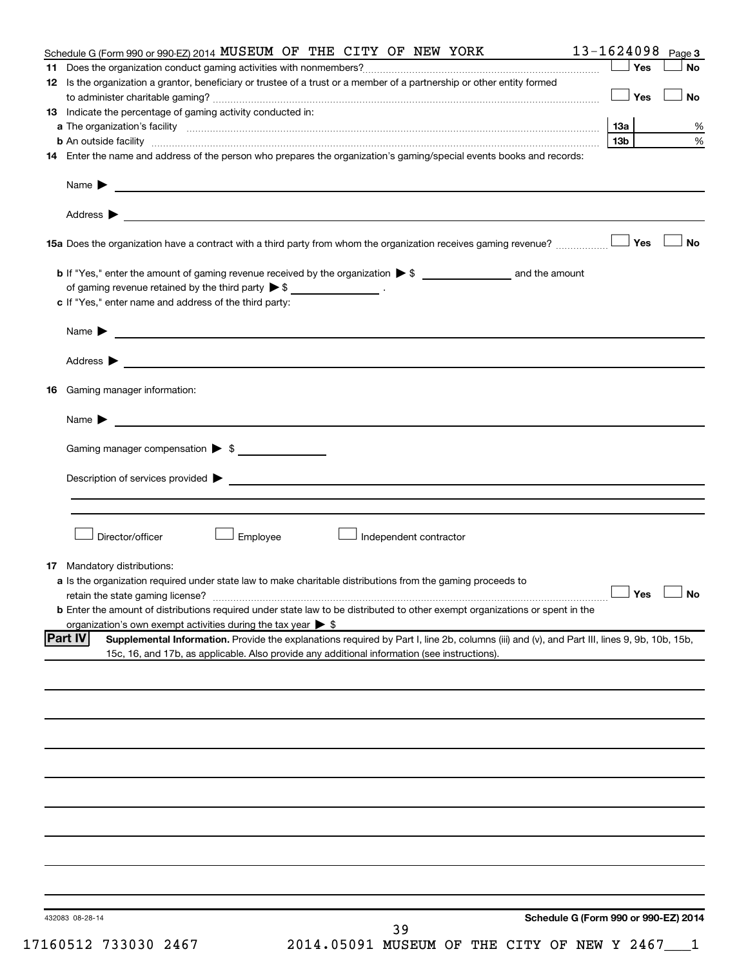| Schedule G (Form 990 or 990-EZ) 2014 MUSEUM OF THE CITY OF NEW YORK                                                                                                                                                 | 13-1624098      |       | Page 3               |
|---------------------------------------------------------------------------------------------------------------------------------------------------------------------------------------------------------------------|-----------------|-------|----------------------|
|                                                                                                                                                                                                                     |                 | ∫ Yes | <b>No</b>            |
| 12 Is the organization a grantor, beneficiary or trustee of a trust or a member of a partnership or other entity formed                                                                                             |                 |       |                      |
|                                                                                                                                                                                                                     |                 | ⊥ Yes | <b>No</b>            |
| 13 Indicate the percentage of gaming activity conducted in:                                                                                                                                                         |                 |       |                      |
|                                                                                                                                                                                                                     |                 |       | %                    |
|                                                                                                                                                                                                                     | 13 <sub>b</sub> |       | $\%$                 |
| 14 Enter the name and address of the person who prepares the organization's gaming/special events books and records:                                                                                                |                 |       |                      |
|                                                                                                                                                                                                                     |                 |       |                      |
| Address ><br><u>and the contract of the contract of the contract of the contract of the contract of the contract of the contract of</u>                                                                             |                 |       |                      |
|                                                                                                                                                                                                                     |                 |       | <b>No</b>            |
|                                                                                                                                                                                                                     |                 |       |                      |
| of gaming revenue retained by the third party $\triangleright$ \$ _________________.                                                                                                                                |                 |       |                      |
| c If "Yes," enter name and address of the third party:                                                                                                                                                              |                 |       |                      |
| Name $\blacktriangleright$ $\frac{1}{\sqrt{1-\frac{1}{2}}\left(1-\frac{1}{2}\right)}$                                                                                                                               |                 |       |                      |
|                                                                                                                                                                                                                     |                 |       |                      |
|                                                                                                                                                                                                                     |                 |       |                      |
| 16 Gaming manager information:                                                                                                                                                                                      |                 |       |                      |
| Name $\triangleright$                                                                                                                                                                                               |                 |       |                      |
| Gaming manager compensation > \$                                                                                                                                                                                    |                 |       |                      |
|                                                                                                                                                                                                                     |                 |       |                      |
|                                                                                                                                                                                                                     |                 |       |                      |
|                                                                                                                                                                                                                     |                 |       |                      |
| Director/officer<br>Employee<br>Independent contractor                                                                                                                                                              |                 |       |                      |
|                                                                                                                                                                                                                     |                 |       |                      |
| <b>17</b> Mandatory distributions:                                                                                                                                                                                  |                 |       |                      |
| a Is the organization required under state law to make charitable distributions from the gaming proceeds to                                                                                                         |                 |       | $\Box$ Yes $\Box$ No |
|                                                                                                                                                                                                                     |                 |       |                      |
| <b>b</b> Enter the amount of distributions required under state law to be distributed to other exempt organizations or spent in the<br>organization's own exempt activities during the tax year $\triangleright$ \$ |                 |       |                      |
| <b>Part IV</b><br>Supplemental Information. Provide the explanations required by Part I, line 2b, columns (iii) and (v), and Part III, lines 9, 9b, 10b, 15b,                                                       |                 |       |                      |
| 15c, 16, and 17b, as applicable. Also provide any additional information (see instructions).                                                                                                                        |                 |       |                      |
|                                                                                                                                                                                                                     |                 |       |                      |
|                                                                                                                                                                                                                     |                 |       |                      |
|                                                                                                                                                                                                                     |                 |       |                      |
|                                                                                                                                                                                                                     |                 |       |                      |
|                                                                                                                                                                                                                     |                 |       |                      |
|                                                                                                                                                                                                                     |                 |       |                      |
|                                                                                                                                                                                                                     |                 |       |                      |
|                                                                                                                                                                                                                     |                 |       |                      |
|                                                                                                                                                                                                                     |                 |       |                      |
|                                                                                                                                                                                                                     |                 |       |                      |
|                                                                                                                                                                                                                     |                 |       |                      |
|                                                                                                                                                                                                                     |                 |       |                      |
| Schedule G (Form 990 or 990-EZ) 2014<br>432083 08-28-14                                                                                                                                                             |                 |       |                      |
| 39                                                                                                                                                                                                                  |                 |       |                      |

17160512 733030 2467 2014.05091 MUSEUM OF THE CITY OF NEW Y 2467\_\_\_1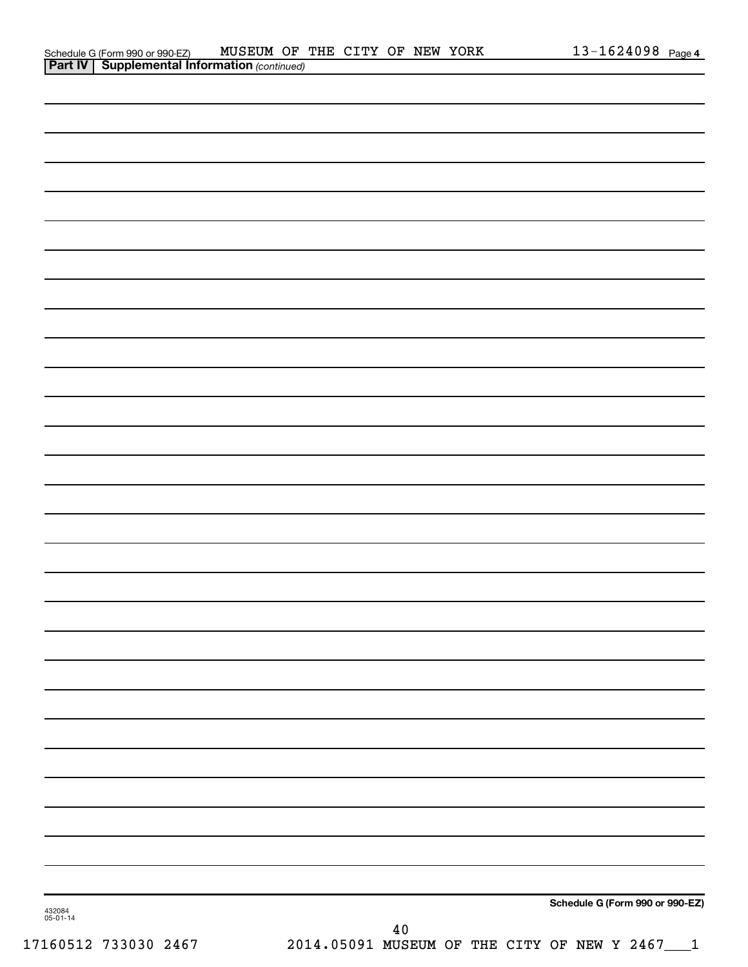| Schedule G (Form 990 or 990-EZ)                       | MUSEUM OF THE CITY OF NEW YORK |  |  |  | $13 - 1624098$ Page 4 |  |
|-------------------------------------------------------|--------------------------------|--|--|--|-----------------------|--|
| <b>Part IV   Supplemental Information (continued)</b> |                                |  |  |  |                       |  |

| 432084<br>05-01-14 | Schedule G (Form 990 or 990-EZ)<br>$40$<br>17160512 733030 2467 2014.05091 MUSEUM OF THE CITY OF NEW Y 2467 1 |
|--------------------|---------------------------------------------------------------------------------------------------------------|
|                    |                                                                                                               |
|                    |                                                                                                               |
|                    |                                                                                                               |
|                    |                                                                                                               |
|                    |                                                                                                               |
|                    |                                                                                                               |
|                    |                                                                                                               |
|                    |                                                                                                               |
|                    |                                                                                                               |
|                    |                                                                                                               |
|                    |                                                                                                               |
|                    |                                                                                                               |
|                    |                                                                                                               |
|                    |                                                                                                               |
|                    |                                                                                                               |
|                    |                                                                                                               |
|                    |                                                                                                               |
|                    |                                                                                                               |
|                    |                                                                                                               |
|                    |                                                                                                               |
|                    |                                                                                                               |
|                    |                                                                                                               |
|                    |                                                                                                               |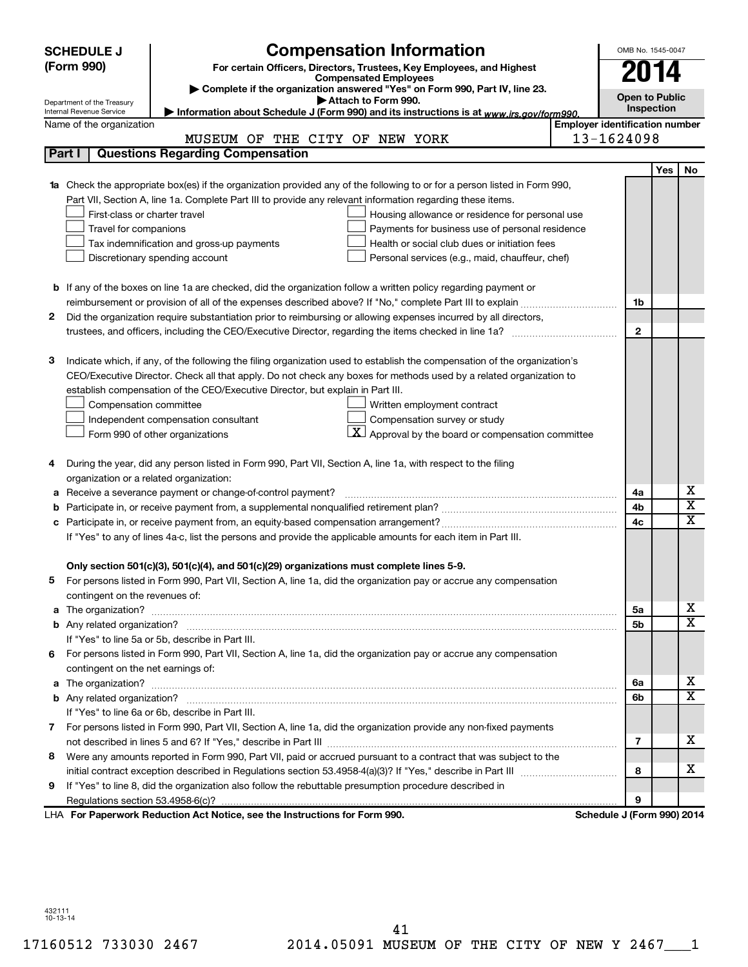|    | <b>SCHEDULE J</b>                                      | <b>Compensation Information</b>                                                                                                                                                                               |                                       | OMB No. 1545-0047          |            |                              |
|----|--------------------------------------------------------|---------------------------------------------------------------------------------------------------------------------------------------------------------------------------------------------------------------|---------------------------------------|----------------------------|------------|------------------------------|
|    | (Form 990)                                             | For certain Officers, Directors, Trustees, Key Employees, and Highest                                                                                                                                         |                                       |                            |            |                              |
|    |                                                        | <b>Compensated Employees</b>                                                                                                                                                                                  |                                       | 2014                       |            |                              |
|    |                                                        | Complete if the organization answered "Yes" on Form 990, Part IV, line 23.<br>Attach to Form 990.                                                                                                             |                                       | <b>Open to Public</b>      |            |                              |
|    | Department of the Treasury<br>Internal Revenue Service | Information about Schedule J (Form 990) and its instructions is at www.irs.gov/form990.                                                                                                                       |                                       | Inspection                 |            |                              |
|    | Name of the organization                               |                                                                                                                                                                                                               | <b>Employer identification number</b> |                            |            |                              |
|    |                                                        | MUSEUM OF THE CITY OF NEW YORK                                                                                                                                                                                |                                       | 13-1624098                 |            |                              |
|    | Part I                                                 | <b>Questions Regarding Compensation</b>                                                                                                                                                                       |                                       |                            |            |                              |
|    |                                                        |                                                                                                                                                                                                               |                                       |                            | <b>Yes</b> | No                           |
| 1a |                                                        | Check the appropriate box(es) if the organization provided any of the following to or for a person listed in Form 990,                                                                                        |                                       |                            |            |                              |
|    |                                                        | Part VII, Section A, line 1a. Complete Part III to provide any relevant information regarding these items.                                                                                                    |                                       |                            |            |                              |
|    | First-class or charter travel                          | Housing allowance or residence for personal use                                                                                                                                                               |                                       |                            |            |                              |
|    | Travel for companions                                  | Payments for business use of personal residence                                                                                                                                                               |                                       |                            |            |                              |
|    |                                                        | Health or social club dues or initiation fees<br>Tax indemnification and gross-up payments                                                                                                                    |                                       |                            |            |                              |
|    |                                                        | Discretionary spending account<br>Personal services (e.g., maid, chauffeur, chef)                                                                                                                             |                                       |                            |            |                              |
|    |                                                        |                                                                                                                                                                                                               |                                       |                            |            |                              |
|    |                                                        | <b>b</b> If any of the boxes on line 1a are checked, did the organization follow a written policy regarding payment or                                                                                        |                                       |                            |            |                              |
|    |                                                        |                                                                                                                                                                                                               |                                       | 1b                         |            |                              |
| 2  |                                                        | Did the organization require substantiation prior to reimbursing or allowing expenses incurred by all directors,                                                                                              |                                       |                            |            |                              |
|    |                                                        |                                                                                                                                                                                                               |                                       | $\mathbf{2}$               |            |                              |
|    |                                                        |                                                                                                                                                                                                               |                                       |                            |            |                              |
| з  |                                                        | Indicate which, if any, of the following the filing organization used to establish the compensation of the organization's                                                                                     |                                       |                            |            |                              |
|    |                                                        | CEO/Executive Director. Check all that apply. Do not check any boxes for methods used by a related organization to                                                                                            |                                       |                            |            |                              |
|    |                                                        | establish compensation of the CEO/Executive Director, but explain in Part III.                                                                                                                                |                                       |                            |            |                              |
|    | Compensation committee                                 | Written employment contract                                                                                                                                                                                   |                                       |                            |            |                              |
|    |                                                        | Compensation survey or study<br>Independent compensation consultant                                                                                                                                           |                                       |                            |            |                              |
|    |                                                        | $ \mathbf{X} $ Approval by the board or compensation committee<br>Form 990 of other organizations                                                                                                             |                                       |                            |            |                              |
|    |                                                        |                                                                                                                                                                                                               |                                       |                            |            |                              |
| 4  |                                                        | During the year, did any person listed in Form 990, Part VII, Section A, line 1a, with respect to the filing                                                                                                  |                                       |                            |            |                              |
|    | organization or a related organization:                |                                                                                                                                                                                                               |                                       |                            |            |                              |
| а  |                                                        | Receive a severance payment or change-of-control payment?                                                                                                                                                     |                                       | 4a                         |            | х<br>$\overline{\textbf{x}}$ |
| b  |                                                        |                                                                                                                                                                                                               |                                       | 4b                         |            | X                            |
| c  |                                                        |                                                                                                                                                                                                               |                                       | 4c                         |            |                              |
|    |                                                        | If "Yes" to any of lines 4a-c, list the persons and provide the applicable amounts for each item in Part III.                                                                                                 |                                       |                            |            |                              |
|    |                                                        |                                                                                                                                                                                                               |                                       |                            |            |                              |
|    |                                                        | Only section 501(c)(3), 501(c)(4), and 501(c)(29) organizations must complete lines 5-9.<br>For persons listed in Form 990, Part VII, Section A, line 1a, did the organization pay or accrue any compensation |                                       |                            |            |                              |
|    |                                                        |                                                                                                                                                                                                               |                                       |                            |            |                              |
|    | contingent on the revenues of:                         |                                                                                                                                                                                                               |                                       | 5a                         |            | x                            |
|    |                                                        |                                                                                                                                                                                                               |                                       | 5b                         |            | X                            |
|    |                                                        | If "Yes" to line 5a or 5b, describe in Part III.                                                                                                                                                              |                                       |                            |            |                              |
| 6. |                                                        | For persons listed in Form 990, Part VII, Section A, line 1a, did the organization pay or accrue any compensation                                                                                             |                                       |                            |            |                              |
|    | contingent on the net earnings of:                     |                                                                                                                                                                                                               |                                       |                            |            |                              |
|    |                                                        |                                                                                                                                                                                                               |                                       | 6a                         |            | х                            |
|    |                                                        |                                                                                                                                                                                                               |                                       | 6b                         |            | X                            |
|    |                                                        | If "Yes" to line 6a or 6b, describe in Part III.                                                                                                                                                              |                                       |                            |            |                              |
|    |                                                        | 7 For persons listed in Form 990, Part VII, Section A, line 1a, did the organization provide any non-fixed payments                                                                                           |                                       |                            |            |                              |
|    |                                                        |                                                                                                                                                                                                               |                                       | 7                          |            | x                            |
| 8  |                                                        | Were any amounts reported in Form 990, Part VII, paid or accrued pursuant to a contract that was subject to the                                                                                               |                                       |                            |            |                              |
|    |                                                        |                                                                                                                                                                                                               |                                       | 8                          |            | x                            |
| 9  |                                                        | If "Yes" to line 8, did the organization also follow the rebuttable presumption procedure described in                                                                                                        |                                       |                            |            |                              |
|    |                                                        |                                                                                                                                                                                                               |                                       | 9                          |            |                              |
|    |                                                        | LHA For Paperwork Reduction Act Notice, see the Instructions for Form 990.                                                                                                                                    |                                       | Schedule J (Form 990) 2014 |            |                              |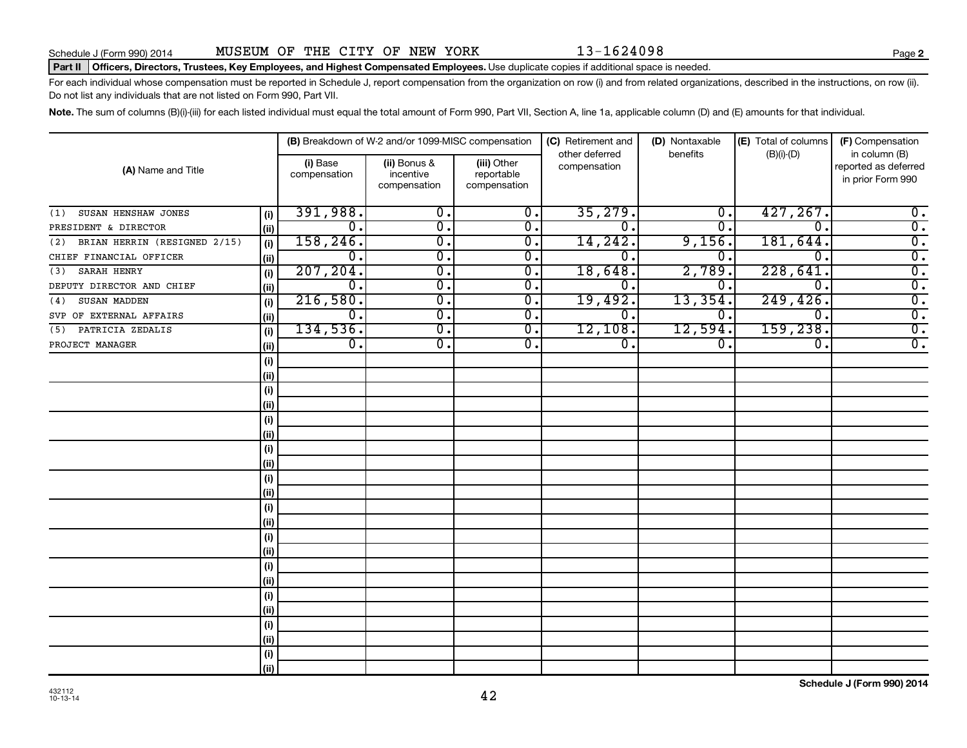#### Part II | Officers, Directors, Trustees, Key Employees, and Highest Compensated Employees. Use duplicate copies if additional space is needed.

For each individual whose compensation must be reported in Schedule J, report compensation from the organization on row (i) and from related organizations, described in the instructions, on row (ii). Do not list any individuals that are not listed on Form 990, Part VII.

Note. The sum of columns (B)(i)-(iii) for each listed individual must equal the total amount of Form 990, Part VII, Section A, line 1a, applicable column (D) and (E) amounts for that individual.

| (A) Name and Title                  |      |                          | (B) Breakdown of W-2 and/or 1099-MISC compensation |                                           | (C) Retirement and<br>other deferred | (D) Nontaxable<br>benefits | (E) Total of columns | (F) Compensation<br>in column (B)         |  |
|-------------------------------------|------|--------------------------|----------------------------------------------------|-------------------------------------------|--------------------------------------|----------------------------|----------------------|-------------------------------------------|--|
|                                     |      | (i) Base<br>compensation | (ii) Bonus &<br>incentive<br>compensation          | (iii) Other<br>reportable<br>compensation | compensation                         |                            | $(B)(i)-(D)$         | reported as deferred<br>in prior Form 990 |  |
| SUSAN HENSHAW JONES<br>(1)          | (i)  | 391,988.                 | $\overline{0}$ .                                   | $\overline{0}$ .                          | 35,279.                              | О.                         | 427, 267.            | $0$ .                                     |  |
| PRESIDENT & DIRECTOR                | (ii) | 0.                       | σ.                                                 | $\overline{0}$ .                          | 0.                                   | 0.                         | $\mathbf{0}$         | $\overline{0}$ .                          |  |
| BRIAN HERRIN (RESIGNED 2/15)<br>(2) | (i)  | 158, 246.                | $\overline{0}$ .                                   | 0.                                        | 14,242.                              | 9,156.                     | 181,644.             | $\overline{0}$ .                          |  |
| CHIEF FINANCIAL OFFICER             | (ii) | 0.                       | $\overline{0}$ .                                   | 0.                                        | 0                                    | 0.                         | 0                    | $\overline{0}$ .                          |  |
| SARAH HENRY<br>(3)                  | (i)  | 207, 204.                | 0.                                                 | 0.                                        | 18,648.                              | 2,789.                     | 228,641.             | $\overline{0}$ .                          |  |
| DEPUTY DIRECTOR AND CHIEF           | (ii) | $\mathbf{0}$ .           | σ.                                                 | 0.                                        | $\overline{0}$ .                     | 0.                         | $\mathbf{0}$         | $\overline{0}$ .                          |  |
| SUSAN MADDEN<br>(4)                 | (i)  | 216,580.                 | σ.                                                 | 0.                                        | 19,492.                              | 13,354.                    | 249, 426.            | $\overline{0}$ .                          |  |
| SVP OF EXTERNAL AFFAIRS             | (ii) | 0.                       | σ.                                                 | $\overline{0}$ .                          | 0.                                   | 0.                         | $\Omega$ .           | $\overline{0}$ .                          |  |
| PATRICIA ZEDALIS<br>(5)             | (i)  | 134,536.                 | $\overline{0}$ .                                   | 0.                                        | 12,108.                              | 12,594.                    | 159,238.             | $\overline{0}$ .                          |  |
| PROJECT MANAGER                     | (ii) | $\overline{0}$ .         | 0.                                                 | 0.                                        | 0.                                   | О.                         | 0.                   | $\overline{0}$ .                          |  |
|                                     | (i)  |                          |                                                    |                                           |                                      |                            |                      |                                           |  |
|                                     | (ii) |                          |                                                    |                                           |                                      |                            |                      |                                           |  |
|                                     | (i)  |                          |                                                    |                                           |                                      |                            |                      |                                           |  |
|                                     | (ii) |                          |                                                    |                                           |                                      |                            |                      |                                           |  |
|                                     | (i)  |                          |                                                    |                                           |                                      |                            |                      |                                           |  |
|                                     | (ii) |                          |                                                    |                                           |                                      |                            |                      |                                           |  |
|                                     | (i)  |                          |                                                    |                                           |                                      |                            |                      |                                           |  |
|                                     | (ii) |                          |                                                    |                                           |                                      |                            |                      |                                           |  |
|                                     | (i)  |                          |                                                    |                                           |                                      |                            |                      |                                           |  |
|                                     | (ii) |                          |                                                    |                                           |                                      |                            |                      |                                           |  |
|                                     | (i)  |                          |                                                    |                                           |                                      |                            |                      |                                           |  |
|                                     | (ii) |                          |                                                    |                                           |                                      |                            |                      |                                           |  |
|                                     | (i)  |                          |                                                    |                                           |                                      |                            |                      |                                           |  |
|                                     | (ii) |                          |                                                    |                                           |                                      |                            |                      |                                           |  |
|                                     | (i)  |                          |                                                    |                                           |                                      |                            |                      |                                           |  |
|                                     | (ii) |                          |                                                    |                                           |                                      |                            |                      |                                           |  |
|                                     | (i)  |                          |                                                    |                                           |                                      |                            |                      |                                           |  |
|                                     | (ii) |                          |                                                    |                                           |                                      |                            |                      |                                           |  |
|                                     | (i)  |                          |                                                    |                                           |                                      |                            |                      |                                           |  |
|                                     | (ii) |                          |                                                    |                                           |                                      |                            |                      |                                           |  |
|                                     | (i)  |                          |                                                    |                                           |                                      |                            |                      |                                           |  |
|                                     | (ii) |                          |                                                    |                                           |                                      |                            |                      |                                           |  |

**Schedule J (Form 990) 2014**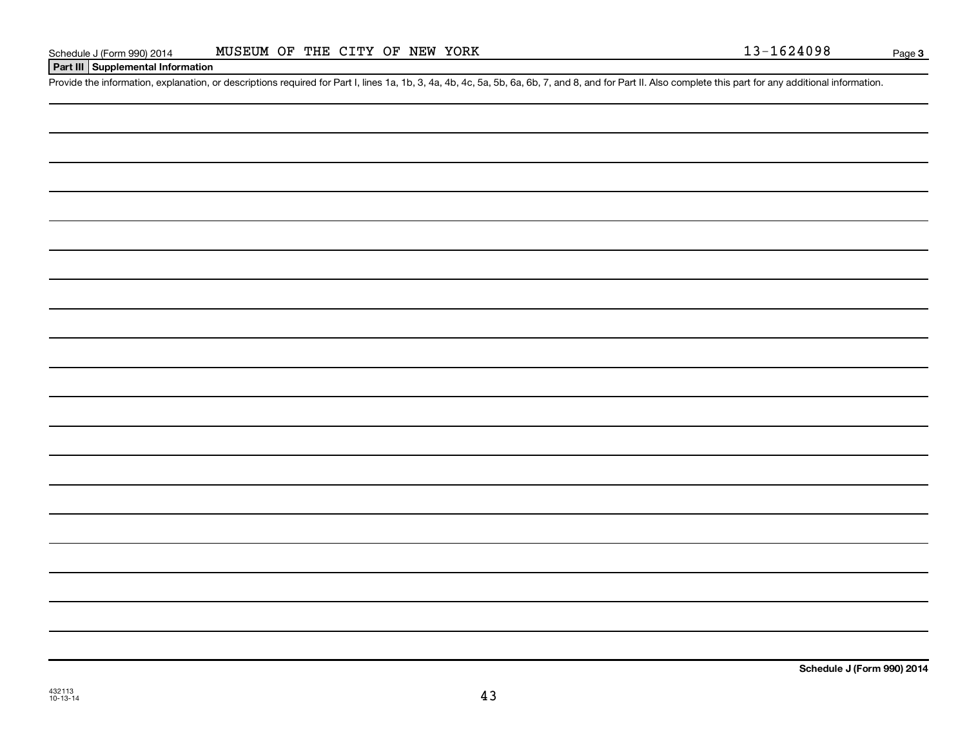#### **Part III Supplemental Information**

Provide the information, explanation, or descriptions required for Part I, lines 1a, 1b, 3, 4a, 4b, 4c, 5a, 5b, 6a, 6b, 7, and 8, and for Part II. Also complete this part for any additional information.

**Schedule J (Form 990) 2014**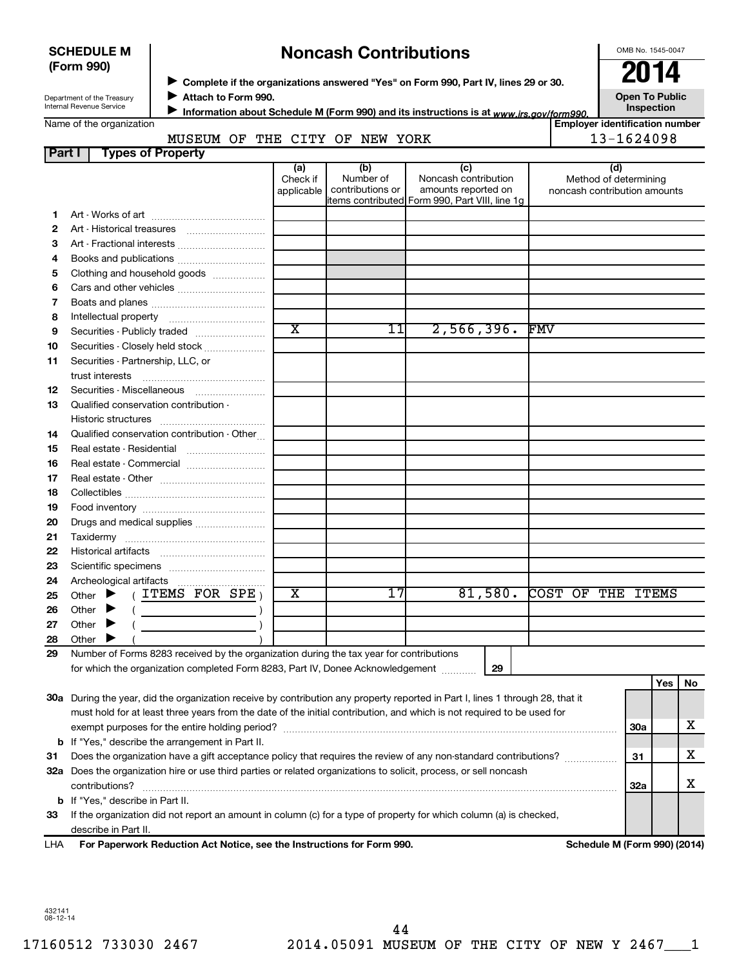| <b>SCHEDULE M</b> |  |
|-------------------|--|
| (Form 990)        |  |

# **Noncash Contributions**

OMB No. 1545-0047

| Department of the Treasury |
|----------------------------|
| Internal Revenue Service   |

◆ Complete if the organizations answered "Yes" on Form 990, Part IV, lines 29 or 30.<br>▶ Complete if the organizations answered "Yes" on Form 990, Part IV, lines 29 or 30. **Attach to Form 990.**  $\blacktriangleright$ 

**Open To Public**

| Name of the organization |  |  |  |
|--------------------------|--|--|--|
|--------------------------|--|--|--|

Information about Schedule M (Form 990) and its instructions is at <sub>www.irs.gov/form990.</sub> Inspection ■ Information about Schedule M (Form 990) and its instructions is at <sub>www.irs.*gov/form990.*<br>Employer identification number |<br>Figure identification number |</sub>

#### **Part I Types of Property** MUSEUM OF THE CITY OF NEW YORK  $\vert$  13-1624098

|    |                                                                                                                                                                           | (a)<br>Check if         | (b)<br>Number of | (c)<br>Noncash contribution                                           | (d)<br>Method of determining |            |     |    |
|----|---------------------------------------------------------------------------------------------------------------------------------------------------------------------------|-------------------------|------------------|-----------------------------------------------------------------------|------------------------------|------------|-----|----|
|    |                                                                                                                                                                           | applicable              | contributions or | amounts reported on<br>items contributed Form 990, Part VIII, line 1g | noncash contribution amounts |            |     |    |
| 1. |                                                                                                                                                                           |                         |                  |                                                                       |                              |            |     |    |
| 2  |                                                                                                                                                                           |                         |                  |                                                                       |                              |            |     |    |
| З  |                                                                                                                                                                           |                         |                  |                                                                       |                              |            |     |    |
| 4  |                                                                                                                                                                           |                         |                  |                                                                       |                              |            |     |    |
| 5  | Clothing and household goods                                                                                                                                              |                         |                  |                                                                       |                              |            |     |    |
| 6  |                                                                                                                                                                           |                         |                  |                                                                       |                              |            |     |    |
| 7  |                                                                                                                                                                           |                         |                  |                                                                       |                              |            |     |    |
| 8  |                                                                                                                                                                           |                         |                  |                                                                       |                              |            |     |    |
| 9  | Securities - Publicly traded                                                                                                                                              | $\overline{\textbf{x}}$ | 11               | 2,566,396.                                                            | <b>FMV</b>                   |            |     |    |
| 10 | Securities - Closely held stock                                                                                                                                           |                         |                  |                                                                       |                              |            |     |    |
| 11 | Securities - Partnership, LLC, or                                                                                                                                         |                         |                  |                                                                       |                              |            |     |    |
|    | trust interests                                                                                                                                                           |                         |                  |                                                                       |                              |            |     |    |
| 12 | Securities - Miscellaneous                                                                                                                                                |                         |                  |                                                                       |                              |            |     |    |
| 13 | Qualified conservation contribution -                                                                                                                                     |                         |                  |                                                                       |                              |            |     |    |
|    | Historic structures                                                                                                                                                       |                         |                  |                                                                       |                              |            |     |    |
| 14 | Qualified conservation contribution - Other                                                                                                                               |                         |                  |                                                                       |                              |            |     |    |
| 15 | Real estate - Residential                                                                                                                                                 |                         |                  |                                                                       |                              |            |     |    |
| 16 | Real estate - Commercial                                                                                                                                                  |                         |                  |                                                                       |                              |            |     |    |
| 17 |                                                                                                                                                                           |                         |                  |                                                                       |                              |            |     |    |
| 18 |                                                                                                                                                                           |                         |                  |                                                                       |                              |            |     |    |
| 19 |                                                                                                                                                                           |                         |                  |                                                                       |                              |            |     |    |
| 20 | Drugs and medical supplies                                                                                                                                                |                         |                  |                                                                       |                              |            |     |    |
| 21 |                                                                                                                                                                           |                         |                  |                                                                       |                              |            |     |    |
| 22 |                                                                                                                                                                           |                         |                  |                                                                       |                              |            |     |    |
| 23 |                                                                                                                                                                           |                         |                  |                                                                       |                              |            |     |    |
| 24 | Archeological artifacts                                                                                                                                                   | $\overline{\text{x}}$   | 17               |                                                                       | COST OF THE ITEMS            |            |     |    |
| 25 | Other $\blacktriangleright$ (ITEMS FOR SPE)                                                                                                                               |                         |                  | 81,580.                                                               |                              |            |     |    |
| 26 | Other $\blacktriangleright$<br>$\left(\begin{array}{ccc}\n&\n&\n\end{array}\right)$                                                                                       |                         |                  |                                                                       |                              |            |     |    |
| 27 | Other $\blacktriangleright$                                                                                                                                               |                         |                  |                                                                       |                              |            |     |    |
| 28 | Other                                                                                                                                                                     |                         |                  |                                                                       |                              |            |     |    |
| 29 | Number of Forms 8283 received by the organization during the tax year for contributions<br>for which the organization completed Form 8283, Part IV, Donee Acknowledgement |                         |                  | 29                                                                    |                              |            |     |    |
|    |                                                                                                                                                                           |                         |                  |                                                                       |                              |            | Yes | No |
|    | 30a During the year, did the organization receive by contribution any property reported in Part I, lines 1 through 28, that it                                            |                         |                  |                                                                       |                              |            |     |    |
|    | must hold for at least three years from the date of the initial contribution, and which is not required to be used for                                                    |                         |                  |                                                                       |                              |            |     |    |
|    |                                                                                                                                                                           |                         |                  |                                                                       |                              | <b>30a</b> |     | х  |
|    | <b>b</b> If "Yes," describe the arrangement in Part II.                                                                                                                   |                         |                  |                                                                       |                              |            |     |    |
| 31 | Does the organization have a gift acceptance policy that requires the review of any non-standard contributions?                                                           |                         |                  |                                                                       |                              | 31         |     | х  |
|    | 32a Does the organization hire or use third parties or related organizations to solicit, process, or sell noncash                                                         |                         |                  |                                                                       |                              |            |     |    |
|    | contributions?                                                                                                                                                            |                         |                  |                                                                       |                              | 32a        |     | х  |
|    | <b>b</b> If "Yes," describe in Part II.                                                                                                                                   |                         |                  |                                                                       |                              |            |     |    |
| 33 | If the organization did not report an amount in column (c) for a type of property for which column (a) is checked,                                                        |                         |                  |                                                                       |                              |            |     |    |
|    | describe in Part II.                                                                                                                                                      |                         |                  |                                                                       |                              |            |     |    |

**For Paperwork Reduction Act Notice, see the Instructions for Form 990. Schedule M (Form 990) (2014)** LHA

432141 08-12-14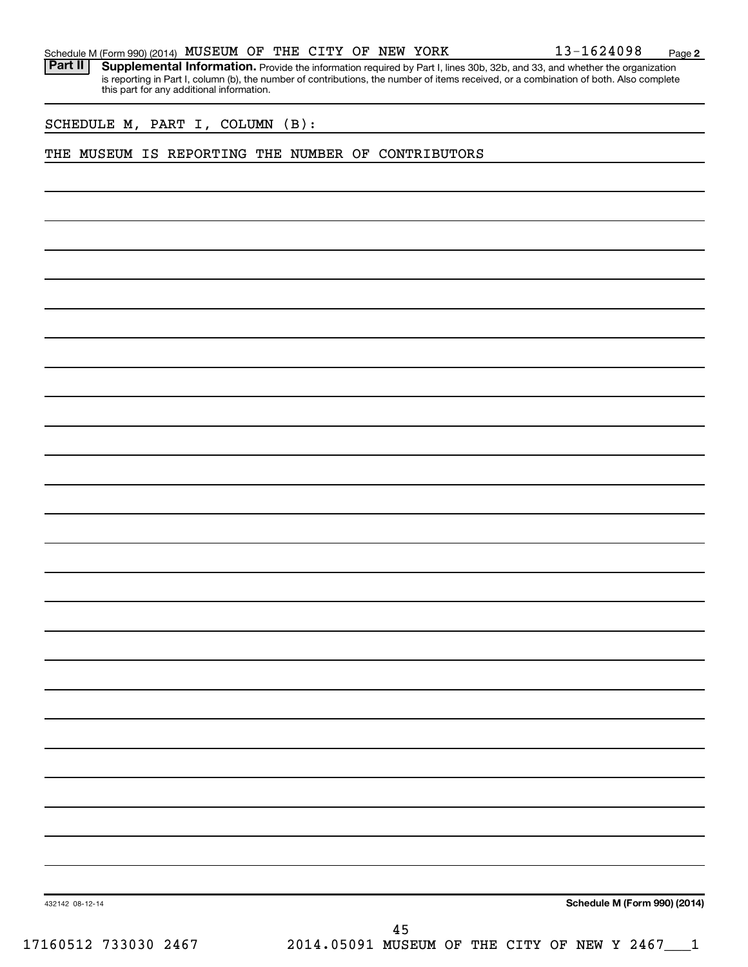|  | Schedule M (Form 990) (2014) MUSEUM OF THE CITY OF NEW YORK |  |  |  |  |  |  |  | 13-1624098 | Page |  |
|--|-------------------------------------------------------------|--|--|--|--|--|--|--|------------|------|--|
|--|-------------------------------------------------------------|--|--|--|--|--|--|--|------------|------|--|

Part II | Supplemental Information. Provide the information required by Part I, lines 30b, 32b, and 33, and whether the organization is reporting in Part I, column (b), the number of contributions, the number of items received, or a combination of both. Also complete this part for any additional information.

SCHEDULE M, PART I, COLUMN (B):

#### THE MUSEUM IS REPORTING THE NUMBER OF CONTRIBUTORS

**Schedule M (Form 990) (2014)**

432142 08-12-14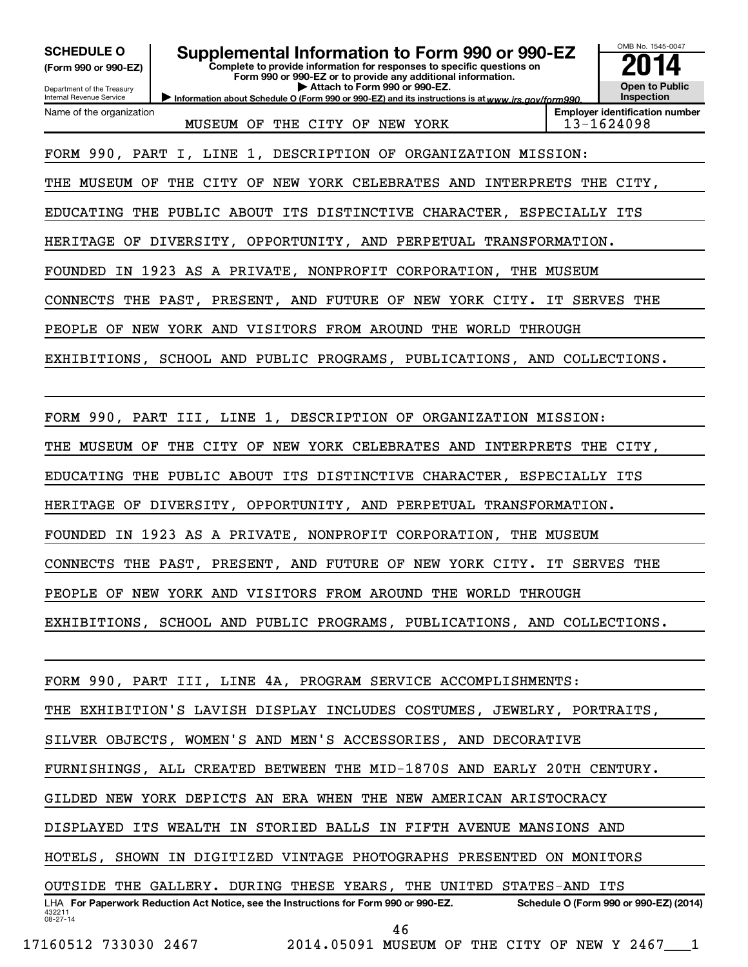| <b>SCHEDULE O</b><br>(Form 990 or 990-EZ)<br>Department of the Treasury<br>Internal Revenue Service              | Supplemental Information to Form 990 or 990-EZ<br>Complete to provide information for responses to specific questions on<br>Form 990 or 990-EZ or to provide any additional information.<br>Attach to Form 990 or 990-EZ.<br>Information about Schedule O (Form 990 or 990-EZ) and its instructions is at www.irs.gov/form990. | OMB No. 1545-0047<br><b>Open to Public</b><br>Inspection |
|------------------------------------------------------------------------------------------------------------------|--------------------------------------------------------------------------------------------------------------------------------------------------------------------------------------------------------------------------------------------------------------------------------------------------------------------------------|----------------------------------------------------------|
| Name of the organization                                                                                         | MUSEUM OF THE CITY OF NEW YORK                                                                                                                                                                                                                                                                                                 | <b>Employer identification number</b><br>13-1624098      |
| FORM 990, PART I, LINE 1, DESCRIPTION OF ORGANIZATION MISSION:                                                   |                                                                                                                                                                                                                                                                                                                                |                                                          |
| THE MUSEUM OF THE CITY OF NEW YORK CELEBRATES AND INTERPRETS THE CITY,                                           |                                                                                                                                                                                                                                                                                                                                |                                                          |
| EDUCATING THE PUBLIC ABOUT ITS DISTINCTIVE CHARACTER, ESPECIALLY ITS                                             |                                                                                                                                                                                                                                                                                                                                |                                                          |
| HERITAGE OF DIVERSITY, OPPORTUNITY, AND PERPETUAL TRANSFORMATION.                                                |                                                                                                                                                                                                                                                                                                                                |                                                          |
| FOUNDED IN 1923 AS A PRIVATE, NONPROFIT CORPORATION, THE MUSEUM                                                  |                                                                                                                                                                                                                                                                                                                                |                                                          |
| CONNECTS THE PAST, PRESENT, AND FUTURE OF NEW YORK CITY. IT SERVES THE                                           |                                                                                                                                                                                                                                                                                                                                |                                                          |
| PEOPLE OF NEW YORK AND VISITORS FROM AROUND THE WORLD THROUGH                                                    |                                                                                                                                                                                                                                                                                                                                |                                                          |
| EXHIBITIONS, SCHOOL AND PUBLIC PROGRAMS, PUBLICATIONS, AND COLLECTIONS.                                          |                                                                                                                                                                                                                                                                                                                                |                                                          |
|                                                                                                                  |                                                                                                                                                                                                                                                                                                                                |                                                          |
| FORM 990, PART III, LINE 1, DESCRIPTION OF ORGANIZATION MISSION:                                                 |                                                                                                                                                                                                                                                                                                                                |                                                          |
| THE MUSEUM OF THE CITY OF NEW YORK CELEBRATES AND INTERPRETS THE CITY,                                           |                                                                                                                                                                                                                                                                                                                                |                                                          |
| EDUCATING THE PUBLIC ABOUT ITS DISTINCTIVE CHARACTER, ESPECIALLY ITS                                             |                                                                                                                                                                                                                                                                                                                                |                                                          |
| HERITAGE OF DIVERSITY, OPPORTUNITY, AND PERPETUAL TRANSFORMATION.                                                |                                                                                                                                                                                                                                                                                                                                |                                                          |
| FOUNDED IN 1923 AS A PRIVATE, NONPROFIT CORPORATION, THE MUSEUM                                                  |                                                                                                                                                                                                                                                                                                                                |                                                          |
| CONNECTS THE PAST, PRESENT, AND FUTURE OF NEW YORK CITY. IT SERVES THE                                           |                                                                                                                                                                                                                                                                                                                                |                                                          |
| PEOPLE OF NEW YORK AND VISITORS FROM AROUND THE WORLD THROUGH                                                    |                                                                                                                                                                                                                                                                                                                                |                                                          |
| EXHIBITIONS, SCHOOL AND PUBLIC PROGRAMS, PUBLICATIONS, AND COLLECTIONS.                                          |                                                                                                                                                                                                                                                                                                                                |                                                          |
|                                                                                                                  |                                                                                                                                                                                                                                                                                                                                |                                                          |
| FORM 990, PART III, LINE 4A, PROGRAM SERVICE ACCOMPLISHMENTS:                                                    |                                                                                                                                                                                                                                                                                                                                |                                                          |
| THE EXHIBITION'S LAVISH DISPLAY INCLUDES COSTUMES, JEWELRY, PORTRAITS,                                           |                                                                                                                                                                                                                                                                                                                                |                                                          |
| SILVER OBJECTS, WOMEN'S AND MEN'S ACCESSORIES, AND DECORATIVE                                                    |                                                                                                                                                                                                                                                                                                                                |                                                          |
| FURNISHINGS, ALL CREATED BETWEEN THE MID-1870S AND EARLY 20TH CENTURY.                                           |                                                                                                                                                                                                                                                                                                                                |                                                          |
| GILDED NEW YORK DEPICTS AN ERA WHEN THE NEW AMERICAN ARISTOCRACY                                                 |                                                                                                                                                                                                                                                                                                                                |                                                          |
| DISPLAYED ITS WEALTH IN STORIED BALLS IN FIFTH AVENUE MANSIONS AND                                               |                                                                                                                                                                                                                                                                                                                                |                                                          |
| HOTELS, SHOWN IN DIGITIZED VINTAGE PHOTOGRAPHS PRESENTED ON MONITORS                                             |                                                                                                                                                                                                                                                                                                                                |                                                          |
| OUTSIDE THE GALLERY. DURING THESE YEARS, THE UNITED STATES-AND ITS                                               |                                                                                                                                                                                                                                                                                                                                |                                                          |
| LHA For Paperwork Reduction Act Notice, see the Instructions for Form 990 or 990-EZ.<br>432211<br>$08 - 27 - 14$ |                                                                                                                                                                                                                                                                                                                                | Schedule O (Form 990 or 990-EZ) (2014)                   |
|                                                                                                                  | 46                                                                                                                                                                                                                                                                                                                             |                                                          |

17160512 733030 2467 2014.05091 MUSEUM OF THE CITY OF NEW Y 2467\_\_\_1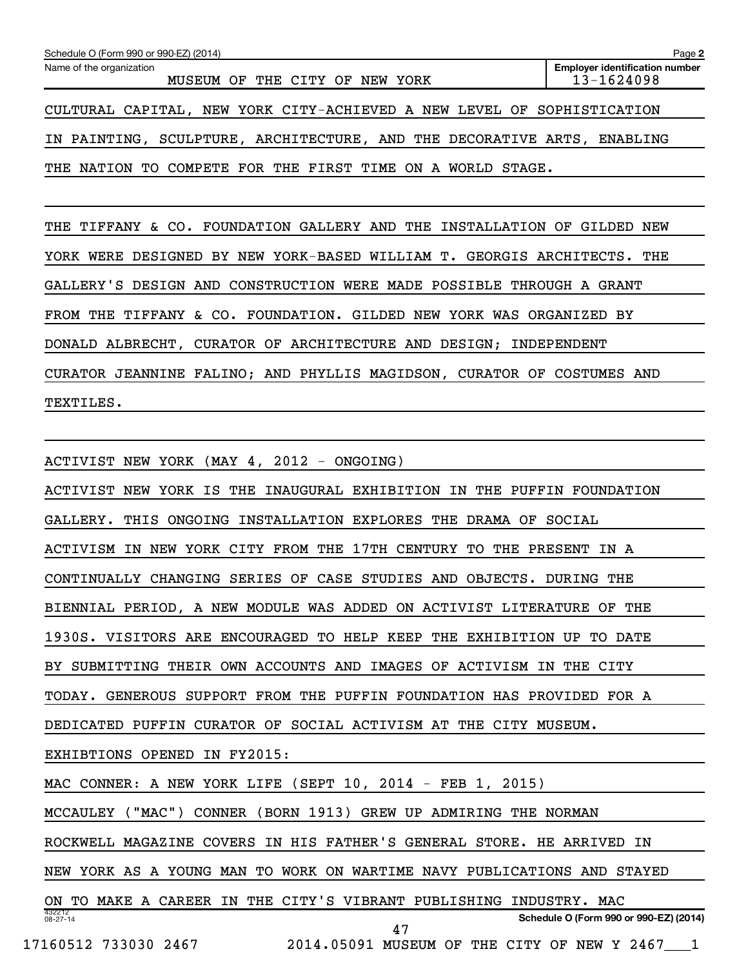| Schedule O (Form 990 or 990-EZ) (2014)                                 | Page 2                                              |
|------------------------------------------------------------------------|-----------------------------------------------------|
| Name of the organization<br>MUSEUM OF THE CITY OF<br>NEW YORK          | <b>Employer identification number</b><br>13-1624098 |
| CULTURAL CAPITAL, NEW YORK CITY-ACHIEVED A NEW LEVEL OF SOPHISTICATION |                                                     |
| IN PAINTING, SCULPTURE, ARCHITECTURE, AND THE DECORATIVE ARTS,         | ENABLING                                            |
| THE NATION TO COMPETE FOR THE FIRST TIME ON A WORLD STAGE.             |                                                     |

THE TIFFANY & CO. FOUNDATION GALLERY AND THE INSTALLATION OF GILDED NEW YORK WERE DESIGNED BY NEW YORK-BASED WILLIAM T. GEORGIS ARCHITECTS. THE GALLERY'S DESIGN AND CONSTRUCTION WERE MADE POSSIBLE THROUGH A GRANT FROM THE TIFFANY & CO. FOUNDATION. GILDED NEW YORK WAS ORGANIZED BY DONALD ALBRECHT, CURATOR OF ARCHITECTURE AND DESIGN; INDEPENDENT CURATOR JEANNINE FALINO; AND PHYLLIS MAGIDSON, CURATOR OF COSTUMES AND TEXTILES.

432212 08-27-14 **Schedule O (Form 990 or 990-EZ) (2014)** ACTIVIST NEW YORK (MAY 4, 2012 - ONGOING) ACTIVIST NEW YORK IS THE INAUGURAL EXHIBITION IN THE PUFFIN FOUNDATION GALLERY. THIS ONGOING INSTALLATION EXPLORES THE DRAMA OF SOCIAL ACTIVISM IN NEW YORK CITY FROM THE 17TH CENTURY TO THE PRESENT IN A CONTINUALLY CHANGING SERIES OF CASE STUDIES AND OBJECTS. DURING THE BIENNIAL PERIOD, A NEW MODULE WAS ADDED ON ACTIVIST LITERATURE OF THE 1930S. VISITORS ARE ENCOURAGED TO HELP KEEP THE EXHIBITION UP TO DATE BY SUBMITTING THEIR OWN ACCOUNTS AND IMAGES OF ACTIVISM IN THE CITY TODAY. GENEROUS SUPPORT FROM THE PUFFIN FOUNDATION HAS PROVIDED FOR A DEDICATED PUFFIN CURATOR OF SOCIAL ACTIVISM AT THE CITY MUSEUM. EXHIBTIONS OPENED IN FY2015: MAC CONNER: A NEW YORK LIFE (SEPT 10, 2014 - FEB 1, 2015) MCCAULEY ("MAC") CONNER (BORN 1913) GREW UP ADMIRING THE NORMAN ROCKWELL MAGAZINE COVERS IN HIS FATHER'S GENERAL STORE. HE ARRIVED IN NEW YORK AS A YOUNG MAN TO WORK ON WARTIME NAVY PUBLICATIONS AND STAYED ON TO MAKE A CAREER IN THE CITY'S VIBRANT PUBLISHING INDUSTRY. MAC 17160512 733030 2467 2014.05091 MUSEUM OF THE CITY OF NEW Y 2467\_\_\_1 47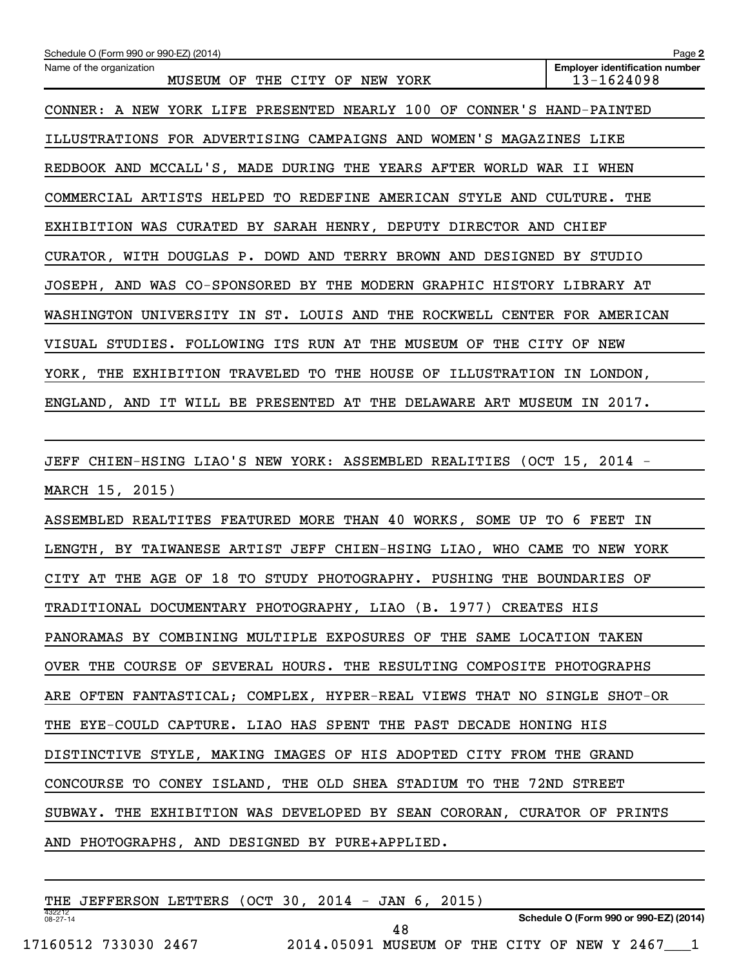| Schedule O (Form 990 or 990-EZ) (2014)                                  | Page 2                                              |
|-------------------------------------------------------------------------|-----------------------------------------------------|
| Name of the organization<br>MUSEUM OF THE CITY OF NEW YORK              | <b>Employer identification number</b><br>13-1624098 |
| CONNER: A NEW YORK LIFE PRESENTED NEARLY 100 OF CONNER'S HAND-PAINTED   |                                                     |
| ILLUSTRATIONS FOR ADVERTISING CAMPAIGNS AND WOMEN'S MAGAZINES LIKE      |                                                     |
| REDBOOK AND MCCALL'S, MADE DURING THE YEARS AFTER WORLD WAR II WHEN     |                                                     |
| COMMERCIAL ARTISTS HELPED TO REDEFINE AMERICAN STYLE AND CULTURE. THE   |                                                     |
| EXHIBITION WAS CURATED BY SARAH HENRY, DEPUTY DIRECTOR AND CHIEF        |                                                     |
| CURATOR, WITH DOUGLAS P. DOWD AND TERRY BROWN AND DESIGNED BY STUDIO    |                                                     |
| JOSEPH, AND WAS CO-SPONSORED BY THE MODERN GRAPHIC HISTORY LIBRARY AT   |                                                     |
| WASHINGTON UNIVERSITY IN ST. LOUIS AND THE ROCKWELL CENTER FOR AMERICAN |                                                     |
| VISUAL STUDIES. FOLLOWING ITS RUN AT THE MUSEUM OF THE CITY OF NEW      |                                                     |
| YORK, THE EXHIBITION TRAVELED TO THE HOUSE OF ILLUSTRATION IN LONDON,   |                                                     |
| ENGLAND, AND IT WILL BE PRESENTED AT THE DELAWARE ART MUSEUM IN 2017.   |                                                     |
|                                                                         |                                                     |
| JEFF CHIEN-HSING LIAO'S NEW YORK: ASSEMBLED REALITIES (OCT 15, 2014 -   |                                                     |
| MARCH 15, 2015)                                                         |                                                     |
| ASSEMBLED REALTITES FEATURED MORE THAN 40 WORKS, SOME UP TO 6 FEET IN   |                                                     |
| LENGTH, BY TAIWANESE ARTIST JEFF CHIEN-HSING LIAO, WHO CAME TO NEW YORK |                                                     |
| CITY AT THE AGE OF 18 TO STUDY PHOTOGRAPHY. PUSHING THE BOUNDARIES OF   |                                                     |
| TRADITIONAL DOCUMENTARY PHOTOGRAPHY, LIAO (B. 1977) CREATES HIS         |                                                     |
| PANORAMAS BY COMBINING MULTIPLE EXPOSURES OF THE SAME LOCATION TAKEN    |                                                     |
| OVER THE COURSE OF SEVERAL HOURS. THE RESULTING COMPOSITE PHOTOGRAPHS   |                                                     |
| ARE OFTEN FANTASTICAL; COMPLEX, HYPER-REAL VIEWS THAT NO SINGLE SHOT-OR |                                                     |
| THE EYE-COULD CAPTURE. LIAO HAS SPENT THE PAST DECADE HONING HIS        |                                                     |
| DISTINCTIVE STYLE, MAKING IMAGES OF HIS ADOPTED CITY FROM THE GRAND     |                                                     |
| CONCOURSE TO CONEY ISLAND, THE OLD SHEA STADIUM TO THE 72ND STREET      |                                                     |
| SUBWAY. THE EXHIBITION WAS DEVELOPED BY SEAN CORORAN, CURATOR OF PRINTS |                                                     |
| AND PHOTOGRAPHS, AND DESIGNED BY PURE+APPLIED.                          |                                                     |

| THE                      | JEFFERSON LETTERS    |  | $(OCT 30, 2014 -$ | JAN    | 2015 |                |  |                                        |  |
|--------------------------|----------------------|--|-------------------|--------|------|----------------|--|----------------------------------------|--|
| 432212<br>$08 - 27 - 14$ |                      |  |                   |        |      |                |  | Schedule O (Form 990 or 990-EZ) (2014) |  |
|                          | 17160512 733030 2467 |  | 2014.05091        | MUSEUM |      | OF THE CITY OF |  | NEW Y 2467                             |  |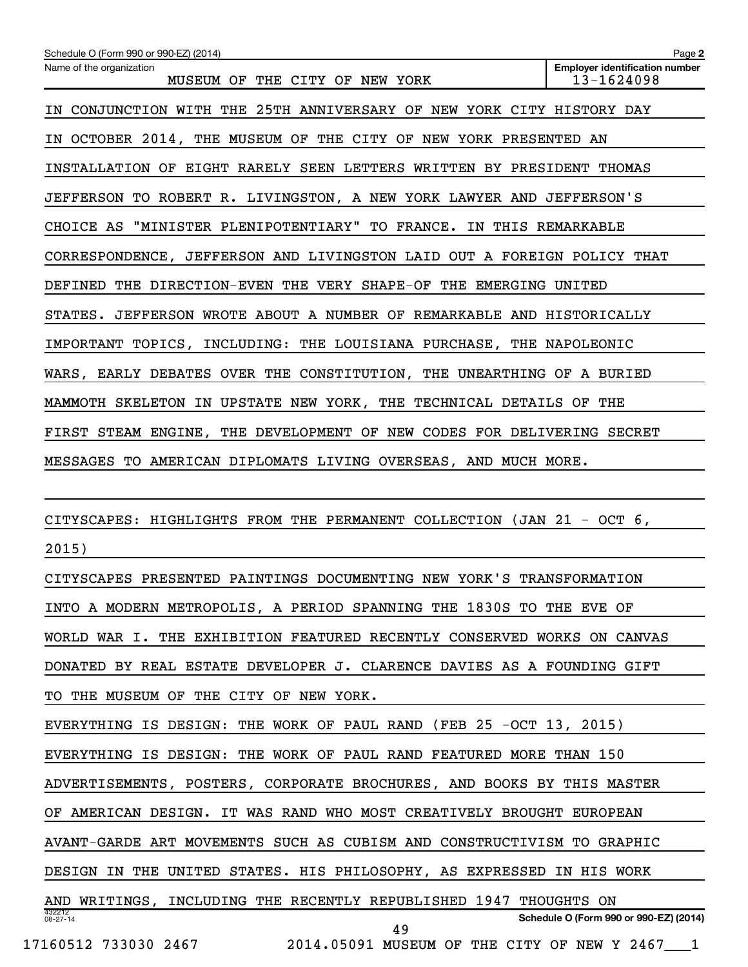| Schedule O (Form 990 or 990-EZ) (2014)                                  | Page 2                                              |
|-------------------------------------------------------------------------|-----------------------------------------------------|
| Name of the organization<br>MUSEUM OF THE CITY OF NEW YORK              | <b>Employer identification number</b><br>13-1624098 |
| IN CONJUNCTION WITH THE 25TH ANNIVERSARY OF NEW YORK CITY HISTORY DAY   |                                                     |
| IN OCTOBER 2014, THE MUSEUM OF THE CITY OF NEW YORK PRESENTED AN        |                                                     |
| INSTALLATION OF EIGHT RARELY SEEN LETTERS WRITTEN BY PRESIDENT THOMAS   |                                                     |
| JEFFERSON TO ROBERT R. LIVINGSTON, A NEW YORK LAWYER AND JEFFERSON'S    |                                                     |
| CHOICE AS "MINISTER PLENIPOTENTIARY" TO FRANCE. IN THIS REMARKABLE      |                                                     |
| CORRESPONDENCE, JEFFERSON AND LIVINGSTON LAID OUT A FOREIGN POLICY THAT |                                                     |
| DEFINED THE DIRECTION-EVEN THE VERY SHAPE-OF THE EMERGING UNITED        |                                                     |
| STATES. JEFFERSON WROTE ABOUT A NUMBER OF REMARKABLE AND HISTORICALLY   |                                                     |
| IMPORTANT TOPICS, INCLUDING: THE LOUISIANA PURCHASE, THE NAPOLEONIC     |                                                     |
| WARS, EARLY DEBATES OVER THE CONSTITUTION, THE UNEARTHING OF A BURIED   |                                                     |
| MAMMOTH SKELETON IN UPSTATE NEW YORK, THE TECHNICAL DETAILS OF THE      |                                                     |
| FIRST STEAM ENGINE, THE DEVELOPMENT OF NEW CODES FOR DELIVERING SECRET  |                                                     |
| MESSAGES TO AMERICAN DIPLOMATS LIVING OVERSEAS, AND MUCH MORE.          |                                                     |
|                                                                         |                                                     |
| CITYSCAPES: HIGHLIGHTS FROM THE PERMANENT COLLECTION (JAN 21 - OCT 6,   |                                                     |
| 2015)                                                                   |                                                     |
| CITYSCAPES PRESENTED PAINTINGS DOCUMENTING NEW YORK'S TRANSFORMATION    |                                                     |
| INTO A MODERN METROPOLIS, A PERIOD SPANNING THE 1830S TO THE EVE OF     |                                                     |
| WORLD WAR I. THE EXHIBITION FEATURED RECENTLY CONSERVED WORKS ON CANVAS |                                                     |
| DONATED BY REAL ESTATE DEVELOPER J. CLARENCE DAVIES AS A FOUNDING GIFT  |                                                     |
| TO THE MUSEUM OF THE CITY OF NEW YORK.                                  |                                                     |
| EVERYTHING IS DESIGN: THE WORK OF PAUL RAND (FEB 25 -OCT 13, 2015)      |                                                     |
| EVERYTHING IS DESIGN: THE WORK OF PAUL RAND FEATURED MORE THAN 150      |                                                     |
| ADVERTISEMENTS, POSTERS, CORPORATE BROCHURES, AND BOOKS BY THIS MASTER  |                                                     |
| OF AMERICAN DESIGN. IT WAS RAND WHO MOST CREATIVELY BROUGHT EUROPEAN    |                                                     |
| AVANT-GARDE ART MOVEMENTS SUCH AS CUBISM AND CONSTRUCTIVISM TO GRAPHIC  |                                                     |
| DESIGN IN THE UNITED STATES. HIS PHILOSOPHY, AS EXPRESSED IN HIS WORK   |                                                     |
| AND WRITINGS, INCLUDING THE RECENTLY REPUBLISHED 1947 THOUGHTS ON       |                                                     |
| 432212<br>08-27-14<br>49                                                | Schedule O (Form 990 or 990-EZ) (2014)              |
| 17160512 733030 2467 2014.05091 MUSEUM OF THE CITY OF NEW Y 2467 1      |                                                     |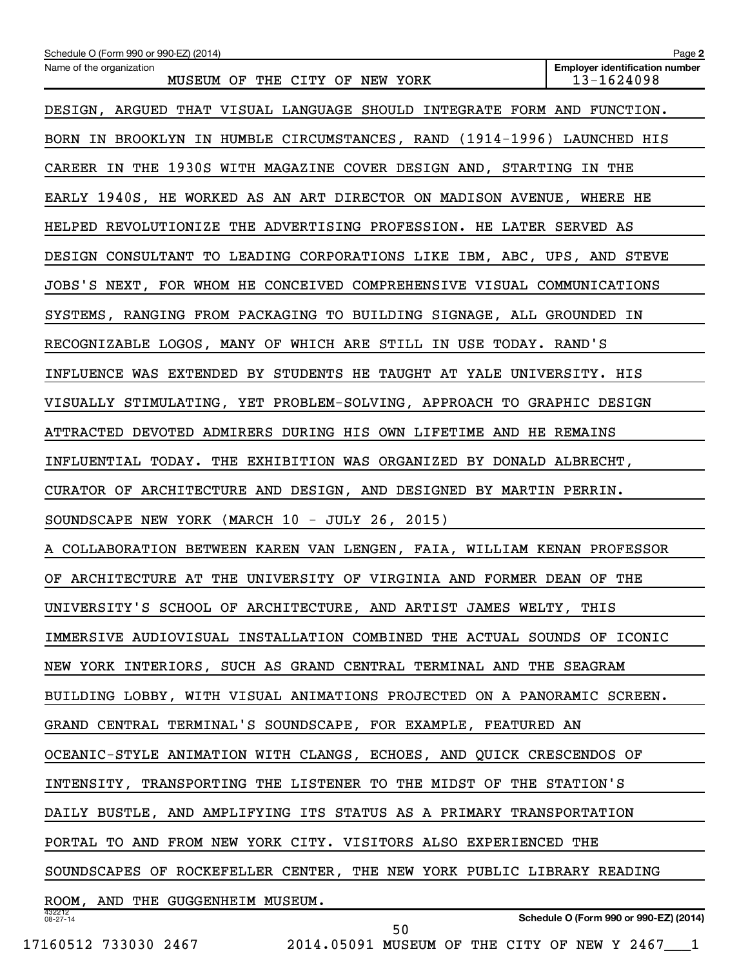| Schedule O (Form 990 or 990-EZ) (2014)                                  | Page 2                                              |
|-------------------------------------------------------------------------|-----------------------------------------------------|
| Name of the organization<br>MUSEUM OF THE CITY OF NEW YORK              | <b>Employer identification number</b><br>13-1624098 |
| DESIGN, ARGUED THAT VISUAL LANGUAGE SHOULD INTEGRATE FORM AND FUNCTION. |                                                     |
| BORN IN BROOKLYN IN HUMBLE CIRCUMSTANCES, RAND (1914-1996) LAUNCHED HIS |                                                     |
| CAREER IN THE 1930S WITH MAGAZINE COVER DESIGN AND, STARTING IN THE     |                                                     |
| EARLY 1940S, HE WORKED AS AN ART DIRECTOR ON MADISON AVENUE, WHERE HE   |                                                     |
| HELPED REVOLUTIONIZE THE ADVERTISING PROFESSION. HE LATER SERVED AS     |                                                     |
| DESIGN CONSULTANT TO LEADING CORPORATIONS LIKE IBM, ABC, UPS, AND STEVE |                                                     |
| JOBS'S NEXT, FOR WHOM HE CONCEIVED COMPREHENSIVE VISUAL COMMUNICATIONS  |                                                     |
| SYSTEMS, RANGING FROM PACKAGING TO BUILDING SIGNAGE, ALL GROUNDED IN    |                                                     |
| RECOGNIZABLE LOGOS, MANY OF WHICH ARE STILL IN USE TODAY. RAND'S        |                                                     |
| INFLUENCE WAS EXTENDED BY STUDENTS HE TAUGHT AT YALE UNIVERSITY. HIS    |                                                     |
| VISUALLY STIMULATING, YET PROBLEM-SOLVING, APPROACH TO GRAPHIC DESIGN   |                                                     |
| ATTRACTED DEVOTED ADMIRERS DURING HIS OWN LIFETIME AND HE REMAINS       |                                                     |
| INFLUENTIAL TODAY. THE EXHIBITION WAS ORGANIZED BY DONALD ALBRECHT,     |                                                     |
| CURATOR OF ARCHITECTURE AND DESIGN, AND DESIGNED BY MARTIN PERRIN.      |                                                     |
| SOUNDSCAPE NEW YORK (MARCH 10 - JULY 26, 2015)                          |                                                     |
| A COLLABORATION BETWEEN KAREN VAN LENGEN, FAIA, WILLIAM KENAN PROFESSOR |                                                     |
| OF ARCHITECTURE AT THE UNIVERSITY OF VIRGINIA AND FORMER DEAN OF THE    |                                                     |
| UNIVERSITY'S SCHOOL OF ARCHITECTURE, AND ARTIST JAMES WELTY, THIS       |                                                     |
| IMMERSIVE AUDIOVISUAL INSTALLATION COMBINED THE ACTUAL SOUNDS OF ICONIC |                                                     |
| NEW YORK INTERIORS, SUCH AS GRAND CENTRAL TERMINAL AND THE SEAGRAM      |                                                     |
| BUILDING LOBBY, WITH VISUAL ANIMATIONS PROJECTED ON A PANORAMIC SCREEN. |                                                     |
| GRAND CENTRAL TERMINAL'S SOUNDSCAPE, FOR EXAMPLE, FEATURED AN           |                                                     |
| OCEANIC-STYLE ANIMATION WITH CLANGS, ECHOES, AND QUICK CRESCENDOS OF    |                                                     |
| INTENSITY, TRANSPORTING THE LISTENER TO THE MIDST OF THE STATION'S      |                                                     |
| DAILY BUSTLE, AND AMPLIFYING ITS STATUS AS A PRIMARY TRANSPORTATION     |                                                     |
| PORTAL TO AND FROM NEW YORK CITY. VISITORS ALSO EXPERIENCED THE         |                                                     |
| SOUNDSCAPES OF ROCKEFELLER CENTER, THE NEW YORK PUBLIC LIBRARY READING  |                                                     |
| ROOM, AND THE GUGGENHEIM MUSEUM.                                        |                                                     |
| 432212<br>$08 - 27 - 14$<br>50                                          | Schedule O (Form 990 or 990-EZ) (2014)              |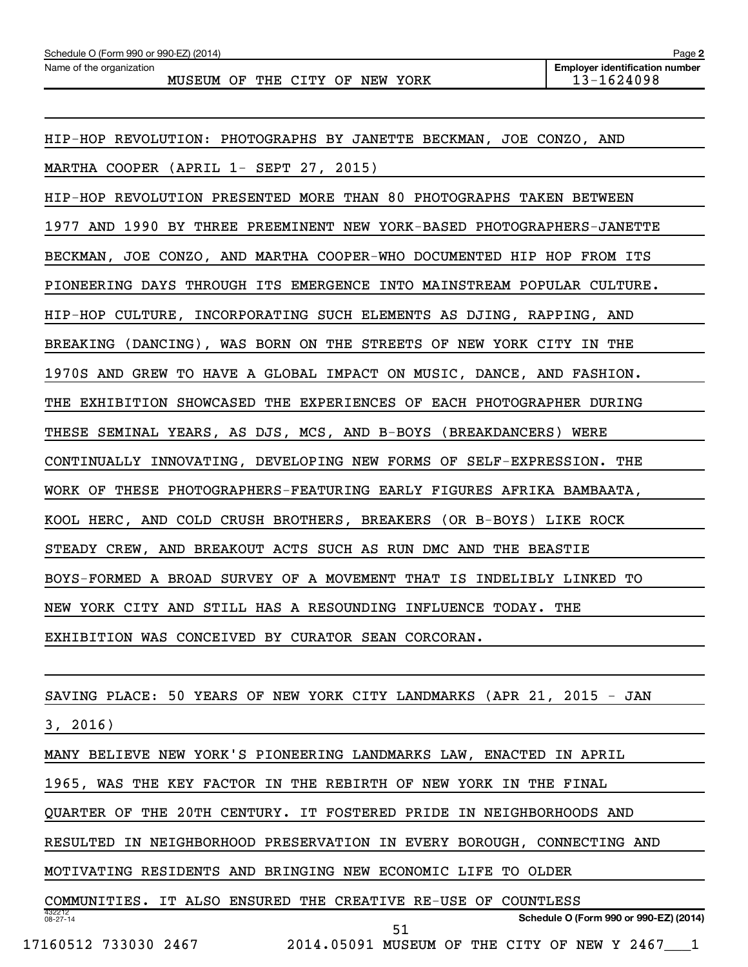| Schedule O (Form 990 or 990-EZ) (2014)                                 | Page 2                                              |
|------------------------------------------------------------------------|-----------------------------------------------------|
| Name of the organization<br>MUSEUM OF THE CITY OF NEW YORK             | <b>Employer identification number</b><br>13-1624098 |
|                                                                        |                                                     |
|                                                                        |                                                     |
| HIP-HOP REVOLUTION: PHOTOGRAPHS BY JANETTE BECKMAN, JOE CONZO, AND     |                                                     |
| MARTHA COOPER (APRIL 1- SEPT 27, 2015)                                 |                                                     |
| HIP-HOP REVOLUTION PRESENTED MORE THAN 80 PHOTOGRAPHS TAKEN BETWEEN    |                                                     |
| 1977 AND 1990 BY THREE PREEMINENT NEW YORK-BASED PHOTOGRAPHERS-JANETTE |                                                     |
| BECKMAN, JOE CONZO, AND MARTHA COOPER-WHO DOCUMENTED HIP HOP FROM ITS  |                                                     |
| PIONEERING DAYS THROUGH ITS EMERGENCE INTO MAINSTREAM POPULAR CULTURE. |                                                     |
| HIP-HOP CULTURE, INCORPORATING SUCH ELEMENTS AS DJING, RAPPING, AND    |                                                     |
| BREAKING (DANCING), WAS BORN ON THE STREETS OF NEW YORK CITY IN THE    |                                                     |
| 1970S AND GREW TO HAVE A GLOBAL IMPACT ON MUSIC, DANCE, AND FASHION.   |                                                     |
| THE EXHIBITION SHOWCASED THE EXPERIENCES OF EACH PHOTOGRAPHER DURING   |                                                     |
| THESE SEMINAL YEARS, AS DJS, MCS, AND B-BOYS (BREAKDANCERS) WERE       |                                                     |
| CONTINUALLY INNOVATING, DEVELOPING NEW FORMS OF SELF-EXPRESSION. THE   |                                                     |
| WORK OF THESE PHOTOGRAPHERS-FEATURING EARLY FIGURES AFRIKA BAMBAATA,   |                                                     |
| KOOL HERC, AND COLD CRUSH BROTHERS, BREAKERS (OR B-BOYS) LIKE ROCK     |                                                     |
| STEADY CREW, AND BREAKOUT ACTS SUCH AS RUN DMC AND THE BEASTIE         |                                                     |
| BOYS-FORMED A BROAD SURVEY OF A MOVEMENT THAT IS INDELIBLY LINKED TO   |                                                     |

NEW YORK CITY AND STILL HAS A RESOUNDING INFLUENCE TODAY. THE

EXHIBITION WAS CONCEIVED BY CURATOR SEAN CORCORAN.

SAVING PLACE: 50 YEARS OF NEW YORK CITY LANDMARKS (APR 21, 2015 - JAN

3, 2016)

MANY BELIEVE NEW YORK'S PIONEERING LANDMARKS LAW, ENACTED IN APRIL

1965, WAS THE KEY FACTOR IN THE REBIRTH OF NEW YORK IN THE FINAL

QUARTER OF THE 20TH CENTURY. IT FOSTERED PRIDE IN NEIGHBORHOODS AND

RESULTED IN NEIGHBORHOOD PRESERVATION IN EVERY BOROUGH, CONNECTING AND

MOTIVATING RESIDENTS AND BRINGING NEW ECONOMIC LIFE TO OLDER

432212 08-27-14 **Schedule O (Form 990 or 990-EZ) (2014)** COMMUNITIES. IT ALSO ENSURED THE CREATIVE RE-USE OF COUNTLESS 17160512 733030 2467 2014.05091 MUSEUM OF THE CITY OF NEW Y 2467\_\_\_1 51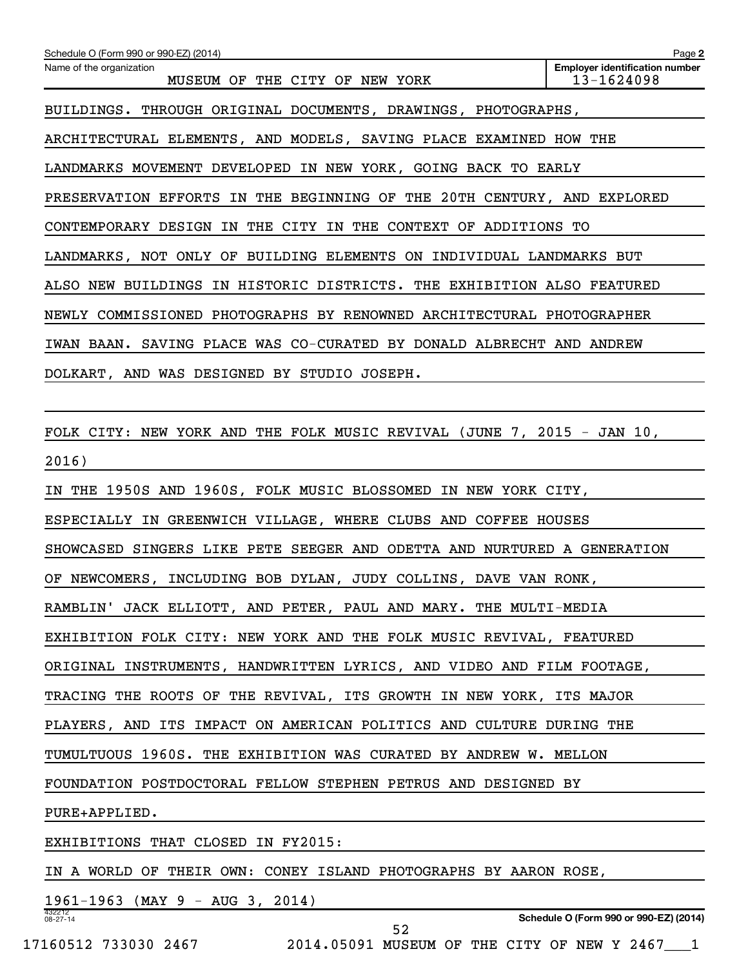| Schedule O (Form 990 or 990-EZ) (2014)                                  | Page 2                                              |
|-------------------------------------------------------------------------|-----------------------------------------------------|
| Name of the organization<br>MUSEUM OF THE CITY OF NEW YORK              | <b>Employer identification number</b><br>13-1624098 |
| BUILDINGS. THROUGH ORIGINAL DOCUMENTS, DRAWINGS, PHOTOGRAPHS,           |                                                     |
| ARCHITECTURAL ELEMENTS, AND MODELS, SAVING PLACE EXAMINED HOW THE       |                                                     |
| LANDMARKS MOVEMENT DEVELOPED IN NEW YORK, GOING BACK TO EARLY           |                                                     |
| PRESERVATION EFFORTS IN THE BEGINNING OF THE 20TH CENTURY, AND EXPLORED |                                                     |
| CONTEMPORARY DESIGN IN THE CITY IN THE CONTEXT OF ADDITIONS TO          |                                                     |
| LANDMARKS, NOT ONLY OF BUILDING ELEMENTS ON INDIVIDUAL LANDMARKS BUT    |                                                     |
| ALSO NEW BUILDINGS IN HISTORIC DISTRICTS. THE EXHIBITION ALSO FEATURED  |                                                     |
| NEWLY COMMISSIONED PHOTOGRAPHS BY RENOWNED ARCHITECTURAL PHOTOGRAPHER   |                                                     |
| IWAN BAAN. SAVING PLACE WAS CO-CURATED BY DONALD ALBRECHT AND ANDREW    |                                                     |
| DOLKART, AND WAS DESIGNED BY STUDIO JOSEPH.                             |                                                     |
|                                                                         |                                                     |
| FOLK CITY: NEW YORK AND THE FOLK MUSIC REVIVAL (JUNE 7, 2015 - JAN 10,  |                                                     |
| 2016)                                                                   |                                                     |
| IN THE 1950S AND 1960S, FOLK MUSIC BLOSSOMED IN NEW YORK CITY,          |                                                     |
| ESPECIALLY IN GREENWICH VILLAGE, WHERE CLUBS AND COFFEE HOUSES          |                                                     |
| SHOWCASED SINGERS LIKE PETE SEEGER AND ODETTA AND NURTURED A GENERATION |                                                     |
| OF NEWCOMERS, INCLUDING BOB DYLAN, JUDY COLLINS, DAVE VAN RONK,         |                                                     |
| RAMBLIN' JACK ELLIOTT, AND PETER, PAUL AND MARY. THE MULTI-MEDIA        |                                                     |
| EXHIBITION FOLK CITY: NEW YORK AND THE FOLK MUSIC REVIVAL, FEATURED     |                                                     |
| ORIGINAL INSTRUMENTS, HANDWRITTEN LYRICS, AND VIDEO AND FILM FOOTAGE,   |                                                     |
| TRACING THE ROOTS OF THE REVIVAL, ITS GROWTH IN NEW YORK, ITS MAJOR     |                                                     |
| PLAYERS, AND ITS IMPACT ON AMERICAN POLITICS AND CULTURE DURING THE     |                                                     |
| TUMULTUOUS 1960S. THE EXHIBITION WAS CURATED BY ANDREW W. MELLON        |                                                     |
| FOUNDATION POSTDOCTORAL FELLOW STEPHEN PETRUS AND DESIGNED BY           |                                                     |
| PURE+APPLIED.                                                           |                                                     |
| EXHIBITIONS THAT CLOSED IN FY2015:                                      |                                                     |
| IN A WORLD OF THEIR OWN: CONEY ISLAND PHOTOGRAPHS BY AARON ROSE,        |                                                     |
| $1961-1963$ (MAY 9 - AUG 3, 2014)                                       |                                                     |
| 432212<br>08-27-14<br>52                                                | Schedule O (Form 990 or 990-EZ) (2014)              |

17160512 733030 2467 2014.05091 MUSEUM OF THE CITY OF NEW Y 2467\_\_\_1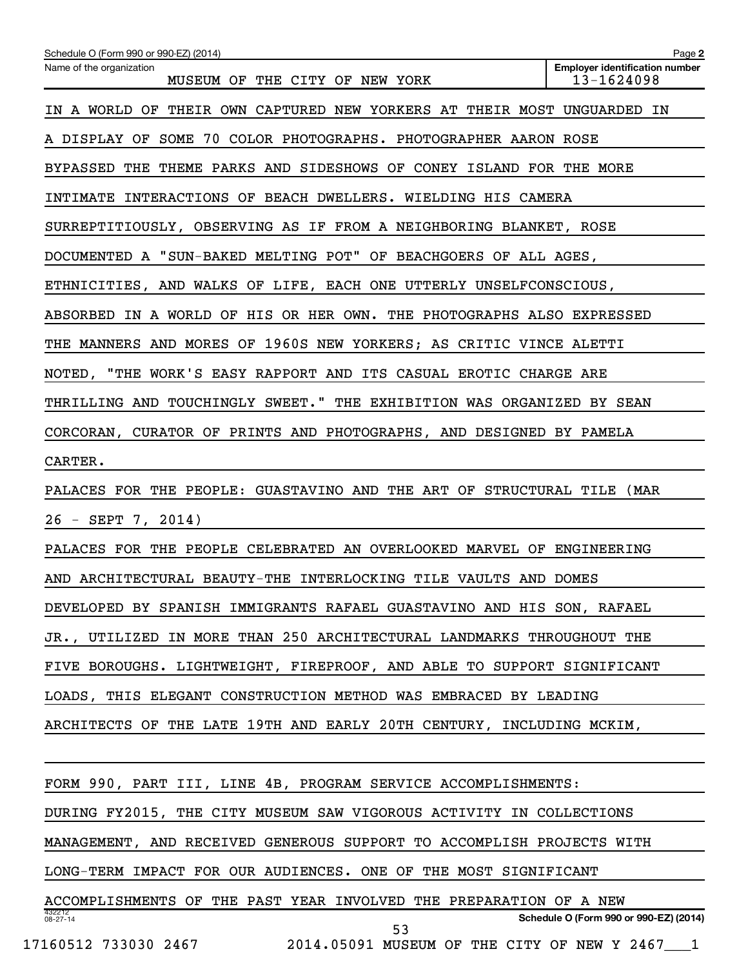| Schedule O (Form 990 or 990-EZ) (2014)                                  | Page 2                                              |
|-------------------------------------------------------------------------|-----------------------------------------------------|
| Name of the organization<br>MUSEUM OF THE CITY OF NEW YORK              | <b>Employer identification number</b><br>13-1624098 |
| IN A WORLD OF THEIR OWN CAPTURED NEW YORKERS AT THEIR MOST UNGUARDED IN |                                                     |
| A DISPLAY OF SOME 70 COLOR PHOTOGRAPHS. PHOTOGRAPHER AARON ROSE         |                                                     |
| BYPASSED THE THEME PARKS AND SIDESHOWS OF CONEY ISLAND FOR THE MORE     |                                                     |
| INTIMATE INTERACTIONS OF BEACH DWELLERS. WIELDING HIS CAMERA            |                                                     |
| SURREPTITIOUSLY, OBSERVING AS IF FROM A NEIGHBORING BLANKET, ROSE       |                                                     |
| DOCUMENTED A "SUN-BAKED MELTING POT" OF BEACHGOERS OF ALL AGES,         |                                                     |
| ETHNICITIES, AND WALKS OF LIFE, EACH ONE UTTERLY UNSELFCONSCIOUS,       |                                                     |
| ABSORBED IN A WORLD OF HIS OR HER OWN. THE PHOTOGRAPHS ALSO EXPRESSED   |                                                     |
| THE MANNERS AND MORES OF 1960S NEW YORKERS; AS CRITIC VINCE ALETTI      |                                                     |
| NOTED, "THE WORK'S EASY RAPPORT AND ITS CASUAL EROTIC CHARGE ARE        |                                                     |
| THRILLING AND TOUCHINGLY SWEET." THE EXHIBITION WAS ORGANIZED BY SEAN   |                                                     |
| CORCORAN, CURATOR OF PRINTS AND PHOTOGRAPHS, AND DESIGNED BY PAMELA     |                                                     |
| CARTER.                                                                 |                                                     |
| PALACES FOR THE PEOPLE: GUASTAVINO AND THE ART OF STRUCTURAL TILE (MAR  |                                                     |
| $26 - SEPT$ 7, 2014)                                                    |                                                     |
| PALACES FOR THE PEOPLE CELEBRATED AN OVERLOOKED MARVEL OF ENGINEERING   |                                                     |
| AND ARCHITECTURAL BEAUTY-THE INTERLOCKING TILE VAULTS AND DOMES         |                                                     |
| DEVELOPED BY SPANISH IMMIGRANTS RAFAEL GUASTAVINO AND HIS SON, RAFAEL   |                                                     |
| JR., UTILIZED IN MORE THAN 250 ARCHITECTURAL LANDMARKS THROUGHOUT THE   |                                                     |
| FIVE BOROUGHS. LIGHTWEIGHT, FIREPROOF, AND ABLE TO SUPPORT SIGNIFICANT  |                                                     |
| LOADS, THIS ELEGANT CONSTRUCTION METHOD WAS EMBRACED BY LEADING         |                                                     |
| ARCHITECTS OF THE LATE 19TH AND EARLY 20TH CENTURY, INCLUDING MCKIM,    |                                                     |
|                                                                         |                                                     |
| FORM 990, PART III, LINE 4B, PROGRAM SERVICE ACCOMPLISHMENTS:           |                                                     |
| DURING FY2015, THE CITY MUSEUM SAW VIGOROUS ACTIVITY IN COLLECTIONS     |                                                     |
| MANAGEMENT, AND RECEIVED GENEROUS SUPPORT TO ACCOMPLISH PROJECTS WITH   |                                                     |
| LONG-TERM IMPACT FOR OUR AUDIENCES. ONE OF THE MOST SIGNIFICANT         |                                                     |
| ACCOMPLISHMENTS OF THE PAST YEAR INVOLVED THE PREPARATION OF A NEW      |                                                     |
| 432212<br>08-27-14<br>53                                                | Schedule O (Form 990 or 990-EZ) (2014)              |
| 17160512 733030 2467<br>2014.05091 MUSEUM OF THE CITY OF NEW Y 2467 1   |                                                     |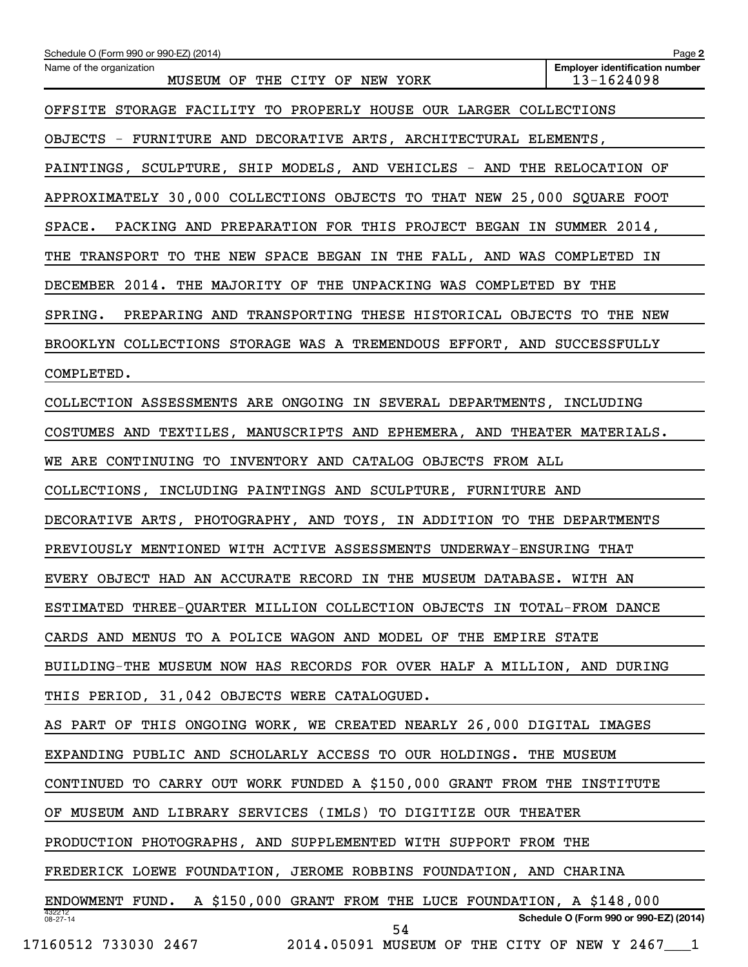| Schedule O (Form 990 or 990-EZ) (2014)                                  | Page 2                                              |
|-------------------------------------------------------------------------|-----------------------------------------------------|
| Name of the organization<br>MUSEUM OF THE CITY OF NEW YORK              | <b>Employer identification number</b><br>13-1624098 |
| OFFSITE STORAGE FACILITY TO PROPERLY HOUSE OUR LARGER COLLECTIONS       |                                                     |
| OBJECTS - FURNITURE AND DECORATIVE ARTS, ARCHITECTURAL ELEMENTS,        |                                                     |
| PAINTINGS, SCULPTURE, SHIP MODELS, AND VEHICLES - AND THE RELOCATION OF |                                                     |
| APPROXIMATELY 30,000 COLLECTIONS OBJECTS TO THAT NEW 25,000 SQUARE FOOT |                                                     |
| SPACE. PACKING AND PREPARATION FOR THIS PROJECT BEGAN IN SUMMER 2014,   |                                                     |
| THE TRANSPORT TO THE NEW SPACE BEGAN IN THE FALL, AND WAS COMPLETED IN  |                                                     |
| DECEMBER 2014. THE MAJORITY OF THE UNPACKING WAS COMPLETED BY THE       |                                                     |
| SPRING. PREPARING AND TRANSPORTING THESE HISTORICAL OBJECTS TO THE NEW  |                                                     |
| BROOKLYN COLLECTIONS STORAGE WAS A TREMENDOUS EFFORT, AND SUCCESSFULLY  |                                                     |
| COMPLETED.                                                              |                                                     |
| COLLECTION ASSESSMENTS ARE ONGOING IN SEVERAL DEPARTMENTS, INCLUDING    |                                                     |
| COSTUMES AND TEXTILES, MANUSCRIPTS AND EPHEMERA, AND THEATER MATERIALS. |                                                     |
| WE ARE CONTINUING TO INVENTORY AND CATALOG OBJECTS FROM ALL             |                                                     |
| COLLECTIONS, INCLUDING PAINTINGS AND SCULPTURE, FURNITURE AND           |                                                     |
| DECORATIVE ARTS, PHOTOGRAPHY, AND TOYS, IN ADDITION TO THE DEPARTMENTS  |                                                     |
| PREVIOUSLY MENTIONED WITH ACTIVE ASSESSMENTS UNDERWAY-ENSURING THAT     |                                                     |
| EVERY OBJECT HAD AN ACCURATE RECORD IN THE MUSEUM DATABASE. WITH AN     |                                                     |
| ESTIMATED THREE-QUARTER MILLION COLLECTION OBJECTS IN TOTAL-FROM DANCE  |                                                     |
| CARDS AND MENUS TO A POLICE WAGON AND MODEL OF THE EMPIRE STATE         |                                                     |
| BUILDING-THE MUSEUM NOW HAS RECORDS FOR OVER HALF A MILLION, AND DURING |                                                     |
| THIS PERIOD, 31,042 OBJECTS WERE CATALOGUED.                            |                                                     |
| AS PART OF THIS ONGOING WORK, WE CREATED NEARLY 26,000 DIGITAL IMAGES   |                                                     |
| EXPANDING PUBLIC AND SCHOLARLY ACCESS TO OUR HOLDINGS. THE MUSEUM       |                                                     |
| CONTINUED TO CARRY OUT WORK FUNDED A \$150,000 GRANT FROM THE INSTITUTE |                                                     |
| OF MUSEUM AND LIBRARY SERVICES (IMLS) TO DIGITIZE OUR THEATER           |                                                     |
| PRODUCTION PHOTOGRAPHS, AND SUPPLEMENTED WITH SUPPORT FROM THE          |                                                     |
| FREDERICK LOEWE FOUNDATION, JEROME ROBBINS FOUNDATION, AND CHARINA      |                                                     |
| ENDOWMENT FUND. A \$150,000 GRANT FROM THE LUCE FOUNDATION, A \$148,000 |                                                     |
| 432212<br>$08 - 27 - 14$<br>54                                          | Schedule O (Form 990 or 990-EZ) (2014)              |
| 17160512 733030 2467<br>2014.05091 MUSEUM OF THE CITY OF NEW Y 2467 1   |                                                     |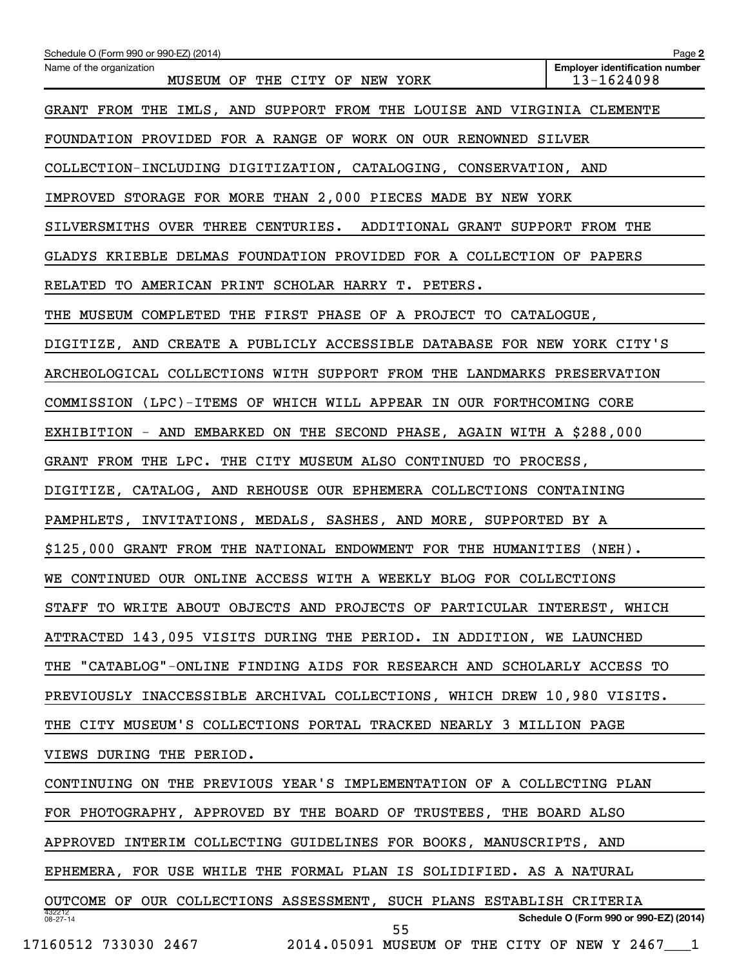| Schedule O (Form 990 or 990-EZ) (2014)                                  | Page 2                                              |
|-------------------------------------------------------------------------|-----------------------------------------------------|
| Name of the organization<br>MUSEUM OF THE CITY OF NEW YORK              | <b>Employer identification number</b><br>13-1624098 |
| GRANT FROM THE IMLS, AND SUPPORT FROM THE LOUISE AND VIRGINIA CLEMENTE  |                                                     |
| FOUNDATION PROVIDED FOR A RANGE OF WORK ON OUR RENOWNED SILVER          |                                                     |
| COLLECTION-INCLUDING DIGITIZATION, CATALOGING, CONSERVATION, AND        |                                                     |
| IMPROVED STORAGE FOR MORE THAN 2,000 PIECES MADE BY NEW YORK            |                                                     |
| SILVERSMITHS OVER THREE CENTURIES. ADDITIONAL GRANT SUPPORT FROM THE    |                                                     |
| GLADYS KRIEBLE DELMAS FOUNDATION PROVIDED FOR A COLLECTION OF PAPERS    |                                                     |
| RELATED TO AMERICAN PRINT SCHOLAR HARRY T. PETERS.                      |                                                     |
| THE MUSEUM COMPLETED THE FIRST PHASE OF A PROJECT TO CATALOGUE,         |                                                     |
| DIGITIZE, AND CREATE A PUBLICLY ACCESSIBLE DATABASE FOR NEW YORK CITY'S |                                                     |
| ARCHEOLOGICAL COLLECTIONS WITH SUPPORT FROM THE LANDMARKS PRESERVATION  |                                                     |
| COMMISSION (LPC)-ITEMS OF WHICH WILL APPEAR IN OUR FORTHCOMING CORE     |                                                     |
| EXHIBITION - AND EMBARKED ON THE SECOND PHASE, AGAIN WITH A \$288,000   |                                                     |
| GRANT FROM THE LPC. THE CITY MUSEUM ALSO CONTINUED TO PROCESS,          |                                                     |
| DIGITIZE, CATALOG, AND REHOUSE OUR EPHEMERA COLLECTIONS CONTAINING      |                                                     |
| PAMPHLETS, INVITATIONS, MEDALS, SASHES, AND MORE, SUPPORTED BY A        |                                                     |
| \$125,000 GRANT FROM THE NATIONAL ENDOWMENT FOR THE HUMANITIES (NEH).   |                                                     |
| WE CONTINUED OUR ONLINE ACCESS WITH A WEEKLY BLOG FOR COLLECTIONS       |                                                     |
| STAFF TO WRITE ABOUT OBJECTS AND PROJECTS OF PARTICULAR INTEREST, WHICH |                                                     |
| ATTRACTED 143,095 VISITS DURING THE PERIOD. IN ADDITION, WE LAUNCHED    |                                                     |
| THE "CATABLOG"-ONLINE FINDING AIDS FOR RESEARCH AND SCHOLARLY ACCESS TO |                                                     |
| PREVIOUSLY INACCESSIBLE ARCHIVAL COLLECTIONS, WHICH DREW 10,980 VISITS. |                                                     |
| THE CITY MUSEUM'S COLLECTIONS PORTAL TRACKED NEARLY 3 MILLION PAGE      |                                                     |
| VIEWS DURING THE PERIOD.                                                |                                                     |
| CONTINUING ON THE PREVIOUS YEAR'S IMPLEMENTATION OF A COLLECTING PLAN   |                                                     |
| FOR PHOTOGRAPHY, APPROVED BY THE BOARD OF TRUSTEES, THE BOARD ALSO      |                                                     |
| APPROVED INTERIM COLLECTING GUIDELINES FOR BOOKS, MANUSCRIPTS, AND      |                                                     |
| EPHEMERA, FOR USE WHILE THE FORMAL PLAN IS SOLIDIFIED. AS A NATURAL     |                                                     |
| OUTCOME OF OUR COLLECTIONS ASSESSMENT, SUCH PLANS ESTABLISH CRITERIA    |                                                     |
| 432212<br>08-27-14<br>55                                                | Schedule O (Form 990 or 990-EZ) (2014)              |
| 17160512 733030 2467<br>2014.05091 MUSEUM OF THE CITY OF NEW Y 2467 1   |                                                     |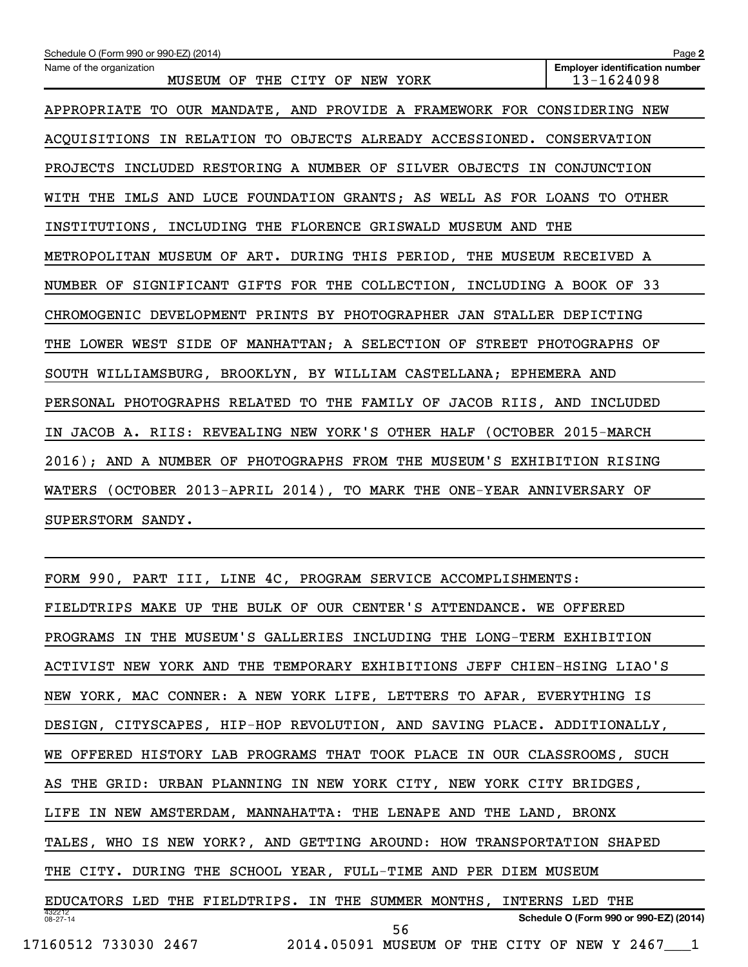| Schedule O (Form 990 or 990-EZ) (2014)                                  | Page 2                                              |  |  |  |  |  |  |
|-------------------------------------------------------------------------|-----------------------------------------------------|--|--|--|--|--|--|
| Name of the organization<br>MUSEUM OF THE CITY OF NEW YORK              | <b>Employer identification number</b><br>13-1624098 |  |  |  |  |  |  |
| APPROPRIATE TO OUR MANDATE, AND PROVIDE A FRAMEWORK FOR CONSIDERING NEW |                                                     |  |  |  |  |  |  |
| ACQUISITIONS IN RELATION TO OBJECTS ALREADY ACCESSIONED. CONSERVATION   |                                                     |  |  |  |  |  |  |
| PROJECTS INCLUDED RESTORING A NUMBER OF SILVER OBJECTS IN CONJUNCTION   |                                                     |  |  |  |  |  |  |
| WITH THE IMLS AND LUCE FOUNDATION GRANTS; AS WELL AS FOR LOANS TO OTHER |                                                     |  |  |  |  |  |  |
| INSTITUTIONS, INCLUDING THE FLORENCE GRISWALD MUSEUM AND THE            |                                                     |  |  |  |  |  |  |
| METROPOLITAN MUSEUM OF ART. DURING THIS PERIOD, THE MUSEUM RECEIVED A   |                                                     |  |  |  |  |  |  |
| NUMBER OF SIGNIFICANT GIFTS FOR THE COLLECTION, INCLUDING A BOOK OF 33  |                                                     |  |  |  |  |  |  |
| CHROMOGENIC DEVELOPMENT PRINTS BY PHOTOGRAPHER JAN STALLER DEPICTING    |                                                     |  |  |  |  |  |  |
| THE LOWER WEST SIDE OF MANHATTAN; A SELECTION OF STREET PHOTOGRAPHS OF  |                                                     |  |  |  |  |  |  |
| SOUTH WILLIAMSBURG, BROOKLYN, BY WILLIAM CASTELLANA; EPHEMERA AND       |                                                     |  |  |  |  |  |  |
| PERSONAL PHOTOGRAPHS RELATED TO THE FAMILY OF JACOB RIIS, AND INCLUDED  |                                                     |  |  |  |  |  |  |
| IN JACOB A. RIIS: REVEALING NEW YORK'S OTHER HALF (OCTOBER 2015-MARCH   |                                                     |  |  |  |  |  |  |
| 2016); AND A NUMBER OF PHOTOGRAPHS FROM THE MUSEUM'S EXHIBITION RISING  |                                                     |  |  |  |  |  |  |
| WATERS (OCTOBER 2013-APRIL 2014), TO MARK THE ONE-YEAR ANNIVERSARY OF   |                                                     |  |  |  |  |  |  |
| SUPERSTORM SANDY.                                                       |                                                     |  |  |  |  |  |  |

432212 08-27-14 **Schedule O (Form 990 or 990-EZ) (2014)** FORM 990, PART III, LINE 4C, PROGRAM SERVICE ACCOMPLISHMENTS: FIELDTRIPS MAKE UP THE BULK OF OUR CENTER'S ATTENDANCE. WE OFFERED PROGRAMS IN THE MUSEUM'S GALLERIES INCLUDING THE LONG-TERM EXHIBITION ACTIVIST NEW YORK AND THE TEMPORARY EXHIBITIONS JEFF CHIEN-HSING LIAO'S NEW YORK, MAC CONNER: A NEW YORK LIFE, LETTERS TO AFAR, EVERYTHING IS DESIGN, CITYSCAPES, HIP-HOP REVOLUTION, AND SAVING PLACE. ADDITIONALLY, WE OFFERED HISTORY LAB PROGRAMS THAT TOOK PLACE IN OUR CLASSROOMS, SUCH AS THE GRID: URBAN PLANNING IN NEW YORK CITY, NEW YORK CITY BRIDGES, LIFE IN NEW AMSTERDAM, MANNAHATTA: THE LENAPE AND THE LAND, BRONX TALES, WHO IS NEW YORK?, AND GETTING AROUND: HOW TRANSPORTATION SHAPED THE CITY. DURING THE SCHOOL YEAR, FULL-TIME AND PER DIEM MUSEUM EDUCATORS LED THE FIELDTRIPS. IN THE SUMMER MONTHS, INTERNS LED THE 17160512 733030 2467 2014.05091 MUSEUM OF THE CITY OF NEW Y 2467\_\_\_1 56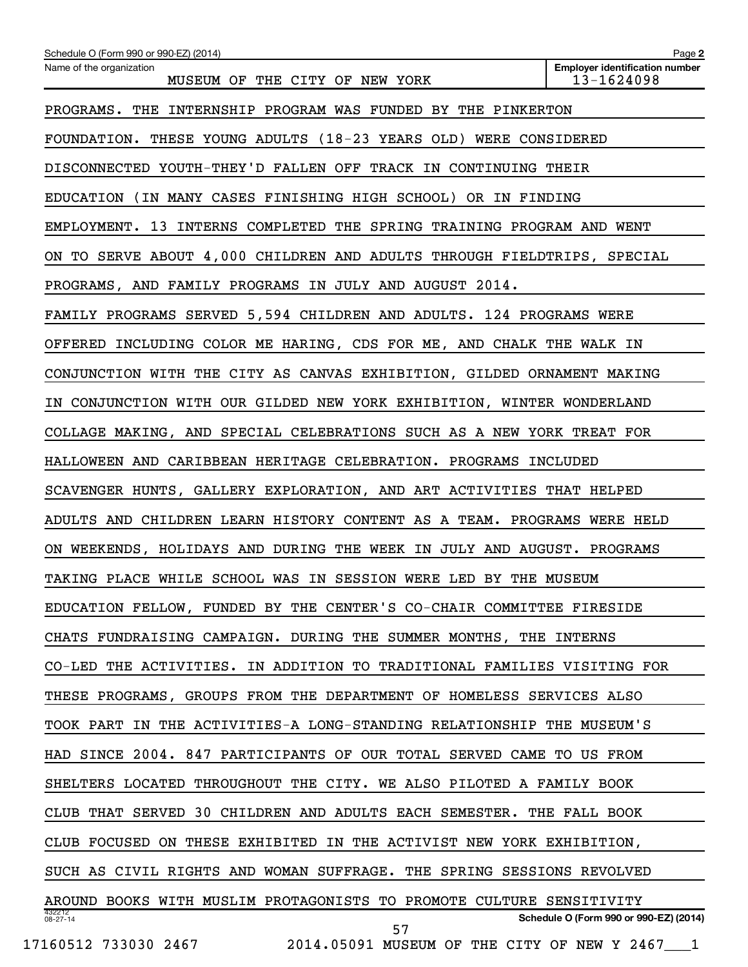| Schedule O (Form 990 or 990-EZ) (2014)                                  | Page 2                                              |
|-------------------------------------------------------------------------|-----------------------------------------------------|
| Name of the organization<br>MUSEUM OF THE CITY OF NEW YORK              | <b>Employer identification number</b><br>13-1624098 |
| PROGRAMS. THE INTERNSHIP PROGRAM WAS FUNDED BY THE PINKERTON            |                                                     |
| FOUNDATION. THESE YOUNG ADULTS (18-23 YEARS OLD) WERE CONSIDERED        |                                                     |
| DISCONNECTED YOUTH-THEY'D FALLEN OFF TRACK IN CONTINUING THEIR          |                                                     |
| EDUCATION (IN MANY CASES FINISHING HIGH SCHOOL) OR IN FINDING           |                                                     |
| EMPLOYMENT. 13 INTERNS COMPLETED THE SPRING TRAINING PROGRAM AND WENT   |                                                     |
| ON TO SERVE ABOUT 4,000 CHILDREN AND ADULTS THROUGH FIELDTRIPS, SPECIAL |                                                     |
| PROGRAMS, AND FAMILY PROGRAMS IN JULY AND AUGUST 2014.                  |                                                     |
| FAMILY PROGRAMS SERVED 5,594 CHILDREN AND ADULTS. 124 PROGRAMS WERE     |                                                     |
| OFFERED INCLUDING COLOR ME HARING, CDS FOR ME, AND CHALK THE WALK IN    |                                                     |
| CONJUNCTION WITH THE CITY AS CANVAS EXHIBITION, GILDED ORNAMENT MAKING  |                                                     |
| IN CONJUNCTION WITH OUR GILDED NEW YORK EXHIBITION, WINTER WONDERLAND   |                                                     |
| COLLAGE MAKING, AND SPECIAL CELEBRATIONS SUCH AS A NEW YORK TREAT FOR   |                                                     |
| HALLOWEEN AND CARIBBEAN HERITAGE CELEBRATION. PROGRAMS INCLUDED         |                                                     |
| SCAVENGER HUNTS, GALLERY EXPLORATION, AND ART ACTIVITIES THAT HELPED    |                                                     |
| ADULTS AND CHILDREN LEARN HISTORY CONTENT AS A TEAM. PROGRAMS WERE HELD |                                                     |
| ON WEEKENDS, HOLIDAYS AND DURING THE WEEK IN JULY AND AUGUST. PROGRAMS  |                                                     |
| TAKING PLACE WHILE SCHOOL WAS IN SESSION WERE LED BY THE MUSEUM         |                                                     |
| EDUCATION FELLOW, FUNDED BY THE CENTER'S CO-CHAIR COMMITTEE FIRESIDE    |                                                     |
| CHATS FUNDRAISING CAMPAIGN. DURING THE SUMMER MONTHS, THE INTERNS       |                                                     |
| CO-LED THE ACTIVITIES. IN ADDITION TO TRADITIONAL FAMILIES VISITING FOR |                                                     |
| THESE PROGRAMS, GROUPS FROM THE DEPARTMENT OF HOMELESS SERVICES ALSO    |                                                     |
| TOOK PART IN THE ACTIVITIES-A LONG-STANDING RELATIONSHIP THE MUSEUM'S   |                                                     |
| HAD SINCE 2004. 847 PARTICIPANTS OF OUR TOTAL SERVED CAME TO US FROM    |                                                     |
| SHELTERS LOCATED THROUGHOUT THE CITY. WE ALSO PILOTED A FAMILY BOOK     |                                                     |
| CLUB THAT SERVED 30 CHILDREN AND ADULTS EACH SEMESTER. THE FALL BOOK    |                                                     |
| CLUB FOCUSED ON THESE EXHIBITED IN THE ACTIVIST NEW YORK EXHIBITION,    |                                                     |
| SUCH AS CIVIL RIGHTS AND WOMAN SUFFRAGE. THE SPRING SESSIONS REVOLVED   |                                                     |
| AROUND BOOKS WITH MUSLIM PROTAGONISTS TO PROMOTE CULTURE SENSITIVITY    |                                                     |
| 432212<br>08-27-14<br>57                                                | Schedule O (Form 990 or 990-EZ) (2014)              |
| 17160512 733030 2467<br>2014.05091 MUSEUM OF THE CITY OF NEW Y 2467 1   |                                                     |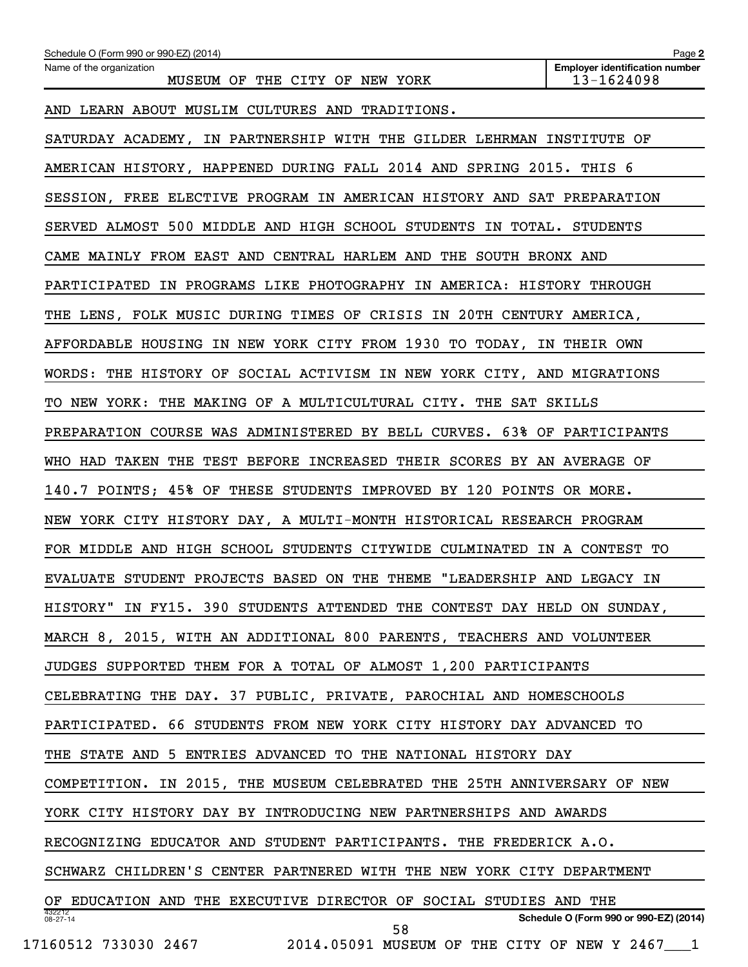| Schedule O (Form 990 or 990-EZ) (2014)                                  | Page 2                                              |
|-------------------------------------------------------------------------|-----------------------------------------------------|
| Name of the organization<br>MUSEUM OF THE CITY OF NEW YORK              | <b>Employer identification number</b><br>13-1624098 |
| AND LEARN ABOUT MUSLIM CULTURES AND TRADITIONS.                         |                                                     |
| SATURDAY ACADEMY, IN PARTNERSHIP WITH THE GILDER LEHRMAN INSTITUTE OF   |                                                     |
| AMERICAN HISTORY, HAPPENED DURING FALL 2014 AND SPRING 2015. THIS 6     |                                                     |
| SESSION, FREE ELECTIVE PROGRAM IN AMERICAN HISTORY AND SAT PREPARATION  |                                                     |
| SERVED ALMOST 500 MIDDLE AND HIGH SCHOOL STUDENTS IN TOTAL. STUDENTS    |                                                     |
| CAME MAINLY FROM EAST AND CENTRAL HARLEM AND THE SOUTH BRONX AND        |                                                     |
| PARTICIPATED IN PROGRAMS LIKE PHOTOGRAPHY IN AMERICA: HISTORY THROUGH   |                                                     |
| THE LENS, FOLK MUSIC DURING TIMES OF CRISIS IN 20TH CENTURY AMERICA,    |                                                     |
| AFFORDABLE HOUSING IN NEW YORK CITY FROM 1930 TO TODAY, IN THEIR OWN    |                                                     |
| WORDS: THE HISTORY OF SOCIAL ACTIVISM IN NEW YORK CITY, AND MIGRATIONS  |                                                     |
| TO NEW YORK: THE MAKING OF A MULTICULTURAL CITY. THE SAT SKILLS         |                                                     |
| PREPARATION COURSE WAS ADMINISTERED BY BELL CURVES. 63% OF PARTICIPANTS |                                                     |
| WHO HAD TAKEN THE TEST BEFORE INCREASED THEIR SCORES BY AN AVERAGE OF   |                                                     |
| 140.7 POINTS; 45% OF THESE STUDENTS IMPROVED BY 120 POINTS OR MORE.     |                                                     |
| NEW YORK CITY HISTORY DAY, A MULTI-MONTH HISTORICAL RESEARCH PROGRAM    |                                                     |
| FOR MIDDLE AND HIGH SCHOOL STUDENTS CITYWIDE CULMINATED IN A CONTEST TO |                                                     |
| EVALUATE STUDENT PROJECTS BASED ON THE THEME "LEADERSHIP AND LEGACY IN  |                                                     |
| HISTORY" IN FY15. 390 STUDENTS ATTENDED THE CONTEST DAY HELD ON SUNDAY, |                                                     |
| MARCH 8, 2015, WITH AN ADDITIONAL 800 PARENTS, TEACHERS AND VOLUNTEER   |                                                     |
| JUDGES SUPPORTED THEM FOR A TOTAL OF ALMOST 1,200 PARTICIPANTS          |                                                     |
| CELEBRATING THE DAY. 37 PUBLIC, PRIVATE, PAROCHIAL AND HOMESCHOOLS      |                                                     |
| PARTICIPATED. 66 STUDENTS FROM NEW YORK CITY HISTORY DAY ADVANCED TO    |                                                     |
| THE STATE AND 5 ENTRIES ADVANCED TO THE NATIONAL HISTORY DAY            |                                                     |
| COMPETITION. IN 2015, THE MUSEUM CELEBRATED THE 25TH ANNIVERSARY OF NEW |                                                     |
| YORK CITY HISTORY DAY BY INTRODUCING NEW PARTNERSHIPS AND AWARDS        |                                                     |
| RECOGNIZING EDUCATOR AND STUDENT PARTICIPANTS. THE FREDERICK A.O.       |                                                     |
| SCHWARZ CHILDREN'S CENTER PARTNERED WITH THE NEW YORK CITY DEPARTMENT   |                                                     |
| OF EDUCATION AND THE EXECUTIVE DIRECTOR OF SOCIAL STUDIES AND THE       |                                                     |
| 432212<br>08-27-14<br>58                                                | Schedule O (Form 990 or 990-EZ) (2014)              |
| 17160512 733030 2467<br>2014.05091 MUSEUM OF THE CITY OF NEW Y 2467 1   |                                                     |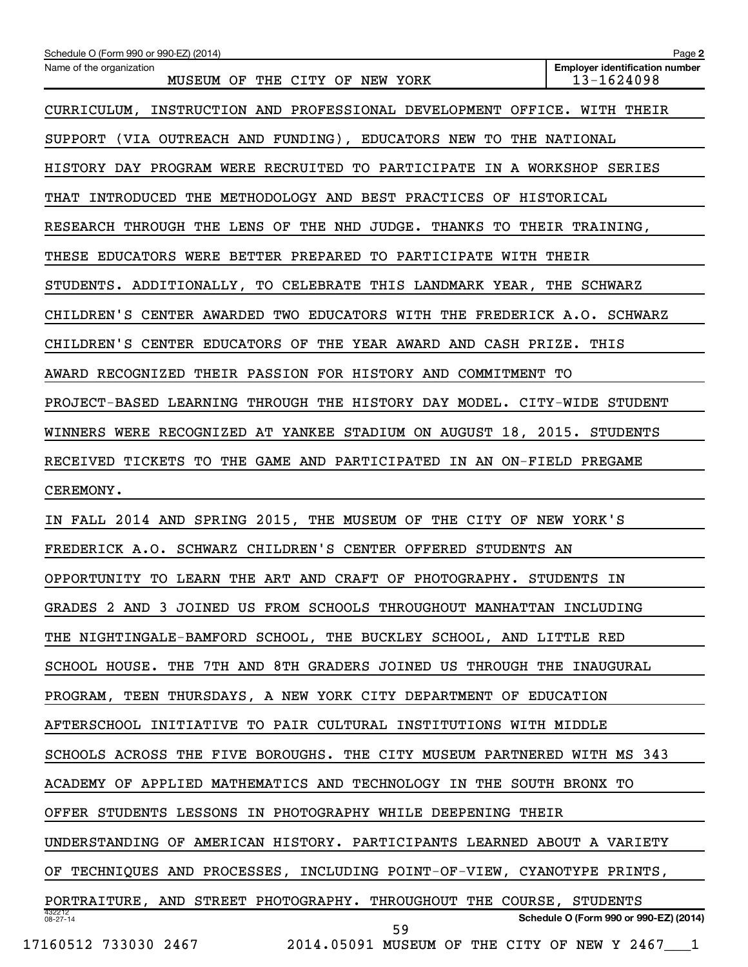| Schedule O (Form 990 or 990-EZ) (2014)                                  | Page 2                                              |
|-------------------------------------------------------------------------|-----------------------------------------------------|
| Name of the organization<br>MUSEUM OF THE CITY OF NEW YORK              | <b>Employer identification number</b><br>13-1624098 |
| CURRICULUM, INSTRUCTION AND PROFESSIONAL DEVELOPMENT OFFICE. WITH THEIR |                                                     |
| SUPPORT (VIA OUTREACH AND FUNDING), EDUCATORS NEW TO THE NATIONAL       |                                                     |
| HISTORY DAY PROGRAM WERE RECRUITED TO PARTICIPATE IN A WORKSHOP SERIES  |                                                     |
| THAT INTRODUCED THE METHODOLOGY AND BEST PRACTICES OF HISTORICAL        |                                                     |
| RESEARCH THROUGH THE LENS OF THE NHD JUDGE. THANKS TO THEIR TRAINING,   |                                                     |
| THESE EDUCATORS WERE BETTER PREPARED TO PARTICIPATE WITH THEIR          |                                                     |
| STUDENTS. ADDITIONALLY, TO CELEBRATE THIS LANDMARK YEAR, THE SCHWARZ    |                                                     |
| CHILDREN'S CENTER AWARDED TWO EDUCATORS WITH THE FREDERICK A.O. SCHWARZ |                                                     |
| CHILDREN'S CENTER EDUCATORS OF THE YEAR AWARD AND CASH PRIZE. THIS      |                                                     |
| AWARD RECOGNIZED THEIR PASSION FOR HISTORY AND COMMITMENT TO            |                                                     |
| PROJECT-BASED LEARNING THROUGH THE HISTORY DAY MODEL. CITY-WIDE STUDENT |                                                     |
| WINNERS WERE RECOGNIZED AT YANKEE STADIUM ON AUGUST 18, 2015. STUDENTS  |                                                     |
| RECEIVED TICKETS TO THE GAME AND PARTICIPATED IN AN ON-FIELD PREGAME    |                                                     |
| CEREMONY.                                                               |                                                     |
| IN FALL 2014 AND SPRING 2015, THE MUSEUM OF THE CITY OF NEW YORK'S      |                                                     |
| FREDERICK A.O. SCHWARZ CHILDREN'S CENTER OFFERED STUDENTS AN            |                                                     |
| OPPORTUNITY TO LEARN THE ART AND CRAFT OF PHOTOGRAPHY. STUDENTS IN      |                                                     |
| GRADES 2 AND 3 JOINED US FROM SCHOOLS THROUGHOUT MANHATTAN INCLUDING    |                                                     |
| THE NIGHTINGALE-BAMFORD SCHOOL, THE BUCKLEY SCHOOL, AND LITTLE RED      |                                                     |
| SCHOOL HOUSE. THE 7TH AND 8TH GRADERS JOINED US THROUGH THE INAUGURAL   |                                                     |
| PROGRAM, TEEN THURSDAYS, A NEW YORK CITY DEPARTMENT OF EDUCATION        |                                                     |
| AFTERSCHOOL INITIATIVE TO PAIR CULTURAL INSTITUTIONS WITH MIDDLE        |                                                     |
| SCHOOLS ACROSS THE FIVE BOROUGHS. THE CITY MUSEUM PARTNERED WITH MS 343 |                                                     |
| ACADEMY OF APPLIED MATHEMATICS AND TECHNOLOGY IN THE SOUTH BRONX TO     |                                                     |
| OFFER STUDENTS LESSONS IN PHOTOGRAPHY WHILE DEEPENING THEIR             |                                                     |
| UNDERSTANDING OF AMERICAN HISTORY. PARTICIPANTS LEARNED ABOUT A VARIETY |                                                     |
| OF TECHNIQUES AND PROCESSES, INCLUDING POINT-OF-VIEW, CYANOTYPE PRINTS, |                                                     |
| PORTRAITURE, AND STREET PHOTOGRAPHY. THROUGHOUT THE COURSE, STUDENTS    |                                                     |
| 432212<br>$08 - 27 - 14$<br>59                                          | Schedule O (Form 990 or 990-EZ) (2014)              |
| 17160512 733030 2467<br>2014.05091 MUSEUM OF THE CITY OF NEW Y 2467 1   |                                                     |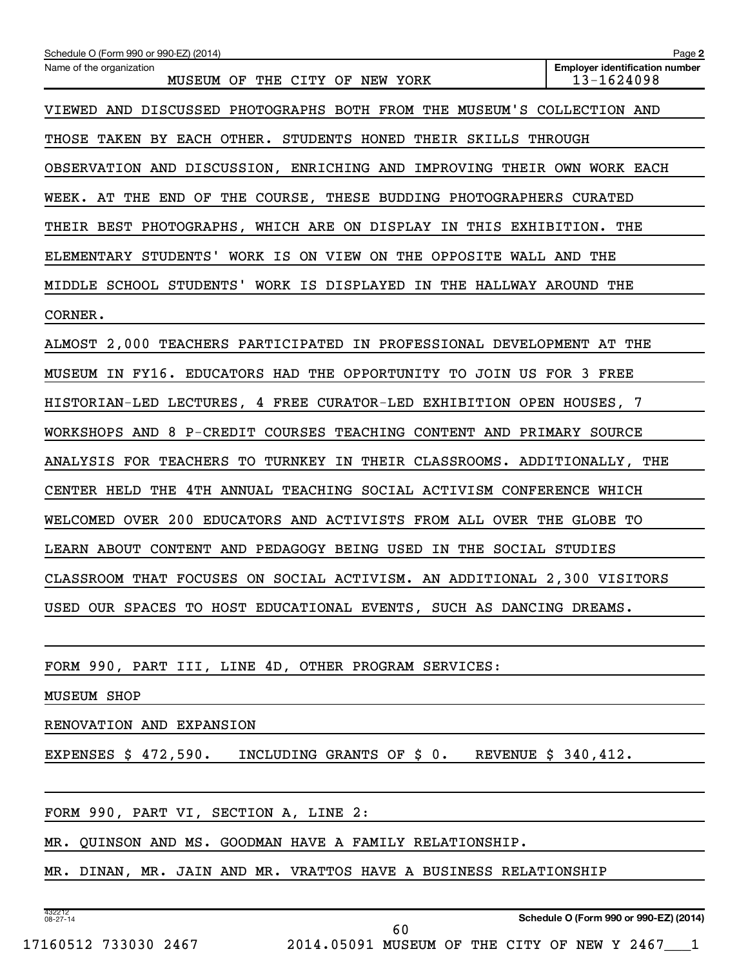| Schedule O (Form 990 or 990-EZ) (2014)                                            | Page 2                                              |
|-----------------------------------------------------------------------------------|-----------------------------------------------------|
| Name of the organization<br>MUSEUM OF THE CITY OF NEW YORK                        | <b>Employer identification number</b><br>13-1624098 |
| VIEWED AND DISCUSSED PHOTOGRAPHS BOTH FROM THE MUSEUM'S COLLECTION AND            |                                                     |
| THOSE TAKEN BY EACH OTHER. STUDENTS HONED THEIR SKILLS THROUGH                    |                                                     |
| OBSERVATION AND DISCUSSION, ENRICHING AND IMPROVING THEIR OWN WORK EACH           |                                                     |
| WEEK. AT THE END OF THE COURSE, THESE BUDDING PHOTOGRAPHERS CURATED               |                                                     |
| THEIR BEST PHOTOGRAPHS, WHICH ARE ON DISPLAY IN THIS EXHIBITION. THE              |                                                     |
| ELEMENTARY STUDENTS' WORK IS ON VIEW ON THE OPPOSITE WALL AND THE                 |                                                     |
| MIDDLE SCHOOL STUDENTS' WORK IS DISPLAYED IN THE HALLWAY AROUND THE               |                                                     |
| CORNER.                                                                           |                                                     |
| ALMOST 2,000 TEACHERS PARTICIPATED IN PROFESSIONAL DEVELOPMENT AT THE             |                                                     |
| MUSEUM IN FY16. EDUCATORS HAD THE OPPORTUNITY TO JOIN US FOR 3 FREE               |                                                     |
| HISTORIAN-LED LECTURES, 4 FREE CURATOR-LED EXHIBITION OPEN HOUSES, 7              |                                                     |
| WORKSHOPS AND 8 P-CREDIT COURSES TEACHING CONTENT AND PRIMARY SOURCE              |                                                     |
| ANALYSIS FOR TEACHERS TO TURNKEY IN THEIR CLASSROOMS. ADDITIONALLY, THE           |                                                     |
| CENTER HELD THE 4TH ANNUAL TEACHING SOCIAL ACTIVISM CONFERENCE WHICH              |                                                     |
| WELCOMED OVER 200 EDUCATORS AND ACTIVISTS FROM ALL OVER THE GLOBE TO              |                                                     |
| LEARN ABOUT CONTENT AND PEDAGOGY BEING USED IN THE SOCIAL STUDIES                 |                                                     |
| CLASSROOM THAT FOCUSES ON SOCIAL ACTIVISM. AN ADDITIONAL 2,300 VISITORS           |                                                     |
| USED OUR SPACES TO HOST EDUCATIONAL EVENTS, SUCH AS DANCING DREAMS.               |                                                     |
|                                                                                   |                                                     |
| FORM 990, PART III, LINE 4D, OTHER PROGRAM SERVICES:                              |                                                     |
| <b>MUSEUM SHOP</b>                                                                |                                                     |
| RENOVATION AND EXPANSION                                                          |                                                     |
| EXPENSES $$472,590.$<br>INCLUDING GRANTS OF $\sharp$ 0. REVENUE $\sharp$ 340,412. |                                                     |
|                                                                                   |                                                     |
| FORM 990, PART VI, SECTION A, LINE 2:                                             |                                                     |
| MR. QUINSON AND MS. GOODMAN HAVE A FAMILY RELATIONSHIP.                           |                                                     |
| MR. DINAN, MR. JAIN AND MR. VRATTOS HAVE A BUSINESS RELATIONSHIP                  |                                                     |
|                                                                                   |                                                     |
| 432212<br>$08 - 27 - 14$<br>60                                                    | Schedule O (Form 990 or 990-EZ) (2014)              |

17160512 733030 2467 2014.05091 MUSEUM OF THE CITY OF NEW Y 2467\_\_\_1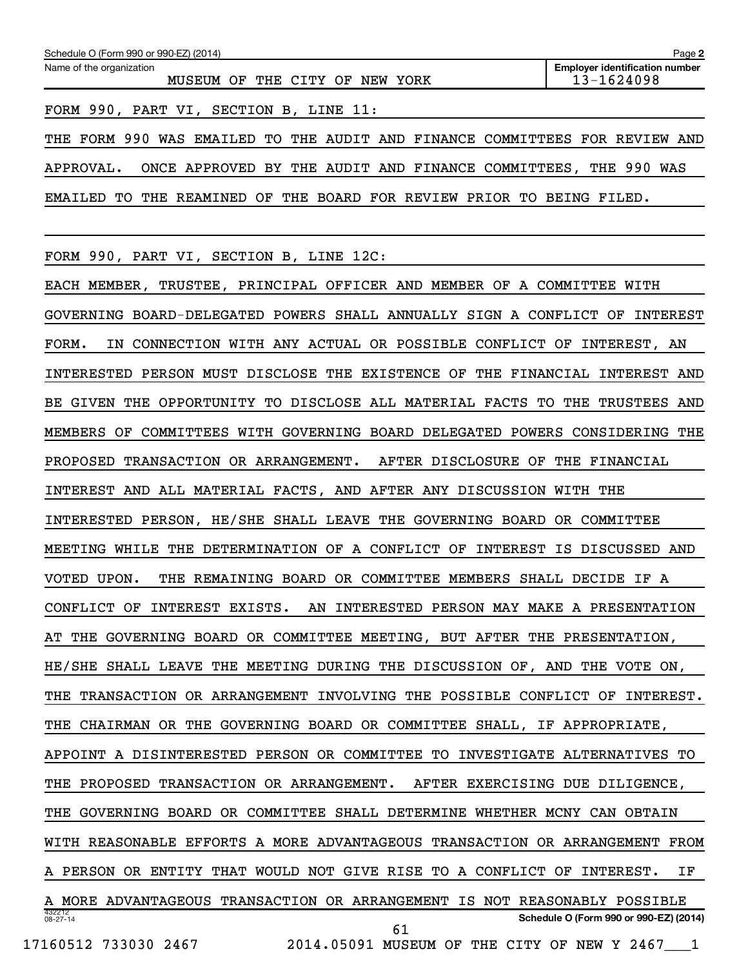| Schedule O (Form 990 or 990-EZ) (2014)<br>Page 2                            |                                                     |  |  |  |  |  |  |  |
|-----------------------------------------------------------------------------|-----------------------------------------------------|--|--|--|--|--|--|--|
| Name of the organization<br>THE CITY OF<br>MUSEUM OF<br>NEW YORK            | <b>Employer identification number</b><br>13-1624098 |  |  |  |  |  |  |  |
| FORM 990, PART VI, SECTION B, LINE 11:                                      |                                                     |  |  |  |  |  |  |  |
| THE FORM 990 WAS EMAILED TO THE AUDIT AND FINANCE COMMITTEES FOR REVIEW AND |                                                     |  |  |  |  |  |  |  |
| ONCE APPROVED BY THE AUDIT AND FINANCE COMMITTEES, THE 990 WAS<br>APPROVAL. |                                                     |  |  |  |  |  |  |  |

EMAILED TO THE REAMINED OF THE BOARD FOR REVIEW PRIOR TO BEING FILED.

FORM 990, PART VI, SECTION B, LINE 12C:

432212 08-27-14 **Schedule O (Form 990 or 990-EZ) (2014)** EACH MEMBER, TRUSTEE, PRINCIPAL OFFICER AND MEMBER OF A COMMITTEE WITH GOVERNING BOARD-DELEGATED POWERS SHALL ANNUALLY SIGN A CONFLICT OF INTEREST FORM. IN CONNECTION WITH ANY ACTUAL OR POSSIBLE CONFLICT OF INTEREST, AN INTERESTED PERSON MUST DISCLOSE THE EXISTENCE OF THE FINANCIAL INTEREST AND BE GIVEN THE OPPORTUNITY TO DISCLOSE ALL MATERIAL FACTS TO THE TRUSTEES AND MEMBERS OF COMMITTEES WITH GOVERNING BOARD DELEGATED POWERS CONSIDERING THE PROPOSED TRANSACTION OR ARRANGEMENT. AFTER DISCLOSURE OF THE FINANCIAL INTEREST AND ALL MATERIAL FACTS, AND AFTER ANY DISCUSSION WITH THE INTERESTED PERSON, HE/SHE SHALL LEAVE THE GOVERNING BOARD OR COMMITTEE MEETING WHILE THE DETERMINATION OF A CONFLICT OF INTEREST IS DISCUSSED AND VOTED UPON. THE REMAINING BOARD OR COMMITTEE MEMBERS SHALL DECIDE IF A CONFLICT OF INTEREST EXISTS. AN INTERESTED PERSON MAY MAKE A PRESENTATION AT THE GOVERNING BOARD OR COMMITTEE MEETING, BUT AFTER THE PRESENTATION, HE/SHE SHALL LEAVE THE MEETING DURING THE DISCUSSION OF, AND THE VOTE ON, THE TRANSACTION OR ARRANGEMENT INVOLVING THE POSSIBLE CONFLICT OF INTEREST. THE CHAIRMAN OR THE GOVERNING BOARD OR COMMITTEE SHALL, IF APPROPRIATE, APPOINT A DISINTERESTED PERSON OR COMMITTEE TO INVESTIGATE ALTERNATIVES TO THE PROPOSED TRANSACTION OR ARRANGEMENT. AFTER EXERCISING DUE DILIGENCE, THE GOVERNING BOARD OR COMMITTEE SHALL DETERMINE WHETHER MCNY CAN OBTAIN WITH REASONABLE EFFORTS A MORE ADVANTAGEOUS TRANSACTION OR ARRANGEMENT FROM A PERSON OR ENTITY THAT WOULD NOT GIVE RISE TO A CONFLICT OF INTEREST. IF A MORE ADVANTAGEOUS TRANSACTION OR ARRANGEMENT IS NOT REASONABLY POSSIBLE 61

17160512 733030 2467 2014.05091 MUSEUM OF THE CITY OF NEW Y 2467\_\_\_1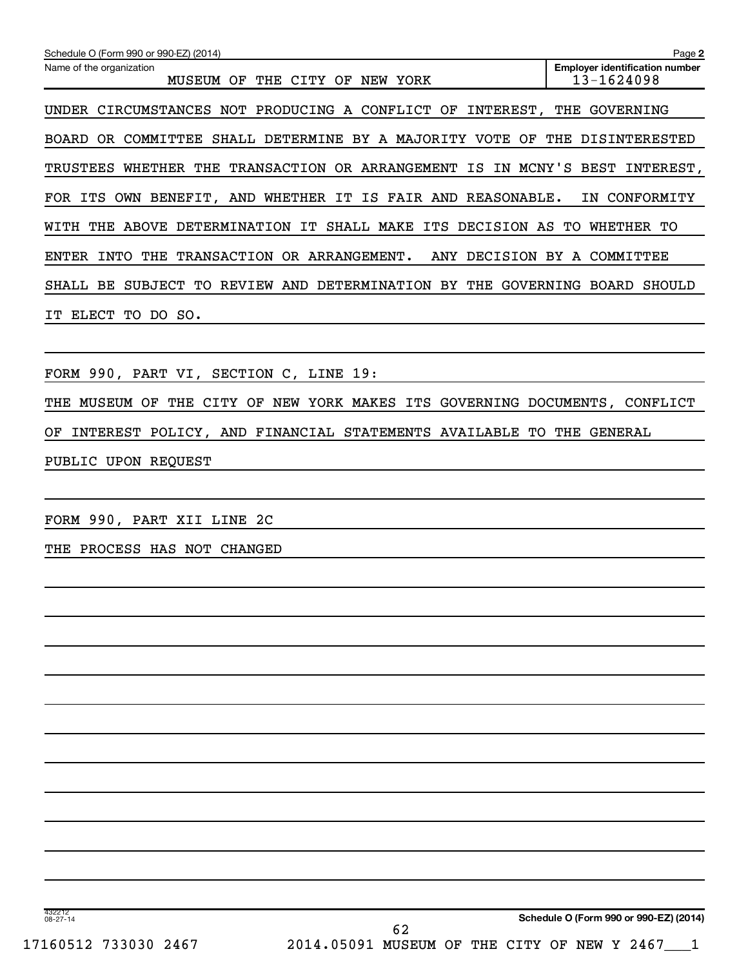| Schedule O (Form 990 or 990-EZ) (2014)                                       | Page 2                                              |  |  |
|------------------------------------------------------------------------------|-----------------------------------------------------|--|--|
| Name of the organization<br>CITY<br>MUSEUM<br>OF<br>THE<br>OF<br>NEW<br>YORK | <b>Employer identification number</b><br>13-1624098 |  |  |
| UNDER CIRCUMSTANCES NOT PRODUCING A CONFLICT<br>INTEREST,<br>OF              | THE<br>GOVERNING                                    |  |  |
| COMMITTEE SHALL DETERMINE BY A MAJORITY VOTE<br>OF<br>BOARD<br>OR            | THE<br>DISINTERESTED                                |  |  |
| TRUSTEES WHETHER THE TRANSACTION OR ARRANGEMENT IS IN MCNY'S BEST            | INTEREST,                                           |  |  |
| OWN BENEFIT, AND WHETHER IT IS FAIR AND<br>REASONABLE.<br>FOR ITS            | CONFORMITY<br>IN                                    |  |  |
| THE ABOVE DETERMINATION IT SHALL MAKE ITS DECISION AS<br>WITH                | WHETHER<br>TО<br>TO.                                |  |  |
| DECISION<br>INTO<br>THE<br>TRANSACTION OR ARRANGEMENT.<br>ENTER<br>ANY       | BY A<br>COMMITTEE                                   |  |  |
| REVIEW AND DETERMINATION<br>BY THE<br>SUBJECT TO<br>GOVERNING<br>SHALL BE    | BOARD<br>SHOULD                                     |  |  |
| ELECT<br>TO DO SO.<br>ΤͲ                                                     |                                                     |  |  |
|                                                                              |                                                     |  |  |
|                                                                              |                                                     |  |  |

FORM 990, PART VI, SECTION C, LINE 19:

THE MUSEUM OF THE CITY OF NEW YORK MAKES ITS GOVERNING DOCUMENTS, CONFLICT OF INTEREST POLICY, AND FINANCIAL STATEMENTS AVAILABLE TO THE GENERAL PUBLIC UPON REQUEST

FORM 990, PART XII LINE 2C

THE PROCESS HAS NOT CHANGED

432212 08-27-14